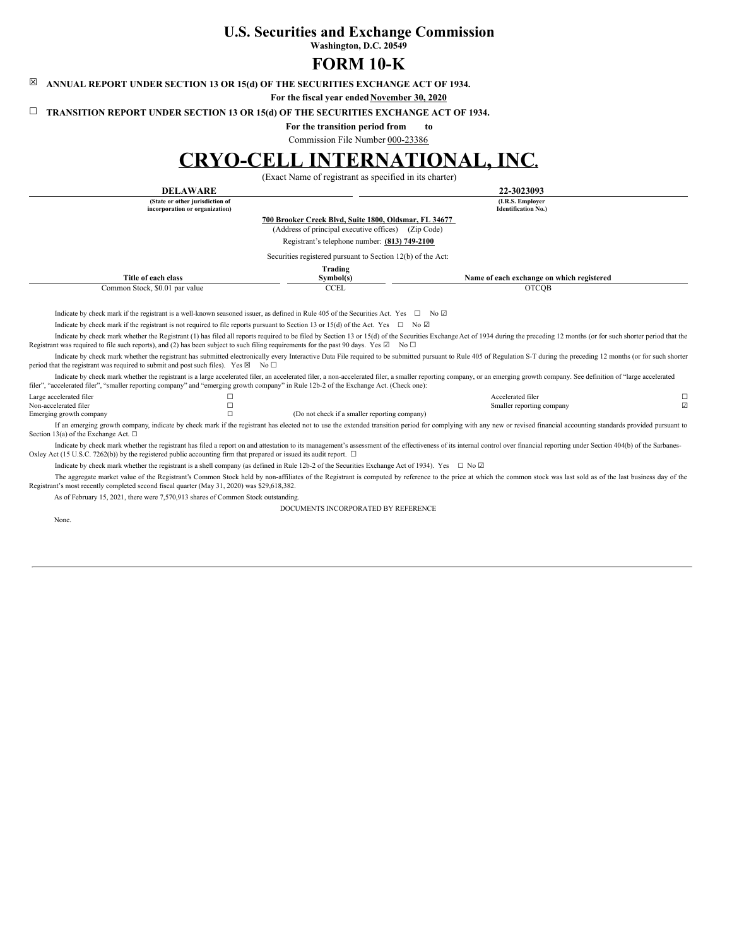# **U.S. Securities and Exchange Commission**

**Washington, D.C. 20549**

# **FORM 10-K**

**☒ ANNUAL REPORT UNDER SECTION 13 OR 15(d) OF THE SECURITIES EXCHANGE ACT OF 1934.**

**For the fiscal year ended November 30, 2020**

☐ **TRANSITION REPORT UNDER SECTION 13 OR 15(d) OF THE SECURITIES EXCHANGE ACT OF 1934.**

**For the transition period from to**

Commission File Number 000-23386

# **CRYO-CELL INTERNATIONAL, INC.** (Exact Name of registrant as specified in its charter)

| <b>DELAWARE</b>                                                                                                                                    |                                                             | 22-3023093                                                                                                                                                                                                                     |  |  |
|----------------------------------------------------------------------------------------------------------------------------------------------------|-------------------------------------------------------------|--------------------------------------------------------------------------------------------------------------------------------------------------------------------------------------------------------------------------------|--|--|
| (State or other jurisdiction of<br>incorporation or organization)                                                                                  |                                                             | (I.R.S. Employer<br><b>Identification No.)</b>                                                                                                                                                                                 |  |  |
|                                                                                                                                                    | 700 Brooker Creek Blvd, Suite 1800, Oldsmar, FL 34677       |                                                                                                                                                                                                                                |  |  |
|                                                                                                                                                    | (Address of principal executive offices) (Zip Code)         |                                                                                                                                                                                                                                |  |  |
|                                                                                                                                                    | Registrant's telephone number: (813) 749-2100               |                                                                                                                                                                                                                                |  |  |
|                                                                                                                                                    | Securities registered pursuant to Section 12(b) of the Act: |                                                                                                                                                                                                                                |  |  |
|                                                                                                                                                    | Trading                                                     |                                                                                                                                                                                                                                |  |  |
| Title of each class                                                                                                                                | Symbol(s)                                                   | Name of each exchange on which registered                                                                                                                                                                                      |  |  |
| Common Stock, \$0.01 par value                                                                                                                     | <b>CCEL</b>                                                 | <b>OTCOB</b>                                                                                                                                                                                                                   |  |  |
| Indicate by check mark if the registrant is a well-known seasoned issuer, as defined in Rule 405 of the Securities Act. Yes $\square$ No $\square$ |                                                             |                                                                                                                                                                                                                                |  |  |
| Indicate by check mark if the registrant is not required to file reports pursuant to Section 13 or 15(d) of the Act. Yes $\square$ No $\square$    |                                                             |                                                                                                                                                                                                                                |  |  |
| Registrant was required to file such reports), and (2) has been subject to such filing requirements for the past 90 days. Yes $\Box$ No $\Box$     |                                                             | Indicate by check mark whether the Registrant (1) has filed all reports required to be filed by Section 13 or 15(d) of the Securities Exchange Act of 1934 during the preceding 12 months (or for such shorter period that the |  |  |
| period that the registrant was required to submit and post such files). Yes $\boxtimes$ No $\square$                                               |                                                             | Indicate by check mark whether the registrant has submitted electronically every Interactive Data File required to be submitted pursuant to Rule 405 of Regulation S-T during the preceding 12 months (or for such shorter     |  |  |
|                                                                                                                                                    |                                                             | Indicate by check mark whether the registrant is a large accelerated filer, an accelerated filer, a non-accelerated filer, a smaller reporting company, or an emerging growth company. See definition of "large accelerated    |  |  |

Indicate by check mark whether the registrant is a large accelerated filer, an accelerated filer, a non-accelerated filer, a smaller reporting company, or an emerging growth company. See definition of "large accelerated fi

| Large accelerated filer | Accelerated filer                                                                                                                                                                                                      |  |
|-------------------------|------------------------------------------------------------------------------------------------------------------------------------------------------------------------------------------------------------------------|--|
| Non-accelerated filer   | Smaller reporting company                                                                                                                                                                                              |  |
| Emerging growth company | (Do not check if a smaller reporting company)                                                                                                                                                                          |  |
|                         | If an emerging grouth company indicate by check mark if the registrant has elected not to use the extended transition period for complying with any new or revised financial accounting standards provided pursuant to |  |

If an emerging growth and register marked not to use the extended for complying with any new or revised pursuant pursuant to use or revised puresuant to use of the extended pure to use of the extended pure of the extended Section 13(a) of the Exchange Act.  $□$ 

Indicate by check mark whether the registrant has filed a report on and attestation to its management's assessment of the effectiveness of its internal control over financial reporting under Section 404(b) of the Sarbanes-Oxley Act (15 U.S.C. 7262(b)) by the registered public accounting firm that prepared or issued its audit report.  $\Box$ 

Indicate by check mark whether the registrant is a shell company (as defined in Rule 12b-2 of the Securities Exchange Act of 1934). Yes ☐ No ☑

The aggregate market value of the Registrant's Common Stock held by non-affiliates of the Registrant is computed by reference to the price at which the common stock was last sold as of the last business day of the Registrant's most recently completed second fiscal quarter (May 31, 2020) was \$29,618,382.

As of February 15, 2021, there were 7,570,913 shares of Common Stock outstanding.

DOCUMENTS INCORPORATED BY REFERENCE

None.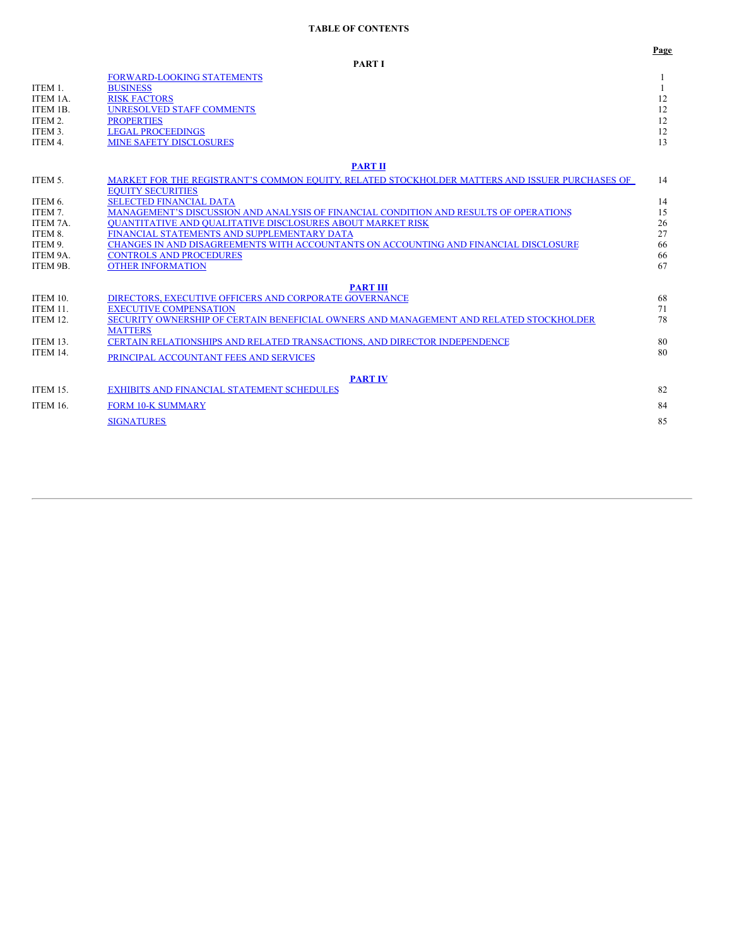# **TABLE OF CONTENTS**

|                                                                              |                                                                                                                                                                                                                                                                                                                                                                                                                               | Page                                   |
|------------------------------------------------------------------------------|-------------------------------------------------------------------------------------------------------------------------------------------------------------------------------------------------------------------------------------------------------------------------------------------------------------------------------------------------------------------------------------------------------------------------------|----------------------------------------|
|                                                                              | <b>PART I</b>                                                                                                                                                                                                                                                                                                                                                                                                                 |                                        |
| ITEM 1.<br>ITEM 1A.<br>ITEM 1B.<br>ITEM 2.<br>ITEM 3.<br>ITEM 4.             | <b>FORWARD-LOOKING STATEMENTS</b><br><b>BUSINESS</b><br><b>RISK FACTORS</b><br><b>UNRESOLVED STAFF COMMENTS</b><br><b>PROPERTIES</b><br><b>LEGAL PROCEEDINGS</b><br><b>MINE SAFETY DISCLOSURES</b>                                                                                                                                                                                                                            | 1<br>12<br>12<br>12<br>12<br>13        |
|                                                                              | <b>PART II</b>                                                                                                                                                                                                                                                                                                                                                                                                                |                                        |
| ITEM 5.                                                                      | MARKET FOR THE REGISTRANT'S COMMON EQUITY, RELATED STOCKHOLDER MATTERS AND ISSUER PURCHASES OF                                                                                                                                                                                                                                                                                                                                | 14                                     |
| ITEM 6.<br>ITEM 7.<br>ITEM 7A.<br>ITEM 8.<br>ITEM 9.<br>ITEM 9A.<br>ITEM 9B. | <b>EQUITY SECURITIES</b><br><b>SELECTED FINANCIAL DATA</b><br>MANAGEMENT'S DISCUSSION AND ANALYSIS OF FINANCIAL CONDITION AND RESULTS OF OPERATIONS<br><b>OUANTITATIVE AND QUALITATIVE DISCLOSURES ABOUT MARKET RISK</b><br>FINANCIAL STATEMENTS AND SUPPLEMENTARY DATA<br>CHANGES IN AND DISAGREEMENTS WITH ACCOUNTANTS ON ACCOUNTING AND FINANCIAL DISCLOSURE<br><b>CONTROLS AND PROCEDURES</b><br><b>OTHER INFORMATION</b> | 14<br>15<br>26<br>27<br>66<br>66<br>67 |
| ITEM 10.<br>ITEM 11.<br>ITEM 12.                                             | <b>PART III</b><br>DIRECTORS, EXECUTIVE OFFICERS AND CORPORATE GOVERNANCE<br><b>EXECUTIVE COMPENSATION</b><br>SECURITY OWNERSHIP OF CERTAIN BENEFICIAL OWNERS AND MANAGEMENT AND RELATED STOCKHOLDER                                                                                                                                                                                                                          | 68<br>71<br>78                         |
| ITEM 13.<br>ITEM 14.                                                         | <b>MATTERS</b><br>CERTAIN RELATIONSHIPS AND RELATED TRANSACTIONS. AND DIRECTOR INDEPENDENCE<br>PRINCIPAL ACCOUNTANT FEES AND SERVICES                                                                                                                                                                                                                                                                                         | 80<br>80                               |
|                                                                              | <b>PART IV</b>                                                                                                                                                                                                                                                                                                                                                                                                                |                                        |
| <b>ITEM 15.</b>                                                              | EXHIBITS AND FINANCIAL STATEMENT SCHEDULES                                                                                                                                                                                                                                                                                                                                                                                    | 82                                     |
| <b>ITEM 16.</b>                                                              | <b>FORM 10-K SUMMARY</b>                                                                                                                                                                                                                                                                                                                                                                                                      | 84                                     |
|                                                                              | <b>SIGNATURES</b>                                                                                                                                                                                                                                                                                                                                                                                                             | 85                                     |
|                                                                              |                                                                                                                                                                                                                                                                                                                                                                                                                               |                                        |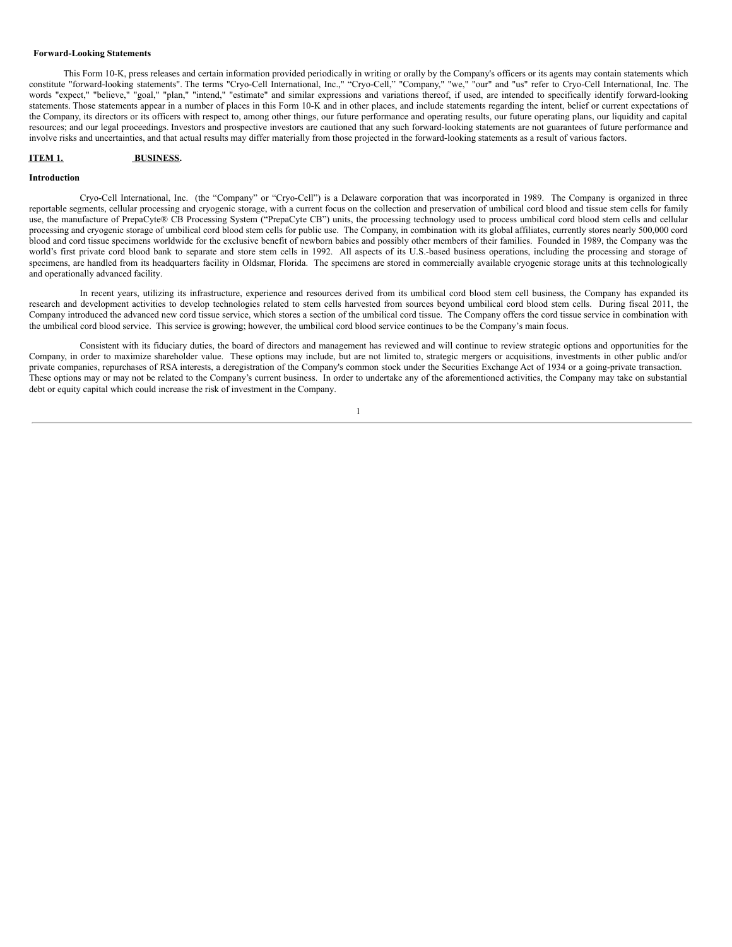# <span id="page-2-0"></span>**Forward-Looking Statements**

This Form 10-K, press releases and certain information provided periodically in writing or orally by the Company's officers or its agents may contain statements which constitute "forward-looking statements". The terms "Cryo-Cell International, Inc.," "Cryo-Cell," "Company," "we," "our" and "us" refer to Cryo-Cell International, Inc. The words "expect," "believe," "goal," "plan," "intend," "estimate" and similar expressions and variations thereof, if used, are intended to specifically identify forward-looking statements. Those statements appear in a number of places in this Form 10-K and in other places, and include statements regarding the intent, belief or current expectations of the Company, its directors or its officers with respect to, among other things, our future performance and operating results, our future operating plans, our liquidity and capital resources; and our legal proceedings. Investors and prospective investors are cautioned that any such forward-looking statements are not guarantees of future performance and involve risks and uncertainties, and that actual results may differ materially from those projected in the forward-looking statements as a result of various factors.

# <span id="page-2-1"></span>**ITEM 1. BUSINESS.**

#### **Introduction**

Cryo-Cell International, Inc. (the "Company" or "Cryo-Cell") is a Delaware corporation that was incorporated in 1989. The Company is organized in three reportable segments, cellular processing and cryogenic storage, with a current focus on the collection and preservation of umbilical cord blood and tissue stem cells for family use, the manufacture of PrepaCyte® CB Processing System ("PrepaCyte CB") units, the processing technology used to process umbilical cord blood stem cells and cellular processing and cryogenic storage of umbilical cord blood stem cells for public use. The Company, in combination with its global affiliates, currently stores nearly 500,000 cord blood and cord tissue specimens worldwide for the exclusive benefit of newborn babies and possibly other members of their families. Founded in 1989, the Company was the world's first private cord blood bank to separate and store stem cells in 1992. All aspects of its U.S.-based business operations, including the processing and storage of specimens, are handled from its headquarters facility in Oldsmar, Florida. The specimens are stored in commercially available cryogenic storage units at this technologically and operationally advanced facility.

In recent years, utilizing its infrastructure, experience and resources derived from its umbilical cord blood stem cell business, the Company has expanded its research and development activities to develop technologies related to stem cells harvested from sources beyond umbilical cord blood stem cells. During fiscal 2011, the Company introduced the advanced new cord tissue service, which stores a section of the umbilical cord tissue. The Company offers the cord tissue service in combination with the umbilical cord blood service. This service is growing; however, the umbilical cord blood service continues to be the Company's main focus.

Consistent with its fiduciary duties, the board of directors and management has reviewed and will continue to review strategic options and opportunities for the Company, in order to maximize shareholder value. These options may include, but are not limited to, strategic mergers or acquisitions, investments in other public and/or private companies, repurchases of RSA interests, a deregistration of the Company's common stock under the Securities Exchange Act of 1934 or a going-private transaction. These options may or may not be related to the Company's current business. In order to undertake any of the aforementioned activities, the Company may take on substantial debt or equity capital which could increase the risk of investment in the Company.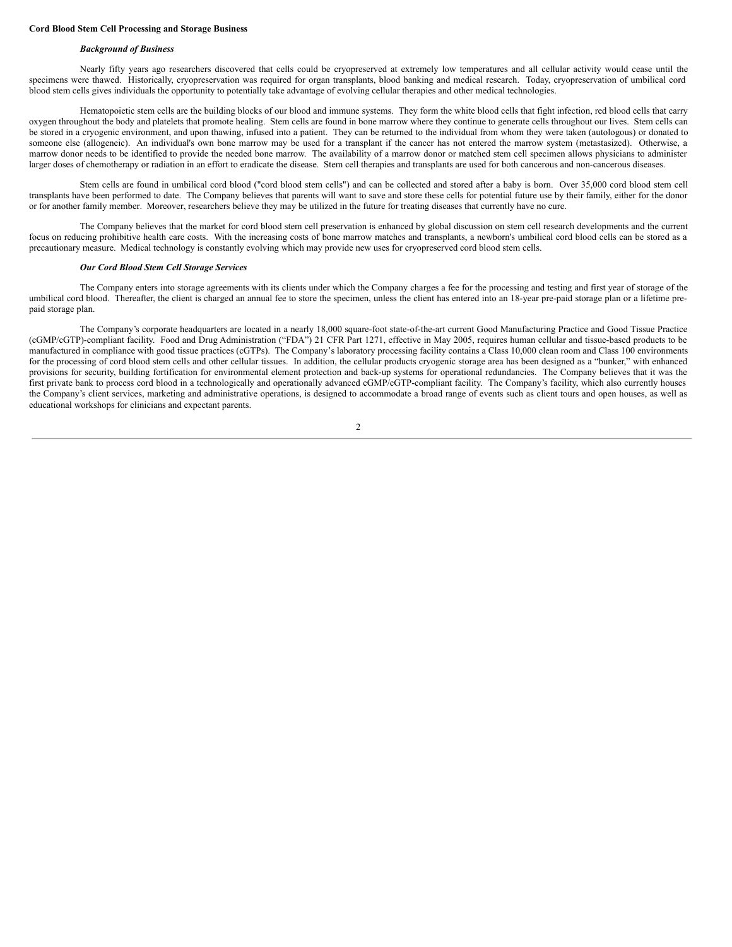## **Cord Blood Stem Cell Processing and Storage Business**

#### *Background of Business*

Nearly fifty years ago researchers discovered that cells could be cryopreserved at extremely low temperatures and all cellular activity would cease until the specimens were thawed. Historically, cryopreservation was required for organ transplants, blood banking and medical research. Today, cryopreservation of umbilical cord blood stem cells gives individuals the opportunity to potentially take advantage of evolving cellular therapies and other medical technologies.

Hematopoietic stem cells are the building blocks of our blood and immune systems. They form the white blood cells that fight infection, red blood cells that carry oxygen throughout the body and platelets that promote healing. Stem cells are found in bone marrow where they continue to generate cells throughout our lives. Stem cells can be stored in a cryogenic environment, and upon thawing, infused into a patient. They can be returned to the individual from whom they were taken (autologous) or donated to someone else (allogeneic). An individual's own bone marrow may be used for a transplant if the cancer has not entered the marrow system (metastasized). Otherwise, a marrow donor needs to be identified to provide the needed bone marrow. The availability of a marrow donor or matched stem cell specimen allows physicians to administer larger doses of chemotherapy or radiation in an effort to eradicate the disease. Stem cell therapies and transplants are used for both cancerous and non-cancerous diseases.

Stem cells are found in umbilical cord blood ("cord blood stem cells") and can be collected and stored after a baby is born. Over 35,000 cord blood stem cell transplants have been performed to date. The Company believes that parents will want to save and store these cells for potential future use by their family, either for the donor or for another family member. Moreover, researchers believe they may be utilized in the future for treating diseases that currently have no cure.

The Company believes that the market for cord blood stem cell preservation is enhanced by global discussion on stem cell research developments and the current focus on reducing prohibitive health care costs. With the increasing costs of bone marrow matches and transplants, a newborn's umbilical cord blood cells can be stored as a precautionary measure. Medical technology is constantly evolving which may provide new uses for cryopreserved cord blood stem cells.

# *Our Cord Blood Stem Cell Storage Services*

The Company enters into storage agreements with its clients under which the Company charges a fee for the processing and testing and first year of storage of the umbilical cord blood. Thereafter, the client is charged an annual fee to store the specimen, unless the client has entered into an 18-year pre-paid storage plan or a lifetime prepaid storage plan.

The Company's corporate headquarters are located in a nearly 18,000 square-foot state-of-the-art current Good Manufacturing Practice and Good Tissue Practice (cGMP/cGTP)-compliant facility. Food and Drug Administration ("FDA") 21 CFR Part 1271, effective in May 2005, requires human cellular and tissue-based products to be manufactured in compliance with good tissue practices (cGTPs). The Company's laboratory processing facility contains a Class 10,000 clean room and Class 100 environments for the processing of cord blood stem cells and other cellular tissues. In addition, the cellular products cryogenic storage area has been designed as a "bunker," with enhanced provisions for security, building fortification for environmental element protection and back-up systems for operational redundancies. The Company believes that it was the first private bank to process cord blood in a technologically and operationally advanced cGMP/cGTP-compliant facility. The Company's facility, which also currently houses the Company's client services, marketing and administrative operations, is designed to accommodate a broad range of events such as client tours and open houses, as well as educational workshops for clinicians and expectant parents.

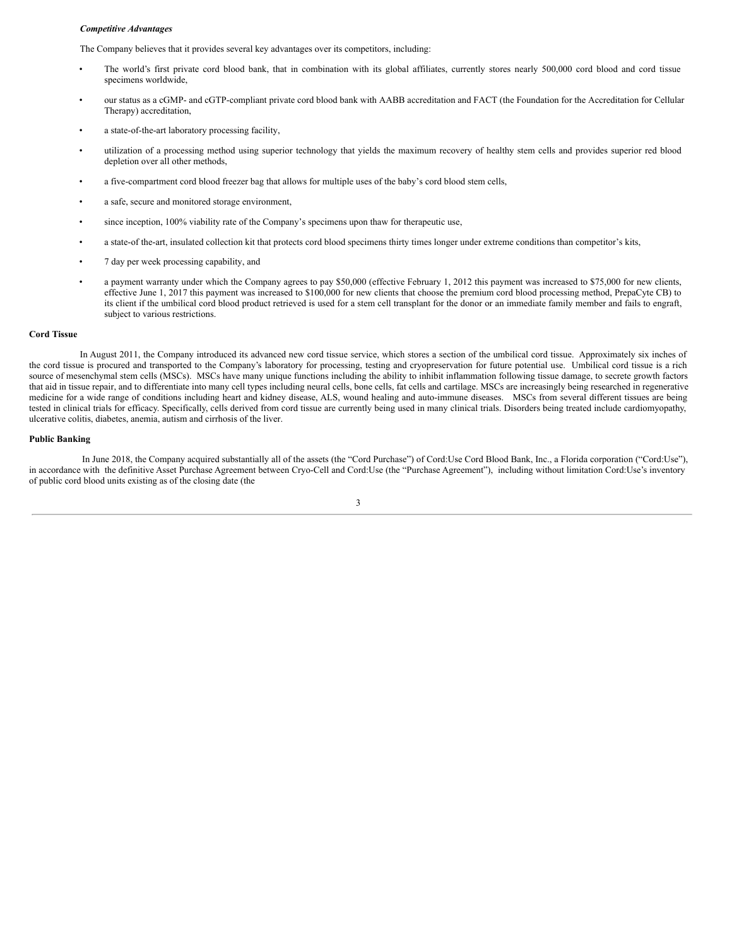### *Competitive Advantages*

The Company believes that it provides several key advantages over its competitors, including:

- The world's first private cord blood bank, that in combination with its global affiliates, currently stores nearly 500,000 cord blood and cord tissue specimens worldwide,
- our status as a cGMP- and cGTP-compliant private cord blood bank with AABB accreditation and FACT (the Foundation for the Accreditation for Cellular Therapy) accreditation,
- a state-of-the-art laboratory processing facility,
- utilization of a processing method using superior technology that yields the maximum recovery of healthy stem cells and provides superior red blood depletion over all other methods,
- a five-compartment cord blood freezer bag that allows for multiple uses of the baby's cord blood stem cells,
- a safe, secure and monitored storage environment,
- since inception, 100% viability rate of the Company's specimens upon thaw for therapeutic use,
- a state-of the-art, insulated collection kit that protects cord blood specimens thirty times longer under extreme conditions than competitor's kits,
- 7 day per week processing capability, and
- a payment warranty under which the Company agrees to pay \$50,000 (effective February 1, 2012 this payment was increased to \$75,000 for new clients, effective June 1, 2017 this payment was increased to \$100,000 for new clients that choose the premium cord blood processing method, PrepaCyte CB) to its client if the umbilical cord blood product retrieved is used for a stem cell transplant for the donor or an immediate family member and fails to engraft, subject to various restrictions.

# **Cord Tissue**

In August 2011, the Company introduced its advanced new cord tissue service, which stores a section of the umbilical cord tissue. Approximately six inches of the cord tissue is procured and transported to the Company's laboratory for processing, testing and cryopreservation for future potential use. Umbilical cord tissue is a rich source of mesenchymal stem cells (MSCs). MSCs have many unique functions including the ability to inhibit inflammation following tissue damage, to secrete growth factors that aid in tissue repair, and to differentiate into many cell types including neural cells, bone cells, fat cells and cartilage. MSCs are increasingly being researched in regenerative medicine for a wide range of conditions including heart and kidney disease, ALS, wound healing and auto-immune diseases. MSCs from several different tissues are being tested in clinical trials for efficacy. Specifically, cells derived from cord tissue are currently being used in many clinical trials. Disorders being treated include cardiomyopathy, ulcerative colitis, diabetes, anemia, autism and cirrhosis of the liver.

# **Public Banking**

In June 2018, the Company acquired substantially all of the assets (the "Cord Purchase") of Cord:Use Cord Blood Bank, Inc., a Florida corporation ("Cord:Use"), in accordance with the definitive Asset Purchase Agreement between Cryo-Cell and Cord:Use (the "Purchase Agreement"), including without limitation Cord:Use's inventory of public cord blood units existing as of the closing date (the

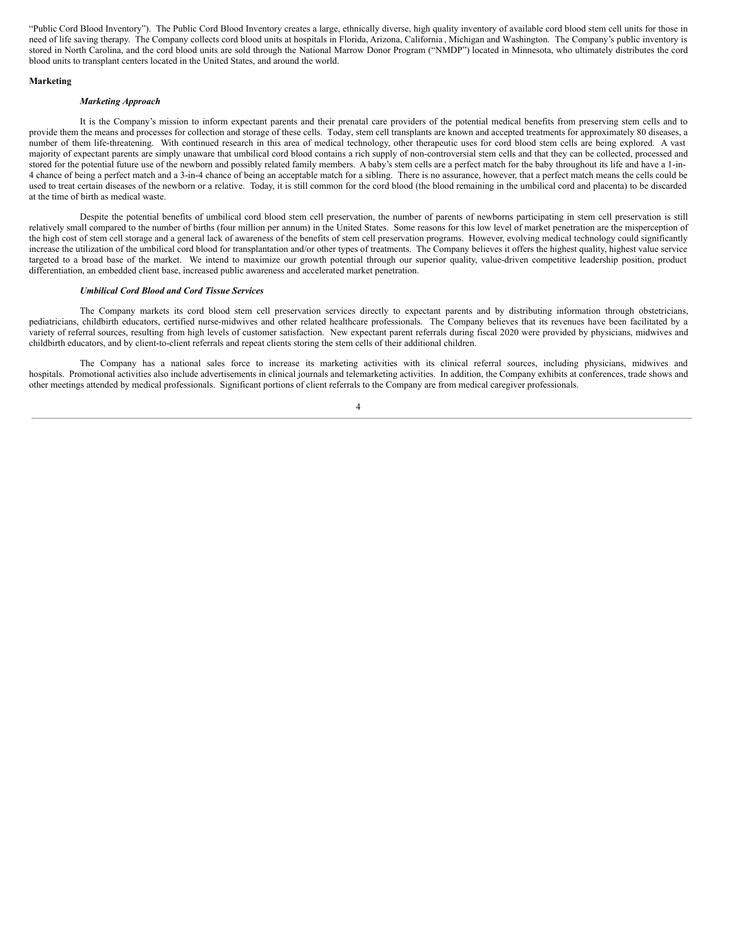"Public Cord Blood Inventory"). The Public Cord Blood Inventory creates a large, ethnically diverse, high quality inventory of available cord blood stem cell units for those in need of life saving therapy. The Company collects cord blood units at hospitals in Florida, Arizona, California , Michigan and Washington. The Company's public inventory is stored in North Carolina, and the cord blood units are sold through the National Marrow Donor Program ("NMDP") located in Minnesota, who ultimately distributes the cord blood units to transplant centers located in the United States, and around the world.

# **Marketing**

#### *Marketing Approach*

It is the Company's mission to inform expectant parents and their prenatal care providers of the potential medical benefits from preserving stem cells and to provide them the means and processes for collection and storage of these cells. Today, stem cell transplants are known and accepted treatments for approximately 80 diseases, a number of them life-threatening. With continued research in this area of medical technology, other therapeutic uses for cord blood stem cells are being explored. A vast majority of expectant parents are simply unaware that umbilical cord blood contains a rich supply of non-controversial stem cells and that they can be collected, processed and stored for the potential future use of the newborn and possibly related family members. A baby's stem cells are a perfect match for the baby throughout its life and have a 1-in-4 chance of being a perfect match and a 3-in-4 chance of being an acceptable match for a sibling. There is no assurance, however, that a perfect match means the cells could be used to treat certain diseases of the newborn or a relative. Today, it is still common for the cord blood (the blood remaining in the umbilical cord and placenta) to be discarded at the time of birth as medical waste.

Despite the potential benefits of umbilical cord blood stem cell preservation, the number of parents of newborns participating in stem cell preservation is still relatively small compared to the number of births (four million per annum) in the United States. Some reasons for this low level of market penetration are the misperception of the high cost of stem cell storage and a general lack of awareness of the benefits of stem cell preservation programs. However, evolving medical technology could significantly increase the utilization of the umbilical cord blood for transplantation and/or other types of treatments. The Company believes it offers the highest quality, highest value service targeted to a broad base of the market. We intend to maximize our growth potential through our superior quality, value-driven competitive leadership position, product differentiation, an embedded client base, increased public awareness and accelerated market penetration.

# *Umbilical Cord Blood and Cord Tissue Services*

The Company markets its cord blood stem cell preservation services directly to expectant parents and by distributing information through obstetricians, pediatricians, childbirth educators, certified nurse-midwives and other related healthcare professionals. The Company believes that its revenues have been facilitated by a variety of referral sources, resulting from high levels of customer satisfaction. New expectant parent referrals during fiscal 2020 were provided by physicians, midwives and childbirth educators, and by client-to-client referrals and repeat clients storing the stem cells of their additional children.

The Company has a national sales force to increase its marketing activities with its clinical referral sources, including physicians, midwives and hospitals. Promotional activities also include advertisements in clinical journals and telemarketing activities. In addition, the Company exhibits at conferences, trade shows and other meetings attended by medical professionals. Significant portions of client referrals to the Company are from medical caregiver professionals.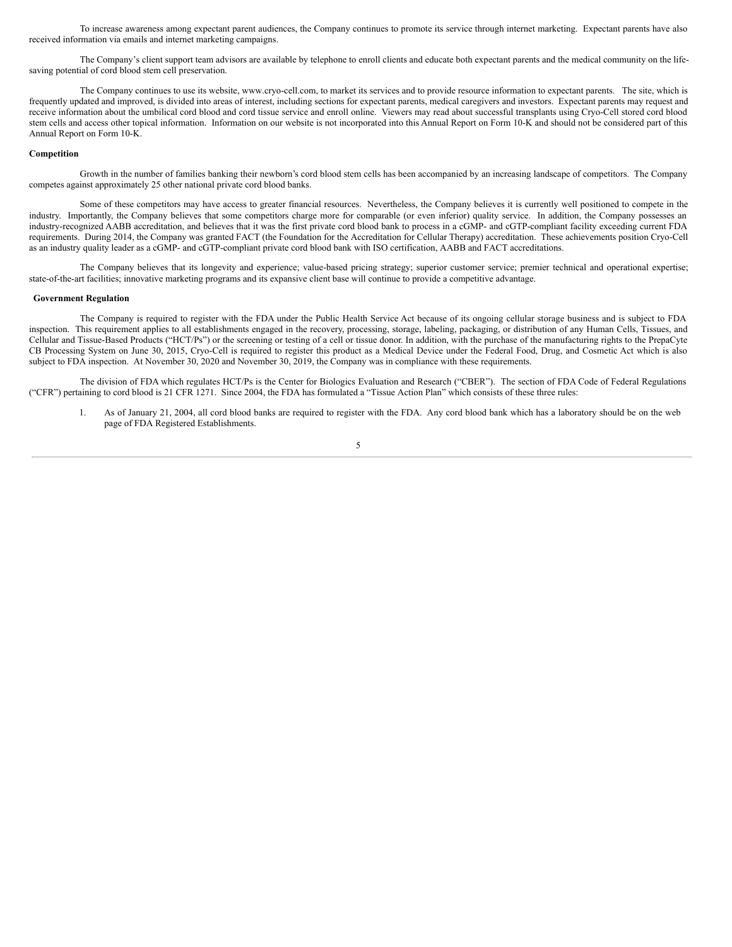To increase awareness among expectant parent audiences, the Company continues to promote its service through internet marketing. Expectant parents have also received information via emails and internet marketing campaigns.

The Company's client support team advisors are available by telephone to enroll clients and educate both expectant parents and the medical community on the lifesaving potential of cord blood stem cell preservation.

The Company continues to use its website, www.cryo-cell.com, to market its services and to provide resource information to expectant parents. The site, which is frequently updated and improved, is divided into areas of interest, including sections for expectant parents, medical caregivers and investors. Expectant parents may request and receive information about the umbilical cord blood and cord tissue service and enroll online. Viewers may read about successful transplants using Cryo-Cell stored cord blood stem cells and access other topical information. Information on our website is not incorporated into this Annual Report on Form 10-K and should not be considered part of this Annual Report on Form 10-K.

#### **Competition**

Growth in the number of families banking their newborn's cord blood stem cells has been accompanied by an increasing landscape of competitors. The Company competes against approximately 25 other national private cord blood banks.

Some of these competitors may have access to greater financial resources. Nevertheless, the Company believes it is currently well positioned to compete in the industry. Importantly, the Company believes that some competitors charge more for comparable (or even inferior) quality service. In addition, the Company possesses an industry-recognized AABB accreditation, and believes that it was the first private cord blood bank to process in a cGMP- and cGTP-compliant facility exceeding current FDA requirements. During 2014, the Company was granted FACT (the Foundation for the Accreditation for Cellular Therapy) accreditation. These achievements position Cryo-Cell as an industry quality leader as a cGMP- and cGTP-compliant private cord blood bank with ISO certification, AABB and FACT accreditations.

The Company believes that its longevity and experience; value-based pricing strategy; superior customer service; premier technical and operational expertise; state-of-the-art facilities; innovative marketing programs and its expansive client base will continue to provide a competitive advantage.

#### **Government Regulation**

The Company is required to register with the FDA under the Public Health Service Act because of its ongoing cellular storage business and is subject to FDA inspection. This requirement applies to all establishments engaged in the recovery, processing, storage, labeling, packaging, or distribution of any Human Cells, Tissues, and Cellular and Tissue-Based Products ("HCT/Ps") or the screening or testing of a cell or tissue donor. In addition, with the purchase of the manufacturing rights to the PrepaCyte CB Processing System on June 30, 2015, Cryo-Cell is required to register this product as a Medical Device under the Federal Food, Drug, and Cosmetic Act which is also subject to FDA inspection. At November 30, 2020 and November 30, 2019, the Company was in compliance with these requirements.

The division of FDA which regulates HCT/Ps is the Center for Biologics Evaluation and Research ("CBER"). The section of FDA Code of Federal Regulations ("CFR") pertaining to cord blood is 21 CFR 1271. Since 2004, the FDA has formulated a "Tissue Action Plan" which consists of these three rules:

1. As of January 21, 2004, all cord blood banks are required to register with the FDA. Any cord blood bank which has a laboratory should be on the web page of FDA Registered Establishments.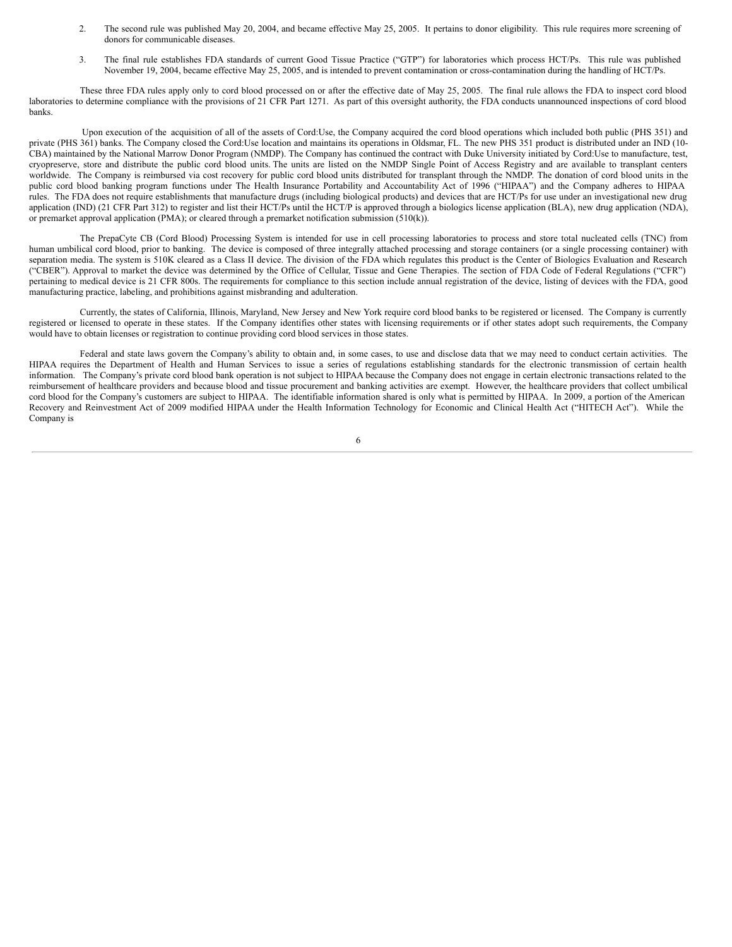- 2. The second rule was published May 20, 2004, and became effective May 25, 2005. It pertains to donor eligibility. This rule requires more screening of donors for communicable diseases.
- 3. The final rule establishes FDA standards of current Good Tissue Practice ("GTP") for laboratories which process HCT/Ps. This rule was published November 19, 2004, became effective May 25, 2005, and is intended to prevent contamination or cross-contamination during the handling of HCT/Ps.

These three FDA rules apply only to cord blood processed on or after the effective date of May 25, 2005. The final rule allows the FDA to inspect cord blood laboratories to determine compliance with the provisions of 21 CFR Part 1271. As part of this oversight authority, the FDA conducts unannounced inspections of cord blood banks.

Upon execution of the acquisition of all of the assets of Cord:Use, the Company acquired the cord blood operations which included both public (PHS 351) and private (PHS 361) banks. The Company closed the Cord:Use location and maintains its operations in Oldsmar, FL. The new PHS 351 product is distributed under an IND (10-CBA) maintained by the National Marrow Donor Program (NMDP). The Company has continued the contract with Duke University initiated by Cord:Use to manufacture, test, cryopreserve, store and distribute the public cord blood units. The units are listed on the NMDP Single Point of Access Registry and are available to transplant centers worldwide. The Company is reimbursed via cost recovery for public cord blood units distributed for transplant through the NMDP. The donation of cord blood units in the public cord blood banking program functions under The Health Insurance Portability and Accountability Act of 1996 ("HIPAA") and the Company adheres to HIPAA rules. The FDA does not require establishments that manufacture drugs (including biological products) and devices that are HCT/Ps for use under an investigational new drug application (IND) (21 CFR Part 312) to register and list their HCT/Ps until the HCT/P is approved through a biologics license application (BLA), new drug application (NDA), or premarket approval application (PMA); or cleared through a premarket notification submission (510(k)).

The PrepaCyte CB (Cord Blood) Processing System is intended for use in cell processing laboratories to process and store total nucleated cells (TNC) from human umbilical cord blood, prior to banking. The device is composed of three integrally attached processing and storage containers (or a single processing container) with separation media. The system is 510K cleared as a Class II device. The division of the FDA which regulates this product is the Center of Biologics Evaluation and Research ("CBER"). Approval to market the device was determined by the Office of Cellular, Tissue and Gene Therapies. The section of FDA Code of Federal Regulations ("CFR") pertaining to medical device is 21 CFR 800s. The requirements for compliance to this section include annual registration of the device, listing of devices with the FDA, good manufacturing practice, labeling, and prohibitions against misbranding and adulteration.

Currently, the states of California, Illinois, Maryland, New Jersey and New York require cord blood banks to be registered or licensed. The Company is currently registered or licensed to operate in these states. If the Company identifies other states with licensing requirements or if other states adopt such requirements, the Company would have to obtain licenses or registration to continue providing cord blood services in those states.

Federal and state laws govern the Company's ability to obtain and, in some cases, to use and disclose data that we may need to conduct certain activities. The HIPAA requires the Department of Health and Human Services to issue a series of regulations establishing standards for the electronic transmission of certain health information. The Company's private cord blood bank operation is not subject to HIPAA because the Company does not engage in certain electronic transactions related to the reimbursement of healthcare providers and because blood and tissue procurement and banking activities are exempt. However, the healthcare providers that collect umbilical cord blood for the Company's customers are subject to HIPAA. The identifiable information shared is only what is permitted by HIPAA. In 2009, a portion of the American Recovery and Reinvestment Act of 2009 modified HIPAA under the Health Information Technology for Economic and Clinical Health Act ("HITECH Act"). While the Company is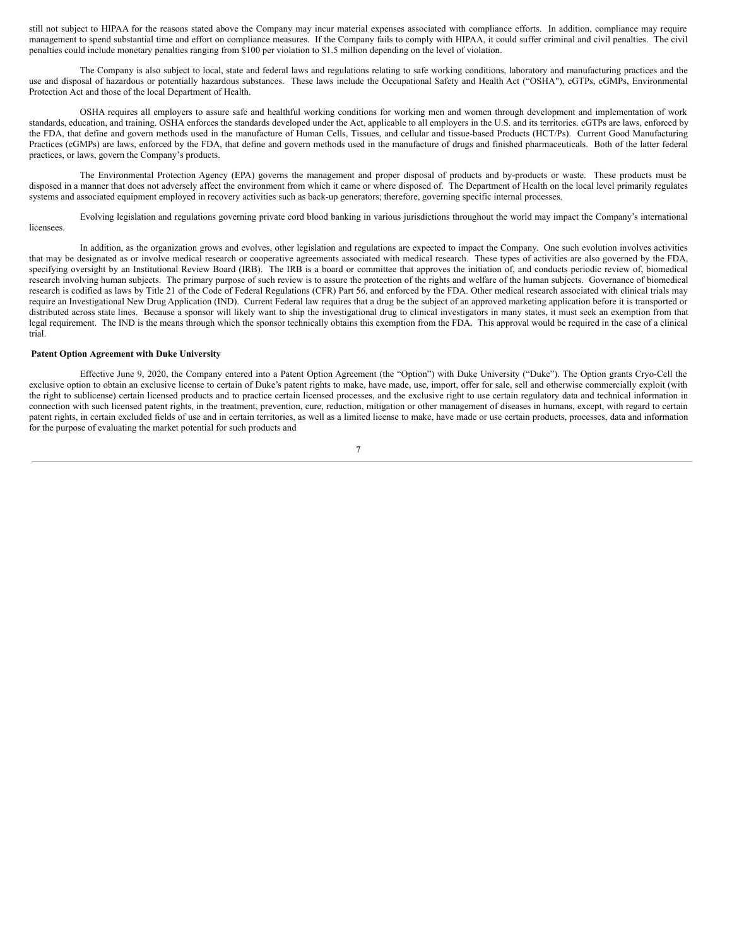still not subject to HIPAA for the reasons stated above the Company may incur material expenses associated with compliance efforts. In addition, compliance may require management to spend substantial time and effort on compliance measures. If the Company fails to comply with HIPAA, it could suffer criminal and civil penalties. The civil penalties could include monetary penalties ranging from \$100 per violation to \$1.5 million depending on the level of violation.

The Company is also subject to local, state and federal laws and regulations relating to safe working conditions, laboratory and manufacturing practices and the use and disposal of hazardous or potentially hazardous substances. These laws include the Occupational Safety and Health Act ("OSHA"), cGTPs, cGMPs, Environmental Protection Act and those of the local Department of Health.

OSHA requires all employers to assure safe and healthful working conditions for working men and women through development and implementation of work standards, education, and training. OSHA enforces the standards developed under the Act, applicable to all employers in the U.S. and its territories. cGTPs are laws, enforced by the FDA, that define and govern methods used in the manufacture of Human Cells, Tissues, and cellular and tissue-based Products (HCT/Ps). Current Good Manufacturing Practices (cGMPs) are laws, enforced by the FDA, that define and govern methods used in the manufacture of drugs and finished pharmaceuticals. Both of the latter federal practices, or laws, govern the Company's products.

The Environmental Protection Agency (EPA) governs the management and proper disposal of products and by-products or waste. These products must be disposed in a manner that does not adversely affect the environment from which it came or where disposed of. The Department of Health on the local level primarily regulates systems and associated equipment employed in recovery activities such as back-up generators; therefore, governing specific internal processes.

Evolving legislation and regulations governing private cord blood banking in various jurisdictions throughout the world may impact the Company's international licensees.

In addition, as the organization grows and evolves, other legislation and regulations are expected to impact the Company. One such evolution involves activities that may be designated as or involve medical research or cooperative agreements associated with medical research. These types of activities are also governed by the FDA, specifying oversight by an Institutional Review Board (IRB). The IRB is a board or committee that approves the initiation of, and conducts periodic review of, biomedical research involving human subjects. The primary purpose of such review is to assure the protection of the rights and welfare of the human subjects. Governance of biomedical research is codified as laws by Title 21 of the Code of Federal Regulations (CFR) Part 56, and enforced by the FDA. Other medical research associated with clinical trials may require an Investigational New Drug Application (IND). Current Federal law requires that a drug be the subject of an approved marketing application before it is transported or distributed across state lines. Because a sponsor will likely want to ship the investigational drug to clinical investigators in many states, it must seek an exemption from that legal requirement. The IND is the means through which the sponsor technically obtains this exemption from the FDA. This approval would be required in the case of a clinical trial.

# **Patent Option Agreement with Duke University**

Effective June 9, 2020, the Company entered into a Patent Option Agreement (the "Option") with Duke University ("Duke"). The Option grants Cryo-Cell the exclusive option to obtain an exclusive license to certain of Duke's patent rights to make, have made, use, import, offer for sale, sell and otherwise commercially exploit (with the right to sublicense) certain licensed products and to practice certain licensed processes, and the exclusive right to use certain regulatory data and technical information in connection with such licensed patent rights, in the treatment, prevention, cure, reduction, mitigation or other management of diseases in humans, except, with regard to certain patent rights, in certain excluded fields of use and in certain territories, as well as a limited license to make, have made or use certain products, processes, data and information for the purpose of evaluating the market potential for such products and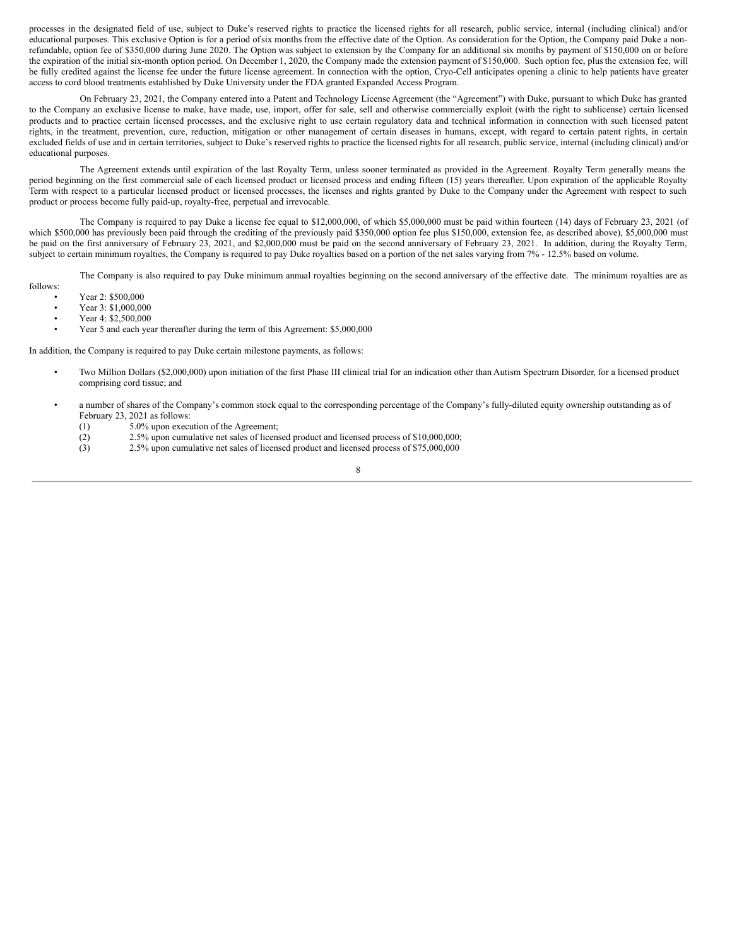processes in the designated field of use, subject to Duke's reserved rights to practice the licensed rights for all research, public service, internal (including clinical) and/or educational purposes. This exclusive Option is for a period ofsix months from the effective date of the Option. As consideration for the Option, the Company paid Duke a nonrefundable, option fee of \$350,000 during June 2020. The Option was subject to extension by the Company for an additional six months by payment of \$150,000 on or before the expiration of the initial six-month option period. On December 1, 2020, the Company made the extension payment of \$150,000. Such option fee, plus the extension fee, will be fully credited against the license fee under the future license agreement. In connection with the option, Cryo-Cell anticipates opening a clinic to help patients have greater access to cord blood treatments established by Duke University under the FDA granted Expanded Access Program.

On February 23, 2021, the Company entered into a Patent and Technology License Agreement (the "Agreement") with Duke, pursuant to which Duke has granted to the Company an exclusive license to make, have made, use, import, offer for sale, sell and otherwise commercially exploit (with the right to sublicense) certain licensed products and to practice certain licensed processes, and the exclusive right to use certain regulatory data and technical information in connection with such licensed patent rights, in the treatment, prevention, cure, reduction, mitigation or other management of certain diseases in humans, except, with regard to certain patent rights, in certain excluded fields of use and in certain territories, subject to Duke's reserved rights to practice the licensed rights for all research, public service, internal (including clinical) and/or educational purposes.

The Agreement extends until expiration of the last Royalty Term, unless sooner terminated as provided in the Agreement. Royalty Term generally means the period beginning on the first commercial sale of each licensed product or licensed process and ending fifteen (15) years thereafter. Upon expiration of the applicable Royalty Term with respect to a particular licensed product or licensed processes, the licenses and rights granted by Duke to the Company under the Agreement with respect to such product or process become fully paid-up, royalty-free, perpetual and irrevocable.

The Company is required to pay Duke a license fee equal to \$12,000,000, of which \$5,000,000 must be paid within fourteen (14) days of February 23, 2021 (of which \$500,000 has previously been paid through the crediting of the previously paid \$350,000 option fee plus \$150,000, extension fee, as described above), \$5,000,000 must be paid on the first anniversary of February 23, 2021, and \$2,000,000 must be paid on the second anniversary of February 23, 2021. In addition, during the Royalty Term, subject to certain minimum royalties, the Company is required to pay Duke royalties based on a portion of the net sales varying from 7% - 12.5% based on volume.

The Company is also required to pay Duke minimum annual royalties beginning on the second anniversary of the effective date. The minimum royalties are as

#### follows:

- Year 2: \$500,000
- Year 3: \$1,000,000
- Year 4: \$2,500,000
- Year 5 and each year thereafter during the term of this Agreement: \$5,000,000

In addition, the Company is required to pay Duke certain milestone payments, as follows:

- Two Million Dollars (\$2,000,000) upon initiation of the first Phase III clinical trial for an indication other than Autism Spectrum Disorder, for a licensed product comprising cord tissue; and
- a number of shares of the Company's common stock equal to the corresponding percentage of the Company's fully-diluted equity ownership outstanding as of February 23, 2021 as follows:
	- (1) 5.0% upon execution of the Agreement;
	- (2) 2.5% upon cumulative net sales of licensed product and licensed process of \$10,000,000;
	- (3) 2.5% upon cumulative net sales of licensed product and licensed process of \$75,000,000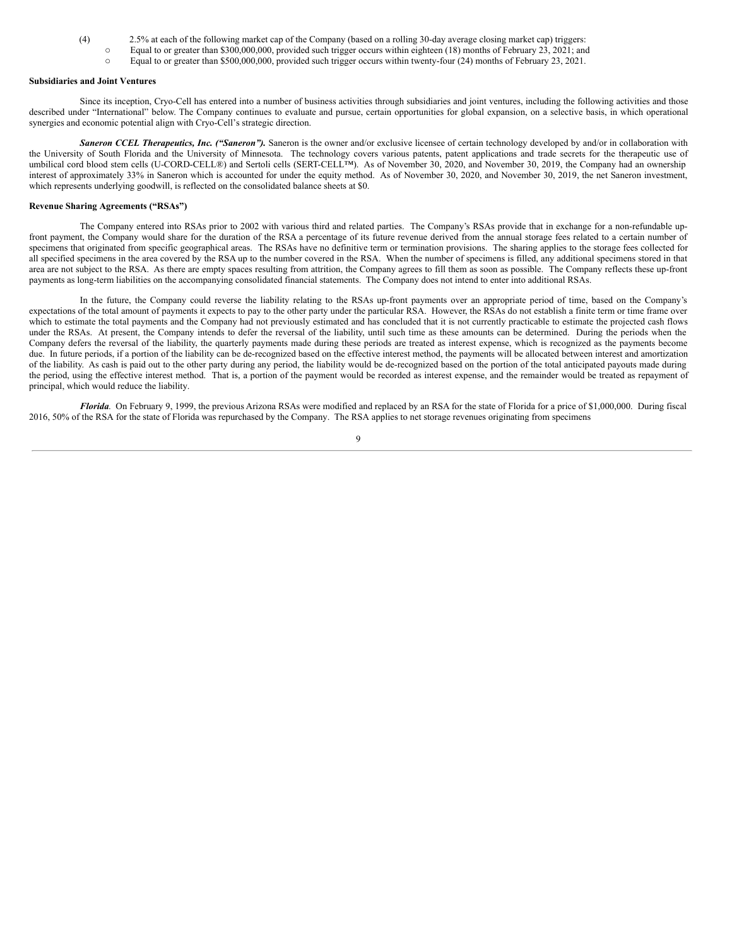- (4) 2.5% at each of the following market cap of the Company (based on a rolling 30-day average closing market cap) triggers:
	- o Equal to or greater than \$300,000,000, provided such trigger occurs within eighteen (18) months of February 23, 2021; and
		- o Equal to or greater than \$500,000,000, provided such trigger occurs within twenty-four (24) months of February 23, 2021.

# **Subsidiaries and Joint Ventures**

Since its inception, Cryo-Cell has entered into a number of business activities through subsidiaries and joint ventures, including the following activities and those described under "International" below. The Company continues to evaluate and pursue, certain opportunities for global expansion, on a selective basis, in which operational synergies and economic potential align with Cryo-Cell's strategic direction.

*Saneron CCEL Therapeutics, Inc. ("Saneron").* Saneron is the owner and/or exclusive licensee of certain technology developed by and/or in collaboration with the University of South Florida and the University of Minnesota. The technology covers various patents, patent applications and trade secrets for the therapeutic use of umbilical cord blood stem cells (U-CORD-CELL®) and Sertoli cells (SERT-CELL™). As of November 30, 2020, and November 30, 2019, the Company had an ownership interest of approximately 33% in Saneron which is accounted for under the equity method. As of November 30, 2020, and November 30, 2019, the net Saneron investment, which represents underlying goodwill, is reflected on the consolidated balance sheets at \$0.

# **Revenue Sharing Agreements ("RSAs")**

The Company entered into RSAs prior to 2002 with various third and related parties. The Company's RSAs provide that in exchange for a non-refundable upfront payment, the Company would share for the duration of the RSA a percentage of its future revenue derived from the annual storage fees related to a certain number of specimens that originated from specific geographical areas. The RSAs have no definitive term or termination provisions. The sharing applies to the storage fees collected for all specified specimens in the area covered by the RSA up to the number covered in the RSA. When the number of specimens is filled, any additional specimens stored in that area are not subject to the RSA. As there are empty spaces resulting from attrition, the Company agrees to fill them as soon as possible. The Company reflects these up-front payments as long-term liabilities on the accompanying consolidated financial statements. The Company does not intend to enter into additional RSAs.

In the future, the Company could reverse the liability relating to the RSAs up-front payments over an appropriate period of time, based on the Company's expectations of the total amount of payments it expects to pay to the other party under the particular RSA. However, the RSAs do not establish a finite term or time frame over which to estimate the total payments and the Company had not previously estimated and has concluded that it is not currently practicable to estimate the projected cash flows under the RSAs. At present, the Company intends to defer the reversal of the liability, until such time as these amounts can be determined. During the periods when the Company defers the reversal of the liability, the quarterly payments made during these periods are treated as interest expense, which is recognized as the payments become due. In future periods, if a portion of the liability can be de-recognized based on the effective interest method, the payments will be allocated between interest and amortization of the liability. As cash is paid out to the other party during any period, the liability would be de-recognized based on the portion of the total anticipated payouts made during the period, using the effective interest method. That is, a portion of the payment would be recorded as interest expense, and the remainder would be treated as repayment of principal, which would reduce the liability.

*Florida*. On February 9, 1999, the previous Arizona RSAs were modified and replaced by an RSA for the state of Florida for a price of \$1,000,000. During fiscal 2016, 50% of the RSA for the state of Florida was repurchased by the Company. The RSA applies to net storage revenues originating from specimens

 $\overline{Q}$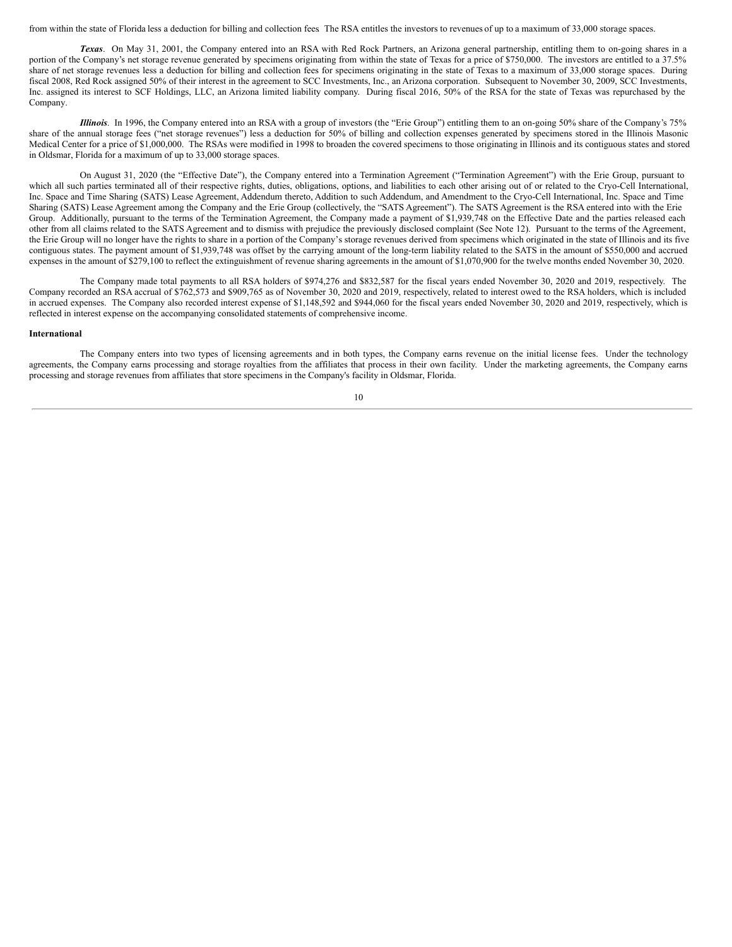from within the state of Florida less a deduction for billing and collection fees. The RSA entitles the investors to revenues of up to a maximum of 33,000 storage spaces.

*Texas*. On May 31, 2001, the Company entered into an RSA with Red Rock Partners, an Arizona general partnership, entitling them to on-going shares in a portion of the Company's net storage revenue generated by specimens originating from within the state of Texas for a price of \$750,000. The investors are entitled to a 37.5% share of net storage revenues less a deduction for billing and collection fees for specimens originating in the state of Texas to a maximum of 33,000 storage spaces. During fiscal 2008, Red Rock assigned 50% of their interest in the agreement to SCC Investments, Inc., an Arizona corporation. Subsequent to November 30, 2009, SCC Investments, Inc. assigned its interest to SCF Holdings, LLC, an Arizona limited liability company. During fiscal 2016, 50% of the RSA for the state of Texas was repurchased by the Company.

*Illinois*. In 1996, the Company entered into an RSA with a group of investors (the "Erie Group") entitling them to an on-going 50% share of the Company's 75% share of the annual storage fees ("net storage revenues") less a deduction for 50% of billing and collection expenses generated by specimens stored in the Illinois Masonic Medical Center for a price of \$1,000,000. The RSAs were modified in 1998 to broaden the covered specimens to those originating in Illinois and its contiguous states and stored in Oldsmar, Florida for a maximum of up to 33,000 storage spaces.

On August 31, 2020 (the "Effective Date"), the Company entered into a Termination Agreement ("Termination Agreement") with the Erie Group, pursuant to which all such parties terminated all of their respective rights, duties, obligations, options, and liabilities to each other arising out of or related to the Cryo-Cell International, Inc. Space and Time Sharing (SATS) Lease Agreement, Addendum thereto, Addition to such Addendum, and Amendment to the Cryo-Cell International, Inc. Space and Time Sharing (SATS) Lease Agreement among the Company and the Erie Group (collectively, the "SATS Agreement"). The SATS Agreement is the RSA entered into with the Erie Group. Additionally, pursuant to the terms of the Termination Agreement, the Company made a payment of \$1,939,748 on the Effective Date and the parties released each other from all claims related to the SATS Agreement and to dismiss with prejudice the previously disclosed complaint (See Note 12). Pursuant to the terms of the Agreement, the Erie Group will no longer have the rights to share in a portion of the Company's storage revenues derived from specimens which originated in the state of Illinois and its five contiguous states. The payment amount of \$1,939,748 was offset by the carrying amount of the long-term liability related to the SATS in the amount of \$550,000 and accrued expenses in the amount of \$279,100 to reflect the extinguishment of revenue sharing agreements in the amount of \$1,070,900 for the twelve months ended November 30, 2020.

The Company made total payments to all RSA holders of \$974,276 and \$832,587 for the fiscal years ended November 30, 2020 and 2019, respectively. The Company recorded an RSA accrual of \$762,573 and \$909,765 as of November 30, 2020 and 2019, respectively, related to interest owed to the RSA holders, which is included in accrued expenses. The Company also recorded interest expense of \$1,148,592 and \$944,060 for the fiscal years ended November 30, 2020 and 2019, respectively, which is reflected in interest expense on the accompanying consolidated statements of comprehensive income.

# **International**

The Company enters into two types of licensing agreements and in both types, the Company earns revenue on the initial license fees. Under the technology agreements, the Company earns processing and storage royalties from the affiliates that process in their own facility. Under the marketing agreements, the Company earns processing and storage revenues from affiliates that store specimens in the Company's facility in Oldsmar, Florida.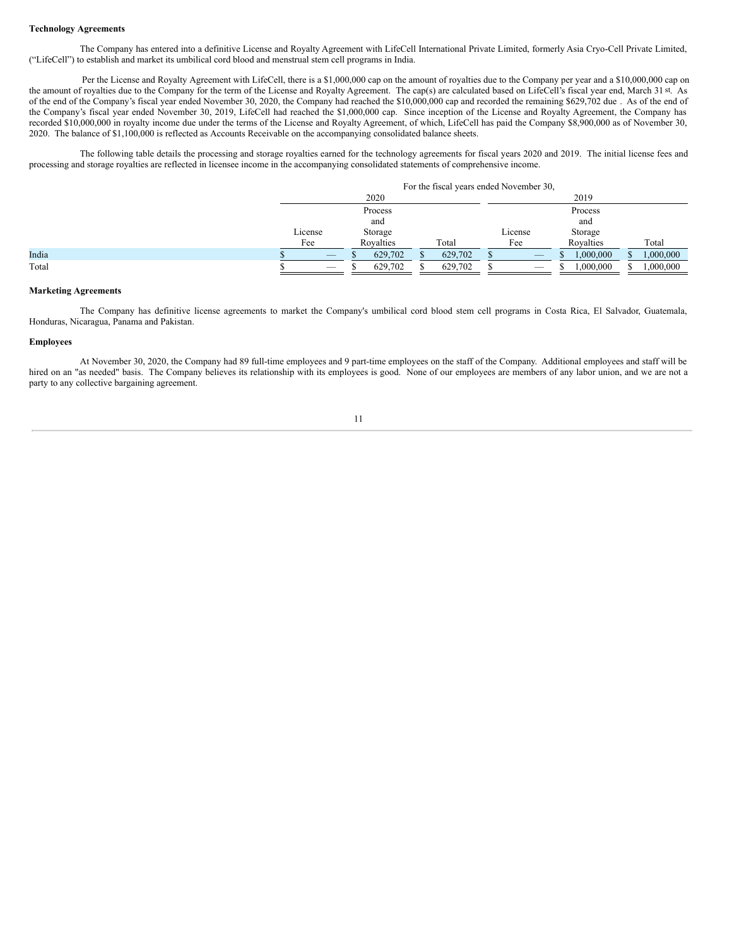#### **Technology Agreements**

The Company has entered into a definitive License and Royalty Agreement with LifeCell International Private Limited, formerly Asia Cryo-Cell Private Limited, ("LifeCell") to establish and market its umbilical cord blood and menstrual stem cell programs in India.

Per the License and Royalty Agreement with LifeCell, there is a \$1,000,000 cap on the amount of royalties due to the Company per year and a \$10,000,000 cap on the amount of royalties due to the Company for the term of the License and Royalty Agreement. The cap(s) are calculated based on LifeCell's fiscal year end, March 31 st. As of the end of the Company's fiscal year ended November 30, 2020, the Company had reached the \$10,000,000 cap and recorded the remaining \$629,702 due . As of the end of the Company's fiscal year ended November 30, 2019, LifeCell had reached the \$1,000,000 cap. Since inception of the License and Royalty Agreement, the Company has recorded \$10,000,000 in royalty income due under the terms of the License and Royalty Agreement, of which, LifeCell has paid the Company \$8,900,000 as of November 30, 2020. The balance of \$1,100,000 is reflected as Accounts Receivable on the accompanying consolidated balance sheets.

The following table details the processing and storage royalties earned for the technology agreements for fiscal years 2020 and 2019. The initial license fees and processing and storage royalties are reflected in licensee income in the accompanying consolidated statements of comprehensive income.

|       | For the fiscal years ended November 30, |           |         |                                |           |          |  |  |
|-------|-----------------------------------------|-----------|---------|--------------------------------|-----------|----------|--|--|
|       |                                         | 2020      |         | 2019                           |           |          |  |  |
|       | Process                                 |           |         | Process                        |           |          |  |  |
|       |                                         | and       |         |                                | and       |          |  |  |
|       | License                                 | Storage   |         | License                        | Storage   |          |  |  |
|       | Fee                                     | Royalties | Total   | Fee                            | Rovalties | Total    |  |  |
| India | $\qquad \qquad \longleftarrow$          | 629,702   | 629,702 | $\overline{\phantom{a}}$       | 000,000,  | 000,000, |  |  |
| Total | $\overbrace{\hspace{25mm}}^{}$          | 629,702   | 629,702 | $\overbrace{\hspace{25mm}}^{}$ | .000.000  | .000.000 |  |  |

### **Marketing Agreements**

The Company has definitive license agreements to market the Company's umbilical cord blood stem cell programs in Costa Rica, El Salvador, Guatemala, Honduras, Nicaragua, Panama and Pakistan.

# **Employees**

At November 30, 2020, the Company had 89 full-time employees and 9 part-time employees on the staff of the Company. Additional employees and staff will be hired on an "as needed" basis. The Company believes its relationship with its employees is good. None of our employees are members of any labor union, and we are not a party to any collective bargaining agreement.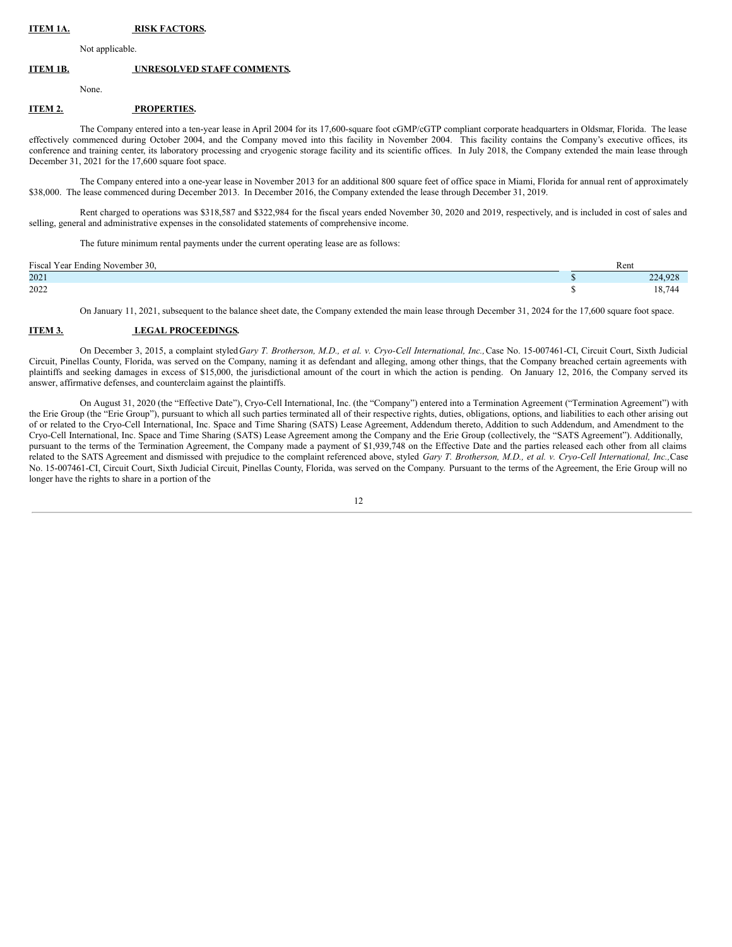# **ITEM 1A. RISK FACTORS.**

<span id="page-13-1"></span><span id="page-13-0"></span>Not applicable.

#### **ITEM 1B. UNRESOLVED STAFF COMMENTS.**

<span id="page-13-2"></span>None.

## **ITEM 2. PROPERTIES.**

The Company entered into a ten-year lease in April 2004 for its 17,600-square foot cGMP/cGTP compliant corporate headquarters in Oldsmar, Florida. The lease effectively commenced during October 2004, and the Company moved into this facility in November 2004. This facility contains the Company's executive offices, its conference and training center, its laboratory processing and cryogenic storage facility and its scientific offices. In July 2018, the Company extended the main lease through December 31, 2021 for the 17,600 square foot space.

The Company entered into a one-year lease in November 2013 for an additional 800 square feet of office space in Miami, Florida for annual rent of approximately \$38,000. The lease commenced during December 2013. In December 2016, the Company extended the lease through December 31, 2019.

Rent charged to operations was \$318,587 and \$322,984 for the fiscal years ended November 30, 2020 and 2019, respectively, and is included in cost of sales and selling, general and administrative expenses in the consolidated statements of comprehensive income.

The future minimum rental payments under the current operating lease are as follows:

| Fig.1<br>$\overline{\phantom{0}}$<br>$\sim$<br>$\rightarrow$ $\rightarrow$ $\rightarrow$<br>$\sim$ $\sim$<br>r ear<br>Ending November<br>- 50. | Rent |                  |
|------------------------------------------------------------------------------------------------------------------------------------------------|------|------------------|
| 2021                                                                                                                                           |      | 020<br><u>__</u> |
| 2022                                                                                                                                           |      | ۰ ص<br>10,7      |

<span id="page-13-3"></span>On January 11, 2021, subsequent to the balance sheet date, the Company extended the main lease through December 31, 2024 for the 17,600 square foot space.

# **ITEM 3. LEGAL PROCEEDINGS.**

On December 3, 2015, a complaint styled Gary T. Brotherson, M.D., et al. v. Cryo-Cell International, Inc., Case No. 15-007461-CI, Circuit Court, Sixth Judicial Circuit, Pinellas County, Florida, was served on the Company, naming it as defendant and alleging, among other things, that the Company breached certain agreements with plaintiffs and seeking damages in excess of \$15,000, the jurisdictional amount of the court in which the action is pending. On January 12, 2016, the Company served its answer, affirmative defenses, and counterclaim against the plaintiffs.

On August 31, 2020 (the "Effective Date"), Cryo-Cell International, Inc. (the "Company") entered into a Termination Agreement ("Termination Agreement") with the Erie Group (the "Erie Group"), pursuant to which all such parties terminated all of their respective rights, duties, obligations, options, and liabilities to each other arising out of or related to the Cryo-Cell International, Inc. Space and Time Sharing (SATS) Lease Agreement, Addendum thereto, Addition to such Addendum, and Amendment to the Cryo-Cell International, Inc. Space and Time Sharing (SATS) Lease Agreement among the Company and the Erie Group (collectively, the "SATS Agreement"). Additionally, pursuant to the terms of the Termination Agreement, the Company made a payment of \$1,939,748 on the Effective Date and the parties released each other from all claims related to the SATS Agreement and dismissed with prejudice to the complaint referenced above, styled Gary T. Brotherson, M.D., et al. v. Cryo-Cell International, Inc., Case No. 15-007461-CI, Circuit Court, Sixth Judicial Circuit, Pinellas County, Florida, was served on the Company. Pursuant to the terms of the Agreement, the Erie Group will no longer have the rights to share in a portion of the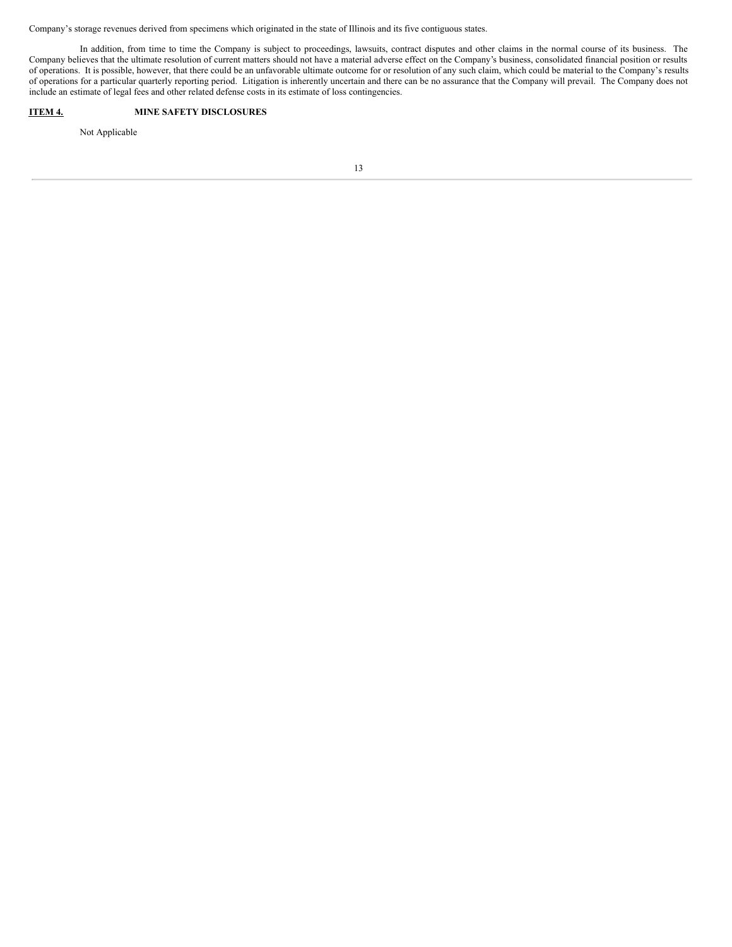Company's storage revenues derived from specimens which originated in the state of Illinois and its five contiguous states.

In addition, from time to time the Company is subject to proceedings, lawsuits, contract disputes and other claims in the normal course of its business. The Company believes that the ultimate resolution of current matters should not have a material adverse effect on the Company's business, consolidated financial position or results of operations. It is possible, however, that there could be an unfavorable ultimate outcome for or resolution of any such claim, which could be material to the Company's results of operations for a particular quarterly reporting period. Litigation is inherently uncertain and there can be no assurance that the Company will prevail. The Company does not include an estimate of legal fees and other related defense costs in its estimate of loss contingencies.

# **ITEM 4. MINE SAFETY DISCLOSURES**

<span id="page-14-0"></span>Not Applicable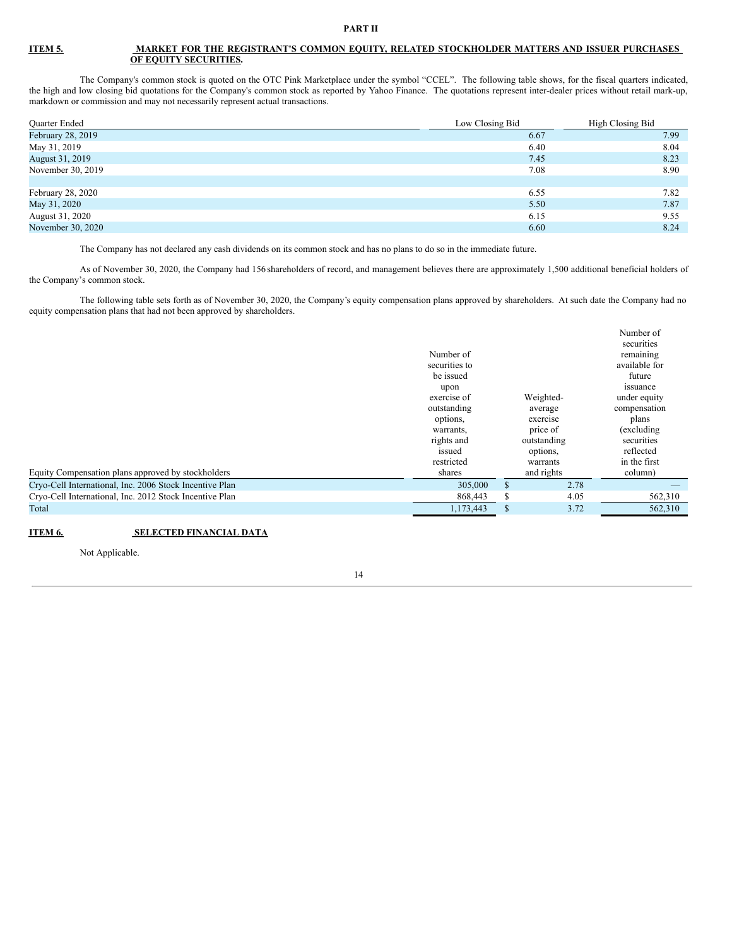# <span id="page-15-1"></span><span id="page-15-0"></span>**ITEM 5. MARKET FOR THE REGISTRANT'S COMMON EQUITY, RELATED STOCKHOLDER MATTERS AND ISSUER PURCHASES OF EQUITY SECURITIES.**

The Company's common stock is quoted on the OTC Pink Marketplace under the symbol "CCEL". The following table shows, for the fiscal quarters indicated, the high and low closing bid quotations for the Company's common stock as reported by Yahoo Finance. The quotations represent inter-dealer prices without retail mark-up, markdown or commission and may not necessarily represent actual transactions.

| Low Closing Bid | High Closing Bid |
|-----------------|------------------|
| 6.67            | 7.99             |
| 6.40            | 8.04             |
| 7.45            | 8.23             |
| 7.08            | 8.90             |
|                 |                  |
| 6.55            | 7.82             |
| 5.50            | 7.87             |
| 6.15            | 9.55             |
| 6.60            | 8.24             |
|                 |                  |

The Company has not declared any cash dividends on its common stock and has no plans to do so in the immediate future.

As of November 30, 2020, the Company had 156 shareholders of record, and management believes there are approximately 1,500 additional beneficial holders of the Company's common stock.

The following table sets forth as of November 30, 2020, the Company's equity compensation plans approved by shareholders. At such date the Company had no equity compensation plans that had not been approved by shareholders.

|                                                         |               |               |             | Number of     |
|---------------------------------------------------------|---------------|---------------|-------------|---------------|
|                                                         |               |               |             | securities    |
|                                                         | Number of     |               |             | remaining     |
|                                                         | securities to |               |             | available for |
|                                                         | be issued     |               |             | future        |
|                                                         | upon          |               |             | issuance      |
|                                                         | exercise of   |               | Weighted-   | under equity  |
|                                                         | outstanding   |               | average     | compensation  |
|                                                         | options,      |               | exercise    | plans         |
|                                                         | warrants,     |               | price of    | (excluding)   |
|                                                         | rights and    |               | outstanding | securities    |
|                                                         | issued        |               | options,    | reflected     |
|                                                         | restricted    |               | warrants    | in the first  |
| Equity Compensation plans approved by stockholders      | shares        |               | and rights  | column)       |
| Cryo-Cell International, Inc. 2006 Stock Incentive Plan | 305,000       | <sup>\$</sup> | 2.78        |               |
| Cryo-Cell International, Inc. 2012 Stock Incentive Plan | 868,443       | \$            | 4.05        | 562,310       |
| Total                                                   | 1,173,443     | \$            | 3.72        | 562,310       |

# **ITEM 6. SELECTED FINANCIAL DATA**

<span id="page-15-2"></span>Not Applicable.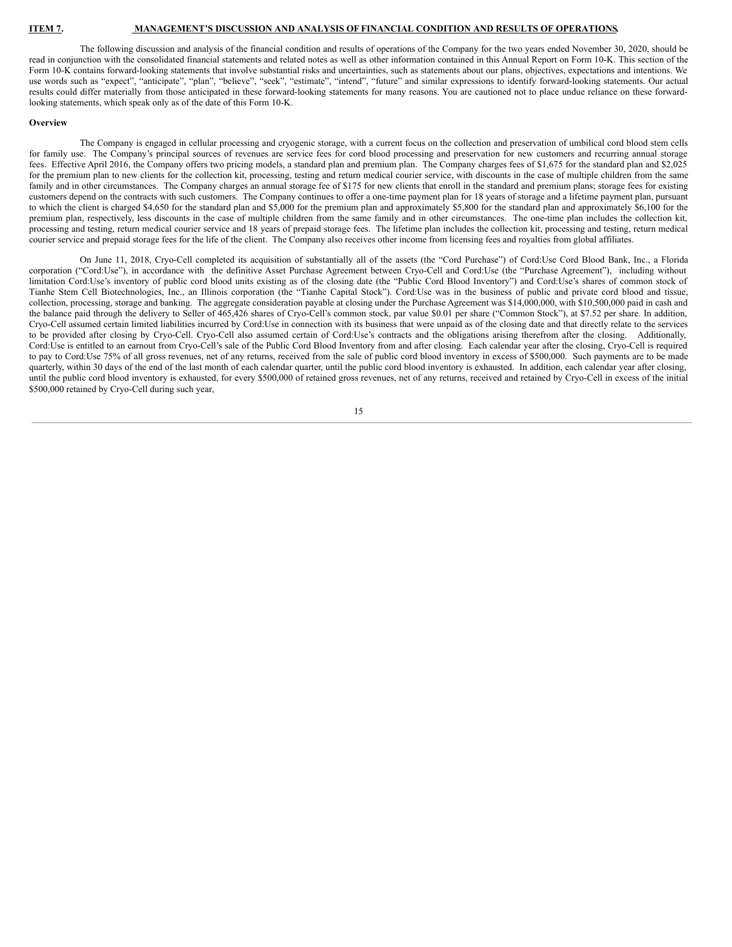<span id="page-16-0"></span>

# **ITEM 7. MANAGEMENT'S DISCUSSION AND ANALYSIS OF FINANCIAL CONDITION AND RESULTS OF OPERATIONS.**

The following discussion and analysis of the financial condition and results of operations of the Company for the two years ended November 30, 2020, should be read in conjunction with the consolidated financial statements and related notes as well as other information contained in this Annual Report on Form 10-K. This section of the Form 10-K contains forward-looking statements that involve substantial risks and uncertainties, such as statements about our plans, objectives, expectations and intentions. We use words such as "expect", "anticipate", "plan", "believe", "seek", "estimate", "intend", "future" and similar expressions to identify forward-looking statements. Our actual results could differ materially from those anticipated in these forward-looking statements for many reasons. You are cautioned not to place undue reliance on these forwardlooking statements, which speak only as of the date of this Form 10-K.

### **Overview**

The Company is engaged in cellular processing and cryogenic storage, with a current focus on the collection and preservation of umbilical cord blood stem cells for family use. The Company's principal sources of revenues are service fees for cord blood processing and preservation for new customers and recurring annual storage fees. Effective April 2016, the Company offers two pricing models, a standard plan and premium plan. The Company charges fees of \$1,675 for the standard plan and \$2,025 for the premium plan to new clients for the collection kit, processing, testing and return medical courier service, with discounts in the case of multiple children from the same family and in other circumstances. The Company charges an annual storage fee of \$175 for new clients that enroll in the standard and premium plans; storage fees for existing customers depend on the contracts with such customers. The Company continues to offer a one-time payment plan for 18 years of storage and a lifetime payment plan, pursuant to which the client is charged \$4,650 for the standard plan and \$5,000 for the premium plan and approximately \$5,800 for the standard plan and approximately \$6,100 for the premium plan, respectively, less discounts in the case of multiple children from the same family and in other circumstances. The one-time plan includes the collection kit, processing and testing, return medical courier service and 18 years of prepaid storage fees. The lifetime plan includes the collection kit, processing and testing, return medical courier service and prepaid storage fees for the life of the client. The Company also receives other income from licensing fees and royalties from global affiliates.

On June 11, 2018, Cryo-Cell completed its acquisition of substantially all of the assets (the "Cord Purchase") of Cord:Use Cord Blood Bank, Inc., a Florida corporation ("Cord:Use"), in accordance with the definitive Asset Purchase Agreement between Cryo-Cell and Cord:Use (the "Purchase Agreement"), including without limitation Cord:Use's inventory of public cord blood units existing as of the closing date (the "Public Cord Blood Inventory") and Cord:Use's shares of common stock of Tianhe Stem Cell Biotechnologies, Inc., an Illinois corporation (the "Tianhe Capital Stock"). Cord:Use was in the business of public and private cord blood and tissue, collection, processing, storage and banking. The aggregate consideration payable at closing under the Purchase Agreement was \$14,000,000, with \$10,500,000 paid in cash and the balance paid through the delivery to Seller of 465,426 shares of Cryo-Cell's common stock, par value \$0.01 per share ("Common Stock"), at \$7.52 per share. In addition, Cryo-Cell assumed certain limited liabilities incurred by Cord:Use in connection with its business that were unpaid as of the closing date and that directly relate to the services to be provided after closing by Cryo-Cell. Cryo-Cell also assumed certain of Cord:Use's contracts and the obligations arising therefrom after the closing. Additionally, Cord:Use is entitled to an earnout from Cryo-Cell's sale of the Public Cord Blood Inventory from and after closing. Each calendar year after the closing, Cryo-Cell is required to pay to Cord:Use 75% of all gross revenues, net of any returns, received from the sale of public cord blood inventory in excess of \$500,000. Such payments are to be made quarterly, within 30 days of the end of the last month of each calendar quarter, until the public cord blood inventory is exhausted. In addition, each calendar year after closing, until the public cord blood inventory is exhausted, for every \$500,000 of retained gross revenues, net of any returns, received and retained by Cryo-Cell in excess of the initial \$500,000 retained by Cryo-Cell during such year,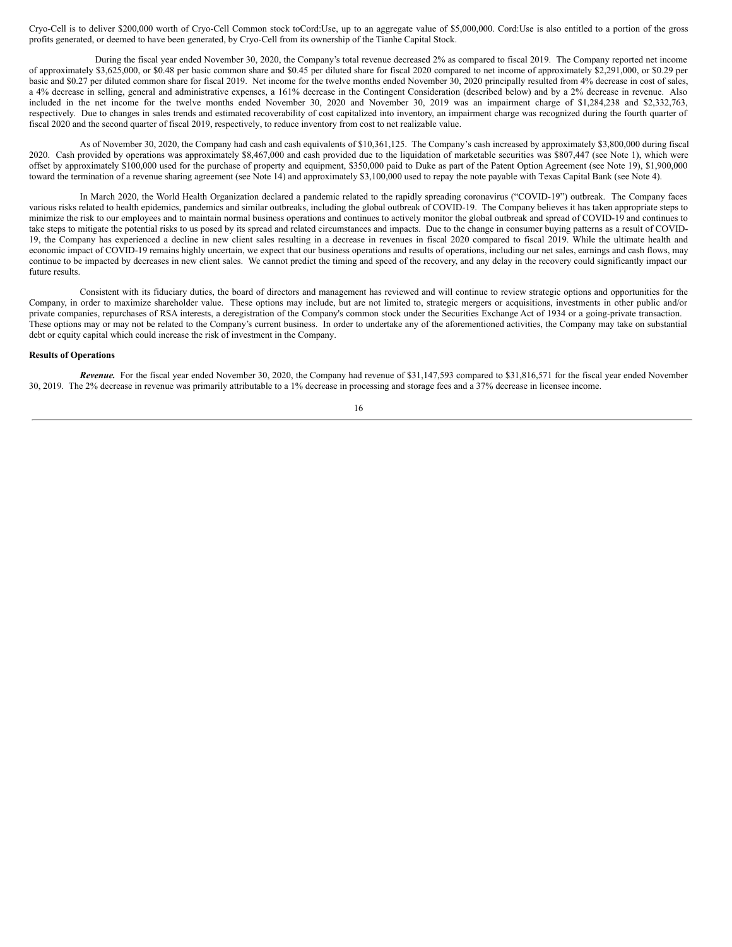Cryo-Cell is to deliver \$200,000 worth of Cryo-Cell Common stock toCord:Use, up to an aggregate value of \$5,000,000. Cord:Use is also entitled to a portion of the gross profits generated, or deemed to have been generated, by Cryo-Cell from its ownership of the Tianhe Capital Stock.

During the fiscal year ended November 30, 2020, the Company's total revenue decreased 2% as compared to fiscal 2019. The Company reported net income of approximately \$3,625,000, or \$0.48 per basic common share and \$0.45 per diluted share for fiscal 2020 compared to net income of approximately \$2,291,000, or \$0.29 per basic and \$0.27 per diluted common share for fiscal 2019. Net income for the twelve months ended November 30, 2020 principally resulted from 4% decrease in cost of sales, a 4% decrease in selling, general and administrative expenses, a 161% decrease in the Contingent Consideration (described below) and by a 2% decrease in revenue. Also included in the net income for the twelve months ended November 30, 2020 and November 30, 2019 was an impairment charge of \$1,284,238 and \$2,332,763, respectively. Due to changes in sales trends and estimated recoverability of cost capitalized into inventory, an impairment charge was recognized during the fourth quarter of fiscal 2020 and the second quarter of fiscal 2019, respectively, to reduce inventory from cost to net realizable value.

As of November 30, 2020, the Company had cash and cash equivalents of \$10,361,125. The Company's cash increased by approximately \$3,800,000 during fiscal 2020. Cash provided by operations was approximately \$8,467,000 and cash provided due to the liquidation of marketable securities was \$807,447 (see Note 1), which were offset by approximately \$100,000 used for the purchase of property and equipment, \$350,000 paid to Duke as part of the Patent Option Agreement (see Note 19), \$1,900,000 toward the termination of a revenue sharing agreement (see Note 14) and approximately \$3,100,000 used to repay the note payable with Texas Capital Bank (see Note 4).

In March 2020, the World Health Organization declared a pandemic related to the rapidly spreading coronavirus ("COVID-19") outbreak. The Company faces various risks related to health epidemics, pandemics and similar outbreaks, including the global outbreak of COVID-19. The Company believes it has taken appropriate steps to minimize the risk to our employees and to maintain normal business operations and continues to actively monitor the global outbreak and spread of COVID-19 and continues to take steps to mitigate the potential risks to us posed by its spread and related circumstances and impacts. Due to the change in consumer buying patterns as a result of COVID-19, the Company has experienced a decline in new client sales resulting in a decrease in revenues in fiscal 2020 compared to fiscal 2019. While the ultimate health and economic impact of COVID-19 remains highly uncertain, we expect that our business operations and results of operations, including our net sales, earnings and cash flows, may continue to be impacted by decreases in new client sales. We cannot predict the timing and speed of the recovery, and any delay in the recovery could significantly impact our future results.

Consistent with its fiduciary duties, the board of directors and management has reviewed and will continue to review strategic options and opportunities for the Company, in order to maximize shareholder value. These options may include, but are not limited to, strategic mergers or acquisitions, investments in other public and/or private companies, repurchases of RSA interests, a deregistration of the Company's common stock under the Securities Exchange Act of 1934 or a going-private transaction. These options may or may not be related to the Company's current business. In order to undertake any of the aforementioned activities, the Company may take on substantial debt or equity capital which could increase the risk of investment in the Company.

# **Results of Operations**

*Revenue.* For the fiscal year ended November 30, 2020, the Company had revenue of \$31,147,593 compared to \$31,816,571 for the fiscal year ended November 30, 2019. The 2% decrease in revenue was primarily attributable to a 1% decrease in processing and storage fees and a 37% decrease in licensee income.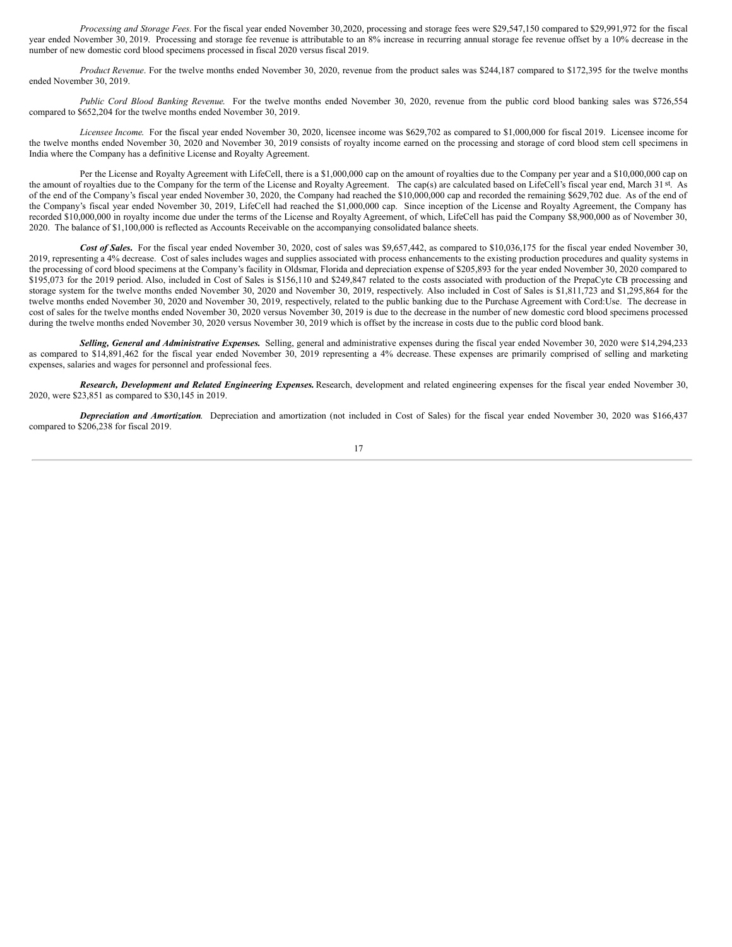*Processing and Storage Fees.* For the fiscal year ended November 30,2020, processing and storage fees were \$29,547,150 compared to \$29,991,972 for the fiscal year ended November 30, 2019. Processing and storage fee revenue is attributable to an 8% increase in recurring annual storage fee revenue offset by a 10% decrease in the number of new domestic cord blood specimens processed in fiscal 2020 versus fiscal 2019.

*Product Revenue*. For the twelve months ended November 30, 2020, revenue from the product sales was \$244,187 compared to \$172,395 for the twelve months ended November 30, 2019.

*Public Cord Blood Banking Revenue*. For the twelve months ended November 30, 2020, revenue from the public cord blood banking sales was \$726,554 compared to \$652,204 for the twelve months ended November 30, 2019.

*Licensee Income*. For the fiscal year ended November 30, 2020, licensee income was \$629,702 as compared to \$1,000,000 for fiscal 2019. Licensee income for the twelve months ended November 30, 2020 and November 30, 2019 consists of royalty income earned on the processing and storage of cord blood stem cell specimens in India where the Company has a definitive License and Royalty Agreement.

Per the License and Royalty Agreement with LifeCell, there is a \$1,000,000 cap on the amount of royalties due to the Company per year and a \$10,000,000 cap on the amount of royalties due to the Company for the term of the License and Royalty Agreement. The cap(s) are calculated based on LifeCell's fiscal year end, March 31 st. As of the end of the Company's fiscal year ended November 30, 2020, the Company had reached the \$10,000,000 cap and recorded the remaining \$629,702 due. As of the end of the Company's fiscal year ended November 30, 2019, LifeCell had reached the \$1,000,000 cap. Since inception of the License and Royalty Agreement, the Company has recorded \$10,000,000 in royalty income due under the terms of the License and Royalty Agreement, of which, LifeCell has paid the Company \$8,900,000 as of November 30, 2020. The balance of \$1,100,000 is reflected as Accounts Receivable on the accompanying consolidated balance sheets.

*Cost of Sales***.** For the fiscal year ended November 30, 2020, cost of sales was \$9,657,442, as compared to \$10,036,175 for the fiscal year ended November 30, 2019, representing a 4% decrease. Cost of sales includes wages and supplies associated with process enhancements to the existing production procedures and quality systems in the processing of cord blood specimens at the Company's facility in Oldsmar, Florida and depreciation expense of \$205,893 for the year ended November 30, 2020 compared to \$195,073 for the 2019 period. Also, included in Cost of Sales is \$156,110 and \$249,847 related to the costs associated with production of the PrepaCyte CB processing and storage system for the twelve months ended November 30, 2020 and November 30, 2019, respectively. Also included in Cost of Sales is \$1,811,723 and \$1,295,864 for the twelve months ended November 30, 2020 and November 30, 2019, respectively, related to the public banking due to the Purchase Agreement with Cord:Use. The decrease in cost of sales for the twelve months ended November 30, 2020 versus November 30, 2019 is due to the decrease in the number of new domestic cord blood specimens processed during the twelve months ended November 30, 2020 versus November 30, 2019 which is offset by the increase in costs due to the public cord blood bank.

*Selling, General and Administrative Expenses.* Selling, general and administrative expenses during the fiscal year ended November 30, 2020 were \$14,294,233 as compared to \$14,891,462 for the fiscal year ended November 30, 2019 representing a 4% decrease. These expenses are primarily comprised of selling and marketing expenses, salaries and wages for personnel and professional fees.

*Research, Development and Related Engineering Expenses.* Research, development and related engineering expenses for the fiscal year ended November 30, 2020, were \$23,851 as compared to \$30,145 in 2019.

*Depreciation and Amortization*. Depreciation and amortization (not included in Cost of Sales) for the fiscal year ended November 30, 2020 was \$166,437 compared to \$206,238 for fiscal 2019.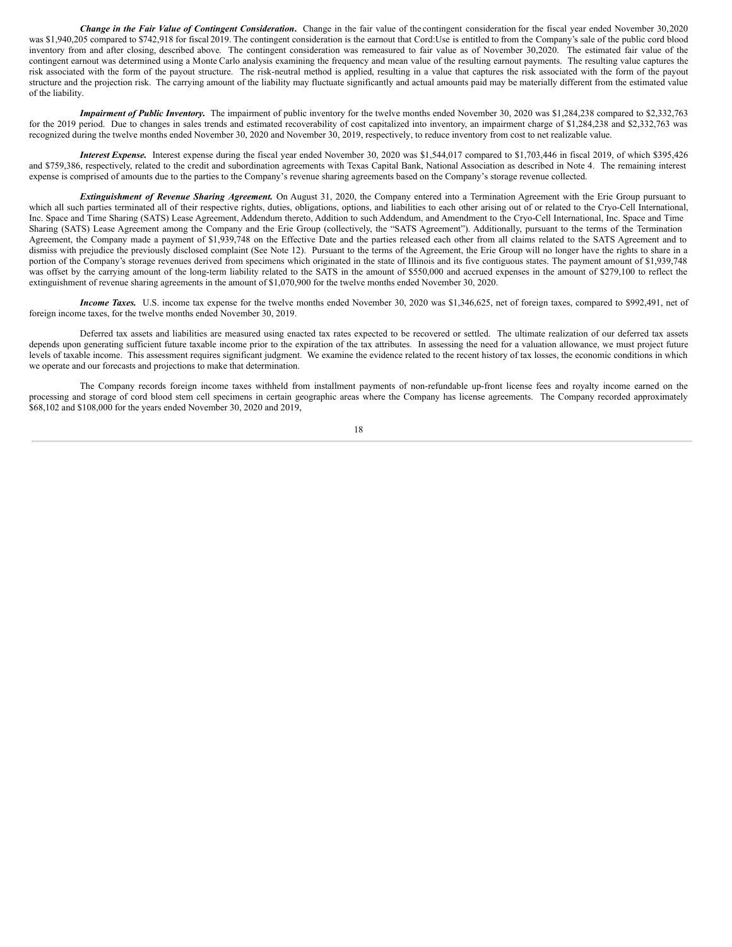*Change in the Fair Value of Contingent Consideration.* Change in the fair value of the contingent consideration for the fiscal year ended November 30,2020 was \$1,940,205 compared to \$742,918 for fiscal 2019. The contingent consideration is the earnout that Cord:Use is entitled to from the Company's sale of the public cord blood inventory from and after closing, described above. The contingent consideration was remeasured to fair value as of November 30,2020. The estimated fair value of the contingent earnout was determined using a Monte Carlo analysis examining the frequency and mean value of the resulting earnout payments. The resulting value captures the risk associated with the form of the payout structure. The risk-neutral method is applied, resulting in a value that captures the risk associated with the form of the payout structure and the projection risk. The carrying amount of the liability may fluctuate significantly and actual amounts paid may be materially different from the estimated value of the liability.

*Impairment of Public Inventory.* The impairment of public inventory for the twelve months ended November 30, 2020 was \$1,284,238 compared to \$2,332,763 for the 2019 period. Due to changes in sales trends and estimated recoverability of cost capitalized into inventory, an impairment charge of \$1,284,238 and \$2,332,763 was recognized during the twelve months ended November 30, 2020 and November 30, 2019, respectively, to reduce inventory from cost to net realizable value.

*Interest Expense.* Interest expense during the fiscal year ended November 30, 2020 was \$1,544,017 compared to \$1,703,446 in fiscal 2019, of which \$395,426 and \$759,386, respectively, related to the credit and subordination agreements with Texas Capital Bank, National Association as described in Note 4. The remaining interest expense is comprised of amounts due to the parties to the Company's revenue sharing agreements based on the Company's storage revenue collected.

*Extinguishment of Revenue Sharing Agreement.* On August 31, 2020, the Company entered into a Termination Agreement with the Erie Group pursuant to which all such parties terminated all of their respective rights, duties, obligations, options, and liabilities to each other arising out of or related to the Cryo-Cell International, Inc. Space and Time Sharing (SATS) Lease Agreement, Addendum thereto, Addition to such Addendum, and Amendment to the Cryo-Cell International, Inc. Space and Time Sharing (SATS) Lease Agreement among the Company and the Erie Group (collectively, the "SATS Agreement"). Additionally, pursuant to the terms of the Termination Agreement, the Company made a payment of \$1,939,748 on the Effective Date and the parties released each other from all claims related to the SATS Agreement and to dismiss with prejudice the previously disclosed complaint (See Note 12). Pursuant to the terms of the Agreement, the Erie Group will no longer have the rights to share in a portion of the Company's storage revenues derived from specimens which originated in the state of Illinois and its five contiguous states. The payment amount of \$1,939,748 was offset by the carrying amount of the long-term liability related to the SATS in the amount of \$550,000 and accrued expenses in the amount of \$279,100 to reflect the extinguishment of revenue sharing agreements in the amount of \$1,070,900 for the twelve months ended November 30, 2020.

*Income Taxes.* U.S. income tax expense for the twelve months ended November 30, 2020 was \$1,346,625, net of foreign taxes, compared to \$992,491, net of foreign income taxes, for the twelve months ended November 30, 2019.

Deferred tax assets and liabilities are measured using enacted tax rates expected to be recovered or settled. The ultimate realization of our deferred tax assets depends upon generating sufficient future taxable income prior to the expiration of the tax attributes. In assessing the need for a valuation allowance, we must project future levels of taxable income. This assessment requires significant judgment. We examine the evidence related to the recent history of tax losses, the economic conditions in which we operate and our forecasts and projections to make that determination.

The Company records foreign income taxes withheld from installment payments of non-refundable up-front license fees and royalty income earned on the processing and storage of cord blood stem cell specimens in certain geographic areas where the Company has license agreements. The Company recorded approximately \$68,102 and \$108,000 for the years ended November 30, 2020 and 2019,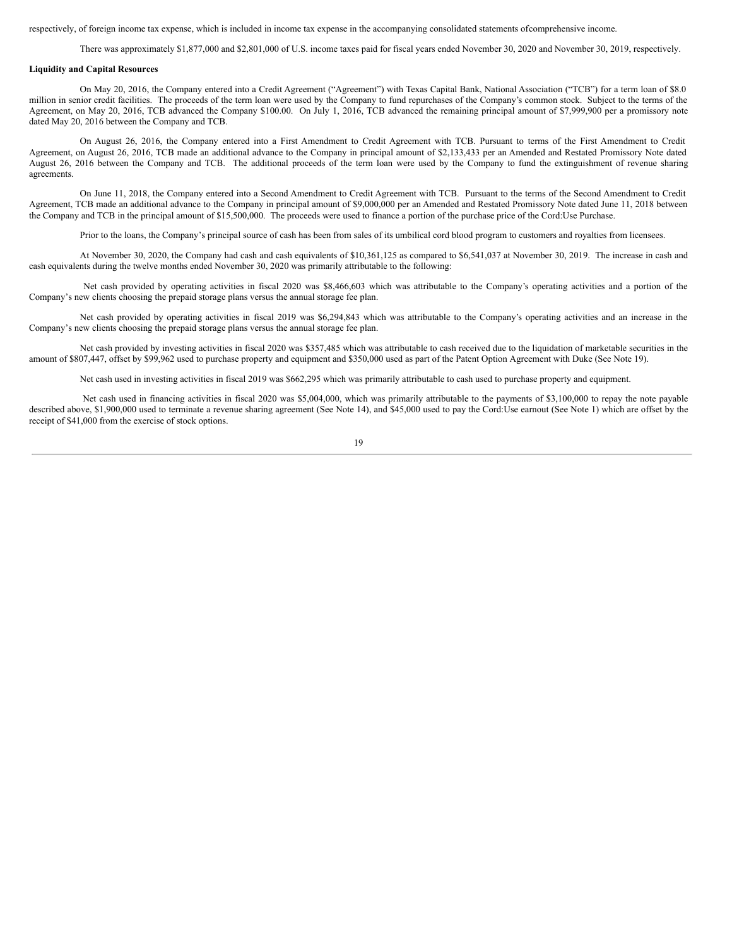respectively, of foreign income tax expense, which is included in income tax expense in the accompanying consolidated statements ofcomprehensive income.

There was approximately \$1,877,000 and \$2,801,000 of U.S. income taxes paid for fiscal years ended November 30, 2020 and November 30, 2019, respectively.

#### **Liquidity and Capital Resources**

On May 20, 2016, the Company entered into a Credit Agreement ("Agreement") with Texas Capital Bank, National Association ("TCB") for a term loan of \$8.0 million in senior credit facilities. The proceeds of the term loan were used by the Company to fund repurchases of the Company's common stock. Subject to the terms of the Agreement, on May 20, 2016, TCB advanced the Company \$100.00. On July 1, 2016, TCB advanced the remaining principal amount of \$7,999,900 per a promissory note dated May 20, 2016 between the Company and TCB.

On August 26, 2016, the Company entered into a First Amendment to Credit Agreement with TCB. Pursuant to terms of the First Amendment to Credit Agreement, on August 26, 2016, TCB made an additional advance to the Company in principal amount of \$2,133,433 per an Amended and Restated Promissory Note dated August 26, 2016 between the Company and TCB. The additional proceeds of the term loan were used by the Company to fund the extinguishment of revenue sharing agreements.

On June 11, 2018, the Company entered into a Second Amendment to Credit Agreement with TCB. Pursuant to the terms of the Second Amendment to Credit Agreement, TCB made an additional advance to the Company in principal amount of \$9,000,000 per an Amended and Restated Promissory Note dated June 11, 2018 between the Company and TCB in the principal amount of \$15,500,000. The proceeds were used to finance a portion of the purchase price of the Cord:Use Purchase.

Prior to the loans, the Company's principal source of cash has been from sales of its umbilical cord blood program to customers and royalties from licensees.

At November 30, 2020, the Company had cash and cash equivalents of \$10,361,125 as compared to \$6,541,037 at November 30, 2019. The increase in cash and cash equivalents during the twelve months ended November 30, 2020 was primarily attributable to the following:

Net cash provided by operating activities in fiscal 2020 was \$8,466,603 which was attributable to the Company's operating activities and a portion of the Company's new clients choosing the prepaid storage plans versus the annual storage fee plan.

Net cash provided by operating activities in fiscal 2019 was \$6,294,843 which was attributable to the Company's operating activities and an increase in the Company's new clients choosing the prepaid storage plans versus the annual storage fee plan.

Net cash provided by investing activities in fiscal 2020 was \$357,485 which was attributable to cash received due to the liquidation of marketable securities in the amount of \$807,447, offset by \$99,962 used to purchase property and equipment and \$350,000 used as part of the Patent Option Agreement with Duke (See Note 19).

Net cash used in investing activities in fiscal 2019 was \$662,295 which was primarily attributable to cash used to purchase property and equipment.

Net cash used in financing activities in fiscal 2020 was \$5,004,000, which was primarily attributable to the payments of \$3,100,000 to repay the note payable described above, \$1,900,000 used to terminate a revenue sharing agreement (See Note 14), and \$45,000 used to pay the Cord:Use earnout (See Note 1) which are offset by the receipt of \$41,000 from the exercise of stock options.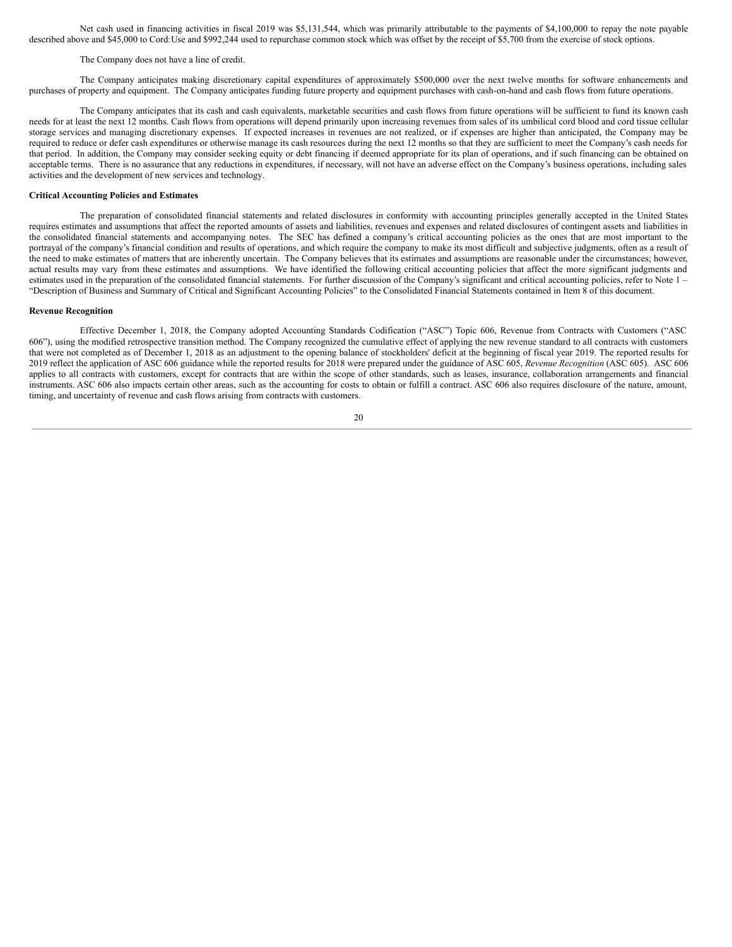Net cash used in financing activities in fiscal 2019 was \$5,131,544, which was primarily attributable to the payments of \$4,100,000 to repay the note payable described above and \$45,000 to Cord:Use and \$992,244 used to repurchase common stock which was offset by the receipt of \$5,700 from the exercise of stock options.

# The Company does not have a line of credit.

The Company anticipates making discretionary capital expenditures of approximately \$500,000 over the next twelve months for software enhancements and purchases of property and equipment. The Company anticipates funding future property and equipment purchases with cash-on-hand and cash flows from future operations.

The Company anticipates that its cash and cash equivalents, marketable securities and cash flows from future operations will be sufficient to fund its known cash needs for at least the next 12 months. Cash flows from operations will depend primarily upon increasing revenues from sales of its umbilical cord blood and cord tissue cellular storage services and managing discretionary expenses. If expected increases in revenues are not realized, or if expenses are higher than anticipated, the Company may be required to reduce or defer cash expenditures or otherwise manage its cash resources during the next 12 months so that they are sufficient to meet the Company's cash needs for that period. In addition, the Company may consider seeking equity or debt financing if deemed appropriate for its plan of operations, and if such financing can be obtained on acceptable terms. There is no assurance that any reductions in expenditures, if necessary, will not have an adverse effect on the Company's business operations, including sales activities and the development of new services and technology.

# **Critical Accounting Policies and Estimates**

The preparation of consolidated financial statements and related disclosures in conformity with accounting principles generally accepted in the United States requires estimates and assumptions that affect the reported amounts of assets and liabilities, revenues and expenses and related disclosures of contingent assets and liabilities in the consolidated financial statements and accompanying notes. The SEC has defined a company's critical accounting policies as the ones that are most important to the portrayal of the company's financial condition and results of operations, and which require the company to make its most difficult and subjective judgments, often as a result of the need to make estimates of matters that are inherently uncertain. The Company believes that its estimates and assumptions are reasonable under the circumstances; however, actual results may vary from these estimates and assumptions. We have identified the following critical accounting policies that affect the more significant judgments and estimates used in the preparation of the consolidated financial statements. For further discussion of the Company's significant and critical accounting policies, refer to Note 1 -"Description of Business and Summary of Critical and Significant Accounting Policies" to the Consolidated Financial Statements contained in Item 8 of this document.

# **Revenue Recognition**

Effective December 1, 2018, the Company adopted Accounting Standards Codification ("ASC") Topic 606, Revenue from Contracts with Customers ("ASC 606"), using the modified retrospective transition method. The Company recognized the cumulative effect of applying the new revenue standard to all contracts with customers that were not completed as of December 1, 2018 as an adjustment to the opening balance of stockholders' deficit at the beginning of fiscal year 2019. The reported results for 2019 reflect the application of ASC 606 guidance while the reported results for 2018 were prepared under the guidance of ASC 605, *Revenue Recognition* (ASC 605). ASC 606 applies to all contracts with customers, except for contracts that are within the scope of other standards, such as leases, insurance, collaboration arrangements and financial instruments. ASC 606 also impacts certain other areas, such as the accounting for costs to obtain or fulfill a contract. ASC 606 also requires disclosure of the nature, amount, timing, and uncertainty of revenue and cash flows arising from contracts with customers.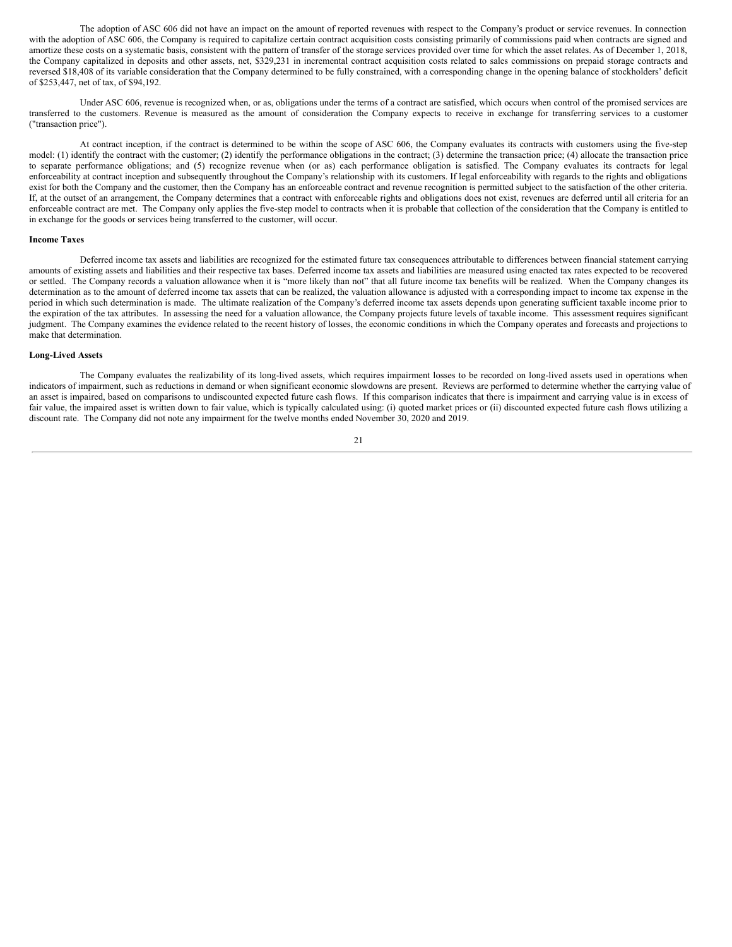The adoption of ASC 606 did not have an impact on the amount of reported revenues with respect to the Company's product or service revenues. In connection with the adoption of ASC 606, the Company is required to capitalize certain contract acquisition costs consisting primarily of commissions paid when contracts are signed and amortize these costs on a systematic basis, consistent with the pattern of transfer of the storage services provided over time for which the asset relates. As of December 1, 2018, the Company capitalized in deposits and other assets, net, \$329,231 in incremental contract acquisition costs related to sales commissions on prepaid storage contracts and reversed \$18,408 of its variable consideration that the Company determined to be fully constrained, with a corresponding change in the opening balance of stockholders' deficit of \$253,447, net of tax, of \$94,192.

Under ASC 606, revenue is recognized when, or as, obligations under the terms of a contract are satisfied, which occurs when control of the promised services are transferred to the customers. Revenue is measured as the amount of consideration the Company expects to receive in exchange for transferring services to a customer ("transaction price").

At contract inception, if the contract is determined to be within the scope of ASC 606, the Company evaluates its contracts with customers using the five-step model: (1) identify the contract with the customer; (2) identify the performance obligations in the contract; (3) determine the transaction price; (4) allocate the transaction price to separate performance obligations; and (5) recognize revenue when (or as) each performance obligation is satisfied. The Company evaluates its contracts for legal enforceability at contract inception and subsequently throughout the Company's relationship with its customers. If legal enforceability with regards to the rights and obligations exist for both the Company and the customer, then the Company has an enforceable contract and revenue recognition is permitted subject to the satisfaction of the other criteria. If, at the outset of an arrangement, the Company determines that a contract with enforceable rights and obligations does not exist, revenues are deferred until all criteria for an enforceable contract are met. The Company only applies the five-step model to contracts when it is probable that collection of the consideration that the Company is entitled to in exchange for the goods or services being transferred to the customer, will occur.

#### **Income Taxes**

Deferred income tax assets and liabilities are recognized for the estimated future tax consequences attributable to differences between financial statement carrying amounts of existing assets and liabilities and their respective tax bases. Deferred income tax assets and liabilities are measured using enacted tax rates expected to be recovered or settled. The Company records a valuation allowance when it is "more likely than not" that all future income tax benefits will be realized. When the Company changes its determination as to the amount of deferred income tax assets that can be realized, the valuation allowance is adjusted with a corresponding impact to income tax expense in the period in which such determination is made. The ultimate realization of the Company's deferred income tax assets depends upon generating sufficient taxable income prior to the expiration of the tax attributes. In assessing the need for a valuation allowance, the Company projects future levels of taxable income. This assessment requires significant judgment. The Company examines the evidence related to the recent history of losses, the economic conditions in which the Company operates and forecasts and projections to make that determination.

#### **Long-Lived Assets**

The Company evaluates the realizability of its long-lived assets, which requires impairment losses to be recorded on long-lived assets used in operations when indicators of impairment, such as reductions in demand or when significant economic slowdowns are present. Reviews are performed to determine whether the carrying value of an asset is impaired, based on comparisons to undiscounted expected future cash flows. If this comparison indicates that there is impairment and carrying value is in excess of fair value, the impaired asset is written down to fair value, which is typically calculated using: (i) quoted market prices or (ii) discounted expected future cash flows utilizing a discount rate. The Company did not note any impairment for the twelve months ended November 30, 2020 and 2019.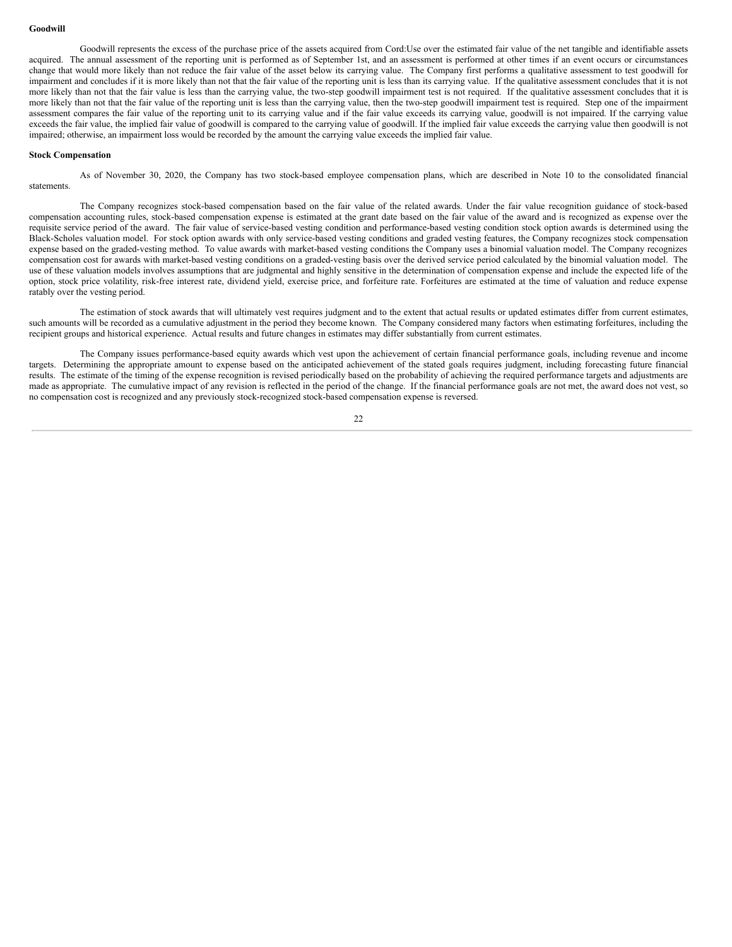#### **Goodwill**

Goodwill represents the excess of the purchase price of the assets acquired from Cord:Use over the estimated fair value of the net tangible and identifiable assets acquired. The annual assessment of the reporting unit is performed as of September 1st, and an assessment is performed at other times if an event occurs or circumstances change that would more likely than not reduce the fair value of the asset below its carrying value. The Company first performs a qualitative assessment to test goodwill for impairment and concludes if it is more likely than not that the fair value of the reporting unit is less than its carrying value. If the qualitative assessment concludes that it is not more likely than not that the fair value is less than the carrying value, the two-step goodwill impairment test is not required. If the qualitative assessment concludes that it is more likely than not that the fair value of the reporting unit is less than the carrying value, then the two-step goodwill impairment test is required. Step one of the impairment assessment compares the fair value of the reporting unit to its carrying value and if the fair value exceeds its carrying value, goodwill is not impaired. If the carrying value exceeds the fair value, the implied fair value of goodwill is compared to the carrying value of goodwill. If the implied fair value exceeds the carrying value then goodwill is not impaired; otherwise, an impairment loss would be recorded by the amount the carrying value exceeds the implied fair value.

### **Stock Compensation**

As of November 30, 2020, the Company has two stock-based employee compensation plans, which are described in Note 10 to the consolidated financial statements.

The Company recognizes stock-based compensation based on the fair value of the related awards. Under the fair value recognition guidance of stock-based compensation accounting rules, stock-based compensation expense is estimated at the grant date based on the fair value of the award and is recognized as expense over the requisite service period of the award. The fair value of service-based vesting condition and performance-based vesting condition stock option awards is determined using the Black-Scholes valuation model. For stock option awards with only service-based vesting conditions and graded vesting features, the Company recognizes stock compensation expense based on the graded-vesting method. To value awards with market-based vesting conditions the Company uses a binomial valuation model. The Company recognizes compensation cost for awards with market-based vesting conditions on a graded-vesting basis over the derived service period calculated by the binomial valuation model. The use of these valuation models involves assumptions that are judgmental and highly sensitive in the determination of compensation expense and include the expected life of the option, stock price volatility, risk-free interest rate, dividend yield, exercise price, and forfeiture rate. Forfeitures are estimated at the time of valuation and reduce expense ratably over the vesting period.

The estimation of stock awards that will ultimately vest requires judgment and to the extent that actual results or updated estimates differ from current estimates, such amounts will be recorded as a cumulative adjustment in the period they become known. The Company considered many factors when estimating forfeitures, including the recipient groups and historical experience. Actual results and future changes in estimates may differ substantially from current estimates.

The Company issues performance-based equity awards which vest upon the achievement of certain financial performance goals, including revenue and income targets. Determining the appropriate amount to expense based on the anticipated achievement of the stated goals requires judgment, including forecasting future financial results. The estimate of the timing of the expense recognition is revised periodically based on the probability of achieving the required performance targets and adjustments are made as appropriate. The cumulative impact of any revision is reflected in the period of the change. If the financial performance goals are not met, the award does not vest, so no compensation cost is recognized and any previously stock-recognized stock-based compensation expense is reversed.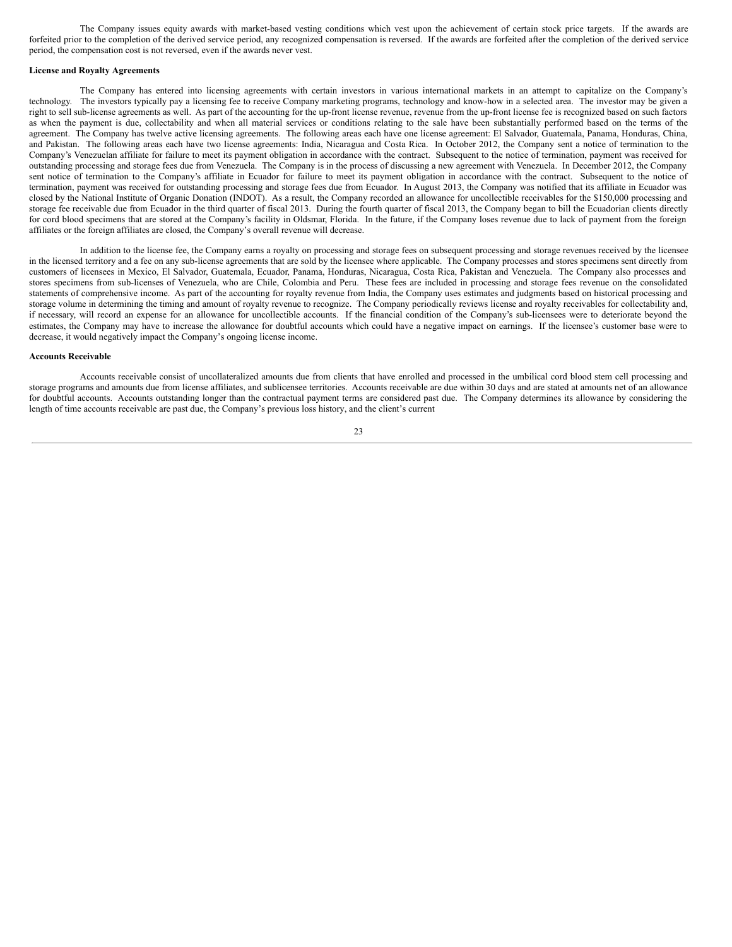The Company issues equity awards with market-based vesting conditions which vest upon the achievement of certain stock price targets. If the awards are forfeited prior to the completion of the derived service period, any recognized compensation is reversed. If the awards are forfeited after the completion of the derived service period, the compensation cost is not reversed, even if the awards never vest.

# **License and Royalty Agreements**

The Company has entered into licensing agreements with certain investors in various international markets in an attempt to capitalize on the Company's technology. The investors typically pay a licensing fee to receive Company marketing programs, technology and know-how in a selected area. The investor may be given a right to sell sub-license agreements as well. As part of the accounting for the up-front license revenue, revenue from the up-front license fee is recognized based on such factors as when the payment is due, collectability and when all material services or conditions relating to the sale have been substantially performed based on the terms of the agreement. The Company has twelve active licensing agreements. The following areas each have one license agreement: El Salvador, Guatemala, Panama, Honduras, China, and Pakistan. The following areas each have two license agreements: India, Nicaragua and Costa Rica. In October 2012, the Company sent a notice of termination to the Company's Venezuelan affiliate for failure to meet its payment obligation in accordance with the contract. Subsequent to the notice of termination, payment was received for outstanding processing and storage fees due from Venezuela. The Company is in the process of discussing a new agreement with Venezuela. In December 2012, the Company sent notice of termination to the Company's affiliate in Ecuador for failure to meet its payment obligation in accordance with the contract. Subsequent to the notice of termination, payment was received for outstanding processing and storage fees due from Ecuador. In August 2013, the Company was notified that its affiliate in Ecuador was closed by the National Institute of Organic Donation (INDOT). As a result, the Company recorded an allowance for uncollectible receivables for the \$150,000 processing and storage fee receivable due from Ecuador in the third quarter of fiscal 2013. During the fourth quarter of fiscal 2013, the Company began to bill the Ecuadorian clients directly for cord blood specimens that are stored at the Company's facility in Oldsmar, Florida. In the future, if the Company loses revenue due to lack of payment from the foreign affiliates or the foreign affiliates are closed, the Company's overall revenue will decrease.

In addition to the license fee, the Company earns a royalty on processing and storage fees on subsequent processing and storage revenues received by the licensee in the licensed territory and a fee on any sub-license agreements that are sold by the licensee where applicable. The Company processes and stores specimens sent directly from customers of licensees in Mexico, El Salvador, Guatemala, Ecuador, Panama, Honduras, Nicaragua, Costa Rica, Pakistan and Venezuela. The Company also processes and stores specimens from sub-licenses of Venezuela, who are Chile, Colombia and Peru. These fees are included in processing and storage fees revenue on the consolidated statements of comprehensive income. As part of the accounting for royalty revenue from India, the Company uses estimates and judgments based on historical processing and storage volume in determining the timing and amount of royalty revenue to recognize. The Company periodically reviews license and royalty receivables for collectability and, if necessary, will record an expense for an allowance for uncollectible accounts. If the financial condition of the Company's sub-licensees were to deteriorate beyond the estimates, the Company may have to increase the allowance for doubtful accounts which could have a negative impact on earnings. If the licensee's customer base were to decrease, it would negatively impact the Company's ongoing license income.

# **Accounts Receivable**

Accounts receivable consist of uncollateralized amounts due from clients that have enrolled and processed in the umbilical cord blood stem cell processing and storage programs and amounts due from license affiliates, and sublicensee territories. Accounts receivable are due within 30 days and are stated at amounts net of an allowance for doubtful accounts. Accounts outstanding longer than the contractual payment terms are considered past due. The Company determines its allowance by considering the length of time accounts receivable are past due, the Company's previous loss history, and the client's current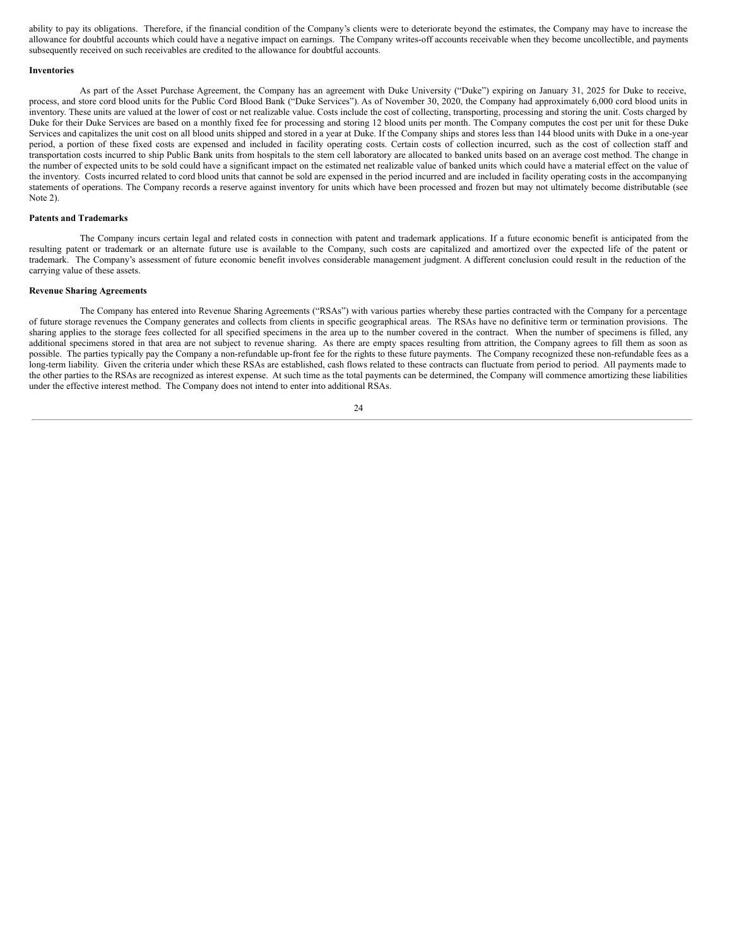ability to pay its obligations. Therefore, if the financial condition of the Company's clients were to deteriorate beyond the estimates, the Company may have to increase the allowance for doubtful accounts which could have a negative impact on earnings. The Company writes-off accounts receivable when they become uncollectible, and payments subsequently received on such receivables are credited to the allowance for doubtful accounts.

#### **Inventories**

As part of the Asset Purchase Agreement, the Company has an agreement with Duke University ("Duke") expiring on January 31, 2025 for Duke to receive, process, and store cord blood units for the Public Cord Blood Bank ("Duke Services"). As of November 30, 2020, the Company had approximately 6,000 cord blood units in inventory. These units are valued at the lower of cost or net realizable value. Costs include the cost of collecting, transporting, processing and storing the unit. Costs charged by Duke for their Duke Services are based on a monthly fixed fee for processing and storing 12 blood units per month. The Company computes the cost per unit for these Duke Services and capitalizes the unit cost on all blood units shipped and stored in a year at Duke. If the Company ships and stores less than 144 blood units with Duke in a one-year period, a portion of these fixed costs are expensed and included in facility operating costs. Certain costs of collection incurred, such as the cost of collection staff and transportation costs incurred to ship Public Bank units from hospitals to the stem cell laboratory are allocated to banked units based on an average cost method. The change in the number of expected units to be sold could have a significant impact on the estimated net realizable value of banked units which could have a material effect on the value of the inventory. Costs incurred related to cord blood units that cannot be sold are expensed in the period incurred and are included in facility operating costs in the accompanying statements of operations. The Company records a reserve against inventory for units which have been processed and frozen but may not ultimately become distributable (see Note 2).

# **Patents and Trademarks**

The Company incurs certain legal and related costs in connection with patent and trademark applications. If a future economic benefit is anticipated from the resulting patent or trademark or an alternate future use is available to the Company, such costs are capitalized and amortized over the expected life of the patent or trademark. The Company's assessment of future economic benefit involves considerable management judgment. A different conclusion could result in the reduction of the carrying value of these assets.

# **Revenue Sharing Agreements**

The Company has entered into Revenue Sharing Agreements ("RSAs") with various parties whereby these parties contracted with the Company for a percentage of future storage revenues the Company generates and collects from clients in specific geographical areas. The RSAs have no definitive term or termination provisions. The sharing applies to the storage fees collected for all specified specimens in the area up to the number covered in the contract. When the number of specimens is filled, any additional specimens stored in that area are not subject to revenue sharing. As there are empty spaces resulting from attrition, the Company agrees to fill them as soon as possible. The parties typically pay the Company a non-refundable up-front fee for the rights to these future payments. The Company recognized these non-refundable fees as a long-term liability. Given the criteria under which these RSAs are established, cash flows related to these contracts can fluctuate from period to period. All payments made to the other parties to the RSAs are recognized as interest expense. At such time as the total payments can be determined, the Company will commence amortizing these liabilities under the effective interest method. The Company does not intend to enter into additional RSAs.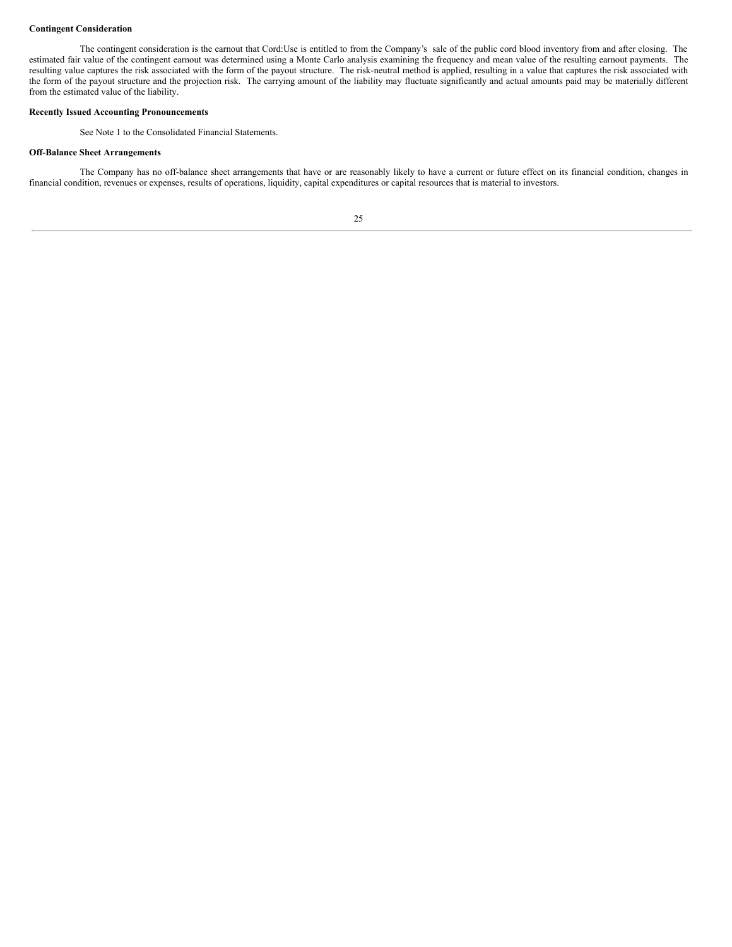# **Contingent Consideration**

The contingent consideration is the earnout that Cord:Use is entitled to from the Company's sale of the public cord blood inventory from and after closing. The estimated fair value of the contingent earnout was determined using a Monte Carlo analysis examining the frequency and mean value of the resulting earnout payments. The resulting value captures the risk associated with the form of the payout structure. The risk-neutral method is applied, resulting in a value that captures the risk associated with the form of the payout structure and the projection risk. The carrying amount of the liability may fluctuate significantly and actual amounts paid may be materially different from the estimated value of the liability.

# **Recently Issued Accounting Pronouncements**

See Note 1 to the Consolidated Financial Statements.

# **Off-Balance Sheet Arrangements**

The Company has no off-balance sheet arrangements that have or are reasonably likely to have a current or future effect on its financial condition, changes in financial condition, revenues or expenses, results of operations, liquidity, capital expenditures or capital resources that is material to investors.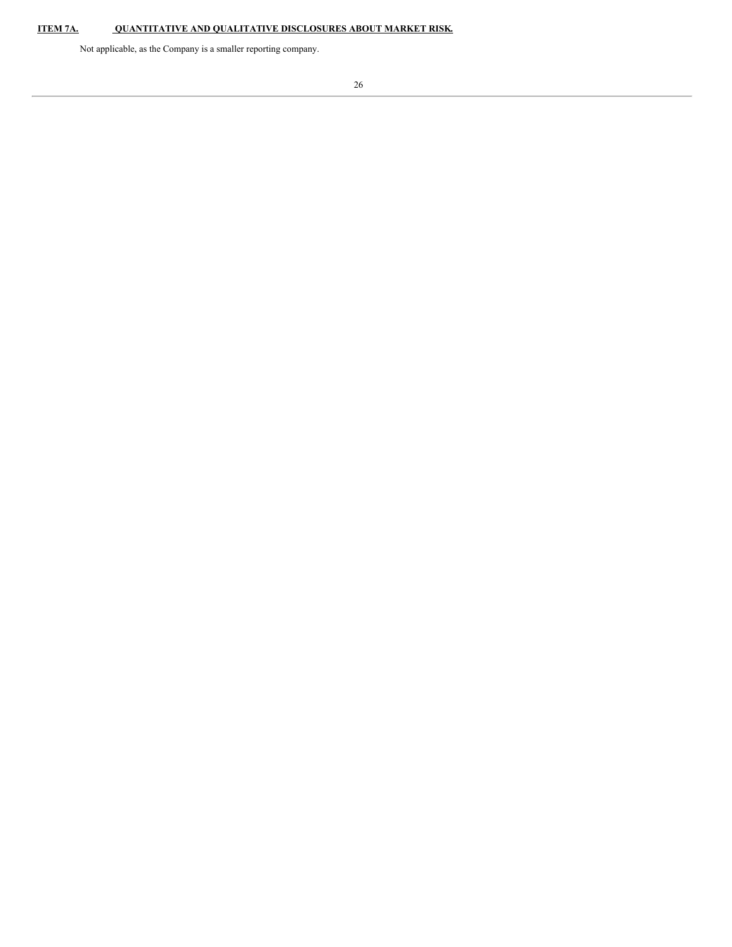# <span id="page-27-0"></span>**ITEM 7A. QUANTITATIVE AND QUALITATIVE DISCLOSURES ABOUT MARKET RISK.**

Not applicable, as the Company is a smaller reporting company.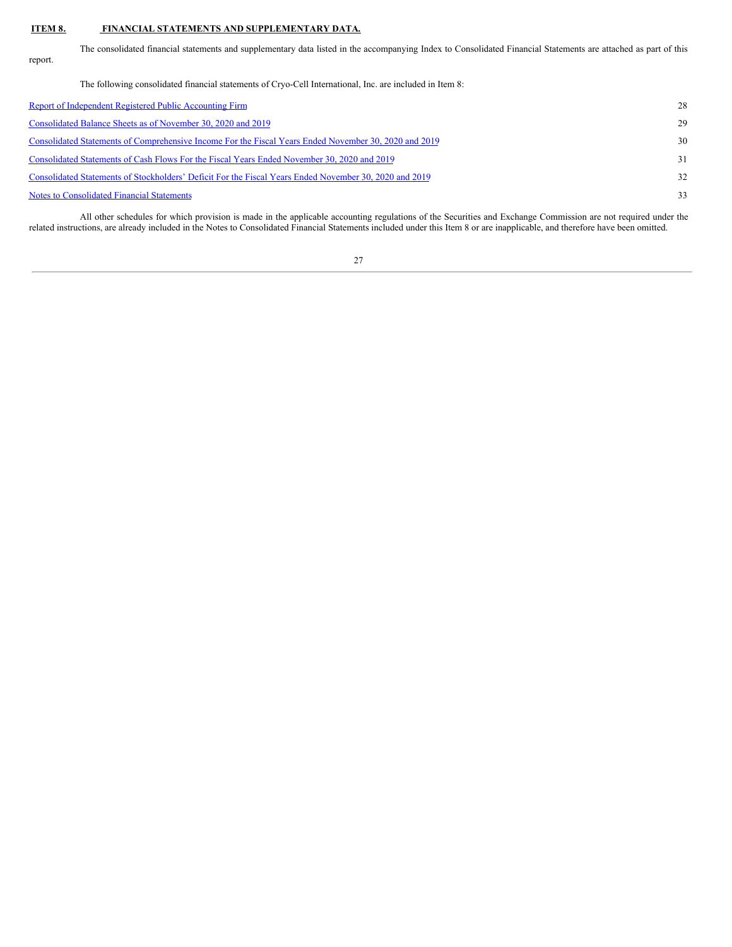# <span id="page-28-0"></span>**ITEM 8. FINANCIAL STATEMENTS AND SUPPLEMENTARY DATA.**

The consolidated financial statements and supplementary data listed in the accompanying Index to Consolidated Financial Statements are attached as part of this report.

The following consolidated financial statements of Cryo-Cell International, Inc. are included in Item 8:

| Report of Independent Registered Public Accounting Firm                                                | 28 |
|--------------------------------------------------------------------------------------------------------|----|
| Consolidated Balance Sheets as of November 30, 2020 and 2019                                           | 29 |
| Consolidated Statements of Comprehensive Income For the Fiscal Years Ended November 30, 2020 and 2019  | 30 |
| Consolidated Statements of Cash Flows For the Fiscal Years Ended November 30, 2020 and 2019            | 31 |
| Consolidated Statements of Stockholders' Deficit For the Fiscal Years Ended November 30, 2020 and 2019 | 32 |
| Notes to Consolidated Financial Statements                                                             | 33 |

All other schedules for which provision is made in the applicable accounting regulations of the Securities and Exchange Commission are not required under the related instructions, are already included in the Notes to Consolidated Financial Statements included under this Item 8 or are inapplicable, and therefore have been omitted.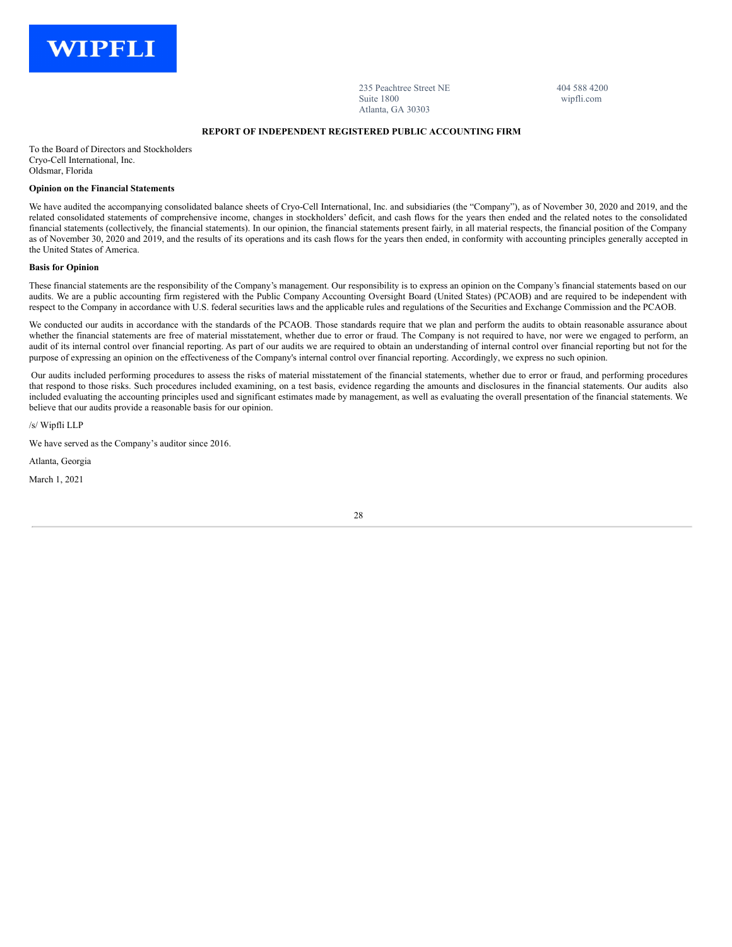

235 Peachtree Street NE 404 588 4200<br>Suite 1800 winfli com Atlanta, GA 30303

wipfli.com

# <span id="page-29-0"></span>**REPORT OF INDEPENDENT REGISTERED PUBLIC ACCOUNTING FIRM**

To the Board of Directors and Stockholders Cryo-Cell International, Inc. Oldsmar, Florida

# **Opinion on the Financial Statements**

We have audited the accompanying consolidated balance sheets of Cryo-Cell International, Inc. and subsidiaries (the "Company"), as of November 30, 2020 and 2019, and the related consolidated statements of comprehensive income, changes in stockholders' deficit, and cash flows for the years then ended and the related notes to the consolidated financial statements (collectively, the financial statements). In our opinion, the financial statements present fairly, in all material respects, the financial position of the Company as of November 30, 2020 and 2019, and the results of its operations and its cash flows for the years then ended, in conformity with accounting principles generally accepted in the United States of America.

# **Basis for Opinion**

These financial statements are the responsibility of the Company's management. Our responsibility is to express an opinion on the Company's financial statements based on our audits. We are a public accounting firm registered with the Public Company Accounting Oversight Board (United States) (PCAOB) and are required to be independent with respect to the Company in accordance with U.S. federal securities laws and the applicable rules and regulations of the Securities and Exchange Commission and the PCAOB.

We conducted our audits in accordance with the standards of the PCAOB. Those standards require that we plan and perform the audits to obtain reasonable assurance about whether the financial statements are free of material misstatement, whether due to error or fraud. The Company is not required to have, nor were we engaged to perform, an audit of its internal control over financial reporting. As part of our audits we are required to obtain an understanding of internal control over financial reporting but not for the purpose of expressing an opinion on the effectiveness of the Company's internal control over financial reporting. Accordingly, we express no such opinion.

Our audits included performing procedures to assess the risks of material misstatement of the financial statements, whether due to error or fraud, and performing procedures that respond to those risks. Such procedures included examining, on a test basis, evidence regarding the amounts and disclosures in the financial statements. Our audits also included evaluating the accounting principles used and significant estimates made by management, as well as evaluating the overall presentation of the financial statements. We believe that our audits provide a reasonable basis for our opinion.

/s/ Wipfli LLP

We have served as the Company's auditor since 2016.

Atlanta, Georgia

March 1, 2021

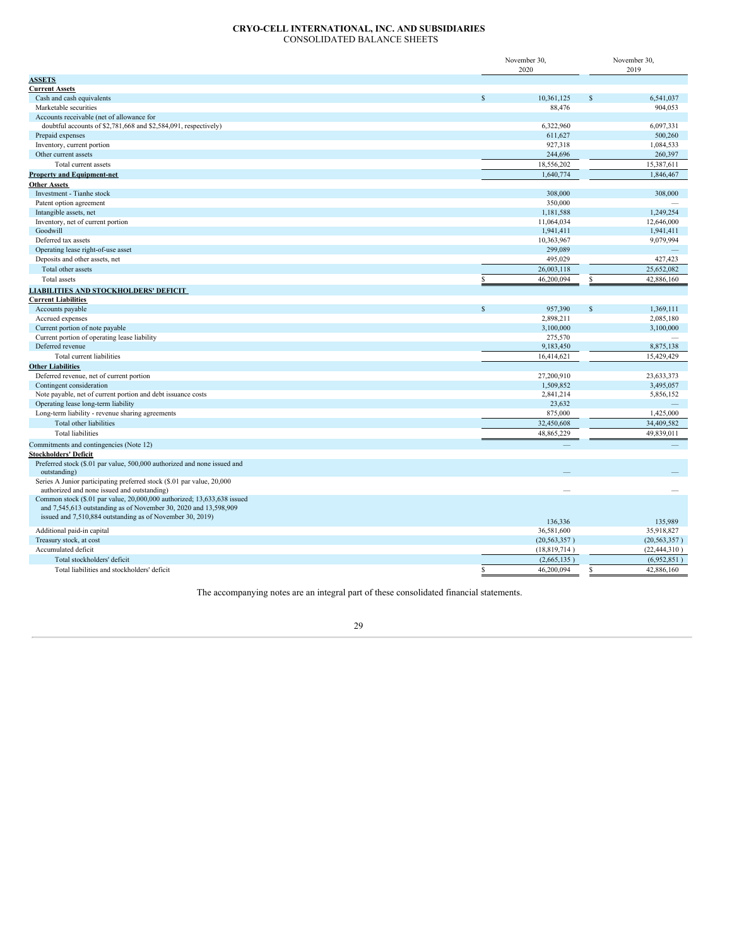# <span id="page-30-0"></span>**CRYO-CELL INTERNATIONAL, INC. AND SUBSIDIARIES** CONSOLIDATED BALANCE SHEETS

|                                                                                                                                                                                                          |             | November 30,<br>2020 | November 30,<br>2019      |
|----------------------------------------------------------------------------------------------------------------------------------------------------------------------------------------------------------|-------------|----------------------|---------------------------|
| <b>ASSETS</b>                                                                                                                                                                                            |             |                      |                           |
| <b>Current Assets</b>                                                                                                                                                                                    |             |                      |                           |
| Cash and cash equivalents                                                                                                                                                                                | $\mathbf S$ | 10,361,125           | <sup>S</sup><br>6,541,037 |
| Marketable securities                                                                                                                                                                                    |             | 88,476               | 904,053                   |
| Accounts receivable (net of allowance for                                                                                                                                                                |             |                      |                           |
| doubtful accounts of \$2,781,668 and \$2,584,091, respectively)                                                                                                                                          |             | 6,322,960            | 6,097,331                 |
| Prepaid expenses                                                                                                                                                                                         |             | 611,627              | 500,260                   |
| Inventory, current portion                                                                                                                                                                               |             | 927,318              | 1,084,533                 |
| Other current assets                                                                                                                                                                                     |             | 244,696              | 260,397                   |
| Total current assets                                                                                                                                                                                     |             | 18,556,202           | 15,387,611                |
| <b>Property and Equipment-net</b>                                                                                                                                                                        |             | 1,640,774            | 1,846,467                 |
| <b>Other Assets</b>                                                                                                                                                                                      |             |                      |                           |
| Investment - Tianhe stock                                                                                                                                                                                |             | 308,000              | 308,000                   |
| Patent option agreement                                                                                                                                                                                  |             | 350,000              |                           |
| Intangible assets, net                                                                                                                                                                                   |             | 1,181,588            | 1,249,254                 |
| Inventory, net of current portion                                                                                                                                                                        |             | 11,064,034           | 12,646,000                |
| Goodwill                                                                                                                                                                                                 |             | 1,941,411            | 1,941,411                 |
| Deferred tax assets                                                                                                                                                                                      |             | 10,363,967           | 9,079,994                 |
| Operating lease right-of-use asset                                                                                                                                                                       |             | 299,089              |                           |
| Deposits and other assets, net                                                                                                                                                                           |             | 495,029              | 427,423                   |
| Total other assets                                                                                                                                                                                       |             | 26,003,118           | 25,652,082                |
| Total assets                                                                                                                                                                                             | S           | 46,200,094           | S.<br>42,886,160          |
| <b>LIABILITIES AND STOCKHOLDERS' DEFICIT</b>                                                                                                                                                             |             |                      |                           |
| <b>Current Liabilities</b>                                                                                                                                                                               |             |                      |                           |
| Accounts payable                                                                                                                                                                                         | $\mathbf S$ | 957,390              | <sup>S</sup><br>1,369,111 |
| Accrued expenses                                                                                                                                                                                         |             | 2,898,211            | 2,085,180                 |
| Current portion of note payable                                                                                                                                                                          |             | 3,100,000            | 3,100,000                 |
| Current portion of operating lease liability                                                                                                                                                             |             | 275,570              |                           |
| Deferred revenue                                                                                                                                                                                         |             | 9,183,450            | 8,875,138                 |
| Total current liabilities                                                                                                                                                                                |             | 16,414,621           | 15,429,429                |
| <b>Other Liabilities</b>                                                                                                                                                                                 |             |                      |                           |
| Deferred revenue, net of current portion                                                                                                                                                                 |             | 27,200,910           | 23,633,373                |
| Contingent consideration                                                                                                                                                                                 |             | 1,509,852            | 3,495,057                 |
| Note payable, net of current portion and debt issuance costs                                                                                                                                             |             | 2,841,214            | 5,856,152                 |
| Operating lease long-term liability                                                                                                                                                                      |             | 23,632               |                           |
| Long-term liability - revenue sharing agreements                                                                                                                                                         |             | 875,000              | 1,425,000                 |
| Total other liabilities                                                                                                                                                                                  |             | 32,450,608           | 34,409,582                |
| <b>Total liabilities</b>                                                                                                                                                                                 |             | 48,865,229           | 49,839,011                |
|                                                                                                                                                                                                          |             |                      |                           |
| Commitments and contingencies (Note 12)                                                                                                                                                                  |             |                      |                           |
| <b>Stockholders' Deficit</b><br>Preferred stock (\$.01 par value, 500,000 authorized and none issued and<br>outstanding)                                                                                 |             |                      |                           |
| Series A Junior participating preferred stock (\$.01 par value, 20,000<br>authorized and none issued and outstanding)                                                                                    |             |                      |                           |
| Common stock (\$.01 par value, 20,000,000 authorized; 13,633,638 issued<br>and 7,545,613 outstanding as of November 30, 2020 and 13,598,909<br>issued and 7,510,884 outstanding as of November 30, 2019) |             | 136,336              | 135,989                   |
| Additional paid-in capital                                                                                                                                                                               |             | 36,581,600           | 35,918,827                |
| Treasury stock, at cost                                                                                                                                                                                  |             | (20, 563, 357)       | (20, 563, 357)            |
| Accumulated deficit                                                                                                                                                                                      |             | (18, 819, 714)       | (22, 444, 310)            |
| Total stockholders' deficit                                                                                                                                                                              |             | (2,665,135)          | (6,952,851)               |
| Total liabilities and stockholders' deficit                                                                                                                                                              | $\mathbf S$ | 46,200,094           | S<br>42,886,160           |

The accompanying notes are an integral part of these consolidated financial statements.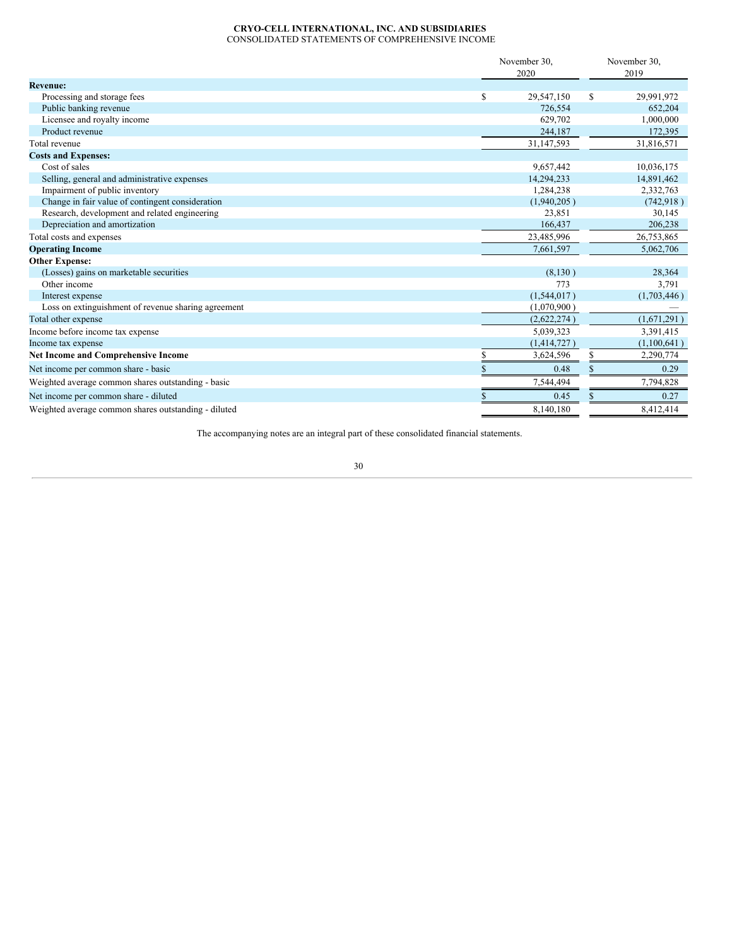# <span id="page-31-0"></span>**CRYO-CELL INTERNATIONAL, INC. AND SUBSIDIARIES** CONSOLIDATED STATEMENTS OF COMPREHENSIVE INCOME

|                                                      |    | November 30,<br>2020 |    | November 30,<br>2019 |
|------------------------------------------------------|----|----------------------|----|----------------------|
| <b>Revenue:</b>                                      |    |                      |    |                      |
| Processing and storage fees                          | \$ | 29,547,150           | \$ | 29,991,972           |
| Public banking revenue                               |    | 726,554              |    | 652,204              |
| Licensee and royalty income                          |    | 629,702              |    | 1,000,000            |
| Product revenue                                      |    | 244,187              |    | 172,395              |
| Total revenue                                        |    | 31,147,593           |    | 31,816,571           |
| <b>Costs and Expenses:</b>                           |    |                      |    |                      |
| Cost of sales                                        |    | 9,657,442            |    | 10,036,175           |
| Selling, general and administrative expenses         |    | 14,294,233           |    | 14,891,462           |
| Impairment of public inventory                       |    | 1,284,238            |    | 2,332,763            |
| Change in fair value of contingent consideration     |    | (1,940,205)          |    | (742, 918)           |
| Research, development and related engineering        |    | 23,851               |    | 30,145               |
| Depreciation and amortization                        |    | 166,437              |    | 206,238              |
| Total costs and expenses                             |    | 23,485,996           |    | 26,753,865           |
| <b>Operating Income</b>                              |    | 7,661,597            |    | 5,062,706            |
| <b>Other Expense:</b>                                |    |                      |    |                      |
| (Losses) gains on marketable securities              |    | (8,130)              |    | 28,364               |
| Other income                                         |    | 773                  |    | 3,791                |
| Interest expense                                     |    | (1,544,017)          |    | (1,703,446)          |
| Loss on extinguishment of revenue sharing agreement  |    | (1,070,900)          |    |                      |
| Total other expense                                  |    | (2,622,274)          |    | (1,671,291)          |
| Income before income tax expense                     |    | 5,039,323            |    | 3,391,415            |
| Income tax expense                                   |    | (1,414,727)          |    | (1,100,641)          |
| <b>Net Income and Comprehensive Income</b>           | S  | 3,624,596            | \$ | 2,290,774            |
| Net income per common share - basic                  |    | 0.48                 |    | 0.29                 |
| Weighted average common shares outstanding - basic   |    | 7,544,494            |    | 7,794,828            |
| Net income per common share - diluted                |    | 0.45                 |    | 0.27                 |
| Weighted average common shares outstanding - diluted |    | 8.140.180            |    | 8.412.414            |

The accompanying notes are an integral part of these consolidated financial statements.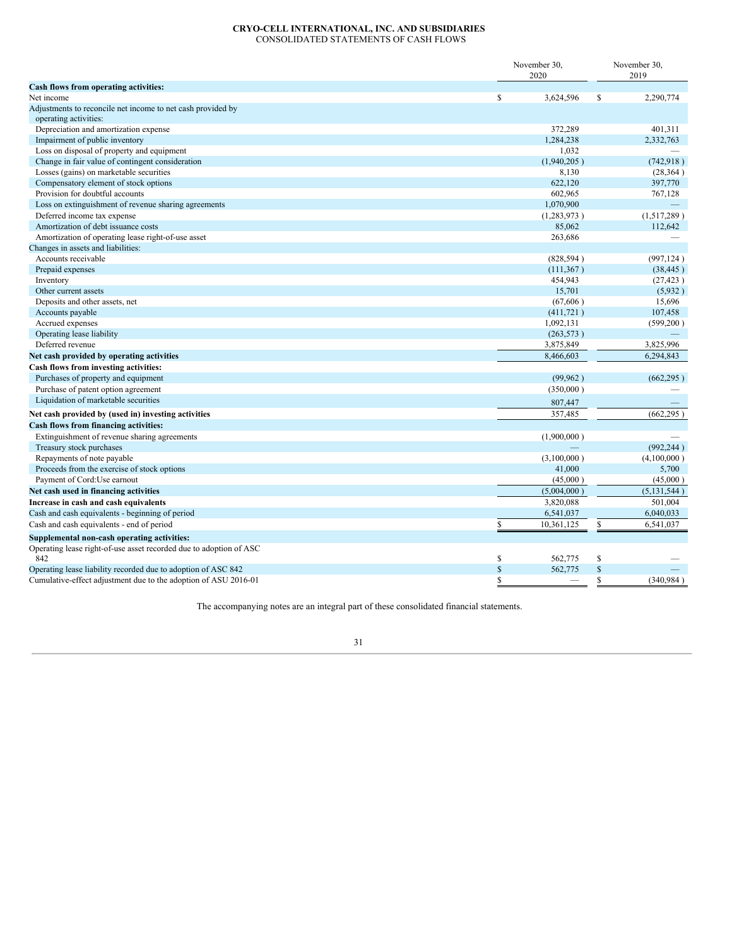### <span id="page-32-0"></span>**CRYO-CELL INTERNATIONAL, INC. AND SUBSIDIARIES** CONSOLIDATED STATEMENTS OF CASH FLOWS

|                                                                                      |              | November 30,<br>2020 |    | November 30,<br>2019 |  |
|--------------------------------------------------------------------------------------|--------------|----------------------|----|----------------------|--|
| Cash flows from operating activities:                                                |              |                      |    |                      |  |
| Net income                                                                           | $\mathbb{S}$ | 3,624,596            | \$ | 2,290,774            |  |
| Adjustments to reconcile net income to net cash provided by<br>operating activities: |              |                      |    |                      |  |
| Depreciation and amortization expense                                                |              | 372,289              |    | 401,311              |  |
| Impairment of public inventory                                                       |              | 1,284,238            |    | 2,332,763            |  |
| Loss on disposal of property and equipment                                           |              | 1,032                |    |                      |  |
| Change in fair value of contingent consideration                                     |              | (1,940,205)          |    | (742, 918)           |  |
| Losses (gains) on marketable securities                                              |              | 8,130                |    | (28, 364)            |  |
| Compensatory element of stock options                                                |              | 622.120              |    | 397,770              |  |
| Provision for doubtful accounts                                                      |              | 602,965              |    | 767,128              |  |
| Loss on extinguishment of revenue sharing agreements                                 |              | 1.070.900            |    |                      |  |
| Deferred income tax expense                                                          |              | (1, 283, 973)        |    | (1,517,289)          |  |
| Amortization of debt issuance costs                                                  |              | 85,062               |    | 112,642              |  |
| Amortization of operating lease right-of-use asset                                   |              | 263,686              |    |                      |  |
| Changes in assets and liabilities:                                                   |              |                      |    |                      |  |
| Accounts receivable                                                                  |              | (828, 594)           |    | (997, 124)           |  |
| Prepaid expenses                                                                     |              | (111, 367)           |    | (38, 445)            |  |
| Inventory                                                                            |              | 454,943              |    | (27, 423)            |  |
| Other current assets                                                                 |              | 15,701               |    | (5,932)              |  |
| Deposits and other assets, net                                                       |              | (67, 606)            |    | 15,696               |  |
| Accounts payable                                                                     |              | (411, 721)           |    | 107,458              |  |
| Accrued expenses                                                                     |              | 1,092,131            |    | (599,200)            |  |
| Operating lease liability                                                            |              | (263, 573)           |    |                      |  |
| Deferred revenue                                                                     |              | 3,875,849            |    | 3,825,996            |  |
| Net cash provided by operating activities                                            |              | 8,466,603            |    | 6,294,843            |  |
| Cash flows from investing activities:                                                |              |                      |    |                      |  |
| Purchases of property and equipment                                                  |              | (99.962)             |    | (662, 295)           |  |
| Purchase of patent option agreement                                                  |              | (350,000)            |    |                      |  |
| Liquidation of marketable securities                                                 |              | 807,447              |    |                      |  |
| Net cash provided by (used in) investing activities                                  |              | 357,485              |    | (662, 295)           |  |
| Cash flows from financing activities:                                                |              |                      |    |                      |  |
| Extinguishment of revenue sharing agreements                                         |              | (1,900,000)          |    |                      |  |
| Treasury stock purchases                                                             |              |                      |    | (992, 244)           |  |
| Repayments of note payable                                                           |              | (3,100,000)          |    | (4,100,000)          |  |
| Proceeds from the exercise of stock options                                          |              | 41,000               |    | 5,700                |  |
| Payment of Cord: Use earnout                                                         |              | (45,000)             |    | (45,000)             |  |
| Net cash used in financing activities                                                |              | (5,004,000)          |    | (5, 131, 544)        |  |
| Increase in cash and cash equivalents                                                |              | 3,820,088            |    | 501,004              |  |
| Cash and cash equivalents - beginning of period                                      |              | 6,541,037            |    | 6,040,033            |  |
| Cash and cash equivalents - end of period                                            | \$           | 10,361,125           | \$ | 6,541,037            |  |
| Supplemental non-cash operating activities:                                          |              |                      |    |                      |  |
| Operating lease right-of-use asset recorded due to adoption of ASC                   |              |                      |    |                      |  |
| 842                                                                                  | \$           | 562,775              | \$ |                      |  |
| Operating lease liability recorded due to adoption of ASC 842                        | $\mathbb{S}$ | 562,775              | \$ |                      |  |
| Cumulative-effect adjustment due to the adoption of ASU 2016-01                      | \$           |                      | \$ | (340, 984)           |  |

The accompanying notes are an integral part of these consolidated financial statements.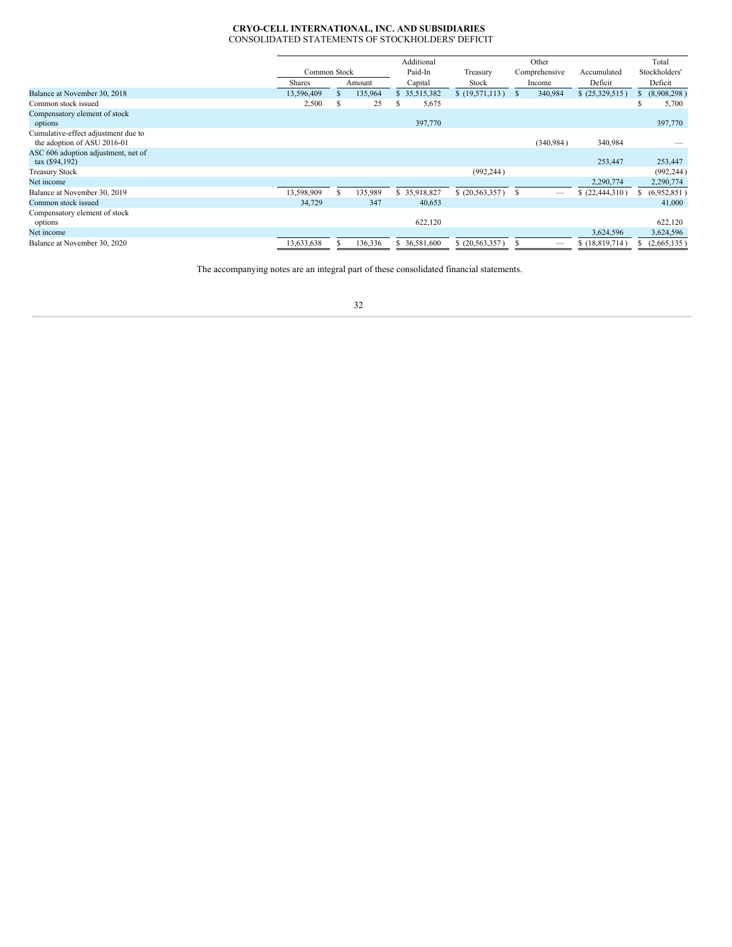### <span id="page-33-0"></span>**CRYO-CELL INTERNATIONAL, INC. AND SUBSIDIARIES** CONSOLIDATED STATEMENTS OF STOCKHOLDERS' DEFICIT

|                                                                    |            | Common Stock |         |                   | Additional<br>Paid-In | Treasury          | Other<br>Comprehensive<br>Income |            | Accumulated    |         | Total<br>Stockholders' |  |
|--------------------------------------------------------------------|------------|--------------|---------|-------------------|-----------------------|-------------------|----------------------------------|------------|----------------|---------|------------------------|--|
|                                                                    | Shares     |              |         | Capital<br>Amount |                       | Stock             |                                  |            | Deficit        | Deficit |                        |  |
| Balance at November 30, 2018                                       | 13,596,409 |              | 135,964 |                   | \$35,515,382          | \$(19,571,113)    |                                  | 340,984    | \$(25,329,515) |         | (8,908,298)            |  |
| Common stock issued                                                | 2,500      | S            | 25      | ь                 | 5,675                 |                   |                                  |            |                | ъ       | 5,700                  |  |
| Compensatory element of stock                                      |            |              |         |                   |                       |                   |                                  |            |                |         |                        |  |
| options                                                            |            |              |         |                   | 397,770               |                   |                                  |            |                |         | 397,770                |  |
| Cumulative-effect adjustment due to<br>the adoption of ASU 2016-01 |            |              |         |                   |                       |                   |                                  | (340, 984) | 340,984        |         |                        |  |
| ASC 606 adoption adjustment, net of                                |            |              |         |                   |                       |                   |                                  |            |                |         |                        |  |
| $\text{tax}(\$94,192)$                                             |            |              |         |                   |                       |                   |                                  |            | 253,447        |         | 253,447                |  |
| <b>Treasury Stock</b>                                              |            |              |         |                   |                       | (992, 244)        |                                  |            |                |         | (992, 244)             |  |
| Net income                                                         |            |              |         |                   |                       |                   |                                  |            | 2,290,774      |         | 2,290,774              |  |
| Balance at November 30, 2019                                       | 13,598,909 |              | 135,989 |                   | \$35,918,827          | (20, 563, 357)    | <sup>\$</sup>                    |            | \$(22,444,310) | S       | (6,952,851)            |  |
| Common stock issued                                                | 34,729     |              | 347     |                   | 40,653                |                   |                                  |            |                |         | 41,000                 |  |
| Compensatory element of stock                                      |            |              |         |                   |                       |                   |                                  |            |                |         |                        |  |
| options                                                            |            |              |         |                   | 622,120               |                   |                                  |            |                |         | 622,120                |  |
| Net income                                                         |            |              |         |                   |                       |                   |                                  |            | 3,624,596      |         | 3,624,596              |  |
| Balance at November 30, 2020                                       | 13,633,638 |              | 136,336 |                   | \$ 36,581,600         | \$ (20, 563, 357) |                                  |            | \$(18,819,714) |         | (2,665,135)            |  |

The accompanying notes are an integral part of these consolidated financial statements.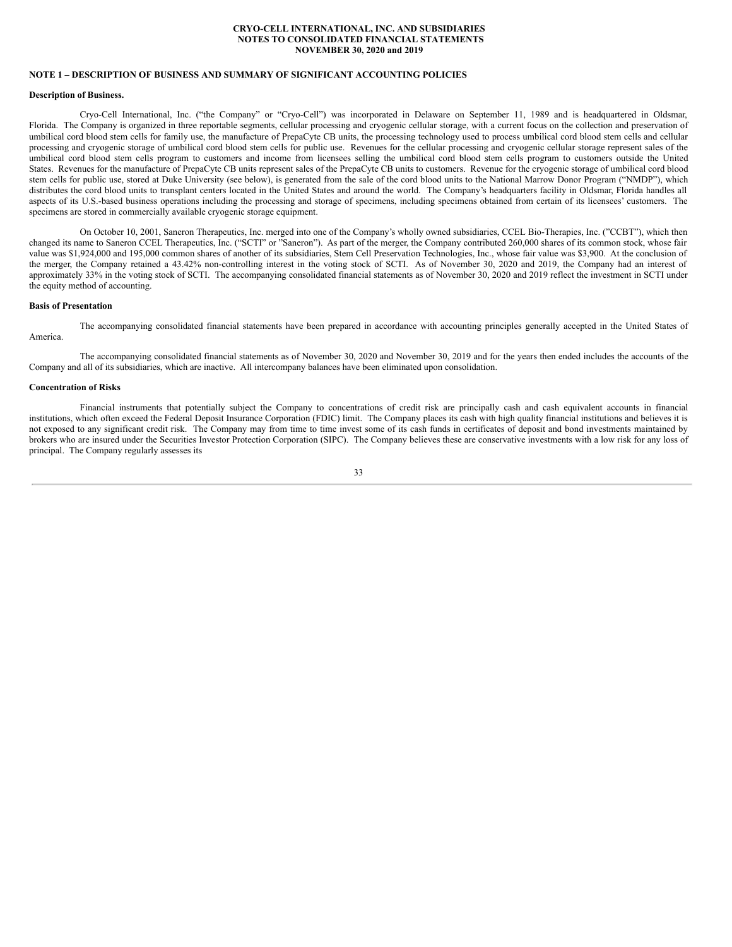### <span id="page-34-0"></span>**CRYO-CELL INTERNATIONAL, INC. AND SUBSIDIARIES NOTES TO CONSOLIDATED FINANCIAL STATEMENTS NOVEMBER 30, 2020 and 2019**

# **NOTE 1 – DESCRIPTION OF BUSINESS AND SUMMARY OF SIGNIFICANT ACCOUNTING POLICIES**

#### **Description of Business.**

Cryo-Cell International, Inc. ("the Company" or "Cryo-Cell") was incorporated in Delaware on September 11, 1989 and is headquartered in Oldsmar, Florida. The Company is organized in three reportable segments, cellular processing and cryogenic cellular storage, with a current focus on the collection and preservation of umbilical cord blood stem cells for family use, the manufacture of PrepaCyte CB units, the processing technology used to process umbilical cord blood stem cells and cellular processing and cryogenic storage of umbilical cord blood stem cells for public use. Revenues for the cellular processing and cryogenic cellular storage represent sales of the umbilical cord blood stem cells program to customers and income from licensees selling the umbilical cord blood stem cells program to customers outside the United States. Revenues for the manufacture of PrepaCyte CB units represent sales of the PrepaCyte CB units to customers. Revenue for the cryogenic storage of umbilical cord blood stem cells for public use, stored at Duke University (see below), is generated from the sale of the cord blood units to the National Marrow Donor Program ("NMDP"), which distributes the cord blood units to transplant centers located in the United States and around the world. The Company's headquarters facility in Oldsmar, Florida handles all aspects of its U.S.-based business operations including the processing and storage of specimens, including specimens obtained from certain of its licensees' customers. The specimens are stored in commercially available cryogenic storage equipment.

On October 10, 2001, Saneron Therapeutics, Inc. merged into one of the Company's wholly owned subsidiaries, CCEL Bio-Therapies, Inc. ("CCBT"), which then changed its name to Saneron CCEL Therapeutics, Inc. ("SCTI" or "Saneron"). As part of the merger, the Company contributed 260,000 shares of its common stock, whose fair value was \$1,924,000 and 195,000 common shares of another of its subsidiaries, Stem Cell Preservation Technologies, Inc., whose fair value was \$3,900. At the conclusion of the merger, the Company retained a 43.42% non-controlling interest in the voting stock of SCTI. As of November 30, 2020 and 2019, the Company had an interest of approximately 33% in the voting stock of SCTI. The accompanying consolidated financial statements as of November 30, 2020 and 2019 reflect the investment in SCTI under the equity method of accounting.

#### **Basis of Presentation**

The accompanying consolidated financial statements have been prepared in accordance with accounting principles generally accepted in the United States of America.

The accompanying consolidated financial statements as of November 30, 2020 and November 30, 2019 and for the years then ended includes the accounts of the Company and all of its subsidiaries, which are inactive. All intercompany balances have been eliminated upon consolidation.

#### **Concentration of Risks**

Financial instruments that potentially subject the Company to concentrations of credit risk are principally cash and cash equivalent accounts in financial institutions, which often exceed the Federal Deposit Insurance Corporation (FDIC) limit. The Company places its cash with high quality financial institutions and believes it is not exposed to any significant credit risk. The Company may from time to time invest some of its cash funds in certificates of deposit and bond investments maintained by brokers who are insured under the Securities Investor Protection Corporation (SIPC). The Company believes these are conservative investments with a low risk for any loss of principal. The Company regularly assesses its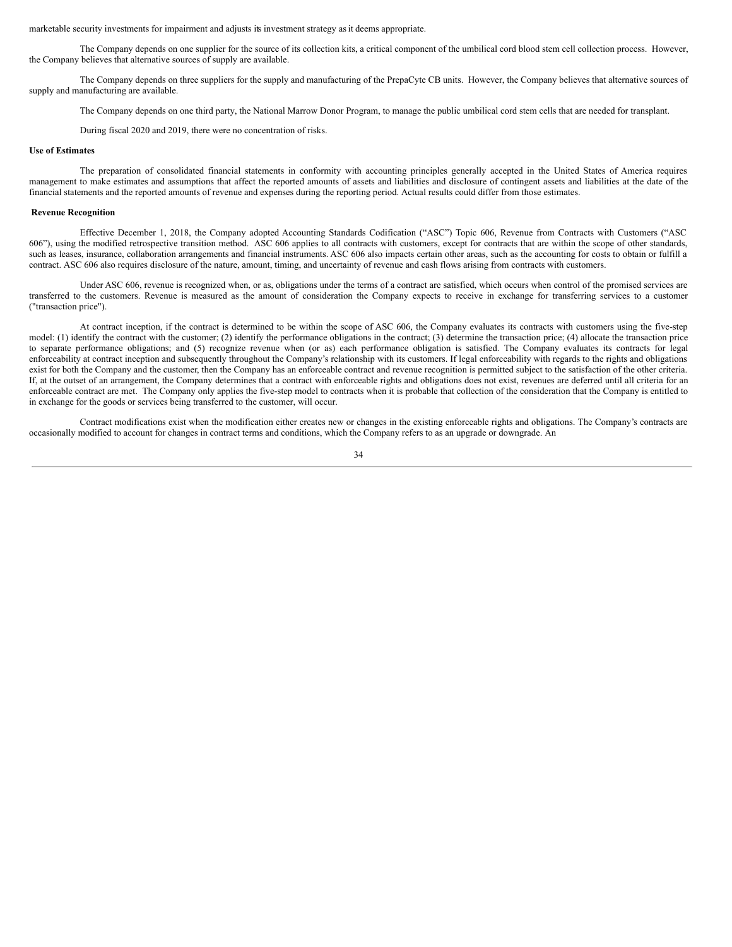marketable security investments for impairment and adjusts its investment strategy as it deems appropriate.

The Company depends on one supplier for the source of its collection kits, a critical component of the umbilical cord blood stem cell collection process. However, the Company believes that alternative sources of supply are available.

The Company depends on three suppliers for the supply and manufacturing of the PrepaCyte CB units. However, the Company believes that alternative sources of supply and manufacturing are available.

The Company depends on one third party, the National Marrow Donor Program, to manage the public umbilical cord stem cells that are needed for transplant.

During fiscal 2020 and 2019, there were no concentration of risks.

### **Use of Estimates**

The preparation of consolidated financial statements in conformity with accounting principles generally accepted in the United States of America requires management to make estimates and assumptions that affect the reported amounts of assets and liabilities and disclosure of contingent assets and liabilities at the date of the financial statements and the reported amounts of revenue and expenses during the reporting period. Actual results could differ from those estimates.

# **Revenue Recognition**

Effective December 1, 2018, the Company adopted Accounting Standards Codification ("ASC") Topic 606, Revenue from Contracts with Customers ("ASC 606"), using the modified retrospective transition method. ASC 606 applies to all contracts with customers, except for contracts that are within the scope of other standards, such as leases, insurance, collaboration arrangements and financial instruments. ASC 606 also impacts certain other areas, such as the accounting for costs to obtain or fulfill a contract. ASC 606 also requires disclosure of the nature, amount, timing, and uncertainty of revenue and cash flows arising from contracts with customers.

Under ASC 606, revenue is recognized when, or as, obligations under the terms of a contract are satisfied, which occurs when control of the promised services are transferred to the customers. Revenue is measured as the amount of consideration the Company expects to receive in exchange for transferring services to a customer ("transaction price").

At contract inception, if the contract is determined to be within the scope of ASC 606, the Company evaluates its contracts with customers using the five-step model: (1) identify the contract with the customer; (2) identify the performance obligations in the contract; (3) determine the transaction price; (4) allocate the transaction price to separate performance obligations; and (5) recognize revenue when (or as) each performance obligation is satisfied. The Company evaluates its contracts for legal enforceability at contract inception and subsequently throughout the Company's relationship with its customers. If legal enforceability with regards to the rights and obligations exist for both the Company and the customer, then the Company has an enforceable contract and revenue recognition is permitted subject to the satisfaction of the other criteria. If, at the outset of an arrangement, the Company determines that a contract with enforceable rights and obligations does not exist, revenues are deferred until all criteria for an enforceable contract are met. The Company only applies the five-step model to contracts when it is probable that collection of the consideration that the Company is entitled to in exchange for the goods or services being transferred to the customer, will occur.

Contract modifications exist when the modification either creates new or changes in the existing enforceable rights and obligations. The Company's contracts are occasionally modified to account for changes in contract terms and conditions, which the Company refers to as an upgrade or downgrade. An

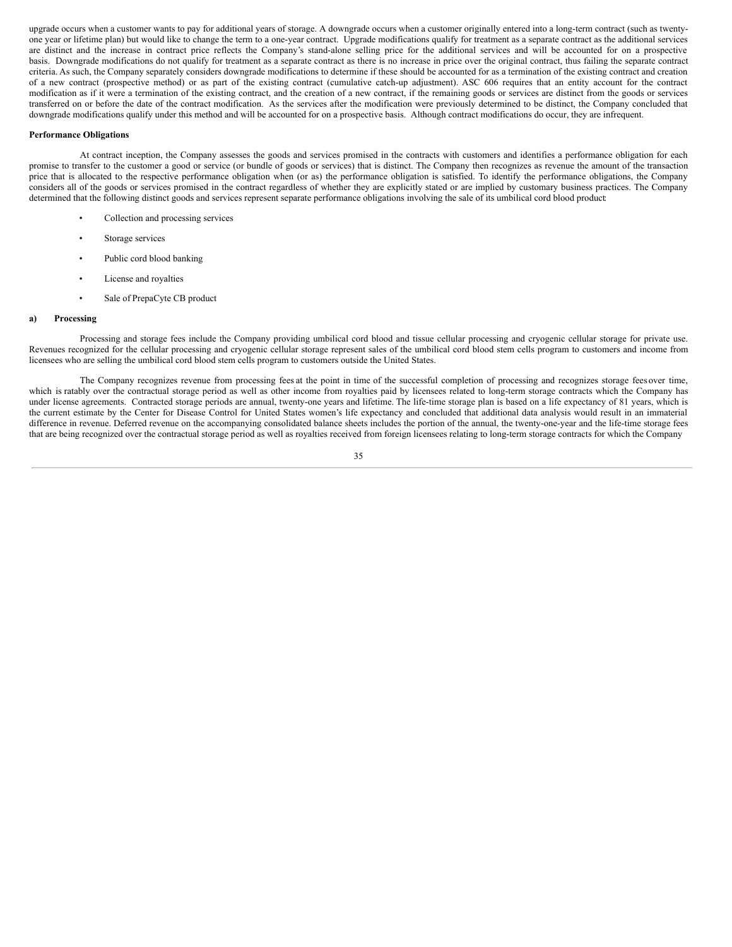upgrade occurs when a customer wants to pay for additional years of storage. A downgrade occurs when a customer originally entered into a long-term contract (such as twentyone year or lifetime plan) but would like to change the term to a one-year contract. Upgrade modifications qualify for treatment as a separate contract as the additional services are distinct and the increase in contract price reflects the Company's stand-alone selling price for the additional services and will be accounted for on a prospective basis. Downgrade modifications do not qualify for treatment as a separate contract as there is no increase in price over the original contract, thus failing the separate contract criteria. As such, the Company separately considers downgrade modifications to determine if these should be accounted for as a termination of the existing contract and creation of a new contract (prospective method) or as part of the existing contract (cumulative catch-up adjustment). ASC 606 requires that an entity account for the contract modification as if it were a termination of the existing contract, and the creation of a new contract, if the remaining goods or services are distinct from the goods or services transferred on or before the date of the contract modification. As the services after the modification were previously determined to be distinct, the Company concluded that downgrade modifications qualify under this method and will be accounted for on a prospective basis. Although contract modifications do occur, they are infrequent.

## **Performance Obligations**

At contract inception, the Company assesses the goods and services promised in the contracts with customers and identifies a performance obligation for each promise to transfer to the customer a good or service (or bundle of goods or services) that is distinct. The Company then recognizes as revenue the amount of the transaction price that is allocated to the respective performance obligation when (or as) the performance obligation is satisfied. To identify the performance obligations, the Company considers all of the goods or services promised in the contract regardless of whether they are explicitly stated or are implied by customary business practices. The Company determined that the following distinct goods and services represent separate performance obligations involving the sale of its umbilical cord blood product:

- Collection and processing services
- Storage services
- Public cord blood banking
- License and royalties
- Sale of PrepaCyte CB product

## **a) Processing**

Processing and storage fees include the Company providing umbilical cord blood and tissue cellular processing and cryogenic cellular storage for private use. Revenues recognized for the cellular processing and cryogenic cellular storage represent sales of the umbilical cord blood stem cells program to customers and income from licensees who are selling the umbilical cord blood stem cells program to customers outside the United States.

The Company recognizes revenue from processing fees at the point in time of the successful completion of processing and recognizes storage fees over time, which is ratably over the contractual storage period as well as other income from royalties paid by licensees related to long-term storage contracts which the Company has under license agreements. Contracted storage periods are annual, twenty-one years and lifetime. The life-time storage plan is based on a life expectancy of 81 years, which is the current estimate by the Center for Disease Control for United States women's life expectancy and concluded that additional data analysis would result in an immaterial difference in revenue. Deferred revenue on the accompanying consolidated balance sheets includes the portion of the annual, the twenty-one-year and the life-time storage fees that are being recognized over the contractual storage period as well as royalties received from foreign licensees relating to long-term storage contracts for which the Company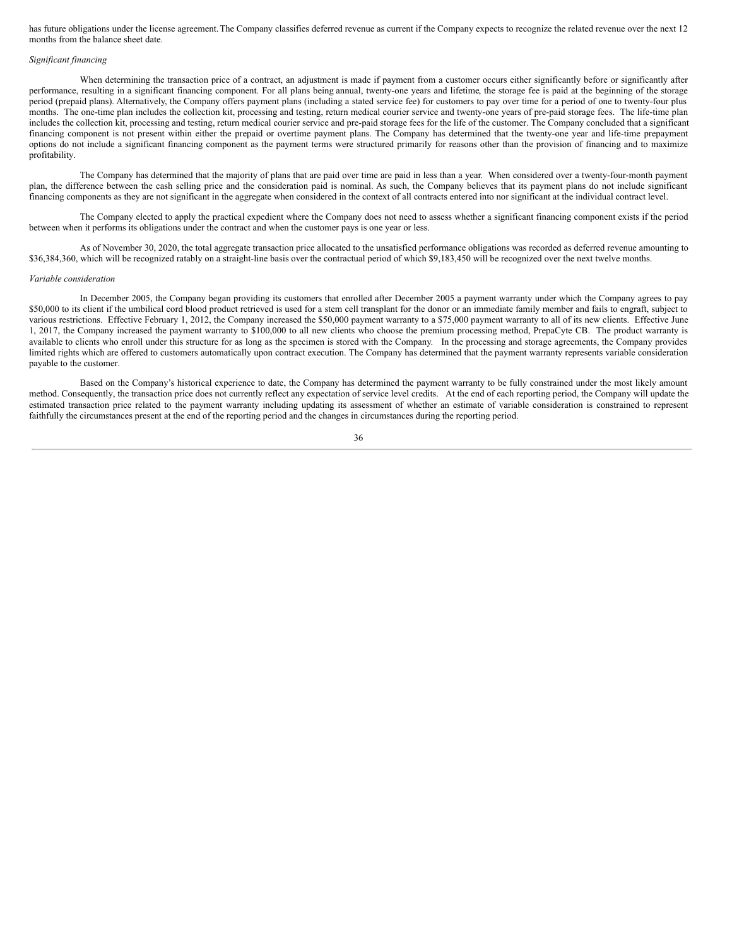has future obligations under the license agreement. The Company classifies deferred revenue as current if the Company expects to recognize the related revenue over the next 12 months from the balance sheet date.

# *Significant financing*

When determining the transaction price of a contract, an adjustment is made if payment from a customer occurs either significantly before or significantly after performance, resulting in a significant financing component. For all plans being annual, twenty-one years and lifetime, the storage fee is paid at the beginning of the storage period (prepaid plans). Alternatively, the Company offers payment plans (including a stated service fee) for customers to pay over time for a period of one to twenty-four plus months. The one-time plan includes the collection kit, processing and testing, return medical courier service and twenty-one years of pre-paid storage fees. The life-time plan includes the collection kit, processing and testing, return medical courier service and pre-paid storage fees for the life of the customer. The Company concluded that a significant financing component is not present within either the prepaid or overtime payment plans. The Company has determined that the twenty-one year and life-time prepayment options do not include a significant financing component as the payment terms were structured primarily for reasons other than the provision of financing and to maximize profitability.

The Company has determined that the majority of plans that are paid over time are paid in less than a year. When considered over a twenty-four-month payment plan, the difference between the cash selling price and the consideration paid is nominal. As such, the Company believes that its payment plans do not include significant financing components as they are not significant in the aggregate when considered in the context of all contracts entered into nor significant at the individual contract level.

The Company elected to apply the practical expedient where the Company does not need to assess whether a significant financing component exists if the period between when it performs its obligations under the contract and when the customer pays is one year or less.

As of November 30, 2020, the total aggregate transaction price allocated to the unsatisfied performance obligations was recorded as deferred revenue amounting to \$36,384,360, which will be recognized ratably on a straight-line basis over the contractual period of which \$9,183,450 will be recognized over the next twelve months.

#### *Variable consideration*

In December 2005, the Company began providing its customers that enrolled after December 2005 a payment warranty under which the Company agrees to pay \$50,000 to its client if the umbilical cord blood product retrieved is used for a stem cell transplant for the donor or an immediate family member and fails to engraft, subject to various restrictions. Effective February 1, 2012, the Company increased the \$50,000 payment warranty to a \$75,000 payment warranty to all of its new clients. Effective June 1, 2017, the Company increased the payment warranty to \$100,000 to all new clients who choose the premium processing method, PrepaCyte CB. The product warranty is available to clients who enroll under this structure for as long as the specimen is stored with the Company. In the processing and storage agreements, the Company provides limited rights which are offered to customers automatically upon contract execution. The Company has determined that the payment warranty represents variable consideration payable to the customer.

Based on the Company's historical experience to date, the Company has determined the payment warranty to be fully constrained under the most likely amount method. Consequently, the transaction price does not currently reflect any expectation of service level credits. At the end of each reporting period, the Company will update the estimated transaction price related to the payment warranty including updating its assessment of whether an estimate of variable consideration is constrained to represent faithfully the circumstances present at the end of the reporting period and the changes in circumstances during the reporting period.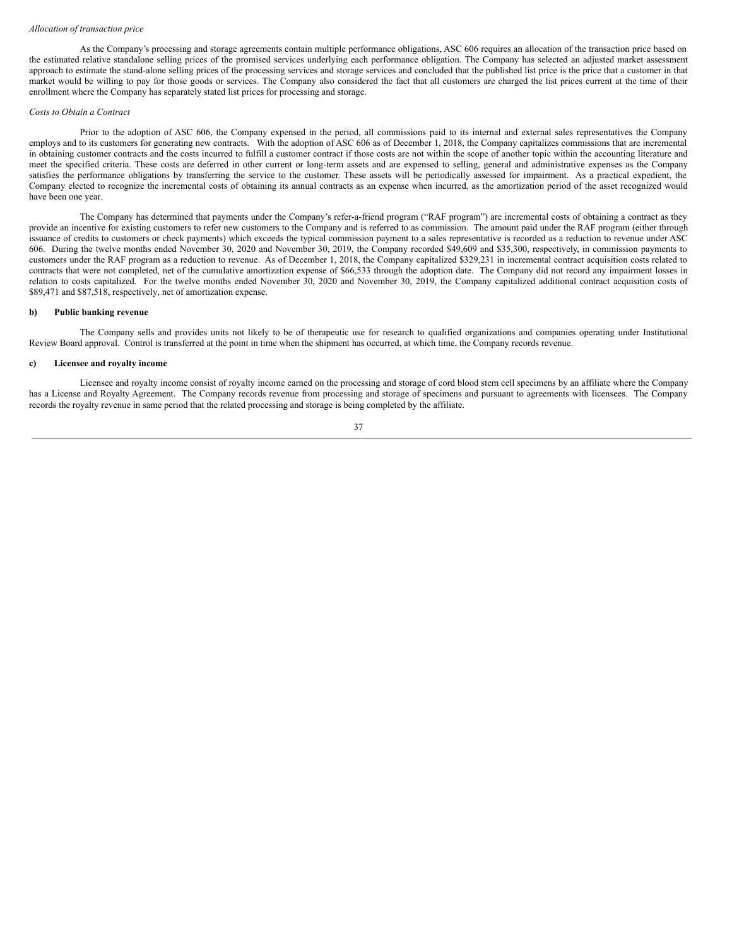#### *Allocation of transaction price*

As the Company's processing and storage agreements contain multiple performance obligations, ASC 606 requires an allocation of the transaction price based on the estimated relative standalone selling prices of the promised services underlying each performance obligation. The Company has selected an adjusted market assessment approach to estimate the stand-alone selling prices of the processing services and storage services and concluded that the published list price is the price that a customer in that market would be willing to pay for those goods or services. The Company also considered the fact that all customers are charged the list prices current at the time of their enrollment where the Company has separately stated list prices for processing and storage.

# *Costs to Obtain a Contract*

Prior to the adoption of ASC 606, the Company expensed in the period, all commissions paid to its internal and external sales representatives the Company employs and to its customers for generating new contracts. With the adoption of ASC 606 as of December 1, 2018, the Company capitalizes commissions that are incremental in obtaining customer contracts and the costs incurred to fulfill a customer contract if those costs are not within the scope of another topic within the accounting literature and meet the specified criteria. These costs are deferred in other current or long-term assets and are expensed to selling, general and administrative expenses as the Company satisfies the performance obligations by transferring the service to the customer. These assets will be periodically assessed for impairment. As a practical expedient, the Company elected to recognize the incremental costs of obtaining its annual contracts as an expense when incurred, as the amortization period of the asset recognized would have been one year.

The Company has determined that payments under the Company's refer-a-friend program ("RAF program") are incremental costs of obtaining a contract as they provide an incentive for existing customers to refer new customers to the Company and is referred to as commission. The amount paid under the RAF program (either through issuance of credits to customers or check payments) which exceeds the typical commission payment to a sales representative is recorded as a reduction to revenue under ASC 606. During the twelve months ended November 30, 2020 and November 30, 2019, the Company recorded \$49,609 and \$35,300, respectively, in commission payments to customers under the RAF program as a reduction to revenue. As of December 1, 2018, the Company capitalized \$329,231 in incremental contract acquisition costs related to contracts that were not completed, net of the cumulative amortization expense of \$66,533 through the adoption date. The Company did not record any impairment losses in relation to costs capitalized. For the twelve months ended November 30, 2020 and November 30, 2019, the Company capitalized additional contract acquisition costs of \$89,471 and \$87,518, respectively, net of amortization expense.

## **b) Public banking revenue**

The Company sells and provides units not likely to be of therapeutic use for research to qualified organizations and companies operating under Institutional Review Board approval. Control is transferred at the point in time when the shipment has occurred, at which time, the Company records revenue.

# **c) Licensee and royalty income**

Licensee and royalty income consist of royalty income earned on the processing and storage of cord blood stem cell specimens by an affiliate where the Company has a License and Royalty Agreement. The Company records revenue from processing and storage of specimens and pursuant to agreements with licensees. The Company records the royalty revenue in same period that the related processing and storage is being completed by the affiliate.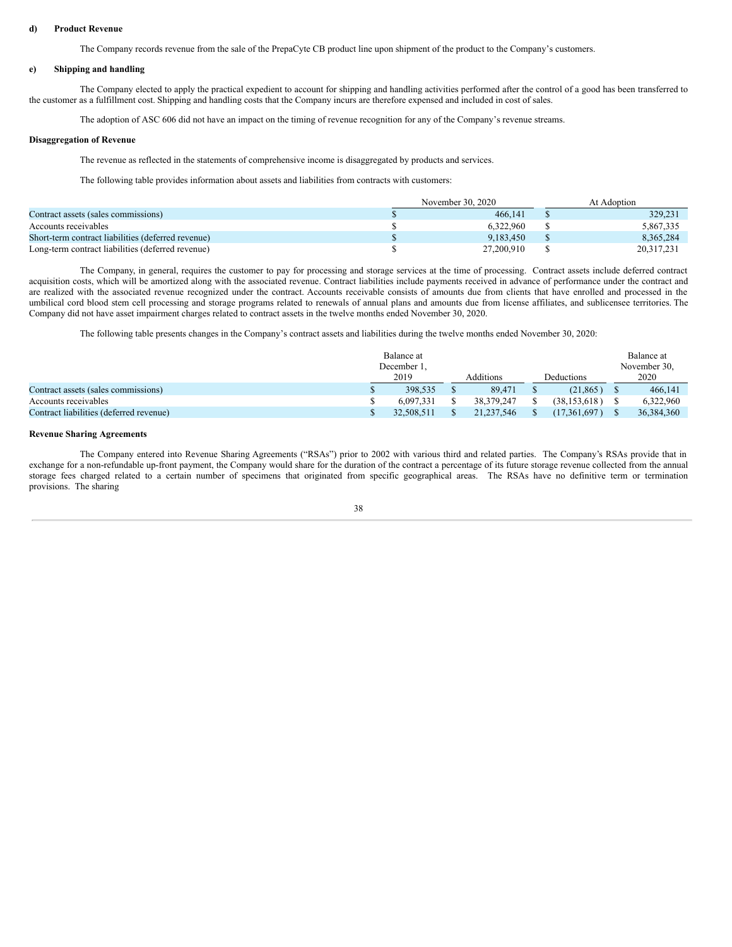## **d) Product Revenue**

The Company records revenue from the sale of the PrepaCyte CB product line upon shipment of the product to the Company's customers.

## **e) Shipping and handling**

The Company elected to apply the practical expedient to account for shipping and handling activities performed after the control of a good has been transferred to the customer as a fulfillment cost. Shipping and handling costs that the Company incurs are therefore expensed and included in cost of sales.

The adoption of ASC 606 did not have an impact on the timing of revenue recognition for any of the Company's revenue streams.

## **Disaggregation of Revenue**

The revenue as reflected in the statements of comprehensive income is disaggregated by products and services.

The following table provides information about assets and liabilities from contracts with customers:

|                                                    | November 30, 2020 | At Adoption  |
|----------------------------------------------------|-------------------|--------------|
| Contract assets (sales commissions)                | 466.141           | 329.231      |
| Accounts receivables                               | 6.322.960         | 5,867,335    |
| Short-term contract liabilities (deferred revenue) | 9.183.450         | 8,365,284    |
| Long-term contract liabilities (deferred revenue)  | 27,200,910        | 20, 317, 231 |

The Company, in general, requires the customer to pay for processing and storage services at the time of processing. Contract assets include deferred contract acquisition costs, which will be amortized along with the associated revenue. Contract liabilities include payments received in advance of performance under the contract and are realized with the associated revenue recognized under the contract. Accounts receivable consists of amounts due from clients that have enrolled and processed in the umbilical cord blood stem cell processing and storage programs related to renewals of annual plans and amounts due from license affiliates, and sublicensee territories. The Company did not have asset impairment charges related to contract assets in the twelve months ended November 30, 2020.

The following table presents changes in the Company's contract assets and liabilities during the twelve months ended November 30, 2020:

| Balance at                              |            |            |  |              |  | Balance at   |  |              |  |
|-----------------------------------------|------------|------------|--|--------------|--|--------------|--|--------------|--|
|                                         | December 1 |            |  |              |  |              |  | November 30, |  |
|                                         |            | 2019       |  | Additions    |  | Deductions   |  | 2020         |  |
| Contract assets (sales commissions)     |            | 398,535    |  | 89.471       |  | (21, 865)    |  | 466,141      |  |
| Accounts receivables                    |            | 6.097.331  |  | 38, 379, 247 |  | (38.153.618) |  | 6.322.960    |  |
| Contract liabilities (deferred revenue) |            | 32,508,511 |  | 21.237.546   |  | (17.361.697) |  | 36,384,360   |  |

## **Revenue Sharing Agreements**

The Company entered into Revenue Sharing Agreements ("RSAs") prior to 2002 with various third and related parties. The Company's RSAs provide that in exchange for a non-refundable up-front payment, the Company would share for the duration of the contract a percentage of its future storage revenue collected from the annual storage fees charged related to a certain number of specimens that originated from specific geographical areas. The RSAs have no definitive term or termination provisions. The sharing

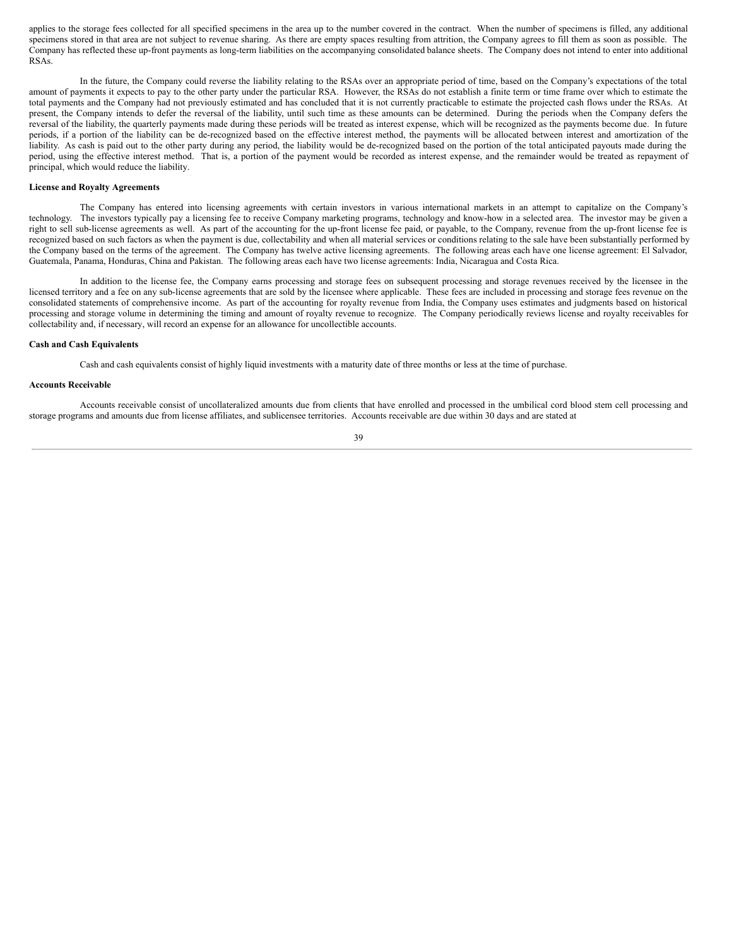applies to the storage fees collected for all specified specimens in the area up to the number covered in the contract. When the number of specimens is filled, any additional specimens stored in that area are not subject to revenue sharing. As there are empty spaces resulting from attrition, the Company agrees to fill them as soon as possible. The Company has reflected these up-front payments as long-term liabilities on the accompanying consolidated balance sheets. The Company does not intend to enter into additional RSAs.

In the future, the Company could reverse the liability relating to the RSAs over an appropriate period of time, based on the Company's expectations of the total amount of payments it expects to pay to the other party under the particular RSA. However, the RSAs do not establish a finite term or time frame over which to estimate the total payments and the Company had not previously estimated and has concluded that it is not currently practicable to estimate the projected cash flows under the RSAs. At present, the Company intends to defer the reversal of the liability, until such time as these amounts can be determined. During the periods when the Company defers the reversal of the liability, the quarterly payments made during these periods will be treated as interest expense, which will be recognized as the payments become due. In future periods, if a portion of the liability can be de-recognized based on the effective interest method, the payments will be allocated between interest and amortization of the liability. As cash is paid out to the other party during any period, the liability would be de-recognized based on the portion of the total anticipated payouts made during the period, using the effective interest method. That is, a portion of the payment would be recorded as interest expense, and the remainder would be treated as repayment of principal, which would reduce the liability.

# **License and Royalty Agreements**

The Company has entered into licensing agreements with certain investors in various international markets in an attempt to capitalize on the Company's technology. The investors typically pay a licensing fee to receive Company marketing programs, technology and know-how in a selected area. The investor may be given a right to sell sub-license agreements as well. As part of the accounting for the up-front license fee paid, or payable, to the Company, revenue from the up-front license fee is recognized based on such factors as when the payment is due, collectability and when all material services or conditions relating to the sale have been substantially performed by the Company based on the terms of the agreement. The Company has twelve active licensing agreements. The following areas each have one license agreement: El Salvador, Guatemala, Panama, Honduras, China and Pakistan. The following areas each have two license agreements: India, Nicaragua and Costa Rica.

In addition to the license fee, the Company earns processing and storage fees on subsequent processing and storage revenues received by the licensee in the licensed territory and a fee on any sub-license agreements that are sold by the licensee where applicable. These fees are included in processing and storage fees revenue on the consolidated statements of comprehensive income. As part of the accounting for royalty revenue from India, the Company uses estimates and judgments based on historical processing and storage volume in determining the timing and amount of royalty revenue to recognize. The Company periodically reviews license and royalty receivables for collectability and, if necessary, will record an expense for an allowance for uncollectible accounts.

## **Cash and Cash Equivalents**

Cash and cash equivalents consist of highly liquid investments with a maturity date of three months or less at the time of purchase.

#### **Accounts Receivable**

Accounts receivable consist of uncollateralized amounts due from clients that have enrolled and processed in the umbilical cord blood stem cell processing and storage programs and amounts due from license affiliates, and sublicensee territories. Accounts receivable are due within 30 days and are stated at

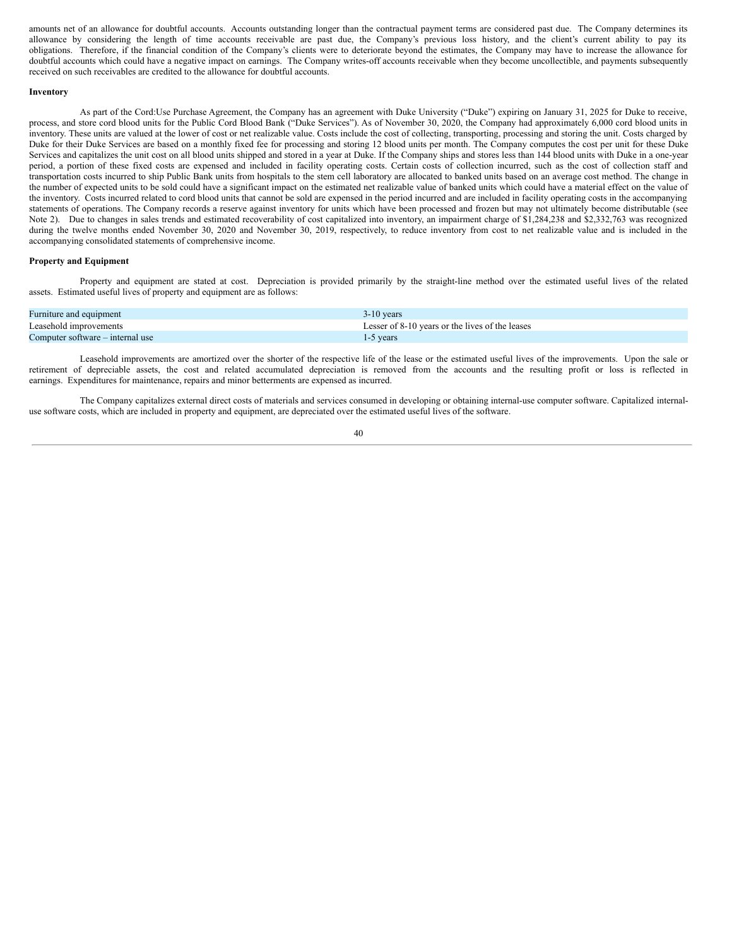amounts net of an allowance for doubtful accounts. Accounts outstanding longer than the contractual payment terms are considered past due. The Company determines its allowance by considering the length of time accounts receivable are past due, the Company's previous loss history, and the client's current ability to pay its obligations. Therefore, if the financial condition of the Company's clients were to deteriorate beyond the estimates, the Company may have to increase the allowance for doubtful accounts which could have a negative impact on earnings. The Company writes-off accounts receivable when they become uncollectible, and payments subsequently received on such receivables are credited to the allowance for doubtful accounts.

## **Inventory**

As part of the Cord:Use Purchase Agreement, the Company has an agreement with Duke University ("Duke") expiring on January 31, 2025 for Duke to receive, process, and store cord blood units for the Public Cord Blood Bank ("Duke Services"). As of November 30, 2020, the Company had approximately 6,000 cord blood units in inventory. These units are valued at the lower of cost or net realizable value. Costs include the cost of collecting, transporting, processing and storing the unit. Costs charged by Duke for their Duke Services are based on a monthly fixed fee for processing and storing 12 blood units per month. The Company computes the cost per unit for these Duke Services and capitalizes the unit cost on all blood units shipped and stored in a year at Duke. If the Company ships and stores less than 144 blood units with Duke in a one-year period, a portion of these fixed costs are expensed and included in facility operating costs. Certain costs of collection incurred, such as the cost of collection staff and transportation costs incurred to ship Public Bank units from hospitals to the stem cell laboratory are allocated to banked units based on an average cost method. The change in the number of expected units to be sold could have a significant impact on the estimated net realizable value of banked units which could have a material effect on the value of the inventory. Costs incurred related to cord blood units that cannot be sold are expensed in the period incurred and are included in facility operating costs in the accompanying statements of operations. The Company records a reserve against inventory for units which have been processed and frozen but may not ultimately become distributable (see Note 2). Due to changes in sales trends and estimated recoverability of cost capitalized into inventory, an impairment charge of \$1,284,238 and \$2,332,763 was recognized during the twelve months ended November 30, 2020 and November 30, 2019, respectively, to reduce inventory from cost to net realizable value and is included in the accompanying consolidated statements of comprehensive income.

# **Property and Equipment**

Property and equipment are stated at cost. Depreciation is provided primarily by the straight-line method over the estimated useful lives of the related assets. Estimated useful lives of property and equipment are as follows:

| Furniture and equipment          | $3-10$ years                                    |
|----------------------------------|-------------------------------------------------|
| Leasehold improvements           | Lesser of 8-10 years or the lives of the leases |
| Computer software – internal use | 1-5 years                                       |

Leasehold improvements are amortized over the shorter of the respective life of the lease or the estimated useful lives of the improvements. Upon the sale or retirement of depreciable assets, the cost and related accumulated depreciation is removed from the accounts and the resulting profit or loss is reflected in earnings. Expenditures for maintenance, repairs and minor betterments are expensed as incurred.

The Company capitalizes external direct costs of materials and services consumed in developing or obtaining internal-use computer software. Capitalized internaluse software costs, which are included in property and equipment, are depreciated over the estimated useful lives of the software.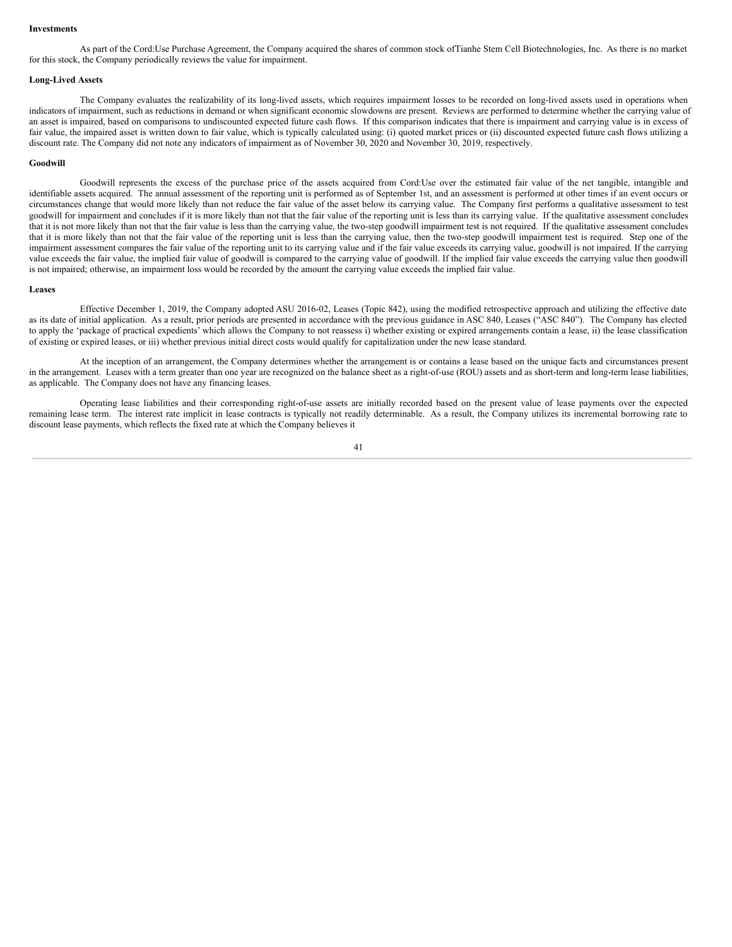#### **Investments**

As part of the Cord:Use Purchase Agreement, the Company acquired the shares of common stock of Tianhe Stem Cell Biotechnologies, Inc. As there is no market for this stock, the Company periodically reviews the value for impairment.

# **Long-Lived Assets**

The Company evaluates the realizability of its long-lived assets, which requires impairment losses to be recorded on long-lived assets used in operations when indicators of impairment, such as reductions in demand or when significant economic slowdowns are present. Reviews are performed to determine whether the carrying value of an asset is impaired, based on comparisons to undiscounted expected future cash flows. If this comparison indicates that there is impairment and carrying value is in excess of fair value, the impaired asset is written down to fair value, which is typically calculated using: (i) quoted market prices or (ii) discounted expected future cash flows utilizing a discount rate. The Company did not note any indicators of impairment as of November 30, 2020 and November 30, 2019, respectively.

## **Goodwill**

Goodwill represents the excess of the purchase price of the assets acquired from Cord:Use over the estimated fair value of the net tangible, intangible and identifiable assets acquired. The annual assessment of the reporting unit is performed as of September 1st, and an assessment is performed at other times if an event occurs or circumstances change that would more likely than not reduce the fair value of the asset below its carrying value. The Company first performs a qualitative assessment to test goodwill for impairment and concludes if it is more likely than not that the fair value of the reporting unit is less than its carrying value. If the qualitative assessment concludes that it is not more likely than not that the fair value is less than the carrying value, the two-step goodwill impairment test is not required. If the qualitative assessment concludes that it is more likely than not that the fair value of the reporting unit is less than the carrying value, then the two-step goodwill impairment test is required. Step one of the impairment assessment compares the fair value of the reporting unit to its carrying value and if the fair value exceeds its carrying value, goodwill is not impaired. If the carrying value exceeds the fair value, the implied fair value of goodwill is compared to the carrying value of goodwill. If the implied fair value exceeds the carrying value then goodwill is not impaired; otherwise, an impairment loss would be recorded by the amount the carrying value exceeds the implied fair value.

#### **Leases**

Effective December 1, 2019, the Company adopted ASU 2016-02, Leases (Topic 842), using the modified retrospective approach and utilizing the effective date as its date of initial application. As a result, prior periods are presented in accordance with the previous guidance in ASC 840, Leases ("ASC 840"). The Company has elected to apply the 'package of practical expedients' which allows the Company to not reassess i) whether existing or expired arrangements contain a lease, ii) the lease classification of existing or expired leases, or iii) whether previous initial direct costs would qualify for capitalization under the new lease standard.

At the inception of an arrangement, the Company determines whether the arrangement is or contains a lease based on the unique facts and circumstances present in the arrangement. Leases with a term greater than one year are recognized on the balance sheet as a right-of-use (ROU) assets and as short-term and long-term lease liabilities, as applicable. The Company does not have any financing leases.

Operating lease liabilities and their corresponding right-of-use assets are initially recorded based on the present value of lease payments over the expected remaining lease term. The interest rate implicit in lease contracts is typically not readily determinable. As a result, the Company utilizes its incremental borrowing rate to discount lease payments, which reflects the fixed rate at which the Company believes it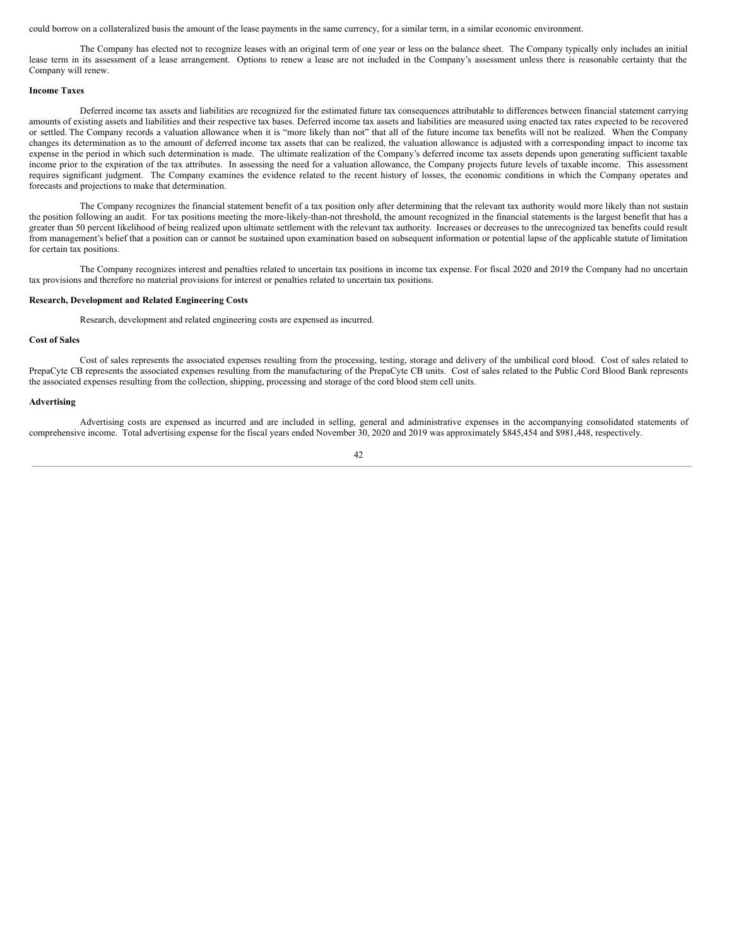could borrow on a collateralized basis the amount of the lease payments in the same currency, for a similar term, in a similar economic environment.

The Company has elected not to recognize leases with an original term of one year or less on the balance sheet. The Company typically only includes an initial lease term in its assessment of a lease arrangement. Options to renew a lease are not included in the Company's assessment unless there is reasonable certainty that the Company will renew.

# **Income Taxes**

Deferred income tax assets and liabilities are recognized for the estimated future tax consequences attributable to differences between financial statement carrying amounts of existing assets and liabilities and their respective tax bases. Deferred income tax assets and liabilities are measured using enacted tax rates expected to be recovered or settled. The Company records a valuation allowance when it is "more likely than not" that all of the future income tax benefits will not be realized. When the Company changes its determination as to the amount of deferred income tax assets that can be realized, the valuation allowance is adjusted with a corresponding impact to income tax expense in the period in which such determination is made. The ultimate realization of the Company's deferred income tax assets depends upon generating sufficient taxable income prior to the expiration of the tax attributes. In assessing the need for a valuation allowance, the Company projects future levels of taxable income. This assessment requires significant judgment. The Company examines the evidence related to the recent history of losses, the economic conditions in which the Company operates and forecasts and projections to make that determination.

The Company recognizes the financial statement benefit of a tax position only after determining that the relevant tax authority would more likely than not sustain the position following an audit. For tax positions meeting the more-likely-than-not threshold, the amount recognized in the financial statements is the largest benefit that has a greater than 50 percent likelihood of being realized upon ultimate settlement with the relevant tax authority. Increases or decreases to the unrecognized tax benefits could result from management's belief that a position can or cannot be sustained upon examination based on subsequent information or potential lapse of the applicable statute of limitation for certain tax positions.

The Company recognizes interest and penalties related to uncertain tax positions in income tax expense. For fiscal 2020 and 2019 the Company had no uncertain tax provisions and therefore no material provisions for interest or penalties related to uncertain tax positions.

## **Research, Development and Related Engineering Costs**

Research, development and related engineering costs are expensed as incurred.

# **Cost of Sales**

Cost of sales represents the associated expenses resulting from the processing, testing, storage and delivery of the umbilical cord blood. Cost of sales related to PrepaCyte CB represents the associated expenses resulting from the manufacturing of the PrepaCyte CB units. Cost of sales related to the Public Cord Blood Bank represents the associated expenses resulting from the collection, shipping, processing and storage of the cord blood stem cell units.

#### **Advertising**

Advertising costs are expensed as incurred and are included in selling, general and administrative expenses in the accompanying consolidated statements of comprehensive income. Total advertising expense for the fiscal years ended November 30, 2020 and 2019 was approximately \$845,454 and \$981,448, respectively.

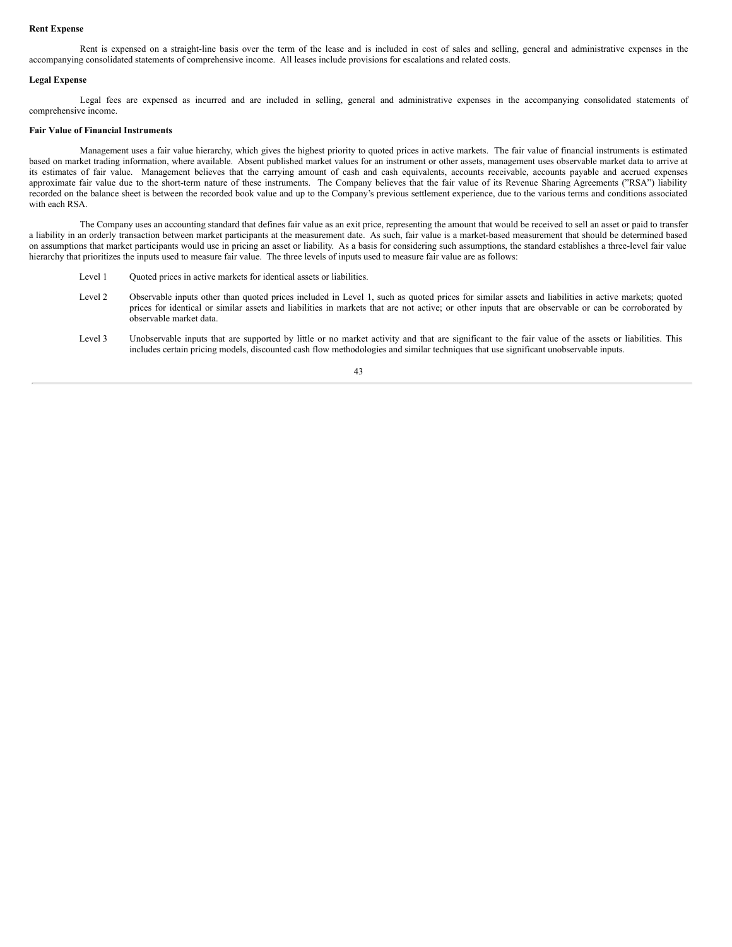## **Rent Expense**

Rent is expensed on a straight-line basis over the term of the lease and is included in cost of sales and selling, general and administrative expenses in the accompanying consolidated statements of comprehensive income. All leases include provisions for escalations and related costs.

# **Legal Expense**

Legal fees are expensed as incurred and are included in selling, general and administrative expenses in the accompanying consolidated statements of comprehensive income.

# **Fair Value of Financial Instruments**

Management uses a fair value hierarchy, which gives the highest priority to quoted prices in active markets. The fair value of financial instruments is estimated based on market trading information, where available. Absent published market values for an instrument or other assets, management uses observable market data to arrive at its estimates of fair value. Management believes that the carrying amount of cash and cash equivalents, accounts receivable, accounts payable and accrued expenses approximate fair value due to the short-term nature of these instruments. The Company believes that the fair value of its Revenue Sharing Agreements ("RSA") liability recorded on the balance sheet is between the recorded book value and up to the Company's previous settlement experience, due to the various terms and conditions associated with each RSA.

The Company uses an accounting standard that defines fair value as an exit price, representing the amount that would be received to sell an asset or paid to transfer a liability in an orderly transaction between market participants at the measurement date. As such, fair value is a market-based measurement that should be determined based on assumptions that market participants would use in pricing an asset or liability. As a basis for considering such assumptions, the standard establishes a three-level fair value hierarchy that prioritizes the inputs used to measure fair value. The three levels of inputs used to measure fair value are as follows:

- Level 1 Quoted prices in active markets for identical assets or liabilities.
- Level 2 Observable inputs other than quoted prices included in Level 1, such as quoted prices for similar assets and liabilities in active markets; quoted prices for identical or similar assets and liabilities in markets that are not active; or other inputs that are observable or can be corroborated by observable market data.
- Level 3 Unobservable inputs that are supported by little or no market activity and that are significant to the fair value of the assets or liabilities. This includes certain pricing models, discounted cash flow methodologies and similar techniques that use significant unobservable inputs.

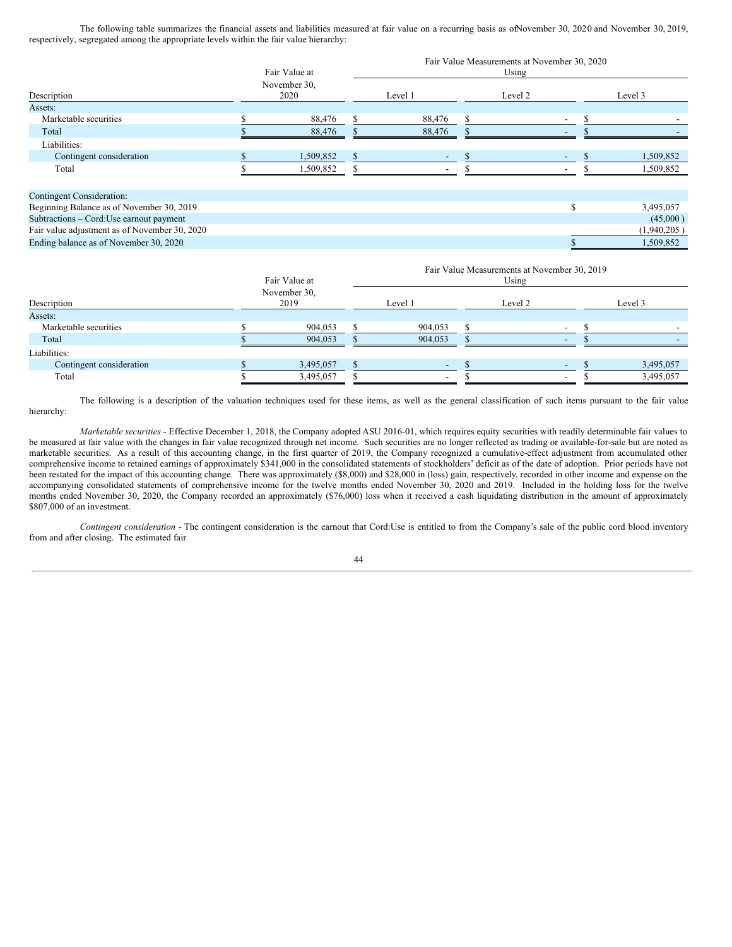The following table summarizes the financial assets and liabilities measured at fair value on a recurring basis as ofNovember 30, 2020 and November 30, 2019, respectively, segregated among the appropriate levels within the fair value hierarchy:

|                                               |  | Fair Value at        | Fair Value Measurements at November 30, 2020<br>Using |         |  |         |                          |  |             |
|-----------------------------------------------|--|----------------------|-------------------------------------------------------|---------|--|---------|--------------------------|--|-------------|
| Description                                   |  | November 30,<br>2020 |                                                       | Level 1 |  | Level 2 |                          |  | Level 3     |
| Assets:                                       |  |                      |                                                       |         |  |         |                          |  |             |
| Marketable securities                         |  | 88,476               |                                                       | 88,476  |  |         | $\overline{\phantom{a}}$ |  |             |
| Total                                         |  | 88,476               |                                                       | 88,476  |  |         |                          |  |             |
| Liabilities:                                  |  |                      |                                                       |         |  |         |                          |  |             |
| Contingent consideration                      |  | 1,509,852            |                                                       | ٠       |  |         |                          |  | 1,509,852   |
| Total                                         |  | 1,509,852            |                                                       |         |  |         |                          |  | 1,509,852   |
| <b>Contingent Consideration:</b>              |  |                      |                                                       |         |  |         |                          |  |             |
| Beginning Balance as of November 30, 2019     |  |                      |                                                       |         |  |         | $\sigma$                 |  | 3,495,057   |
| Subtractions – Cord: Use earnout payment      |  |                      |                                                       |         |  |         |                          |  | (45,000)    |
| Fair value adjustment as of November 30, 2020 |  |                      |                                                       |         |  |         |                          |  | (1,940,205) |
| Ending balance as of November 30, 2020        |  |                      |                                                       |         |  |         |                          |  | 1,509,852   |

| Fair Value Measurements at November 30, 2019 |           |               |                          |  |                          |       |           |
|----------------------------------------------|-----------|---------------|--------------------------|--|--------------------------|-------|-----------|
| November 30,<br>2019                         |           | Level 1       | Level 2                  |  | Level 3                  |       |           |
|                                              |           |               |                          |  |                          |       |           |
|                                              | 904,053   |               | 904,053                  |  |                          |       |           |
|                                              | 904,053   |               | 904,053                  |  |                          |       |           |
|                                              |           |               |                          |  |                          |       |           |
|                                              | 3,495,057 |               | $\overline{\phantom{0}}$ |  | $\overline{\phantom{0}}$ |       | 3,495,057 |
|                                              | 3,495,057 |               | -                        |  | $\overline{\phantom{a}}$ |       | 3,495,057 |
|                                              |           | Fair Value at |                          |  |                          | Using |           |

The following is a description of the valuation techniques used for these items, as well as the general classification of such items pursuant to the fair value hierarchy:

*Marketable securities* - Effective December 1, 2018, the Company adopted ASU 2016-01, which requires equity securities with readily determinable fair values to be measured at fair value with the changes in fair value recognized through net income. Such securities are no longer reflected as trading or available-for-sale but are noted as marketable securities. As a result of this accounting change, in the first quarter of 2019, the Company recognized a cumulative-effect adjustment from accumulated other comprehensive income to retained earnings of approximately \$341,000 in the consolidated statements of stockholders' deficit as of the date of adoption. Prior periods have not been restated for the impact of this accounting change. There was approximately (\$8,000) and \$28,000 in (loss) gain, respectively, recorded in other income and expense on the accompanying consolidated statements of comprehensive income for the twelve months ended November 30, 2020 and 2019. Included in the holding loss for the twelve months ended November 30, 2020, the Company recorded an approximately (\$76,000) loss when it received a cash liquidating distribution in the amount of approximately \$807,000 of an investment.

*Contingent consideration -* The contingent consideration is the earnout that Cord:Use is entitled to from the Company's sale of the public cord blood inventory from and after closing. The estimated fair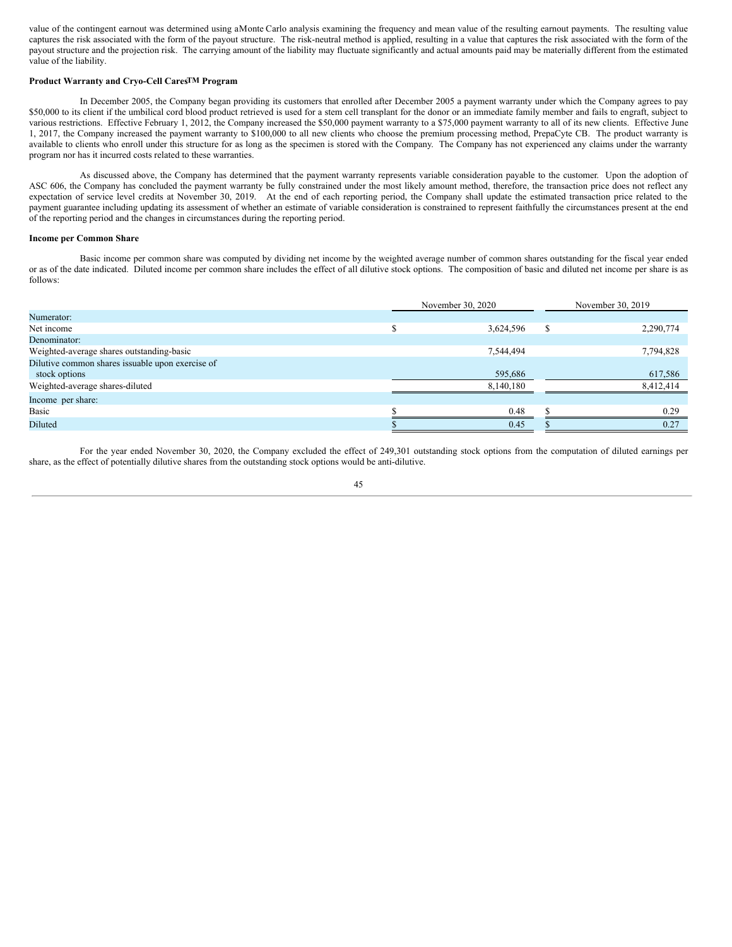value of the contingent earnout was determined using aMonte Carlo analysis examining the frequency and mean value of the resulting earnout payments. The resulting value captures the risk associated with the form of the payout structure. The risk-neutral method is applied, resulting in a value that captures the risk associated with the form of the payout structure and the projection risk. The carrying amount of the liability may fluctuate significantly and actual amounts paid may be materially different from the estimated value of the liability.

# **Product Warranty and Cryo-Cell CaresTM Program**

In December 2005, the Company began providing its customers that enrolled after December 2005 a payment warranty under which the Company agrees to pay \$50,000 to its client if the umbilical cord blood product retrieved is used for a stem cell transplant for the donor or an immediate family member and fails to engraft, subject to various restrictions. Effective February 1, 2012, the Company increased the \$50,000 payment warranty to a \$75,000 payment warranty to all of its new clients. Effective June 1, 2017, the Company increased the payment warranty to \$100,000 to all new clients who choose the premium processing method, PrepaCyte CB. The product warranty is available to clients who enroll under this structure for as long as the specimen is stored with the Company. The Company has not experienced any claims under the warranty program nor has it incurred costs related to these warranties.

As discussed above, the Company has determined that the payment warranty represents variable consideration payable to the customer. Upon the adoption of ASC 606, the Company has concluded the payment warranty be fully constrained under the most likely amount method, therefore, the transaction price does not reflect any expectation of service level credits at November 30, 2019. At the end of each reporting period, the Company shall update the estimated transaction price related to the payment guarantee including updating its assessment of whether an estimate of variable consideration is constrained to represent faithfully the circumstances present at the end of the reporting period and the changes in circumstances during the reporting period.

# **Income per Common Share**

Basic income per common share was computed by dividing net income by the weighted average number of common shares outstanding for the fiscal year ended or as of the date indicated. Diluted income per common share includes the effect of all dilutive stock options. The composition of basic and diluted net income per share is as follows:

|                                                  | November 30, 2020 |           | November 30, 2019 |           |  |
|--------------------------------------------------|-------------------|-----------|-------------------|-----------|--|
| Numerator:                                       |                   |           |                   |           |  |
| Net income                                       |                   | 3,624,596 |                   | 2,290,774 |  |
| Denominator:                                     |                   |           |                   |           |  |
| Weighted-average shares outstanding-basic        |                   | 7,544,494 |                   | 7,794,828 |  |
| Dilutive common shares issuable upon exercise of |                   |           |                   |           |  |
| stock options                                    |                   | 595,686   |                   | 617,586   |  |
| Weighted-average shares-diluted                  |                   | 8,140,180 |                   | 8,412,414 |  |
| Income per share:                                |                   |           |                   |           |  |
| Basic                                            |                   | 0.48      |                   | 0.29      |  |
| Diluted                                          |                   | 0.45      |                   | 0.27      |  |

For the year ended November 30, 2020, the Company excluded the effect of 249,301 outstanding stock options from the computation of diluted earnings per share, as the effect of potentially dilutive shares from the outstanding stock options would be anti-dilutive.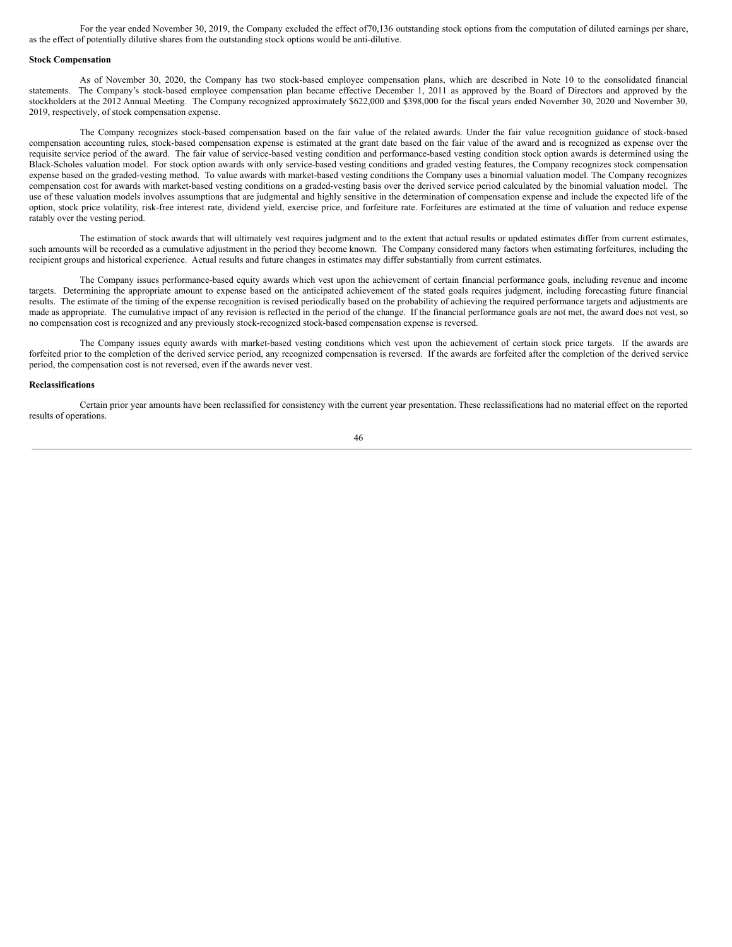For the year ended November 30, 2019, the Company excluded the effect of 70,136 outstanding stock options from the computation of diluted earnings per share, as the effect of potentially dilutive shares from the outstanding stock options would be anti-dilutive.

## **Stock Compensation**

As of November 30, 2020, the Company has two stock-based employee compensation plans, which are described in Note 10 to the consolidated financial statements. The Company's stock-based employee compensation plan became effective December 1, 2011 as approved by the Board of Directors and approved by the stockholders at the 2012 Annual Meeting. The Company recognized approximately \$622,000 and \$398,000 for the fiscal years ended November 30, 2020 and November 30, 2019, respectively, of stock compensation expense.

The Company recognizes stock-based compensation based on the fair value of the related awards. Under the fair value recognition guidance of stock-based compensation accounting rules, stock-based compensation expense is estimated at the grant date based on the fair value of the award and is recognized as expense over the requisite service period of the award. The fair value of service-based vesting condition and performance-based vesting condition stock option awards is determined using the Black-Scholes valuation model. For stock option awards with only service-based vesting conditions and graded vesting features, the Company recognizes stock compensation expense based on the graded-vesting method. To value awards with market-based vesting conditions the Company uses a binomial valuation model. The Company recognizes compensation cost for awards with market-based vesting conditions on a graded-vesting basis over the derived service period calculated by the binomial valuation model. The use of these valuation models involves assumptions that are judgmental and highly sensitive in the determination of compensation expense and include the expected life of the option, stock price volatility, risk-free interest rate, dividend yield, exercise price, and forfeiture rate. Forfeitures are estimated at the time of valuation and reduce expense ratably over the vesting period.

The estimation of stock awards that will ultimately vest requires judgment and to the extent that actual results or updated estimates differ from current estimates, such amounts will be recorded as a cumulative adjustment in the period they become known. The Company considered many factors when estimating forfeitures, including the recipient groups and historical experience. Actual results and future changes in estimates may differ substantially from current estimates.

The Company issues performance-based equity awards which vest upon the achievement of certain financial performance goals, including revenue and income targets. Determining the appropriate amount to expense based on the anticipated achievement of the stated goals requires judgment, including forecasting future financial results. The estimate of the timing of the expense recognition is revised periodically based on the probability of achieving the required performance targets and adjustments are made as appropriate. The cumulative impact of any revision is reflected in the period of the change. If the financial performance goals are not met, the award does not vest, so no compensation cost is recognized and any previously stock-recognized stock-based compensation expense is reversed.

The Company issues equity awards with market-based vesting conditions which vest upon the achievement of certain stock price targets. If the awards are forfeited prior to the completion of the derived service period, any recognized compensation is reversed. If the awards are forfeited after the completion of the derived service period, the compensation cost is not reversed, even if the awards never vest.

#### **Reclassifications**

Certain prior year amounts have been reclassified for consistency with the current year presentation. These reclassifications had no material effect on the reported results of operations.

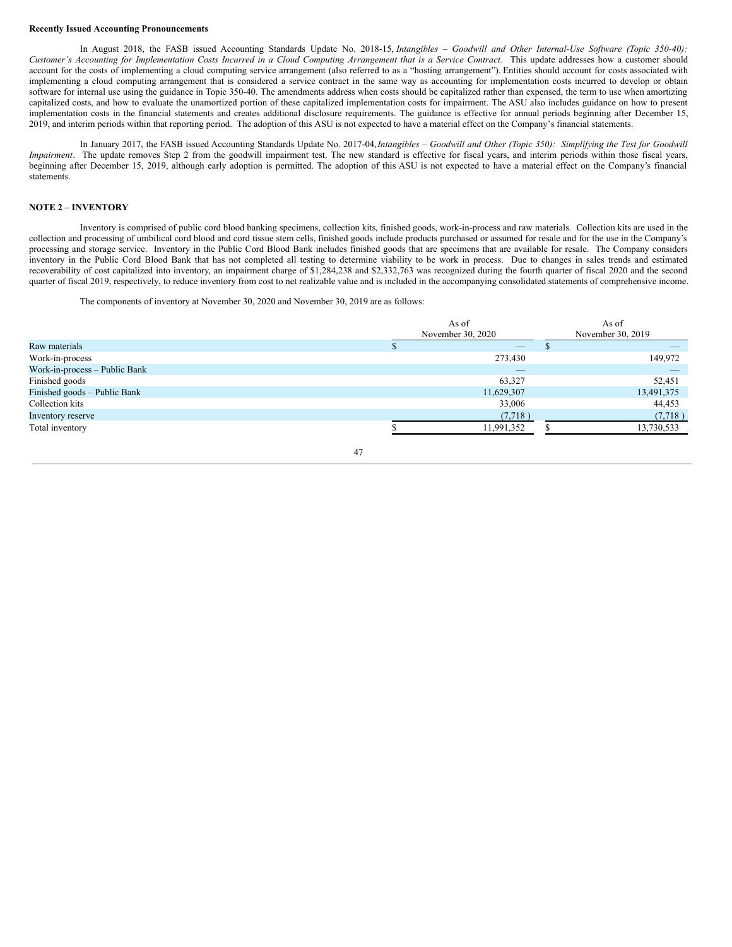## **Recently Issued Accounting Pronouncements**

In August 2018, the FASB issued Accounting Standards Update No. 2018-15, *Intangibles – Goodwill and Other Internal-Use Software (Topic 350-40):* Customer's Accounting for Implementation Costs Incurred in a Cloud Computing Arrangement that is a Service Contract. This update addresses how a customer should account for the costs of implementing a cloud computing service arrangement (also referred to as a "hosting arrangement"). Entities should account for costs associated with implementing a cloud computing arrangement that is considered a service contract in the same way as accounting for implementation costs incurred to develop or obtain software for internal use using the guidance in Topic 350-40. The amendments address when costs should be capitalized rather than expensed, the term to use when amortizing capitalized costs, and how to evaluate the unamortized portion of these capitalized implementation costs for impairment. The ASU also includes guidance on how to present implementation costs in the financial statements and creates additional disclosure requirements. The guidance is effective for annual periods beginning after December 15, 2019, and interim periods within that reporting period. The adoption of this ASU is not expected to have a material effect on the Company's financial statements.

In January 2017, the FASB issued Accounting Standards Update No. 2017-04, Intangibles - Goodwill and Other (Topic 350): Simplifying the Test for Goodwill *Impairment*. The update removes Step 2 from the goodwill impairment test. The new standard is effective for fiscal years, and interim periods within those fiscal years, beginning after December 15, 2019, although early adoption is permitted. The adoption of this ASU is not expected to have a material effect on the Company's financial statements.

### **NOTE 2 – INVENTORY**

Inventory is comprised of public cord blood banking specimens, collection kits, finished goods, work-in-process and raw materials. Collection kits are used in the collection and processing of umbilical cord blood and cord tissue stem cells, finished goods include products purchased or assumed for resale and for the use in the Company's processing and storage service. Inventory in the Public Cord Blood Bank includes finished goods that are specimens that are available for resale. The Company considers inventory in the Public Cord Blood Bank that has not completed all testing to determine viability to be work in process. Due to changes in sales trends and estimated recoverability of cost capitalized into inventory, an impairment charge of \$1,284,238 and \$2,332,763 was recognized during the fourth quarter of fiscal 2020 and the second quarter of fiscal 2019, respectively, to reduce inventory from cost to net realizable value and is included in the accompanying consolidated statements of comprehensive income.

The components of inventory at November 30, 2020 and November 30, 2019 are as follows:

|                               | As of<br>November 30, 2020 | As of<br>November 30, 2019 |
|-------------------------------|----------------------------|----------------------------|
| Raw materials                 | _                          |                            |
| Work-in-process               | 273,430                    | 149,972                    |
| Work-in-process - Public Bank |                            |                            |
| Finished goods                | 63,327                     | 52,451                     |
| Finished goods – Public Bank  | 11,629,307                 | 13,491,375                 |
| Collection kits               | 33,006                     | 44,453                     |
| Inventory reserve             | (7,718)                    | (7,718)                    |
| Total inventory               | 11,991,352                 | 13,730,533                 |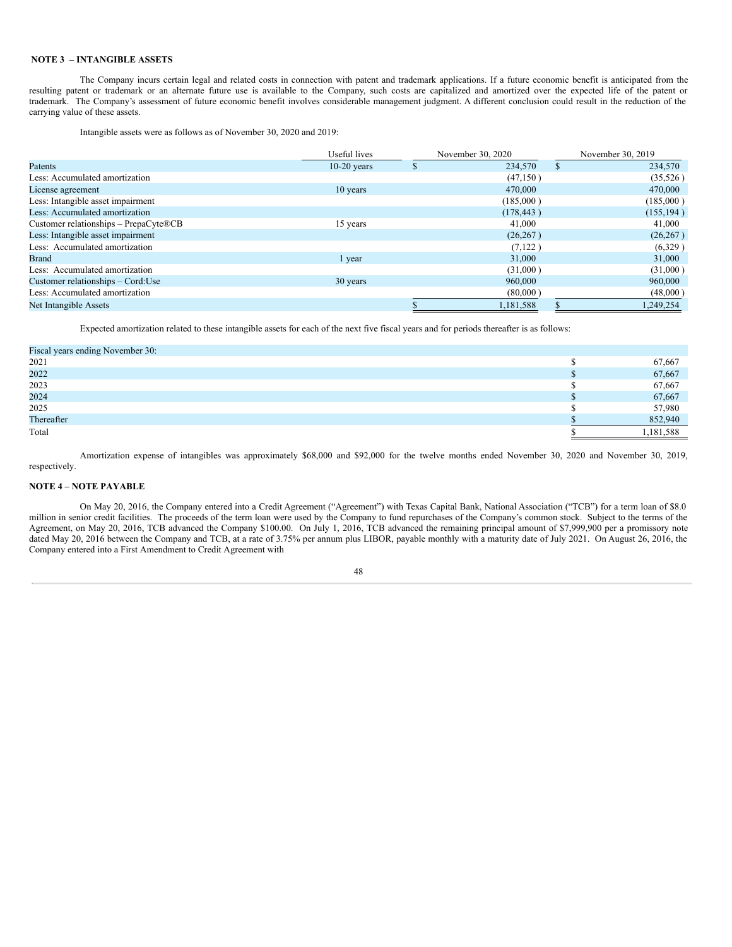# **NOTE 3 – INTANGIBLE ASSETS**

The Company incurs certain legal and related costs in connection with patent and trademark applications. If a future economic benefit is anticipated from the resulting patent or trademark or an alternate future use is available to the Company, such costs are capitalized and amortized over the expected life of the patent or trademark. The Company's assessment of future economic benefit involves considerable management judgment. A different conclusion could result in the reduction of the carrying value of these assets.

Intangible assets were as follows as of November 30, 2020 and 2019:

|                                       | Useful lives  | November 30, 2020 |            | November 30, 2019 |  |
|---------------------------------------|---------------|-------------------|------------|-------------------|--|
| Patents                               | $10-20$ years |                   | 234,570    | 234,570<br>S      |  |
| Less: Accumulated amortization        |               |                   | (47, 150)  | (35,526)          |  |
| License agreement                     | 10 years      |                   | 470,000    | 470,000           |  |
| Less: Intangible asset impairment     |               |                   | (185,000)  | (185,000)         |  |
| Less: Accumulated amortization        |               |                   | (178, 443) | (155, 194)        |  |
| Customer relationships - PrepaCyte®CB | 15 years      |                   | 41,000     | 41,000            |  |
| Less: Intangible asset impairment     |               |                   | (26, 267)  | (26, 267)         |  |
| Less: Accumulated amortization        |               |                   | (7,122)    | (6,329)           |  |
| <b>Brand</b>                          | 1 year        |                   | 31,000     | 31,000            |  |
| Less: Accumulated amortization        |               |                   | (31,000)   | (31,000)          |  |
| Customer relationships – Cord: Use    | 30 years      |                   | 960,000    | 960,000           |  |
| Less: Accumulated amortization        |               |                   | (80,000)   | (48,000)          |  |
| Net Intangible Assets                 |               |                   | 1,181,588  | 1,249,254         |  |

Expected amortization related to these intangible assets for each of the next five fiscal years and for periods thereafter is as follows:

| Fiscal years ending November 30: |           |
|----------------------------------|-----------|
| 2021                             | 67,667    |
| 2022                             | 67,667    |
| 2023                             | 67,667    |
| 2024                             | 67,667    |
| 2025                             | 57,980    |
| Thereafter                       | 852,940   |
| Total                            | 1,181,588 |

Amortization expense of intangibles was approximately \$68,000 and \$92,000 for the twelve months ended November 30, 2020 and November 30, 2019, respectively.

# **NOTE 4 – NOTE PAYABLE**

On May 20, 2016, the Company entered into a Credit Agreement ("Agreement") with Texas Capital Bank, National Association ("TCB") for a term loan of \$8.0 million in senior credit facilities. The proceeds of the term loan were used by the Company to fund repurchases of the Company's common stock. Subject to the terms of the Agreement, on May 20, 2016, TCB advanced the Company \$100.00. On July 1, 2016, TCB advanced the remaining principal amount of \$7,999,900 per a promissory note dated May 20, 2016 between the Company and TCB, at a rate of 3.75% per annum plus LIBOR, payable monthly with a maturity date of July 2021. On August 26, 2016, the Company entered into a First Amendment to Credit Agreement with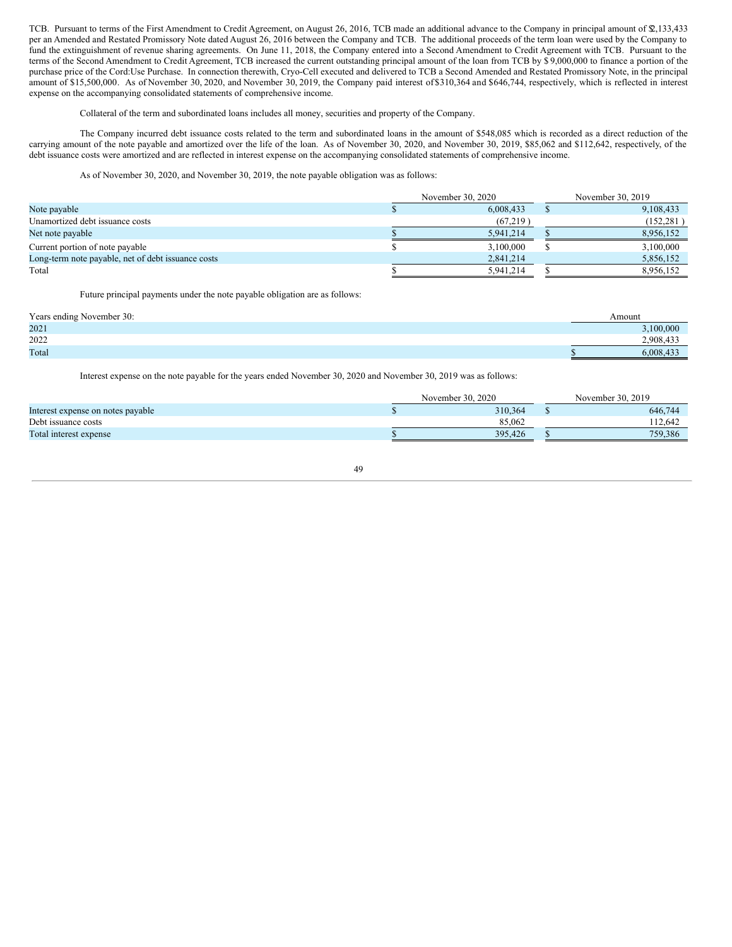TCB. Pursuant to terms of the First Amendment to Credit Agreement, on August 26, 2016, TCB made an additional advance to the Company in principal amount of \$2,133,433 per an Amended and Restated Promissory Note dated August 26, 2016 between the Company and TCB. The additional proceeds of the term loan were used by the Company to fund the extinguishment of revenue sharing agreements. On June 11, 2018, the Company entered into a Second Amendment to Credit Agreement with TCB. Pursuant to the terms of the Second Amendment to Credit Agreement, TCB increased the current outstanding principal amount of the loan from TCB by \$ 9,000,000 to finance a portion of the purchase price of the Cord:Use Purchase. In connection therewith, Cryo-Cell executed and delivered to TCB a Second Amended and Restated Promissory Note, in the principal amount of \$15,500,000. As of November 30, 2020, and November 30, 2019, the Company paid interest of \$310,364 and \$646,744, respectively, which is reflected in interest expense on the accompanying consolidated statements of comprehensive income.

Collateral of the term and subordinated loans includes all money, securities and property of the Company.

The Company incurred debt issuance costs related to the term and subordinated loans in the amount of \$548,085 which is recorded as a direct reduction of the carrying amount of the note payable and amortized over the life of the loan. As of November 30, 2020, and November 30, 2019, \$85,062 and \$112,642, respectively, of the debt issuance costs were amortized and are reflected in interest expense on the accompanying consolidated statements of comprehensive income.

As of November 30, 2020, and November 30, 2019, the note payable obligation was as follows:

|                                                    |  | November 30, 2020 | November 30, 2019 |  |
|----------------------------------------------------|--|-------------------|-------------------|--|
| Note payable                                       |  | 6.008.433         | 9,108,433         |  |
| Unamortized debt issuance costs                    |  | (67,219)          | (152,281          |  |
| Net note payable                                   |  | 5.941.214         | 8.956.152         |  |
| Current portion of note payable                    |  | 3.100.000         | 3,100,000         |  |
| Long-term note payable, net of debt issuance costs |  | 2,841,214         | 5,856,152         |  |
| Total                                              |  | 5.941.214         | 8.956.152         |  |

Future principal payments under the note payable obligation are as follows:

| Years ending November 30: | Amount    |  |
|---------------------------|-----------|--|
| 2021                      | .100.000  |  |
| 2022                      | 2,908,433 |  |
| Total                     | 0.008.433 |  |

Interest expense on the note payable for the years ended November 30, 2020 and November 30, 2019 was as follows:

|                                   | November 30, 2020 |  | November 30, 2019 |  |
|-----------------------------------|-------------------|--|-------------------|--|
| Interest expense on notes payable | 310,364           |  | 646,744           |  |
| Debt issuance costs               | 85,062            |  | 12.642            |  |
| Total interest expense            | 395.426           |  | 759,386           |  |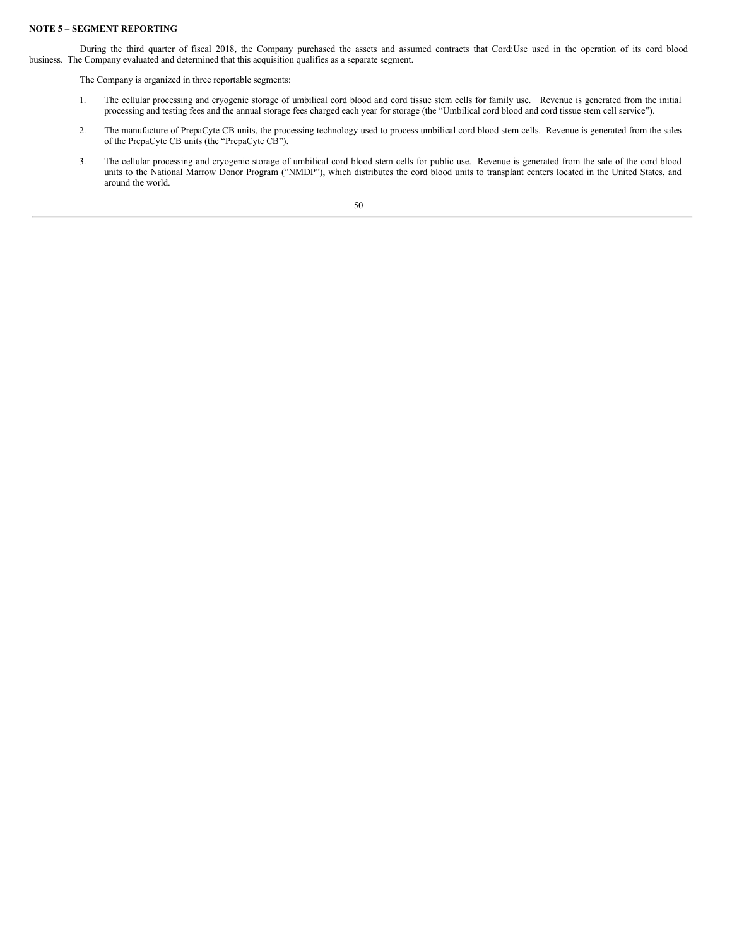# **NOTE 5** – **SEGMENT REPORTING**

During the third quarter of fiscal 2018, the Company purchased the assets and assumed contracts that Cord:Use used in the operation of its cord blood business. The Company evaluated and determined that this acquisition qualifies as a separate segment.

The Company is organized in three reportable segments:

- 1. The cellular processing and cryogenic storage of umbilical cord blood and cord tissue stem cells for family use. Revenue is generated from the initial processing and testing fees and the annual storage fees charged each year for storage (the "Umbilical cord blood and cord tissue stem cell service").
- 2. The manufacture of PrepaCyte CB units, the processing technology used to process umbilical cord blood stem cells. Revenue is generated from the sales of the PrepaCyte CB units (the "PrepaCyte CB").
- 3. The cellular processing and cryogenic storage of umbilical cord blood stem cells for public use. Revenue is generated from the sale of the cord blood units to the National Marrow Donor Program ("NMDP"), which distributes the cord blood units to transplant centers located in the United States, and around the world.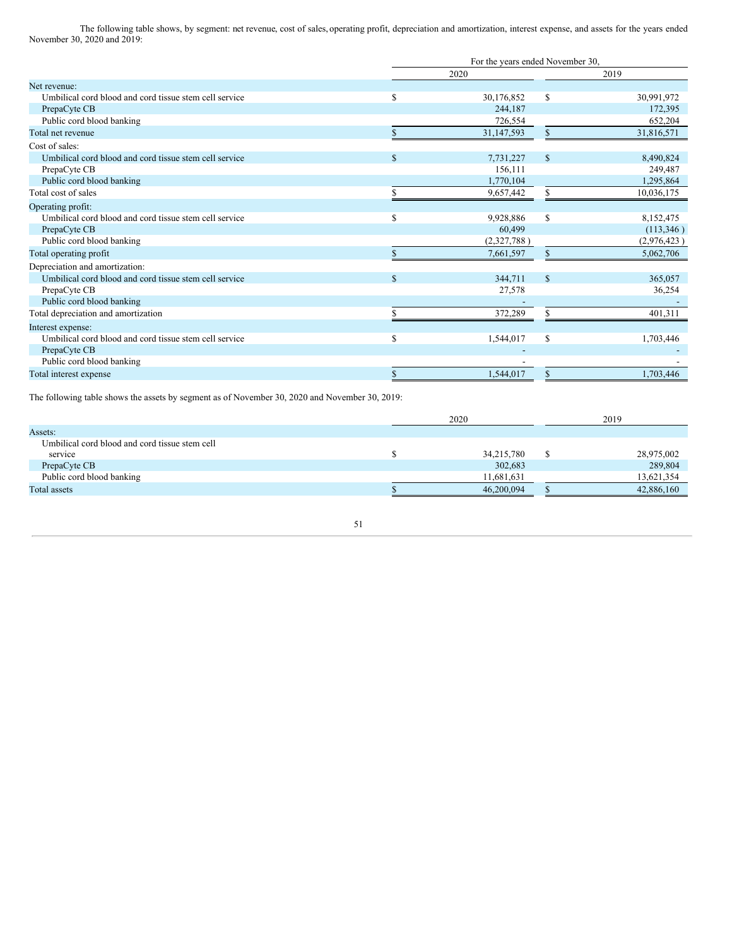The following table shows, by segment: net revenue, cost of sales, operating profit, depreciation and amortization, interest expense, and assets for the years ended November 30, 2020 and 2019:

| For the years ended November 30, |             |               |             |  |  |
|----------------------------------|-------------|---------------|-------------|--|--|
|                                  | 2020        |               | 2019        |  |  |
|                                  |             |               |             |  |  |
| \$                               | 30,176,852  | \$            | 30,991,972  |  |  |
|                                  | 244,187     |               | 172,395     |  |  |
|                                  | 726,554     |               | 652,204     |  |  |
| $\mathbf{\hat{s}}$               | 31,147,593  | $\mathbf S$   | 31,816,571  |  |  |
|                                  |             |               |             |  |  |
| $\mathbb{S}$                     | 7,731,227   | $\mathbf S$   | 8,490,824   |  |  |
|                                  | 156,111     |               | 249,487     |  |  |
|                                  | 1,770,104   |               | 1,295,864   |  |  |
|                                  | 9,657,442   |               | 10,036,175  |  |  |
|                                  |             |               |             |  |  |
| \$                               | 9,928,886   | \$            | 8,152,475   |  |  |
|                                  | 60,499      |               | (113,346)   |  |  |
|                                  | (2,327,788) |               | (2,976,423) |  |  |
|                                  | 7,661,597   |               | 5,062,706   |  |  |
|                                  |             |               |             |  |  |
| $\mathbf S$                      | 344,711     | $\mathcal{S}$ | 365,057     |  |  |
|                                  | 27,578      |               | 36,254      |  |  |
|                                  |             |               |             |  |  |
| ፍ                                | 372,289     |               | 401,311     |  |  |
|                                  |             |               |             |  |  |
| \$                               | 1,544,017   | S             | 1,703,446   |  |  |
|                                  |             |               |             |  |  |
|                                  |             |               |             |  |  |
|                                  | 1,544,017   |               | 1,703,446   |  |  |
|                                  |             |               |             |  |  |

The following table shows the assets by segment as of November 30, 2020 and November 30, 2019:

|                                                | 2020       | 2019       |
|------------------------------------------------|------------|------------|
| Assets:                                        |            |            |
| Umbilical cord blood and cord tissue stem cell |            |            |
| service                                        | 34,215,780 | 28,975,002 |
| PrepaCyte CB                                   | 302,683    | 289,804    |
| Public cord blood banking                      | 11,681,631 | 13,621,354 |
| Total assets                                   | 46.200.094 | 42,886,160 |
|                                                |            |            |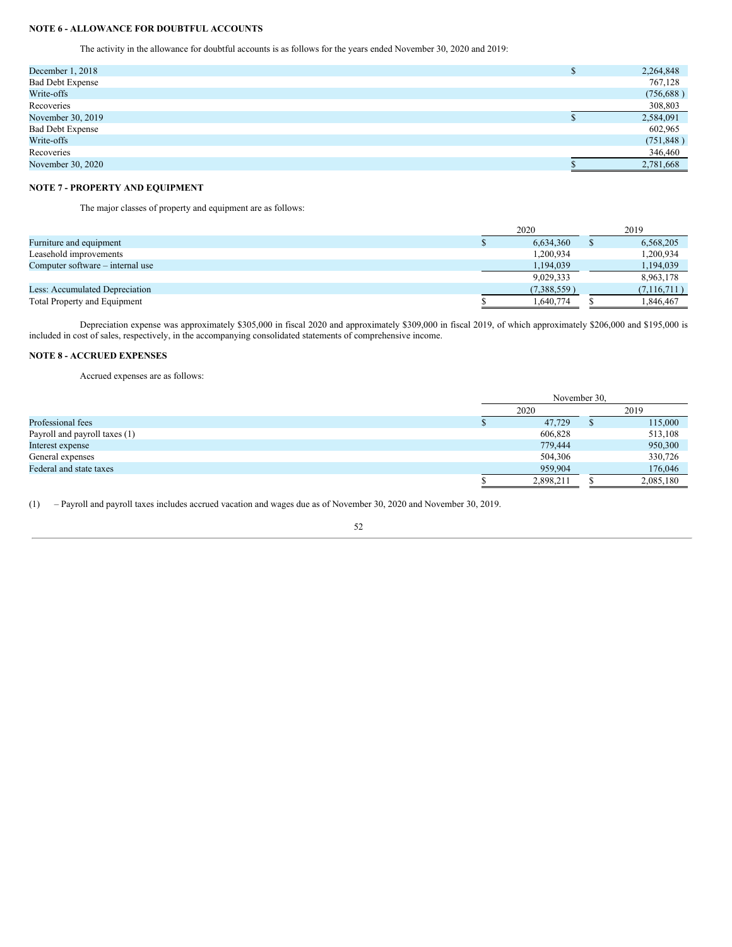# **NOTE 6 - ALLOWANCE FOR DOUBTFUL ACCOUNTS**

The activity in the allowance for doubtful accounts is as follows for the years ended November 30, 2020 and 2019:

| December 1, 2018        | 2,264,848  |
|-------------------------|------------|
| <b>Bad Debt Expense</b> | 767,128    |
| Write-offs              | (756, 688) |
| Recoveries              | 308,803    |
| November 30, 2019       | 2,584,091  |
| <b>Bad Debt Expense</b> | 602,965    |
| Write-offs              | (751, 848) |
| Recoveries              | 346,460    |
| November 30, 2020       | 2,781,668  |
|                         |            |

# **NOTE 7 - PROPERTY AND EQUIPMENT**

The major classes of property and equipment are as follows:

|                                  | 2020        | 2019        |
|----------------------------------|-------------|-------------|
| Furniture and equipment          | 6,634,360   | 6,568,205   |
| Leasehold improvements           | 1.200.934   | 1,200,934   |
| Computer software – internal use | 1,194,039   | 1,194,039   |
|                                  | 9,029,333   | 8,963,178   |
| Less: Accumulated Depreciation   | (7,388,559) | (7,116,711) |
| Total Property and Equipment     | 1,640,774   | 1,846,467   |

Depreciation expense was approximately \$305,000 in fiscal 2020 and approximately \$309,000 in fiscal 2019, of which approximately \$206,000 and \$195,000 is included in cost of sales, respectively, in the accompanying consolidated statements of comprehensive income.

# **NOTE 8 - ACCRUED EXPENSES**

Accrued expenses are as follows:

|                               | November 30, |   |           |
|-------------------------------|--------------|---|-----------|
|                               | 2020         |   | 2019      |
| Professional fees             | 47,729       | D | 115,000   |
| Payroll and payroll taxes (1) | 606,828      |   | 513,108   |
| Interest expense              | 779,444      |   | 950,300   |
| General expenses              | 504,306      |   | 330,726   |
| Federal and state taxes       | 959,904      |   | 176,046   |
|                               | 2,898,211    |   | 2,085,180 |

(1) – Payroll and payroll taxes includes accrued vacation and wages due as of November 30, 2020 and November 30, 2019.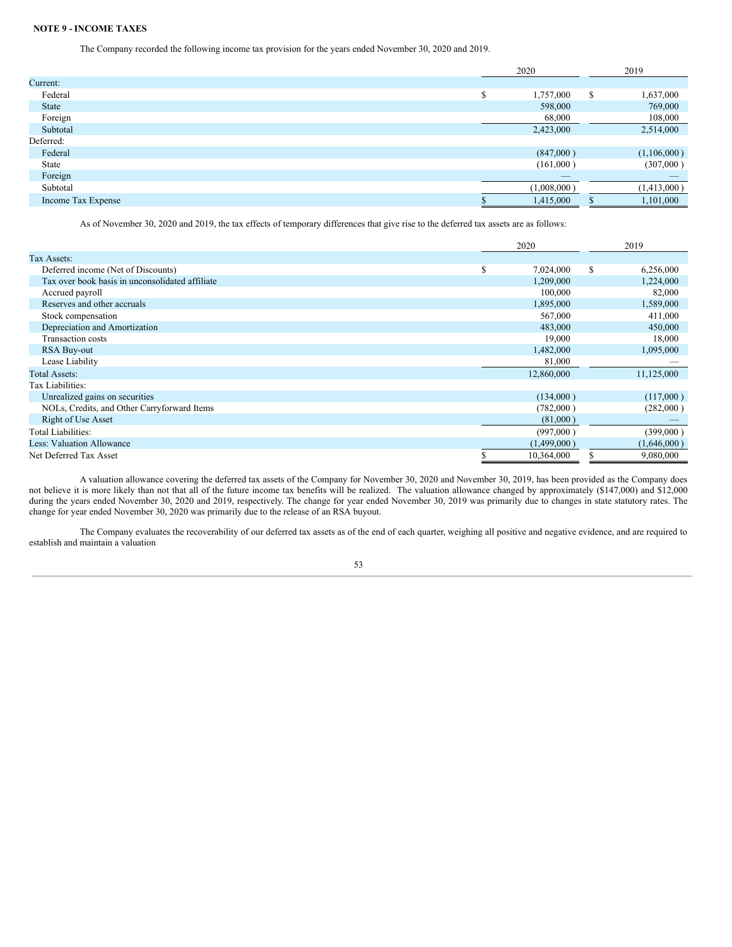# **NOTE 9 -INCOME TAXES**

The Company recorded the following income tax provision for the years ended November 30, 2020 and 2019.

|                    |                | 2020        | 2019 |             |  |
|--------------------|----------------|-------------|------|-------------|--|
| Current:           |                |             |      |             |  |
| Federal            | $\sigma$<br>۰υ | 1,757,000   | \$   | 1,637,000   |  |
| State              |                | 598,000     |      | 769,000     |  |
| Foreign            |                | 68,000      |      | 108,000     |  |
| Subtotal           |                | 2,423,000   |      | 2,514,000   |  |
| Deferred:          |                |             |      |             |  |
| Federal            |                | (847,000)   |      | (1,106,000) |  |
| State              |                | (161,000)   |      | (307,000)   |  |
| Foreign            |                |             |      |             |  |
| Subtotal           |                | (1,008,000) |      | (1,413,000) |  |
| Income Tax Expense |                | 1,415,000   |      | 1,101,000   |  |

As of November 30, 2020 and 2019, the tax effects of temporary differences that give rise to the deferred tax assets are as follows:

|                                                 | 2020            | 2019 |             |
|-------------------------------------------------|-----------------|------|-------------|
| Tax Assets:                                     |                 |      |             |
| Deferred income (Net of Discounts)              | \$<br>7,024,000 | S.   | 6,256,000   |
| Tax over book basis in unconsolidated affiliate | 1,209,000       |      | 1,224,000   |
| Accrued payroll                                 | 100,000         |      | 82,000      |
| Reserves and other accruals                     | 1,895,000       |      | 1,589,000   |
| Stock compensation                              | 567,000         |      | 411,000     |
| Depreciation and Amortization                   | 483,000         |      | 450,000     |
| <b>Transaction costs</b>                        | 19,000          |      | 18,000      |
| <b>RSA Buy-out</b>                              | 1,482,000       |      | 1,095,000   |
| Lease Liability                                 | 81,000          |      |             |
| <b>Total Assets:</b>                            | 12,860,000      |      | 11,125,000  |
| Tax Liabilities:                                |                 |      |             |
| Unrealized gains on securities                  | (134,000)       |      | (117,000)   |
| NOLs, Credits, and Other Carryforward Items     | (782,000)       |      | (282,000)   |
| Right of Use Asset                              | (81,000)        |      |             |
| Total Liabilities:                              | (997,000)       |      | (399,000)   |
| Less: Valuation Allowance                       | (1,499,000)     |      | (1,646,000) |
| Net Deferred Tax Asset                          | 10,364,000      |      | 9,080,000   |

A valuation allowance covering the deferred tax assets of the Company for November 30, 2020 and November 30, 2019, has been provided as the Company does not believe it is more likely than not that all of the future income tax benefits will be realized. The valuation allowance changed by approximately (\$147,000) and \$12,000 during the years ended November 30, 2020 and 2019, respectively. The change for year ended November 30, 2019 was primarily due to changes in state statutory rates. The change for year ended November 30, 2020 was primarily due to the release of an RSA buyout.

The Company evaluates the recoverability of our deferred tax assets as of the end of each quarter, weighing all positive and negative evidence, and are required to establish and maintain a valuation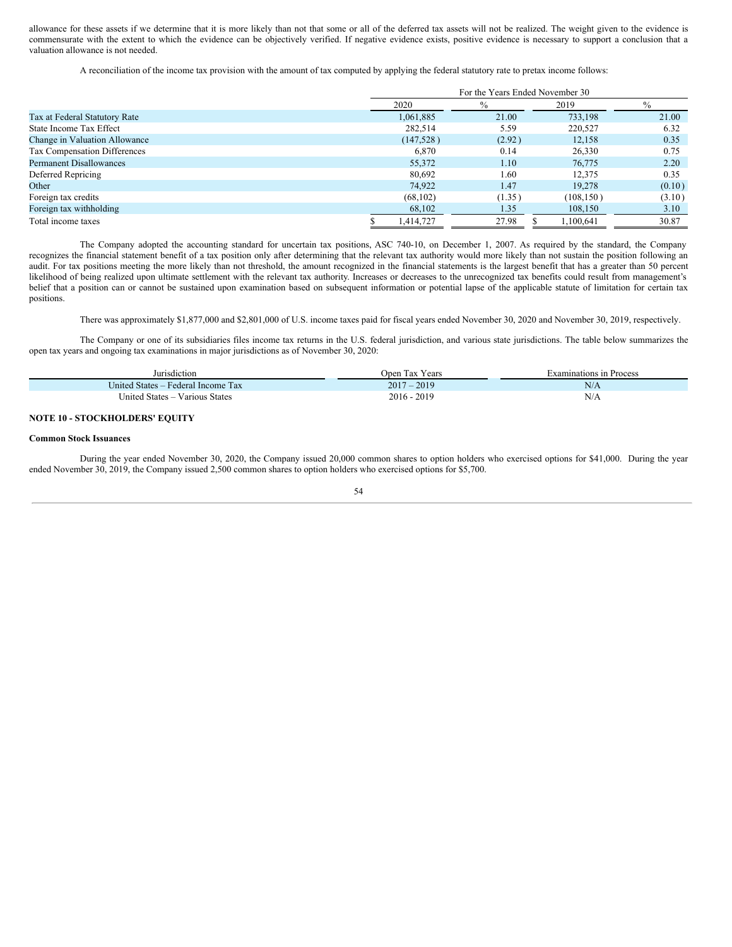allowance for these assets if we determine that it is more likely than not that some or all of the deferred tax assets will not be realized. The weight given to the evidence is commensurate with the extent to which the evidence can be objectively verified. If negative evidence exists, positive evidence is necessary to support a conclusion that a valuation allowance is not needed.

A reconciliation of the income tax provision with the amount of tax computed by applying the federal statutory rate to pretax income follows:

|                                | For the Years Ended November 30 |        |            |        |  |
|--------------------------------|---------------------------------|--------|------------|--------|--|
|                                | 2020                            | $\%$   | 2019       | $\%$   |  |
| Tax at Federal Statutory Rate  | 1,061,885                       | 21.00  | 733,198    | 21.00  |  |
| State Income Tax Effect        | 282,514                         | 5.59   | 220,527    | 6.32   |  |
| Change in Valuation Allowance  | (147, 528)                      | (2.92) | 12,158     | 0.35   |  |
| Tax Compensation Differences   | 6.870                           | 0.14   | 26,330     | 0.75   |  |
| <b>Permanent Disallowances</b> | 55,372                          | 1.10   | 76,775     | 2.20   |  |
| Deferred Repricing             | 80,692                          | 1.60   | 12,375     | 0.35   |  |
| Other                          | 74,922                          | 1.47   | 19.278     | (0.10) |  |
| Foreign tax credits            | (68, 102)                       | (1.35) | (108, 150) | (3.10) |  |
| Foreign tax withholding        | 68,102                          | 1.35   | 108,150    | 3.10   |  |
| Total income taxes             | 1,414,727                       | 27.98  | 1.100.641  | 30.87  |  |

The Company adopted the accounting standard for uncertain tax positions, ASC 740-10, on December 1, 2007. As required by the standard, the Company recognizes the financial statement benefit of a tax position only after determining that the relevant tax authority would more likely than not sustain the position following an audit. For tax positions meeting the more likely than not threshold, the amount recognized in the financial statements is the largest benefit that has a greater than 50 percent likelihood of being realized upon ultimate settlement with the relevant tax authority. Increases or decreases to the unrecognized tax benefits could result from management's belief that a position can or cannot be sustained upon examination based on subsequent information or potential lapse of the applicable statute of limitation for certain tax positions.

There was approximately \$1,877,000 and \$2,801,000 of U.S. income taxes paid for fiscal years ended November 30, 2020 and November 30, 2019, respectively.

The Company or one of its subsidiaries files income tax returns in the U.S. federal jurisdiction, and various state jurisdictions. The table below summarizes the open tax years and ongoing tax examinations in major jurisdictions as of November 30, 2020:

| $\cdots$<br>Jurisdiction                     | Y ears<br>Tax<br><b>J</b> ner | Examinations in Process |
|----------------------------------------------|-------------------------------|-------------------------|
| Jnited.<br>Federal Income Tax<br>States      | 2017<br>2019<br>-             | N/A                     |
| <b>States</b><br>States<br>Jnited<br>v arıou | 201<br>2019<br>$\sim$ $\sim$  | N/A                     |

# **NOTE 10 - STOCKHOLDERS' EQUITY**

## **Common Stock Issuances**

During the year ended November 30, 2020, the Company issued 20,000 common shares to option holders who exercised options for \$41,000. During the year ended November 30, 2019, the Company issued 2,500 common shares to option holders who exercised options for \$5,700.

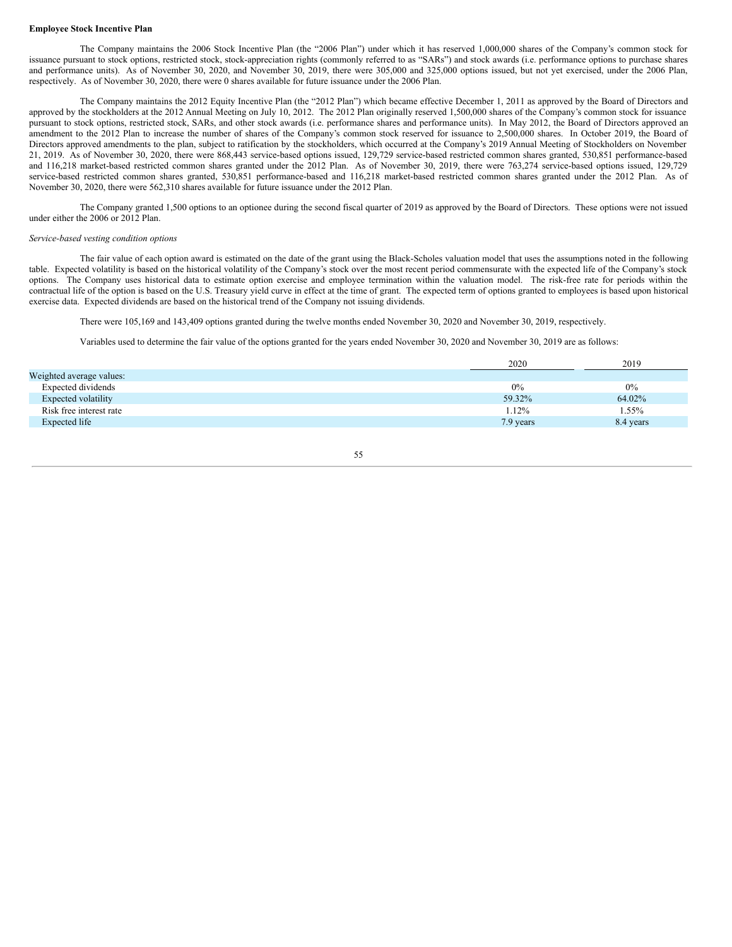## **Employee Stock Incentive Plan**

The Company maintains the 2006 Stock Incentive Plan (the "2006 Plan") under which it has reserved 1,000,000 shares of the Company's common stock for issuance pursuant to stock options, restricted stock, stock-appreciation rights (commonly referred to as "SARs") and stock awards (i.e. performance options to purchase shares and performance units). As of November 30, 2020, and November 30, 2019, there were 305,000 and 325,000 options issued, but not yet exercised, under the 2006 Plan, respectively. As of November 30, 2020, there were 0 shares available for future issuance under the 2006 Plan.

The Company maintains the 2012 Equity Incentive Plan (the "2012 Plan") which became effective December 1, 2011 as approved by the Board of Directors and approved by the stockholders at the 2012 Annual Meeting on July 10, 2012. The 2012 Plan originally reserved 1,500,000 shares of the Company's common stock for issuance pursuant to stock options, restricted stock, SARs, and other stock awards (i.e. performance shares and performance units). In May 2012, the Board of Directors approved an amendment to the 2012 Plan to increase the number of shares of the Company's common stock reserved for issuance to 2,500,000 shares. In October 2019, the Board of Directors approved amendments to the plan, subject to ratification by the stockholders, which occurred at the Company's 2019 Annual Meeting of Stockholders on November 21, 2019. As of November 30, 2020, there were 868,443 service-based options issued, 129,729 service-based restricted common shares granted, 530,851 performance-based and 116,218 market-based restricted common shares granted under the 2012 Plan. As of November 30, 2019, there were 763,274 service-based options issued, 129,729 service-based restricted common shares granted, 530,851 performance-based and 116,218 market-based restricted common shares granted under the 2012 Plan. As of November 30, 2020, there were 562,310 shares available for future issuance under the 2012 Plan.

The Company granted 1,500 options to an optionee during the second fiscal quarter of 2019 as approved by the Board of Directors. These options were not issued under either the 2006 or 2012 Plan.

#### *Service-based vesting condition options*

The fair value of each option award is estimated on the date of the grant using the Black-Scholes valuation model that uses the assumptions noted in the following table. Expected volatility is based on the historical volatility of the Company's stock over the most recent period commensurate with the expected life of the Company's stock options. The Company uses historical data to estimate option exercise and employee termination within the valuation model. The risk-free rate for periods within the contractual life of the option is based on the U.S. Treasury yield curve in effect at the time of grant. The expected term of options granted to employees is based upon historical exercise data. Expected dividends are based on the historical trend of the Company not issuing dividends.

There were 105,169 and 143,409 options granted during the twelve months ended November 30, 2020 and November 30, 2019, respectively.

Variables used to determine the fair value of the options granted for the years ended November 30, 2020 and November 30, 2019 are as follows:

|                          | 2020      | 2019      |
|--------------------------|-----------|-----------|
| Weighted average values: |           |           |
| Expected dividends       | 0%        | 0%        |
| Expected volatility      | 59.32%    | 64.02%    |
| Risk free interest rate  | 1.12%     | 1.55%     |
| Expected life            | 7.9 years | 8.4 years |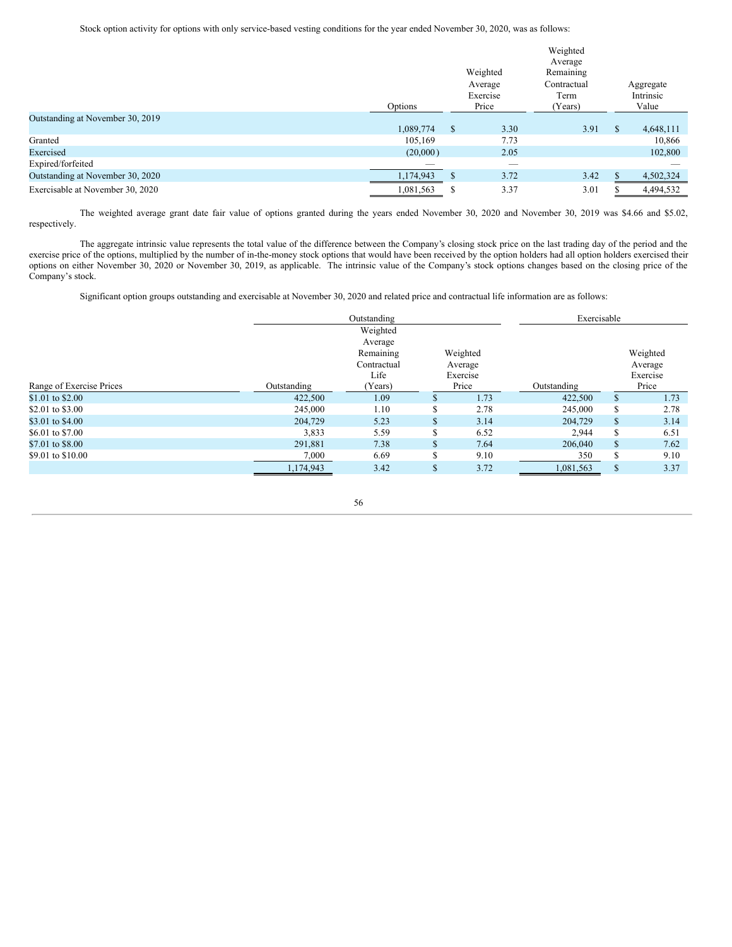Stock option activity for options with only service-based vesting conditions for the year ended November 30, 2020, was as follows:

|                                  |           |               |                          | Weighted    |   |           |  |
|----------------------------------|-----------|---------------|--------------------------|-------------|---|-----------|--|
|                                  |           |               |                          | Average     |   |           |  |
|                                  |           |               | Weighted                 | Remaining   |   |           |  |
|                                  |           |               | Average                  | Contractual |   | Aggregate |  |
|                                  |           |               | Exercise                 | Term        |   | Intrinsic |  |
|                                  | Options   |               | Price                    | (Years)     |   | Value     |  |
| Outstanding at November 30, 2019 |           |               |                          |             |   |           |  |
|                                  | 1,089,774 | <sup>\$</sup> | 3.30                     | 3.91        | S | 4,648,111 |  |
| Granted                          | 105,169   |               | 7.73                     |             |   | 10,866    |  |
| Exercised                        | (20,000)  |               | 2.05                     |             |   | 102,800   |  |
| Expired/forfeited                | _         |               | $\overline{\phantom{a}}$ |             |   |           |  |
| Outstanding at November 30, 2020 | 1,174,943 | \$            | 3.72                     | 3.42        |   | 4,502,324 |  |
| Exercisable at November 30, 2020 | 1,081,563 | S             | 3.37                     | 3.01        |   | 4,494,532 |  |

The weighted average grant date fair value of options granted during the years ended November 30, 2020 and November 30, 2019 was \$4.66 and \$5.02, respectively.

The aggregate intrinsic value represents the total value of the difference between the Company's closing stock price on the last trading day of the period and the exercise price of the options, multiplied by the number of in-the-money stock options that would have been received by the option holders had all option holders exercised their options on either November 30, 2020 or November 30, 2019, as applicable. The intrinsic value of the Company's stock options changes based on the closing price of the Company's stock.

Significant option groups outstanding and exercisable at November 30, 2020 and related price and contractual life information are as follows:

|                          | Outstanding |             |                     | Exercisable |             |     |          |
|--------------------------|-------------|-------------|---------------------|-------------|-------------|-----|----------|
|                          |             | Weighted    |                     |             |             |     |          |
|                          |             | Average     |                     |             |             |     |          |
|                          |             | Remaining   |                     | Weighted    |             |     | Weighted |
|                          |             | Contractual | Average<br>Exercise |             |             |     | Average  |
|                          |             | Life        |                     |             |             |     | Exercise |
| Range of Exercise Prices | Outstanding | (Years)     |                     | Price       | Outstanding |     | Price    |
| \$1.01 to \$2.00         | 422,500     | 1.09        |                     | 1.73        | 422,500     | \$. | 1.73     |
| \$2.01 to \$3.00         | 245,000     | 1.10        | c                   | 2.78        | 245,000     | S   | 2.78     |
| \$3.01 to \$4.00         | 204,729     | 5.23        | \$                  | 3.14        | 204,729     | \$  | 3.14     |
| \$6.01 to \$7.00         | 3,833       | 5.59        | $\triangle$         | 6.52        | 2,944       | S   | 6.51     |
| \$7.01 to \$8.00         | 291.881     | 7.38        |                     | 7.64        | 206,040     | \$  | 7.62     |
| \$9.01 to \$10.00        | 7,000       | 6.69        |                     | 9.10        | 350         | \$  | 9.10     |
|                          | 1,174,943   | 3.42        | \$                  | 3.72        | 1,081,563   | \$  | 3.37     |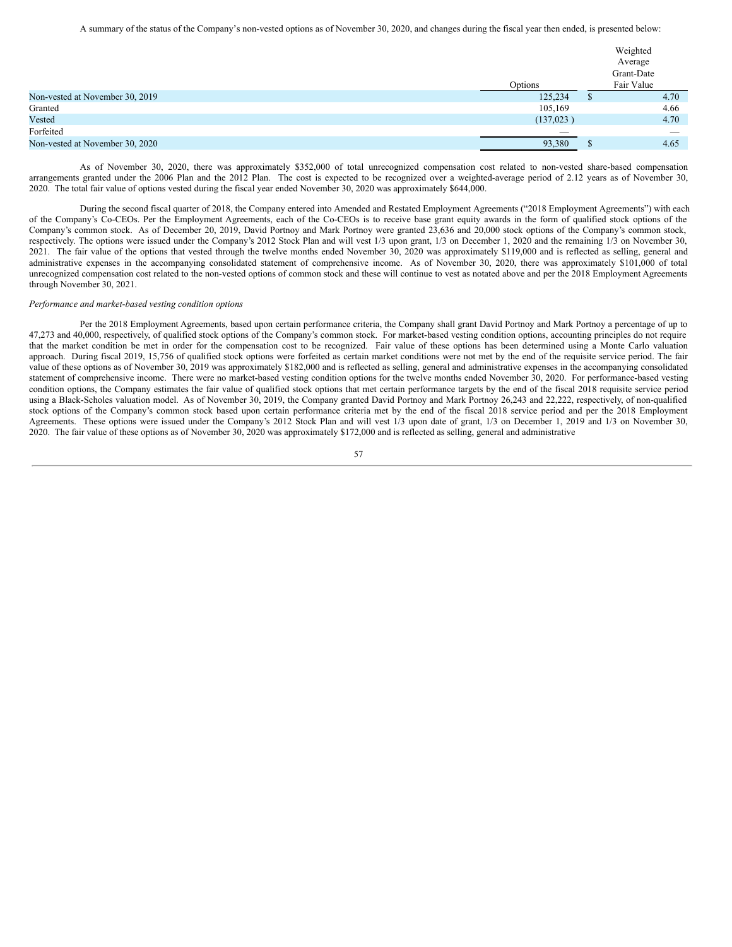A summary of the status of the Company's non-vested options as of November 30, 2020, and changes during the fiscal year then ended, is presented below:

|                                 | Options   | Weighted<br>Average<br>Grant-Date<br>Fair Value |
|---------------------------------|-----------|-------------------------------------------------|
| Non-vested at November 30, 2019 | 125,234   | 4.70                                            |
| Granted                         | 105,169   | 4.66                                            |
| Vested                          | (137,023) | 4.70                                            |
| Forfeited                       | $-$       | $\overline{\phantom{a}}$                        |
| Non-vested at November 30, 2020 | 93,380    | 4.65                                            |

As of November 30, 2020, there was approximately \$352,000 of total unrecognized compensation cost related to non-vested share-based compensation arrangements granted under the 2006 Plan and the 2012 Plan. The cost is expected to be recognized over a weighted-average period of 2.12 years as of November 30, 2020. The total fair value of options vested during the fiscal year ended November 30, 2020 was approximately \$644,000.

During the second fiscal quarter of 2018, the Company entered into Amended and Restated Employment Agreements ("2018 Employment Agreements") with each of the Company's Co-CEOs. Per the Employment Agreements, each of the Co-CEOs is to receive base grant equity awards in the form of qualified stock options of the Company's common stock. As of December 20, 2019, David Portnoy and Mark Portnoy were granted 23,636 and 20,000 stock options of the Company's common stock, respectively. The options were issued under the Company's 2012 Stock Plan and will vest 1/3 upon grant, 1/3 on December 1, 2020 and the remaining 1/3 on November 30, 2021. The fair value of the options that vested through the twelve months ended November 30, 2020 was approximately \$119,000 and is reflected as selling, general and administrative expenses in the accompanying consolidated statement of comprehensive income. As of November 30, 2020, there was approximately \$101,000 of total unrecognized compensation cost related to the non-vested options of common stock and these will continue to vest as notated above and per the 2018 Employment Agreements through November 30, 2021.

## *Performance and market-based vesting condition options*

Per the 2018 Employment Agreements, based upon certain performance criteria, the Company shall grant David Portnoy and Mark Portnoy a percentage of up to 47,273 and 40,000, respectively, of qualified stock options of the Company's common stock. For market-based vesting condition options, accounting principles do not require that the market condition be met in order for the compensation cost to be recognized. Fair value of these options has been determined using a Monte Carlo valuation approach. During fiscal 2019, 15,756 of qualified stock options were forfeited as certain market conditions were not met by the end of the requisite service period. The fair value of these options as of November 30, 2019 was approximately \$182,000 and is reflected as selling, general and administrative expenses in the accompanying consolidated statement of comprehensive income. There were no market-based vesting condition options for the twelve months ended November 30, 2020. For performance-based vesting condition options, the Company estimates the fair value of qualified stock options that met certain performance targets by the end of the fiscal 2018 requisite service period using a Black-Scholes valuation model. As of November 30, 2019, the Company granted David Portnoy and Mark Portnoy 26,243 and 22,222, respectively, of non-qualified stock options of the Company's common stock based upon certain performance criteria met by the end of the fiscal 2018 service period and per the 2018 Employment Agreements. These options were issued under the Company's 2012 Stock Plan and will vest 1/3 upon date of grant, 1/3 on December 1, 2019 and 1/3 on November 30, 2020. The fair value of these options as of November 30, 2020 was approximately \$172,000 and is reflected as selling, general and administrative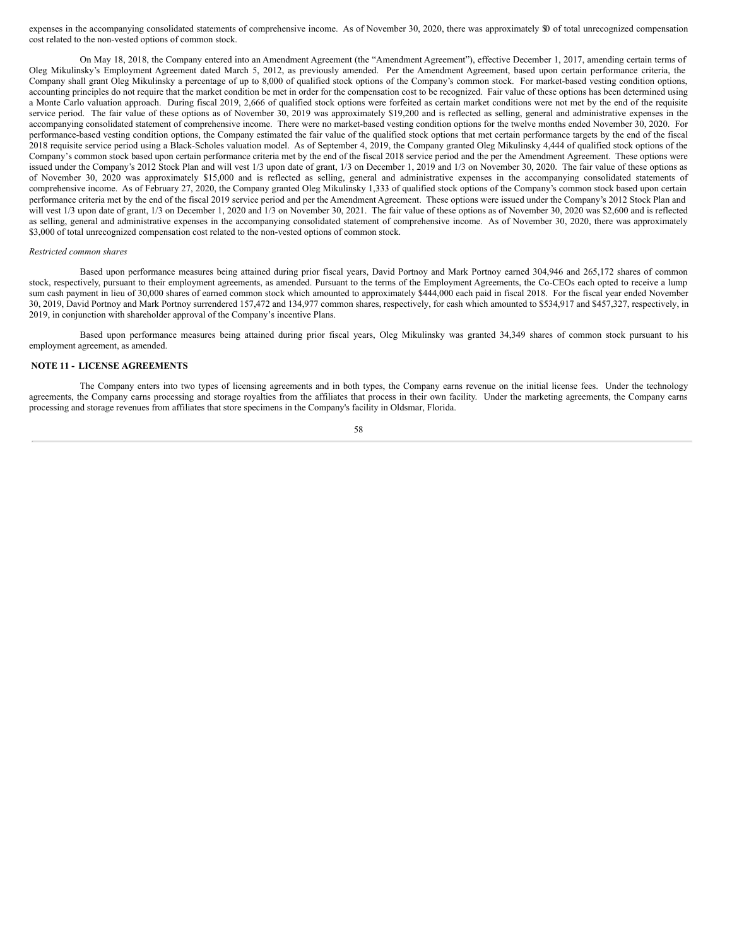expenses in the accompanying consolidated statements of comprehensive income. As of November 30, 2020, there was approximately \$0 of total unrecognized compensation cost related to the non-vested options of common stock.

On May 18, 2018, the Company entered into an Amendment Agreement (the "Amendment Agreement"), effective December 1, 2017, amending certain terms of Oleg Mikulinsky's Employment Agreement dated March 5, 2012, as previously amended. Per the Amendment Agreement, based upon certain performance criteria, the Company shall grant Oleg Mikulinsky a percentage of up to 8,000 of qualified stock options of the Company's common stock. For market-based vesting condition options, accounting principles do not require that the market condition be met in order for the compensation cost to be recognized. Fair value of these options has been determined using a Monte Carlo valuation approach. During fiscal 2019, 2,666 of qualified stock options were forfeited as certain market conditions were not met by the end of the requisite service period. The fair value of these options as of November 30, 2019 was approximately \$19,200 and is reflected as selling, general and administrative expenses in the accompanying consolidated statement of comprehensive income. There were no market-based vesting condition options for the twelve months ended November 30, 2020. For performance-based vesting condition options, the Company estimated the fair value of the qualified stock options that met certain performance targets by the end of the fiscal 2018 requisite service period using a Black-Scholes valuation model. As of September 4, 2019, the Company granted Oleg Mikulinsky 4,444 of qualified stock options of the Company's common stock based upon certain performance criteria met by the end of the fiscal 2018 service period and the per the Amendment Agreement. These options were issued under the Company's 2012 Stock Plan and will vest 1/3 upon date of grant, 1/3 on December 1, 2019 and 1/3 on November 30, 2020. The fair value of these options as of November 30, 2020 was approximately \$15,000 and is reflected as selling, general and administrative expenses in the accompanying consolidated statements of comprehensive income. As of February 27, 2020, the Company granted Oleg Mikulinsky 1,333 of qualified stock options of the Company's common stock based upon certain performance criteria met by the end of the fiscal 2019 service period and per the Amendment Agreement. These options were issued under the Company's 2012 Stock Plan and will vest 1/3 upon date of grant, 1/3 on December 1, 2020 and 1/3 on November 30, 2021. The fair value of these options as of November 30, 2020 was \$2,600 and is reflected as selling, general and administrative expenses in the accompanying consolidated statement of comprehensive income. As of November 30, 2020, there was approximately \$3,000 of total unrecognized compensation cost related to the non-vested options of common stock.

#### *Restricted common shares*

Based upon performance measures being attained during prior fiscal years, David Portnoy and Mark Portnoy earned 304,946 and 265,172 shares of common stock, respectively, pursuant to their employment agreements, as amended. Pursuant to the terms of the Employment Agreements, the Co-CEOs each opted to receive a lump sum cash payment in lieu of 30,000 shares of earned common stock which amounted to approximately \$444,000 each paid in fiscal 2018. For the fiscal year ended November 30, 2019, David Portnoy and Mark Portnoy surrendered 157,472 and 134,977 common shares, respectively, for cash which amounted to \$534,917 and \$457,327, respectively, in 2019, in conjunction with shareholder approval of the Company's incentive Plans.

Based upon performance measures being attained during prior fiscal years, Oleg Mikulinsky was granted 34,349 shares of common stock pursuant to his employment agreement, as amended.

## **NOTE 11 - LICENSE AGREEMENTS**

The Company enters into two types of licensing agreements and in both types, the Company earns revenue on the initial license fees. Under the technology agreements, the Company earns processing and storage royalties from the affiliates that process in their own facility. Under the marketing agreements, the Company earns processing and storage revenues from affiliates that store specimens in the Company's facility in Oldsmar, Florida.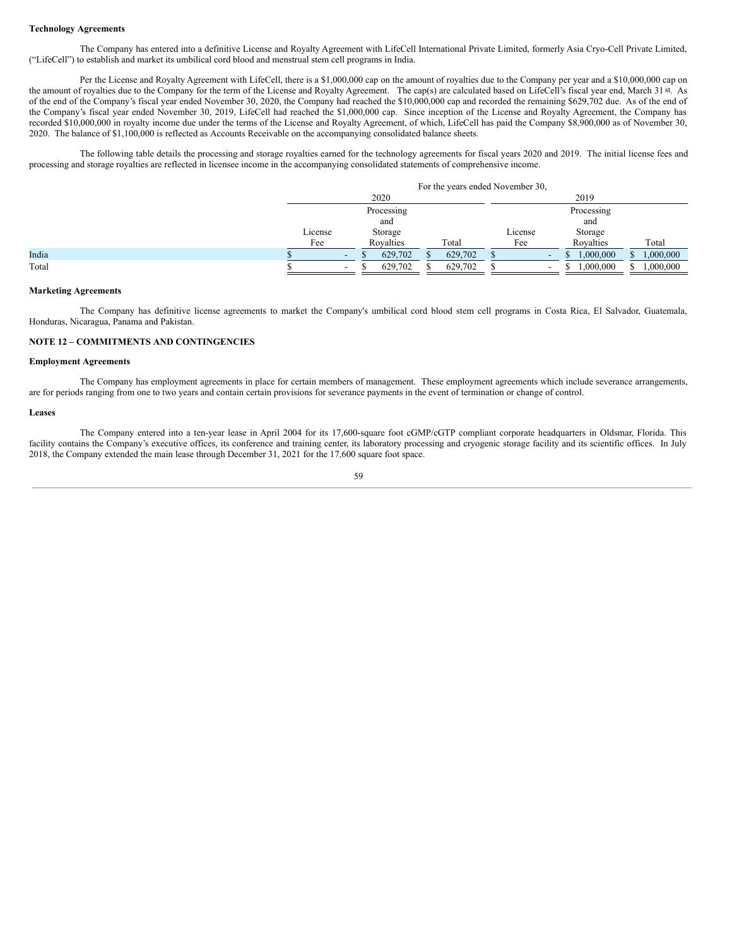## **Technology Agreements**

The Company has entered into a definitive License and Royalty Agreement with LifeCell International Private Limited, formerly Asia Cryo-Cell Private Limited, ("LifeCell") to establish and market its umbilical cord blood and menstrual stem cell programs in India.

Per the License and Royalty Agreement with LifeCell, there is a \$1,000,000 cap on the amount of royalties due to the Company per year and a \$10,000,000 cap on the amount of royalties due to the Company for the term of the License and Royalty Agreement. The cap(s) are calculated based on LifeCell's fiscal year end, March 31 st. As of the end of the Company's fiscal year ended November 30, 2020, the Company had reached the \$10,000,000 cap and recorded the remaining \$629,702 due. As of the end of the Company's fiscal year ended November 30, 2019, LifeCell had reached the \$1,000,000 cap. Since inception of the License and Royalty Agreement, the Company has recorded \$10,000,000 in royalty income due under the terms of the License and Royalty Agreement, of which, LifeCell has paid the Company \$8,900,000 as of November 30, 2020. The balance of \$1,100,000 is reflected as Accounts Receivable on the accompanying consolidated balance sheets.

The following table details the processing and storage royalties earned for the technology agreements for fiscal years 2020 and 2019. The initial license fees and processing and storage royalties are reflected in licensee income in the accompanying consolidated statements of comprehensive income.

|       | For the years ended November 30, |            |         |                          |            |          |
|-------|----------------------------------|------------|---------|--------------------------|------------|----------|
|       |                                  | 2020       |         |                          | 2019       |          |
|       |                                  | Processing |         |                          | Processing |          |
|       |                                  | and        |         |                          | and        |          |
|       | License                          | Storage    |         | License                  | Storage    |          |
|       | Fee                              | Rovalties  | Total   | Fee                      | Rovalties  | Total    |
| India | $\overline{\phantom{0}}$         | 629,702    | 629,702 | -                        | 1,000,000  | ,000,000 |
| Total | $\overline{\phantom{0}}$         | 629.702    | 629,702 | $\overline{\phantom{0}}$ | 1.000.000  | .000.000 |

## **Marketing Agreements**

The Company has definitive license agreements to market the Company's umbilical cord blood stem cell programs in Costa Rica, El Salvador, Guatemala, Honduras, Nicaragua, Panama and Pakistan.

# **NOTE 12 – COMMITMENTS AND CONTINGENCIES**

## **Employment Agreements**

The Company has employment agreements in place for certain members of management. These employment agreements which include severance arrangements, are for periods ranging from one to two years and contain certain provisions for severance payments in the event of termination or change of control.

# **Leases**

The Company entered into a ten-year lease in April 2004 for its 17,600-square foot cGMP/cGTP compliant corporate headquarters in Oldsmar, Florida. This facility contains the Company's executive offices, its conference and training center, its laboratory processing and cryogenic storage facility and its scientific offices. In July 2018, the Company extended the main lease through December 31, 2021 for the 17,600 square foot space.

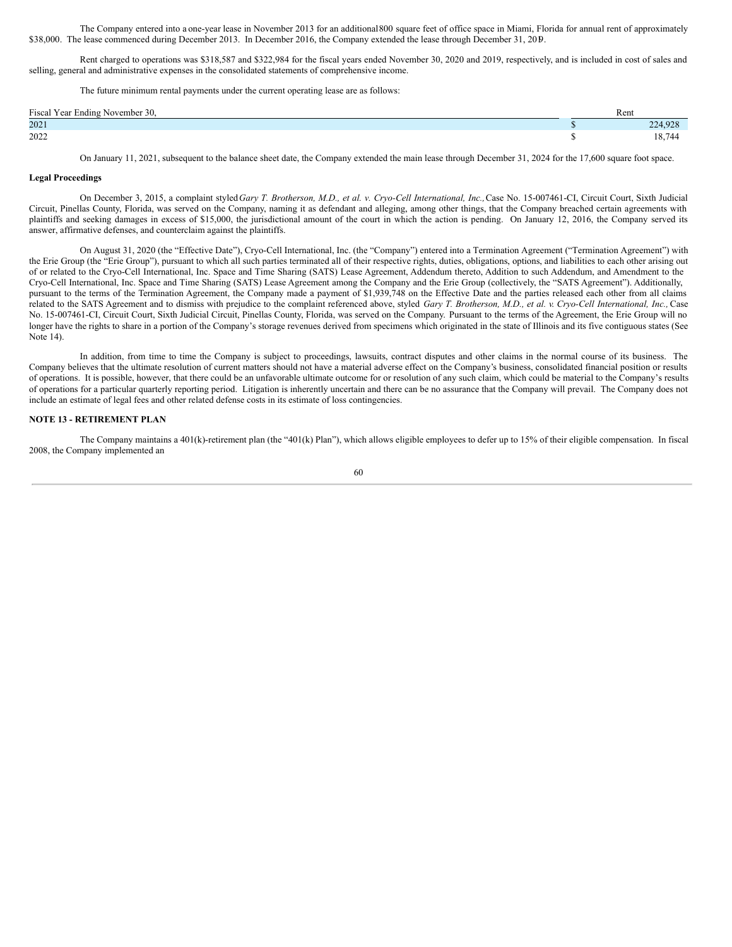The Company entered into a one-year lease in November 2013 for an additional800 square feet of office space in Miami, Florida for annual rent of approximately \$38,000. The lease commenced during December 2013. In December 2016, the Company extended the lease through December 31, 2019.

Rent charged to operations was \$318,587 and \$322,984 for the fiscal years ended November 30, 2020 and 2019, respectively, and is included in cost of sales and selling, general and administrative expenses in the consolidated statements of comprehensive income.

The future minimum rental payments under the current operating lease are as follows:

| Fiscal<br>$\sim$ $\sim$<br>---<br>. Year Ending November<br>. эu. | Rem              |
|-------------------------------------------------------------------|------------------|
| 2021                                                              | 028<br>224,920   |
| 2022                                                              | $4\Delta$<br>10. |

On January 11, 2021, subsequent to the balance sheet date, the Company extended the main lease through December 31, 2024 for the 17,600 square foot space.

# **Legal Proceedings**

On December 3, 2015, a complaint styled Gary T. Brotherson, M.D., et al. v. Cryo-Cell International, Inc., Case No. 15-007461-CI, Circuit Court, Sixth Judicial Circuit, Pinellas County, Florida, was served on the Company, naming it as defendant and alleging, among other things, that the Company breached certain agreements with plaintiffs and seeking damages in excess of \$15,000, the jurisdictional amount of the court in which the action is pending. On January 12, 2016, the Company served its answer, affirmative defenses, and counterclaim against the plaintiffs.

On August 31, 2020 (the "Effective Date"), Cryo-Cell International, Inc. (the "Company") entered into a Termination Agreement ("Termination Agreement") with the Erie Group (the "Erie Group"), pursuant to which all such parties terminated all of their respective rights, duties, obligations, options, and liabilities to each other arising out of or related to the Cryo-Cell International, Inc. Space and Time Sharing (SATS) Lease Agreement, Addendum thereto, Addition to such Addendum, and Amendment to the Cryo-Cell International, Inc. Space and Time Sharing (SATS) Lease Agreement among the Company and the Erie Group (collectively, the "SATS Agreement"). Additionally, pursuant to the terms of the Termination Agreement, the Company made a payment of \$1,939,748 on the Effective Date and the parties released each other from all claims related to the SATS Agreement and to dismiss with prejudice to the complaint referenced above, styled Gary T. Brotherson, M.D., et al. v. Cryo-Cell International, Inc., Case No. 15-007461-CI, Circuit Court, Sixth Judicial Circuit, Pinellas County, Florida, was served on the Company. Pursuant to the terms of the Agreement, the Erie Group will no longer have the rights to share in a portion of the Company's storage revenues derived from specimens which originated in the state of Illinois and its five contiguous states (See Note 14).

In addition, from time to time the Company is subject to proceedings, lawsuits, contract disputes and other claims in the normal course of its business. The Company believes that the ultimate resolution of current matters should not have a material adverse effect on the Company's business, consolidated financial position or results of operations. It is possible, however, that there could be an unfavorable ultimate outcome for or resolution of any such claim, which could be material to the Company's results of operations for a particular quarterly reporting period. Litigation is inherently uncertain and there can be no assurance that the Company will prevail. The Company does not include an estimate of legal fees and other related defense costs in its estimate of loss contingencies.

# **NOTE 13 - RETIREMENT PLAN**

The Company maintains a 401(k)-retirement plan (the "401(k) Plan"), which allows eligible employees to defer up to 15% of their eligible compensation. In fiscal 2008, the Company implemented an

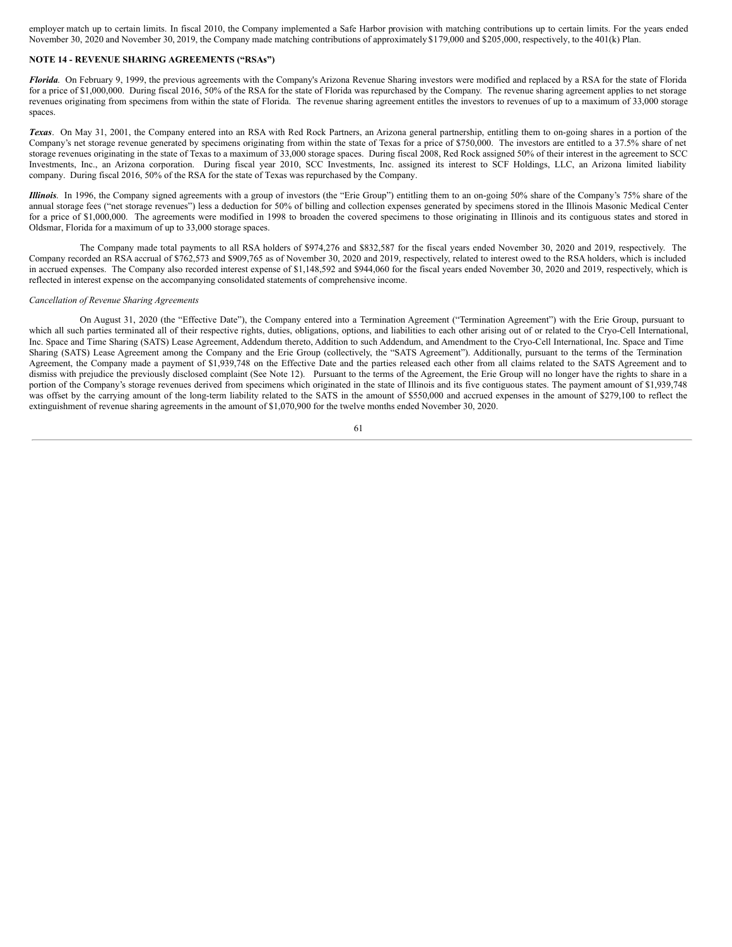employer match up to certain limits. In fiscal 2010, the Company implemented a Safe Harbor provision with matching contributions up to certain limits. For the years ended November 30, 2020 and November 30, 2019, the Company made matching contributions of approximately \$179,000 and \$205,000, respectively, to the 401(k) Plan.

# **NOTE 14 - REVENUE SHARING AGREEMENTS ("RSAs")**

*Florida*. On February 9, 1999, the previous agreements with the Company's Arizona Revenue Sharing investors were modified and replaced by a RSA for the state of Florida for a price of \$1,000,000. During fiscal 2016, 50% of the RSA for the state of Florida was repurchased by the Company. The revenue sharing agreement applies to net storage revenues originating from specimens from within the state of Florida. The revenue sharing agreement entitles the investors to revenues of up to a maximum of 33,000 storage spaces.

*Texas*. On May 31, 2001, the Company entered into an RSA with Red Rock Partners, an Arizona general partnership, entitling them to on-going shares in a portion of the Company's net storage revenue generated by specimens originating from within the state of Texas for a price of \$750,000. The investors are entitled to a 37.5% share of net storage revenues originating in the state of Texas to a maximum of 33,000 storage spaces. During fiscal 2008, Red Rock assigned 50% of their interest in the agreement to SCC Investments, Inc., an Arizona corporation. During fiscal year 2010, SCC Investments, Inc. assigned its interest to SCF Holdings, LLC, an Arizona limited liability company. During fiscal 2016, 50% of the RSA for the state of Texas was repurchased by the Company.

*Illinois*. In 1996, the Company signed agreements with a group of investors (the "Erie Group") entitling them to an on-going 50% share of the Company's 75% share of the annual storage fees ("net storage revenues") less a deduction for 50% of billing and collection expenses generated by specimens stored in the Illinois Masonic Medical Center for a price of \$1,000,000. The agreements were modified in 1998 to broaden the covered specimens to those originating in Illinois and its contiguous states and stored in Oldsmar, Florida for a maximum of up to 33,000 storage spaces.

The Company made total payments to all RSA holders of \$974,276 and \$832,587 for the fiscal years ended November 30, 2020 and 2019, respectively. The Company recorded an RSA accrual of \$762,573 and \$909,765 as of November 30, 2020 and 2019, respectively, related to interest owed to the RSA holders, which is included in accrued expenses. The Company also recorded interest expense of \$1,148,592 and \$944,060 for the fiscal years ended November 30, 2020 and 2019, respectively, which is reflected in interest expense on the accompanying consolidated statements of comprehensive income.

## *Cancellation of Revenue Sharing Agreements*

On August 31, 2020 (the "Effective Date"), the Company entered into a Termination Agreement ("Termination Agreement") with the Erie Group, pursuant to which all such parties terminated all of their respective rights, duties, obligations, options, and liabilities to each other arising out of or related to the Cryo-Cell International, Inc. Space and Time Sharing (SATS) Lease Agreement, Addendum thereto, Addition to such Addendum, and Amendment to the Cryo-Cell International, Inc. Space and Time Sharing (SATS) Lease Agreement among the Company and the Erie Group (collectively, the "SATS Agreement"). Additionally, pursuant to the terms of the Termination Agreement, the Company made a payment of \$1,939,748 on the Effective Date and the parties released each other from all claims related to the SATS Agreement and to dismiss with prejudice the previously disclosed complaint (See Note 12). Pursuant to the terms of the Agreement, the Erie Group will no longer have the rights to share in a portion of the Company's storage revenues derived from specimens which originated in the state of Illinois and its five contiguous states. The payment amount of \$1,939,748 was offset by the carrying amount of the long-term liability related to the SATS in the amount of \$550,000 and accrued expenses in the amount of \$279,100 to reflect the extinguishment of revenue sharing agreements in the amount of \$1,070,900 for the twelve months ended November 30, 2020.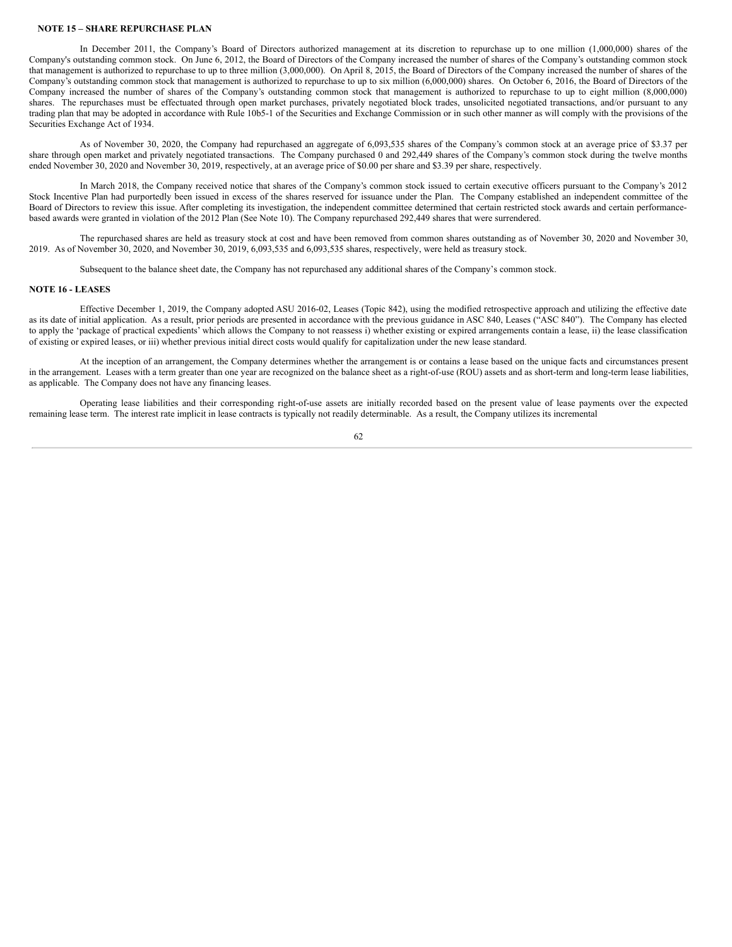# **NOTE 15 – SHARE REPURCHASE PLAN**

In December 2011, the Company's Board of Directors authorized management at its discretion to repurchase up to one million (1,000,000) shares of the Company's outstanding common stock. On June 6, 2012, the Board of Directors of the Company increased the number of shares of the Company's outstanding common stock that management is authorized to repurchase to up to three million (3,000,000). On April 8, 2015, the Board of Directors of the Company increased the number of shares of the Company's outstanding common stock that management is authorized to repurchase to up to six million (6,000,000) shares. On October 6, 2016, the Board of Directors of the Company increased the number of shares of the Company's outstanding common stock that management is authorized to repurchase to up to eight million (8,000,000) shares. The repurchases must be effectuated through open market purchases, privately negotiated block trades, unsolicited negotiated transactions, and/or pursuant to any trading plan that may be adopted in accordance with Rule 10b5-1 of the Securities and Exchange Commission or in such other manner as will comply with the provisions of the Securities Exchange Act of 1934.

As of November 30, 2020, the Company had repurchased an aggregate of 6,093,535 shares of the Company's common stock at an average price of \$3.37 per share through open market and privately negotiated transactions. The Company purchased 0 and 292,449 shares of the Company's common stock during the twelve months ended November 30, 2020 and November 30, 2019, respectively, at an average price of \$0.00 per share and \$3.39 per share, respectively.

In March 2018, the Company received notice that shares of the Company's common stock issued to certain executive officers pursuant to the Company's 2012 Stock Incentive Plan had purportedly been issued in excess of the shares reserved for issuance under the Plan. The Company established an independent committee of the Board of Directors to review this issue. After completing its investigation, the independent committee determined that certain restricted stock awards and certain performancebased awards were granted in violation of the 2012 Plan (See Note 10). The Company repurchased 292,449 shares that were surrendered.

The repurchased shares are held as treasury stock at cost and have been removed from common shares outstanding as of November 30, 2020 and November 30, 2019. As of November 30, 2020, and November 30, 2019, 6,093,535 and 6,093,535 shares, respectively, were held as treasury stock.

Subsequent to the balance sheet date, the Company has not repurchased any additional shares of the Company's common stock.

## **NOTE 16 - LEASES**

Effective December 1, 2019, the Company adopted ASU 2016-02, Leases (Topic 842), using the modified retrospective approach and utilizing the effective date as its date of initial application. As a result, prior periods are presented in accordance with the previous guidance in ASC 840, Leases ("ASC 840"). The Company has elected to apply the 'package of practical expedients' which allows the Company to not reassess i) whether existing or expired arrangements contain a lease, ii) the lease classification of existing or expired leases, or iii) whether previous initial direct costs would qualify for capitalization under the new lease standard.

At the inception of an arrangement, the Company determines whether the arrangement is or contains a lease based on the unique facts and circumstances present in the arrangement. Leases with a term greater than one year are recognized on the balance sheet as a right-of-use (ROU) assets and as short-term and long-term lease liabilities, as applicable. The Company does not have any financing leases.

Operating lease liabilities and their corresponding right-of-use assets are initially recorded based on the present value of lease payments over the expected remaining lease term. The interest rate implicit in lease contracts is typically not readily determinable. As a result, the Company utilizes its incremental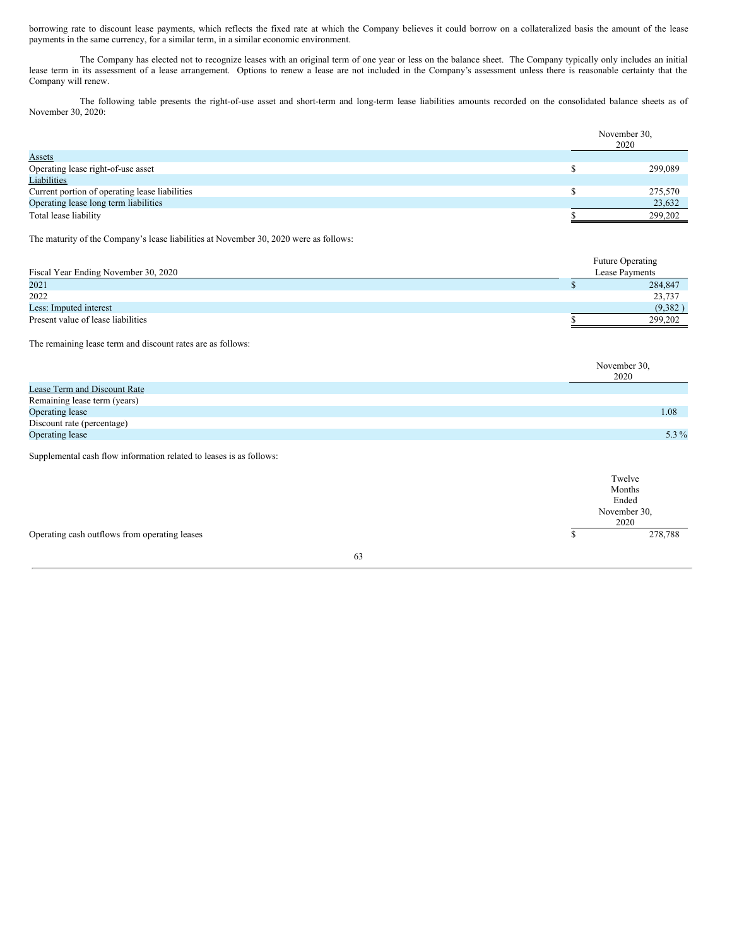borrowing rate to discount lease payments, which reflects the fixed rate at which the Company believes it could borrow on a collateralized basis the amount of the lease payments in the same currency, for a similar term, in a similar economic environment.

The Company has elected not to recognize leases with an original term of one year or less on the balance sheet. The Company typically only includes an initial lease term in its assessment of a lease arrangement. Options to renew a lease are not included in the Company's assessment unless there is reasonable certainty that the Company will renew.

The following table presents the right-of-use asset and short-term and long-term lease liabilities amounts recorded on the consolidated balance sheets as of November 30, 2020:

|                                                | November 30,<br>2020 |  |
|------------------------------------------------|----------------------|--|
| <b>Assets</b>                                  |                      |  |
| Operating lease right-of-use asset             | 299,089              |  |
| Liabilities                                    |                      |  |
| Current portion of operating lease liabilities | 275,570              |  |
| Operating lease long term liabilities          | 23,632               |  |
| Total lease liability                          | 299.202              |  |
|                                                |                      |  |

The maturity of the Company's lease liabilities at November 30, 2020 were as follows:

|                                      | <b>Future Operating</b> |         |
|--------------------------------------|-------------------------|---------|
| Fiscal Year Ending November 30, 2020 | <b>Lease Payments</b>   |         |
| 2021                                 |                         | 284,847 |
| 2022                                 |                         | 23,737  |
| Less: Imputed interest               |                         | (9,382) |
| Present value of lease liabilities   |                         | 299.202 |

The remaining lease term and discount rates are as follows:

|                              | November 30,<br>2020 |
|------------------------------|----------------------|
| Lease Term and Discount Rate |                      |
| Remaining lease term (years) |                      |
| Operating lease              | 1.08                 |
| Discount rate (percentage)   |                      |
| Operating lease              | 5.3 $%$              |

Supplemental cash flow information related to leases is as follows:

|                                               |   | Twelve<br>Months<br>Ended<br>November 30, |  |
|-----------------------------------------------|---|-------------------------------------------|--|
|                                               |   | 2020                                      |  |
| Operating cash outflows from operating leases | Œ | 278,788                                   |  |
| 63                                            |   |                                           |  |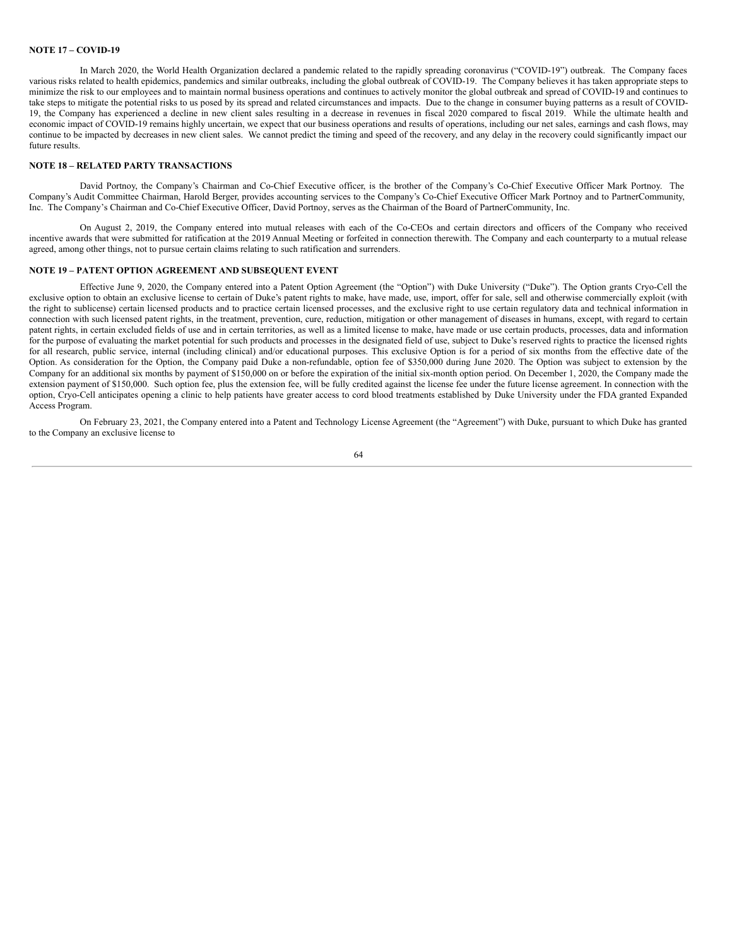## **NOTE 17 – COVID-19**

In March 2020, the World Health Organization declared a pandemic related to the rapidly spreading coronavirus ("COVID-19") outbreak. The Company faces various risks related to health epidemics, pandemics and similar outbreaks, including the global outbreak of COVID-19. The Company believes it has taken appropriate steps to minimize the risk to our employees and to maintain normal business operations and continues to actively monitor the global outbreak and spread of COVID-19 and continues to take steps to mitigate the potential risks to us posed by its spread and related circumstances and impacts. Due to the change in consumer buying patterns as a result of COVID-19, the Company has experienced a decline in new client sales resulting in a decrease in revenues in fiscal 2020 compared to fiscal 2019. While the ultimate health and economic impact of COVID-19 remains highly uncertain, we expect that our business operations and results of operations, including our net sales, earnings and cash flows, may continue to be impacted by decreases in new client sales. We cannot predict the timing and speed of the recovery, and any delay in the recovery could significantly impact our future results.

# **NOTE 18 – RELATED PARTY TRANSACTIONS**

David Portnoy, the Company's Chairman and Co-Chief Executive officer, is the brother of the Company's Co-Chief Executive Officer Mark Portnoy. The Company's Audit Committee Chairman, Harold Berger, provides accounting services to the Company's Co-Chief Executive Officer Mark Portnoy and to PartnerCommunity, Inc. The Company's Chairman and Co-Chief Executive Officer, David Portnoy, serves as the Chairman of the Board of PartnerCommunity, Inc.

On August 2, 2019, the Company entered into mutual releases with each of the Co-CEOs and certain directors and officers of the Company who received incentive awards that were submitted for ratification at the 2019 Annual Meeting or forfeited in connection therewith. The Company and each counterparty to a mutual release agreed, among other things, not to pursue certain claims relating to such ratification and surrenders.

## **NOTE 19 – PATENT OPTION AGREEMENT AND SUBSEQUENT EVENT**

Effective June 9, 2020, the Company entered into a Patent Option Agreement (the "Option") with Duke University ("Duke"). The Option grants Cryo-Cell the exclusive option to obtain an exclusive license to certain of Duke's patent rights to make, have made, use, import, offer for sale, sell and otherwise commercially exploit (with the right to sublicense) certain licensed products and to practice certain licensed processes, and the exclusive right to use certain regulatory data and technical information in connection with such licensed patent rights, in the treatment, prevention, cure, reduction, mitigation or other management of diseases in humans, except, with regard to certain patent rights, in certain excluded fields of use and in certain territories, as well as a limited license to make, have made or use certain products, processes, data and information for the purpose of evaluating the market potential for such products and processes in the designated field of use, subject to Duke's reserved rights to practice the licensed rights for all research, public service, internal (including clinical) and/or educational purposes. This exclusive Option is for a period of six months from the effective date of the Option. As consideration for the Option, the Company paid Duke a non-refundable, option fee of \$350,000 during June 2020. The Option was subject to extension by the Company for an additional six months by payment of \$150,000 on or before the expiration of the initial six-month option period. On December 1, 2020, the Company made the extension payment of \$150,000. Such option fee, plus the extension fee, will be fully credited against the license fee under the future license agreement. In connection with the option, Cryo-Cell anticipates opening a clinic to help patients have greater access to cord blood treatments established by Duke University under the FDA granted Expanded Access Program.

On February 23, 2021, the Company entered into a Patent and Technology License Agreement (the "Agreement") with Duke, pursuant to which Duke has granted to the Company an exclusive license to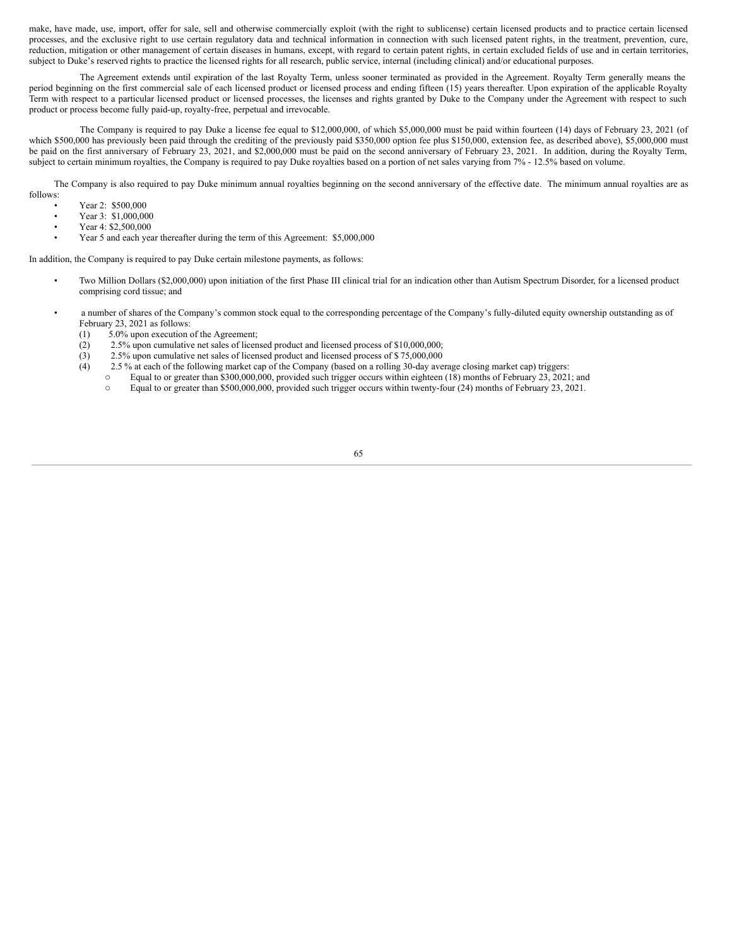make, have made, use, import, offer for sale, sell and otherwise commercially exploit (with the right to sublicense) certain licensed products and to practice certain licensed processes, and the exclusive right to use certain regulatory data and technical information in connection with such licensed patent rights, in the treatment, prevention, cure, reduction, mitigation or other management of certain diseases in humans, except, with regard to certain patent rights, in certain excluded fields of use and in certain territories, subject to Duke's reserved rights to practice the licensed rights for all research, public service, internal (including clinical) and/or educational purposes.

The Agreement extends until expiration of the last Royalty Term, unless sooner terminated as provided in the Agreement. Royalty Term generally means the period beginning on the first commercial sale of each licensed product or licensed process and ending fifteen (15) years thereafter. Upon expiration of the applicable Royalty Term with respect to a particular licensed product or licensed processes, the licenses and rights granted by Duke to the Company under the Agreement with respect to such product or process become fully paid-up, royalty-free, perpetual and irrevocable.

The Company is required to pay Duke a license fee equal to \$12,000,000, of which \$5,000,000 must be paid within fourteen (14) days of February 23, 2021 (of which \$500,000 has previously been paid through the crediting of the previously paid \$350,000 option fee plus \$150,000, extension fee, as described above), \$5,000,000 must be paid on the first anniversary of February 23, 2021, and \$2,000,000 must be paid on the second anniversary of February 23, 2021. In addition, during the Royalty Term, subject to certain minimum royalties, the Company is required to pay Duke royalties based on a portion of net sales varying from 7% - 12.5% based on volume.

The Company is also required to pay Duke minimum annual royalties beginning on the second anniversary of the effective date. The minimum annual royalties are as follows:

- Year 2: \$500,000
- Year 3: \$1,000,000
- Year 4: \$2,500,000
- Year 5 and each year thereafter during the term of this Agreement: \$5,000,000

In addition, the Company is required to pay Duke certain milestone payments, as follows:

- Two Million Dollars (\$2,000,000) upon initiation of the first Phase III clinical trial for an indication other than Autism Spectrum Disorder, for a licensed product comprising cord tissue; and
- a number of shares of the Company's common stock equal to the corresponding percentage of the Company's fully-diluted equity ownership outstanding as of February 23, 2021 as follows:
	- (1) 5.0% upon execution of the Agreement;
	- (2) 2.5% upon cumulative net sales of licensed product and licensed process of \$10,000,000;
	- (3) 2.5% upon cumulative net sales of licensed product and licensed process of \$75,000,000<br>(4) 2.5% at each of the following market cap of the Company (based on a rolling 30-day ave
		- 2.5 % at each of the following market cap of the Company (based on a rolling 30-day average closing market cap) triggers:
		- o Equal to or greater than \$300,000,000, provided such trigger occurs within eighteen (18) months of February 23, 2021; and
			- o Equal to or greater than \$500,000,000, provided such trigger occurs within twenty-four (24) months of February 23, 2021.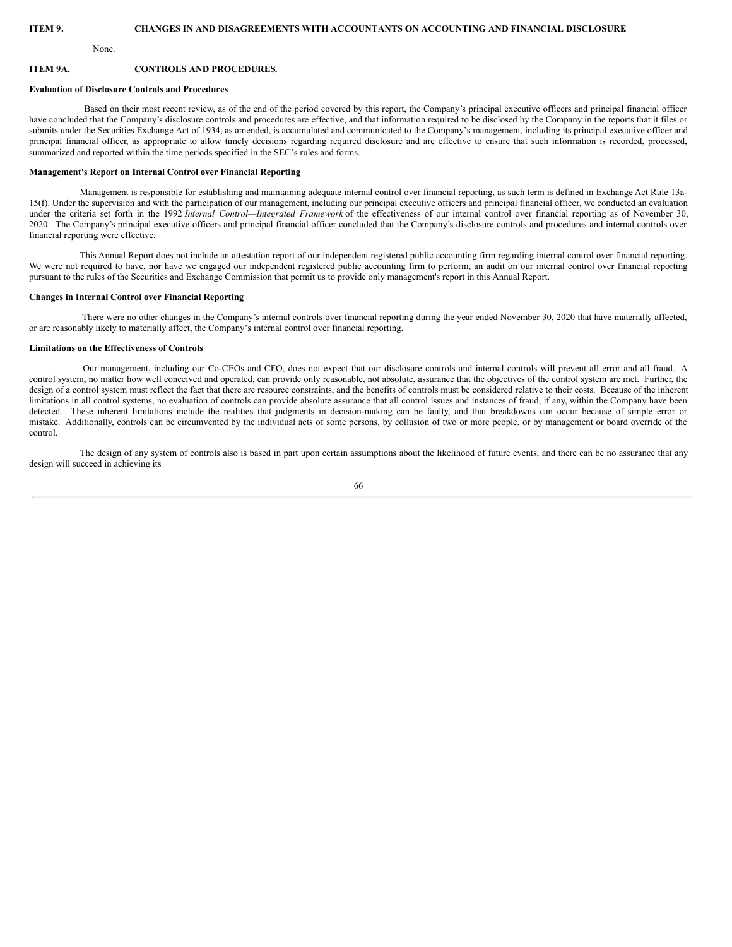None.

# **ITEM 9A. CONTROLS AND PROCEDURES.**

# **Evaluation of Disclosure Controls and Procedures**

Based on their most recent review, as of the end of the period covered by this report, the Company's principal executive officers and principal financial officer have concluded that the Company's disclosure controls and procedures are effective, and that information required to be disclosed by the Company in the reports that it files or submits under the Securities Exchange Act of 1934, as amended, is accumulated and communicated to the Company's management, including its principal executive officer and principal financial officer, as appropriate to allow timely decisions regarding required disclosure and are effective to ensure that such information is recorded, processed, summarized and reported within the time periods specified in the SEC's rules and forms.

### **Management's Report on Internal Control over Financial Reporting**

Management is responsible for establishing and maintaining adequate internal control over financial reporting, as such term is defined in Exchange Act Rule 13a-15(f). Under the supervision and with the participation of our management, including our principal executive officers and principal financial officer, we conducted an evaluation under the criteria set forth in the 1992 *Internal Control—Integrated Framework* of the effectiveness of our internal control over financial reporting as of November 30, 2020. The Company's principal executive officers and principal financial officer concluded that the Company's disclosure controls and procedures and internal controls over financial reporting were effective.

This Annual Report does not include an attestation report of our independent registered public accounting firm regarding internal control over financial reporting. We were not required to have, nor have we engaged our independent registered public accounting firm to perform, an audit on our internal control over financial reporting pursuant to the rules of the Securities and Exchange Commission that permit us to provide only management's report in this Annual Report.

# **Changes in Internal Control over Financial Reporting**

There were no other changes in the Company's internal controls over financial reporting during the year ended November 30, 2020 that have materially affected, or are reasonably likely to materially affect, the Company's internal control over financial reporting.

## **Limitations on the Effectiveness of Controls**

Our management, including our Co-CEOs and CFO, does not expect that our disclosure controls and internal controls will prevent all error and all fraud. A control system, no matter how well conceived and operated, can provide only reasonable, not absolute, assurance that the objectives of the control system are met. Further, the design of a control system must reflect the fact that there are resource constraints, and the benefits of controls must be considered relative to their costs. Because of the inherent limitations in all control systems, no evaluation of controls can provide absolute assurance that all control issues and instances of fraud, if any, within the Company have been detected. These inherent limitations include the realities that judgments in decision-making can be faulty, and that breakdowns can occur because of simple error or mistake. Additionally, controls can be circumvented by the individual acts of some persons, by collusion of two or more people, or by management or board override of the control.

The design of any system of controls also is based in part upon certain assumptions about the likelihood of future events, and there can be no assurance that any design will succeed in achieving its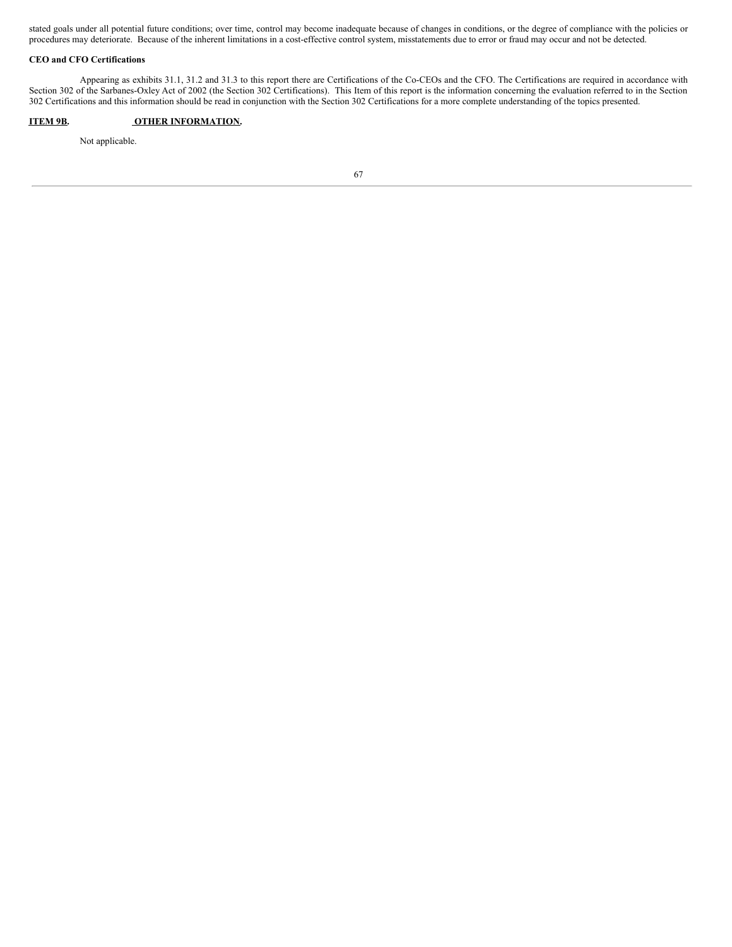stated goals under all potential future conditions; over time, control may become inadequate because of changes in conditions, or the degree of compliance with the policies or procedures may deteriorate. Because of the inherent limitations in a cost-effective control system, misstatements due to error or fraud may occur and not be detected.

# **CEO and CFO Certifications**

Appearing as exhibits 31.1, 31.2 and 31.3 to this report there are Certifications of the Co-CEOs and the CFO. The Certifications are required in accordance with Section 302 of the Sarbanes-Oxley Act of 2002 (the Section 302 Certifications). This Item of this report is the information concerning the evaluation referred to in the Section 302 Certifications and this information should be read in conjunction with the Section 302 Certifications for a more complete understanding of the topics presented.

# **ITEM 9B. OTHER INFORMATION.**

Not applicable.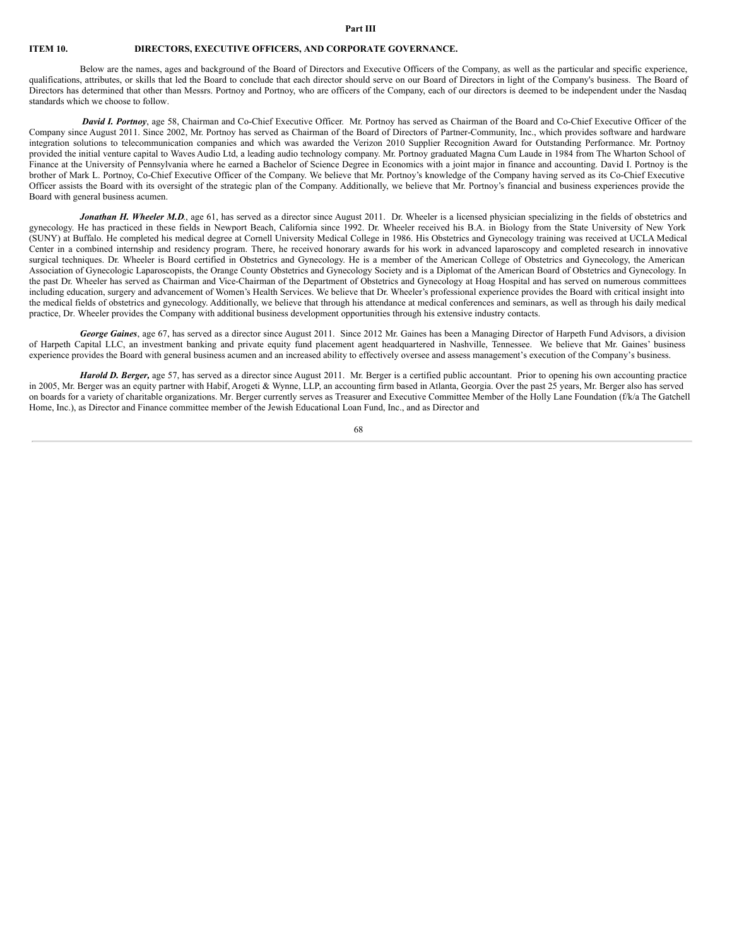#### **Part III**

# **ITEM 10. DIRECTORS, EXECUTIVE OFFICERS, AND CORPORATE GOVERNANCE.**

Below are the names, ages and background of the Board of Directors and Executive Officers of the Company, as well as the particular and specific experience, qualifications, attributes, or skills that led the Board to conclude that each director should serve on our Board of Directors in light of the Company's business. The Board of Directors has determined that other than Messrs. Portnoy and Portnoy, who are officers of the Company, each of our directors is deemed to be independent under the Nasdaq standards which we choose to follow.

*David I. Portnoy*, age 58, Chairman and Co-Chief Executive Officer. Mr. Portnoy has served as Chairman of the Board and Co-Chief Executive Officer of the Company since August 2011. Since 2002, Mr. Portnoy has served as Chairman of the Board of Directors of Partner-Community, Inc., which provides software and hardware integration solutions to telecommunication companies and which was awarded the Verizon 2010 Supplier Recognition Award for Outstanding Performance. Mr. Portnoy provided the initial venture capital to Waves Audio Ltd, a leading audio technology company. Mr. Portnoy graduated Magna Cum Laude in 1984 from The Wharton School of Finance at the University of Pennsylvania where he earned a Bachelor of Science Degree in Economics with a joint major in finance and accounting. David I. Portnoy is the brother of Mark L. Portnoy, Co-Chief Executive Officer of the Company. We believe that Mr. Portnoy's knowledge of the Company having served as its Co-Chief Executive Officer assists the Board with its oversight of the strategic plan of the Company. Additionally, we believe that Mr. Portnoy's financial and business experiences provide the Board with general business acumen.

*Jonathan H. Wheeler M.D.*, age 61, has served as a director since August 2011. Dr. Wheeler is a licensed physician specializing in the fields of obstetrics and gynecology. He has practiced in these fields in Newport Beach, California since 1992. Dr. Wheeler received his B.A. in Biology from the State University of New York (SUNY) at Buffalo. He completed his medical degree at Cornell University Medical College in 1986. His Obstetrics and Gynecology training was received at UCLA Medical Center in a combined internship and residency program. There, he received honorary awards for his work in advanced laparoscopy and completed research in innovative surgical techniques. Dr. Wheeler is Board certified in Obstetrics and Gynecology. He is a member of the American College of Obstetrics and Gynecology, the American Association of Gynecologic Laparoscopists, the Orange County Obstetrics and Gynecology Society and is a Diplomat of the American Board of Obstetrics and Gynecology. In the past Dr. Wheeler has served as Chairman and Vice-Chairman of the Department of Obstetrics and Gynecology at Hoag Hospital and has served on numerous committees including education, surgery and advancement of Women's Health Services. We believe that Dr. Wheeler's professional experience provides the Board with critical insight into the medical fields of obstetrics and gynecology. Additionally, we believe that through his attendance at medical conferences and seminars, as well as through his daily medical practice, Dr. Wheeler provides the Company with additional business development opportunities through his extensive industry contacts.

*George Gaines*, age 67, has served as a director since August 2011. Since 2012 Mr. Gaines has been a Managing Director of Harpeth Fund Advisors, a division of Harpeth Capital LLC, an investment banking and private equity fund placement agent headquartered in Nashville, Tennessee. We believe that Mr. Gaines' business experience provides the Board with general business acumen and an increased ability to effectively oversee and assess management's execution of the Company's business.

*Harold D. Berger,* age 57, has served as a director since August 2011. Mr. Berger is a certified public accountant. Prior to opening his own accounting practice in 2005, Mr. Berger was an equity partner with Habif, Arogeti & Wynne, LLP, an accounting firm based in Atlanta, Georgia. Over the past 25 years, Mr. Berger also has served on boards for a variety of charitable organizations. Mr. Berger currently serves as Treasurer and Executive Committee Member of the Holly Lane Foundation (f/k/a The Gatchell Home, Inc.), as Director and Finance committee member of the Jewish Educational Loan Fund, Inc., and as Director and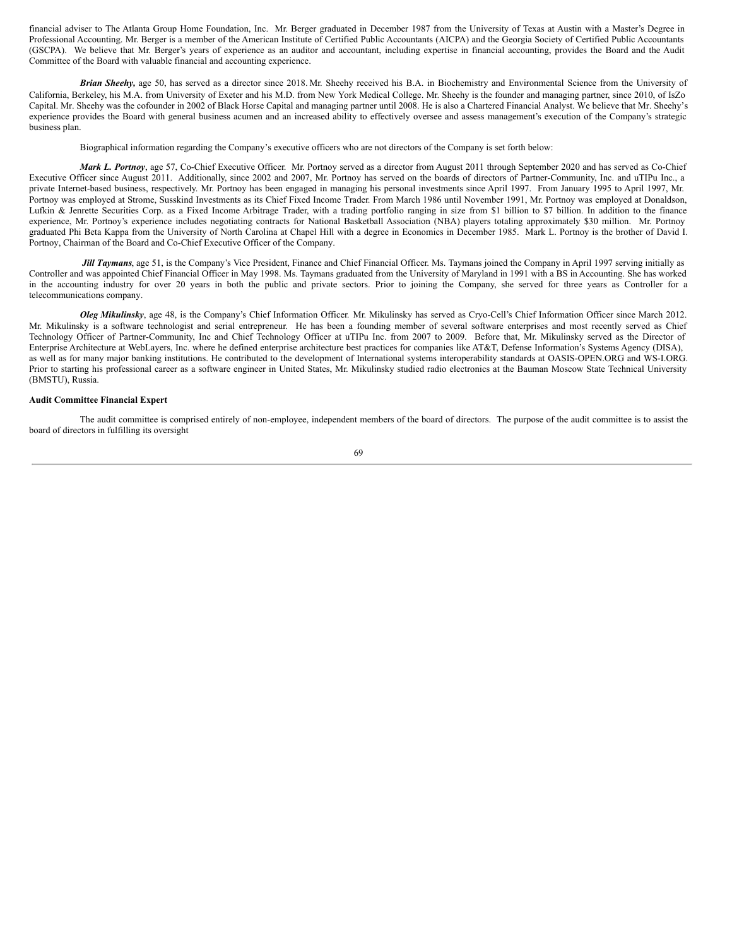financial adviser to The Atlanta Group Home Foundation, Inc. Mr. Berger graduated in December 1987 from the University of Texas at Austin with a Master's Degree in Professional Accounting. Mr. Berger is a member of the American Institute of Certified Public Accountants (AICPA) and the Georgia Society of Certified Public Accountants (GSCPA). We believe that Mr. Berger's years of experience as an auditor and accountant, including expertise in financial accounting, provides the Board and the Audit Committee of the Board with valuable financial and accounting experience.

*Brian Sheehy,* age 50, has served as a director since 2018. Mr. Sheehy received his B.A. in Biochemistry and Environmental Science from the University of California, Berkeley, his M.A. from University of Exeter and his M.D. from New York Medical College. Mr. Sheehy is the founder and managing partner, since 2010, of IsZo Capital. Mr. Sheehy was the cofounder in 2002 of Black Horse Capital and managing partner until 2008. He is also a Chartered Financial Analyst. We believe that Mr. Sheehy's experience provides the Board with general business acumen and an increased ability to effectively oversee and assess management's execution of the Company's strategic business plan.

Biographical information regarding the Company's executive officers who are not directors of the Company is set forth below:

*Mark L. Portnoy*, age 57, Co-Chief Executive Officer. Mr. Portnoy served as a director from August 2011 through September 2020 and has served as Co-Chief Executive Officer since August 2011. Additionally, since 2002 and 2007, Mr. Portnoy has served on the boards of directors of Partner-Community, Inc. and uTIPu Inc., a private Internet-based business, respectively. Mr. Portnoy has been engaged in managing his personal investments since April 1997. From January 1995 to April 1997, Mr. Portnoy was employed at Strome, Susskind Investments as its Chief Fixed Income Trader. From March 1986 until November 1991, Mr. Portnoy was employed at Donaldson, Lufkin & Jenrette Securities Corp. as a Fixed Income Arbitrage Trader, with a trading portfolio ranging in size from \$1 billion to \$7 billion. In addition to the finance experience, Mr. Portnoy's experience includes negotiating contracts for National Basketball Association (NBA) players totaling approximately \$30 million. Mr. Portnoy graduated Phi Beta Kappa from the University of North Carolina at Chapel Hill with a degree in Economics in December 1985. Mark L. Portnoy is the brother of David I. Portnoy, Chairman of the Board and Co-Chief Executive Officer of the Company.

*Jill Taymans*, age 51, is the Company's Vice President, Finance and Chief Financial Officer. Ms. Taymans joined the Company in April 1997 serving initially as Controller and was appointed Chief Financial Officer in May 1998. Ms. Taymans graduated from the University of Maryland in 1991 with a BS in Accounting. She has worked in the accounting industry for over 20 years in both the public and private sectors. Prior to joining the Company, she served for three years as Controller for a telecommunications company.

*Oleg Mikulinsky*, age 48, is the Company's Chief Information Officer. Mr. Mikulinsky has served as Cryo-Cell's Chief Information Officer since March 2012. Mr. Mikulinsky is a software technologist and serial entrepreneur. He has been a founding member of several software enterprises and most recently served as Chief Technology Officer of Partner-Community, Inc and Chief Technology Officer at uTIPu Inc. from 2007 to 2009. Before that, Mr. Mikulinsky served as the Director of Enterprise Architecture at WebLayers, Inc. where he defined enterprise architecture best practices for companies like AT&T, Defense Information's Systems Agency (DISA), as well as for many major banking institutions. He contributed to the development of International systems interoperability standards at OASIS-OPEN.ORG and WS-I.ORG. Prior to starting his professional career as a software engineer in United States, Mr. Mikulinsky studied radio electronics at the Bauman Moscow State Technical University (BMSTU), Russia.

# **Audit Committee Financial Expert**

The audit committee is comprised entirely of non-employee, independent members of the board of directors. The purpose of the audit committee is to assist the board of directors in fulfilling its oversight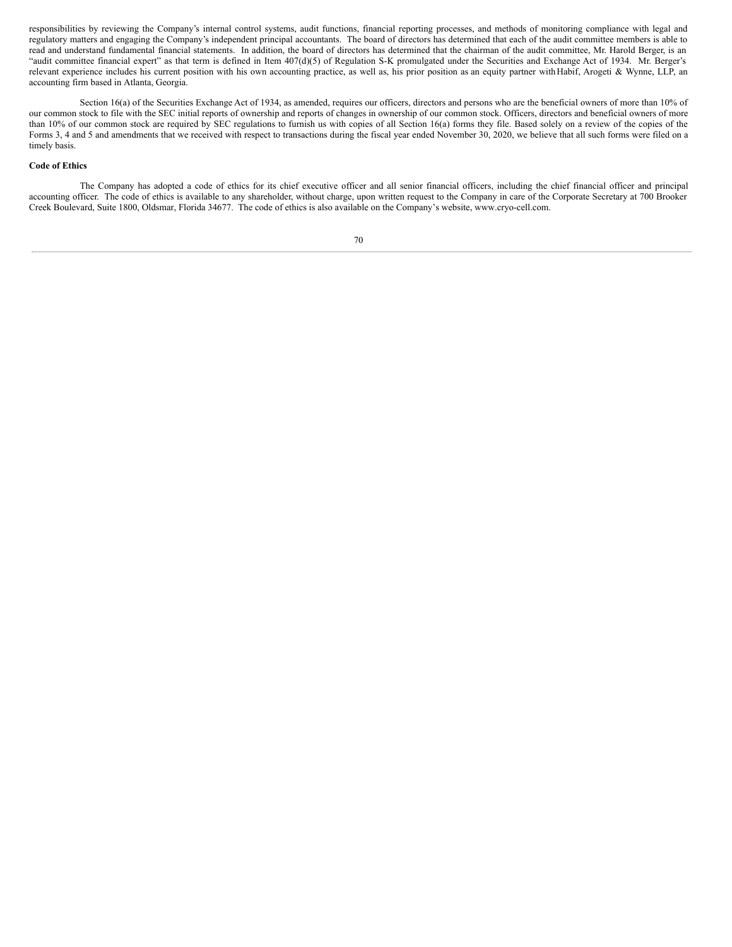responsibilities by reviewing the Company's internal control systems, audit functions, financial reporting processes, and methods of monitoring compliance with legal and regulatory matters and engaging the Company's independent principal accountants. The board of directors has determined that each of the audit committee members is able to read and understand fundamental financial statements. In addition, the board of directors has determined that the chairman of the audit committee, Mr. Harold Berger, is an "audit committee financial expert" as that term is defined in Item 407(d)(5) of Regulation S-K promulgated under the Securities and Exchange Act of 1934. Mr. Berger's relevant experience includes his current position with his own accounting practice, as well as, his prior position as an equity partner with Habif, Arogeti & Wynne, LLP, an accounting firm based in Atlanta, Georgia.

Section 16(a) of the Securities Exchange Act of 1934, as amended, requires our officers, directors and persons who are the beneficial owners of more than 10% of our common stock to file with the SEC initial reports of ownership and reports of changes in ownership of our common stock. Officers, directors and beneficial owners of more than 10% of our common stock are required by SEC regulations to furnish us with copies of all Section 16(a) forms they file. Based solely on a review of the copies of the Forms 3, 4 and 5 and amendments that we received with respect to transactions during the fiscal year ended November 30, 2020, we believe that all such forms were filed on a timely basis.

# **Code of Ethics**

The Company has adopted a code of ethics for its chief executive officer and all senior financial officers, including the chief financial officer and principal accounting officer. The code of ethics is available to any shareholder, without charge, upon written request to the Company in care of the Corporate Secretary at 700 Brooker Creek Boulevard, Suite 1800, Oldsmar, Florida 34677. The code of ethics is also available on the Company's website, www.cryo-cell.com.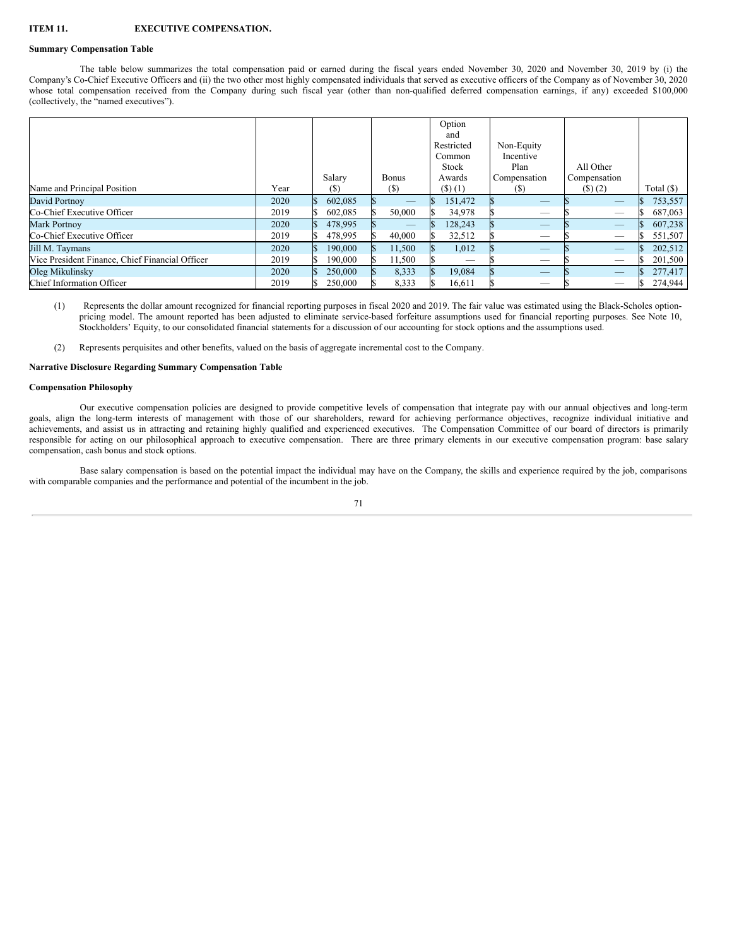# **ITEM 11. EXECUTIVE COMPENSATION.**

#### **Summary Compensation Table**

The table below summarizes the total compensation paid or earned during the fiscal years ended November 30, 2020 and November 30, 2019 by (i) the Company's Co-Chief Executive Officers and (ii) the two other most highly compensated individuals that served as executive officers of the Company as of November 30, 2020 whose total compensation received from the Company during such fiscal year (other than non-qualified deferred compensation earnings, if any) exceeded \$100,000 (collectively, the "named executives").

|                                                 |      | Salary  | <b>Bonus</b> | Option<br>and<br>Restricted<br>Common<br>Stock<br>Awards | Non-Equity<br>Incentive<br>Plan<br>Compensation | All Other<br>Compensation |              |
|-------------------------------------------------|------|---------|--------------|----------------------------------------------------------|-------------------------------------------------|---------------------------|--------------|
| Name and Principal Position                     | Year | (S)     | (\$)         | $($ \$) $(1)$                                            | (S)                                             | $($ \$) $(2)$             | Total $(\$)$ |
| David Portnoy                                   | 2020 | 602,085 |              | 151,472                                                  | _                                               | $\overline{\phantom{a}}$  | 753,557      |
| Co-Chief Executive Officer                      | 2019 | 602.085 | 50,000       | 34,978                                                   | __                                              |                           | 687,063      |
| <b>Mark Portnoy</b>                             | 2020 | 478,995 | _            | 128,243                                                  | _                                               |                           | 607,238      |
| Co-Chief Executive Officer                      | 2019 | 478,995 | 40,000       | 32,512                                                   | _                                               | _                         | 551,507      |
| Jill M. Taymans                                 | 2020 | 190,000 | 11,500       | 1,012                                                    | _                                               |                           | 202,512      |
| Vice President Finance, Chief Financial Officer | 2019 | 190,000 | 11,500       | --                                                       | __                                              | _                         | 201,500      |
| Oleg Mikulinsky                                 | 2020 | 250,000 | 8,333        | 19,084                                                   | _                                               |                           | 277,417      |
| Chief Information Officer                       | 2019 | 250,000 | 8,333        | 16,611                                                   | --                                              | _                         | 274,944      |

(1) Represents the dollar amount recognized for financial reporting purposes in fiscal 2020 and 2019. The fair value was estimated using the Black-Scholes optionpricing model. The amount reported has been adjusted to eliminate service-based forfeiture assumptions used for financial reporting purposes. See Note 10, Stockholders' Equity, to our consolidated financial statements for a discussion of our accounting for stock options and the assumptions used.

(2) Represents perquisites and other benefits, valued on the basis of aggregate incremental cost to the Company.

### **Narrative Disclosure Regarding Summary Compensation Table**

#### **Compensation Philosophy**

Our executive compensation policies are designed to provide competitive levels of compensation that integrate pay with our annual objectives and long-term goals, align the long-term interests of management with those of our shareholders, reward for achieving performance objectives, recognize individual initiative and achievements, and assist us in attracting and retaining highly qualified and experienced executives. The Compensation Committee of our board of directors is primarily responsible for acting on our philosophical approach to executive compensation. There are three primary elements in our executive compensation program: base salary compensation, cash bonus and stock options.

Base salary compensation is based on the potential impact the individual may have on the Company, the skills and experience required by the job, comparisons with comparable companies and the performance and potential of the incumbent in the job.

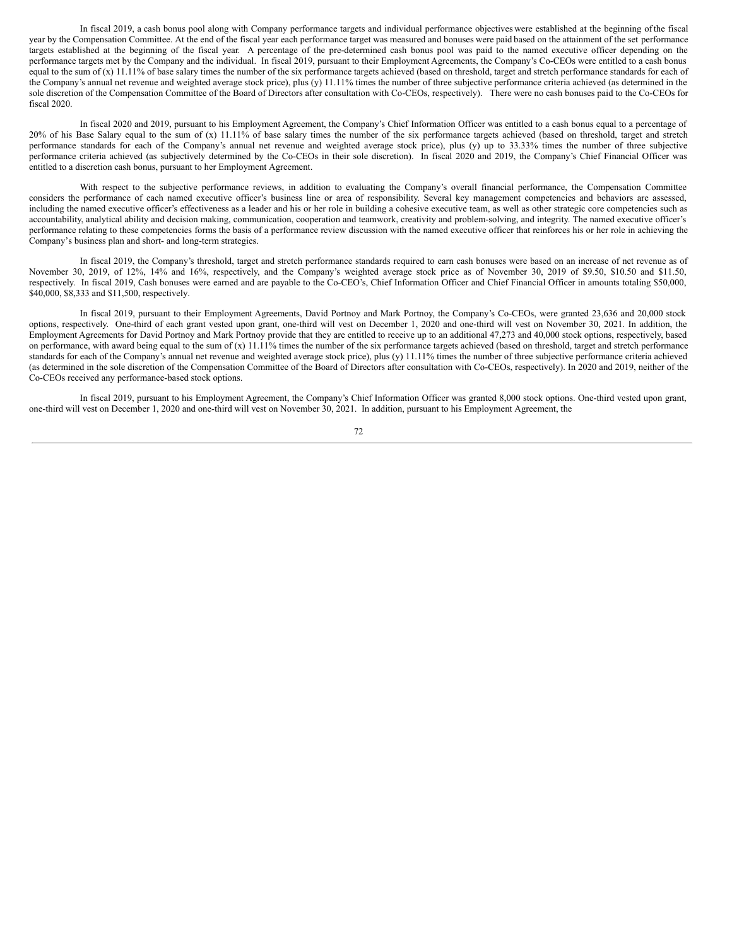In fiscal 2019, a cash bonus pool along with Company performance targets and individual performance objectives were established at the beginning ofthe fiscal year by the Compensation Committee. At the end of the fiscal year each performance target was measured and bonuses were paid based on the attainment of the set performance targets established at the beginning of the fiscal year. A percentage of the pre-determined cash bonus pool was paid to the named executive officer depending on the performance targets met by the Company and the individual. In fiscal 2019, pursuant to their Employment Agreements, the Company's Co-CEOs were entitled to a cash bonus equal to the sum of (x) 11.11% of base salary times the number of the six performance targets achieved (based on threshold, target and stretch performance standards for each of the Company's annual net revenue and weighted average stock price), plus (y) 11.11% times the number of three subjective performance criteria achieved (as determined in the sole discretion of the Compensation Committee of the Board of Directors after consultation with Co-CEOs, respectively). There were no cash bonuses paid to the Co-CEOs for fiscal 2020.

In fiscal 2020 and 2019, pursuant to his Employment Agreement, the Company's Chief Information Officer was entitled to a cash bonus equal to a percentage of 20% of his Base Salary equal to the sum of (x) 11.11% of base salary times the number of the six performance targets achieved (based on threshold, target and stretch performance standards for each of the Company's annual net revenue and weighted average stock price), plus (y) up to 33.33% times the number of three subjective performance criteria achieved (as subjectively determined by the Co-CEOs in their sole discretion). In fiscal 2020 and 2019, the Company's Chief Financial Officer was entitled to a discretion cash bonus, pursuant to her Employment Agreement.

With respect to the subjective performance reviews, in addition to evaluating the Company's overall financial performance, the Compensation Committee considers the performance of each named executive officer's business line or area of responsibility. Several key management competencies and behaviors are assessed, including the named executive officer's effectiveness as a leader and his or her role in building a cohesive executive team, as well as other strategic core competencies such as accountability, analytical ability and decision making, communication, cooperation and teamwork, creativity and problem-solving, and integrity. The named executive officer's performance relating to these competencies forms the basis of a performance review discussion with the named executive officer that reinforces his or her role in achieving the Company's business plan and short- and long-term strategies.

In fiscal 2019, the Company's threshold, target and stretch performance standards required to earn cash bonuses were based on an increase of net revenue as of November 30, 2019, of 12%, 14% and 16%, respectively, and the Company's weighted average stock price as of November 30, 2019 of \$9.50, \$10.50 and \$11.50, respectively. In fiscal 2019, Cash bonuses were earned and are payable to the Co-CEO's, Chief Information Officer and Chief Financial Officer in amounts totaling \$50,000, \$40,000, \$8,333 and \$11,500, respectively.

In fiscal 2019, pursuant to their Employment Agreements, David Portnoy and Mark Portnoy, the Company's Co-CEOs, were granted 23,636 and 20,000 stock options, respectively. One-third of each grant vested upon grant, one-third will vest on December 1, 2020 and one-third will vest on November 30, 2021. In addition, the Employment Agreements for David Portnoy and Mark Portnoy provide that they are entitled to receive up to an additional 47,273 and 40,000 stock options, respectively, based on performance, with award being equal to the sum of (x) 11.11% times the number of the six performance targets achieved (based on threshold, target and stretch performance standards for each of the Company's annual net revenue and weighted average stock price), plus (y) 11.11% times the number of three subjective performance criteria achieved (as determined in the sole discretion of the Compensation Committee of the Board of Directors after consultation with Co-CEOs, respectively). In 2020 and 2019, neither of the Co-CEOs received any performance-based stock options.

In fiscal 2019, pursuant to his Employment Agreement, the Company's Chief Information Officer was granted 8,000 stock options. One-third vested upon grant, one-third will vest on December 1, 2020 and one-third will vest on November 30, 2021. In addition, pursuant to his Employment Agreement, the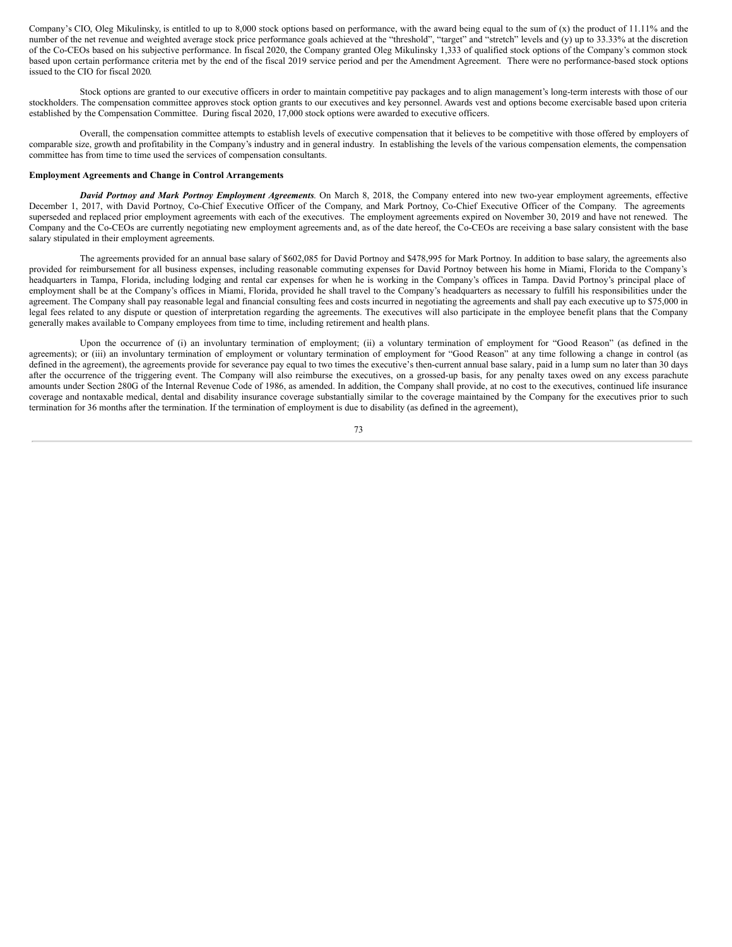Company's CIO, Oleg Mikulinsky, is entitled to up to 8,000 stock options based on performance, with the award being equal to the sum of (x) the product of 11.11% and the number of the net revenue and weighted average stock price performance goals achieved at the "threshold", "target" and "stretch" levels and (y) up to 33.33% at the discretion of the Co-CEOs based on his subjective performance. In fiscal 2020, the Company granted Oleg Mikulinsky 1,333 of qualified stock options of the Company's common stock based upon certain performance criteria met by the end of the fiscal 2019 service period and per the Amendment Agreement. There were no performance-based stock options issued to the CIO for fiscal 2020.

Stock options are granted to our executive officers in order to maintain competitive pay packages and to align management's long-term interests with those of our stockholders. The compensation committee approves stock option grants to our executives and key personnel. Awards vest and options become exercisable based upon criteria established by the Compensation Committee. During fiscal 2020, 17,000 stock options were awarded to executive officers.

Overall, the compensation committee attempts to establish levels of executive compensation that it believes to be competitive with those offered by employers of comparable size, growth and profitability in the Company's industry and in general industry. In establishing the levels of the various compensation elements, the compensation committee has from time to time used the services of compensation consultants.

# **Employment Agreements and Change in Control Arrangements**

*David Portnoy and Mark Portnoy Employment Agreements*. On March 8, 2018, the Company entered into new two-year employment agreements, effective December 1, 2017, with David Portnoy, Co-Chief Executive Officer of the Company, and Mark Portnoy, Co-Chief Executive Officer of the Company. The agreements superseded and replaced prior employment agreements with each of the executives. The employment agreements expired on November 30, 2019 and have not renewed. The Company and the Co-CEOs are currently negotiating new employment agreements and, as of the date hereof, the Co-CEOs are receiving a base salary consistent with the base salary stipulated in their employment agreements.

The agreements provided for an annual base salary of \$602,085 for David Portnoy and \$478,995 for Mark Portnoy. In addition to base salary, the agreements also provided for reimbursement for all business expenses, including reasonable commuting expenses for David Portnoy between his home in Miami, Florida to the Company's headquarters in Tampa, Florida, including lodging and rental car expenses for when he is working in the Company's offices in Tampa. David Portnoy's principal place of employment shall be at the Company's offices in Miami, Florida, provided he shall travel to the Company's headquarters as necessary to fulfill his responsibilities under the agreement. The Company shall pay reasonable legal and financial consulting fees and costs incurred in negotiating the agreements and shall pay each executive up to \$75,000 in legal fees related to any dispute or question of interpretation regarding the agreements. The executives will also participate in the employee benefit plans that the Company generally makes available to Company employees from time to time, including retirement and health plans.

Upon the occurrence of (i) an involuntary termination of employment; (ii) a voluntary termination of employment for "Good Reason" (as defined in the agreements); or (iii) an involuntary termination of employment or voluntary termination of employment for "Good Reason" at any time following a change in control (as defined in the agreement), the agreements provide for severance pay equal to two times the executive's then-current annual base salary, paid in a lump sum no later than 30 days after the occurrence of the triggering event. The Company will also reimburse the executives, on a grossed-up basis, for any penalty taxes owed on any excess parachute amounts under Section 280G of the Internal Revenue Code of 1986, as amended. In addition, the Company shall provide, at no cost to the executives, continued life insurance coverage and nontaxable medical, dental and disability insurance coverage substantially similar to the coverage maintained by the Company for the executives prior to such termination for 36 months after the termination. If the termination of employment is due to disability (as defined in the agreement),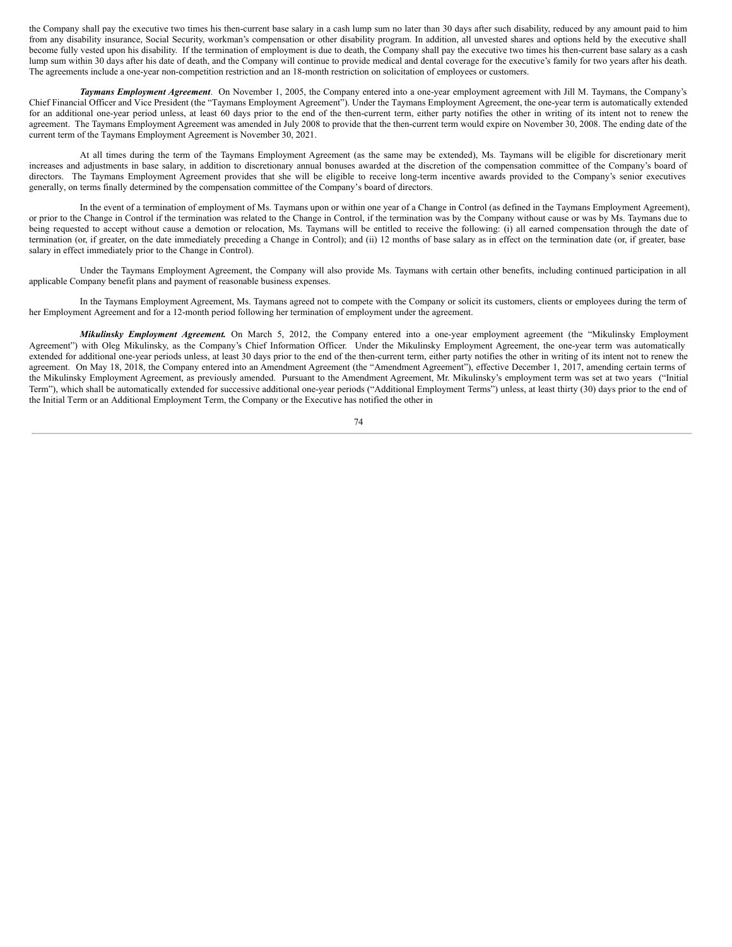the Company shall pay the executive two times his then-current base salary in a cash lump sum no later than 30 days after such disability, reduced by any amount paid to him from any disability insurance, Social Security, workman's compensation or other disability program. In addition, all unvested shares and options held by the executive shall become fully vested upon his disability. If the termination of employment is due to death, the Company shall pay the executive two times his then-current base salary as a cash lump sum within 30 days after his date of death, and the Company will continue to provide medical and dental coverage for the executive's family for two years after his death. The agreements include a one-year non-competition restriction and an 18-month restriction on solicitation of employees or customers.

*Taymans Employment Agreement*. On November 1, 2005, the Company entered into a one-year employment agreement with Jill M. Taymans, the Company's Chief Financial Officer and Vice President (the "Taymans Employment Agreement"). Under the Taymans Employment Agreement, the one-year term is automatically extended for an additional one-year period unless, at least 60 days prior to the end of the then-current term, either party notifies the other in writing of its intent not to renew the agreement. The Taymans Employment Agreement was amended in July 2008 to provide that the then-current term would expire on November 30, 2008. The ending date of the current term of the Taymans Employment Agreement is November 30, 2021.

At all times during the term of the Taymans Employment Agreement (as the same may be extended), Ms. Taymans will be eligible for discretionary merit increases and adjustments in base salary, in addition to discretionary annual bonuses awarded at the discretion of the compensation committee of the Company's board of directors. The Taymans Employment Agreement provides that she will be eligible to receive long-term incentive awards provided to the Company's senior executives generally, on terms finally determined by the compensation committee of the Company's board of directors.

In the event of a termination of employment of Ms. Taymans upon or within one year of a Change in Control (as defined in the Taymans Employment Agreement), or prior to the Change in Control if the termination was related to the Change in Control, if the termination was by the Company without cause or was by Ms. Taymans due to being requested to accept without cause a demotion or relocation, Ms. Taymans will be entitled to receive the following: (i) all earned compensation through the date of termination (or, if greater, on the date immediately preceding a Change in Control); and (ii) 12 months of base salary as in effect on the termination date (or, if greater, base salary in effect immediately prior to the Change in Control).

Under the Taymans Employment Agreement, the Company will also provide Ms. Taymans with certain other benefits, including continued participation in all applicable Company benefit plans and payment of reasonable business expenses.

In the Taymans Employment Agreement, Ms. Taymans agreed not to compete with the Company or solicit its customers, clients or employees during the term of her Employment Agreement and for a 12-month period following her termination of employment under the agreement.

*Mikulinsky Employment Agreement.* On March 5, 2012, the Company entered into a one-year employment agreement (the "Mikulinsky Employment Agreement") with Oleg Mikulinsky, as the Company's Chief Information Officer. Under the Mikulinsky Employment Agreement, the one-year term was automatically extended for additional one-year periods unless, at least 30 days prior to the end of the then-current term, either party notifies the other in writing of its intent not to renew the agreement. On May 18, 2018, the Company entered into an Amendment Agreement (the "Amendment Agreement"), effective December 1, 2017, amending certain terms of the Mikulinsky Employment Agreement, as previously amended. Pursuant to the Amendment Agreement, Mr. Mikulinsky's employment term was set at two years ("Initial Term"), which shall be automatically extended for successive additional one-year periods ("Additional Employment Terms") unless, at least thirty (30) days prior to the end of the Initial Term or an Additional Employment Term, the Company or the Executive has notified the other in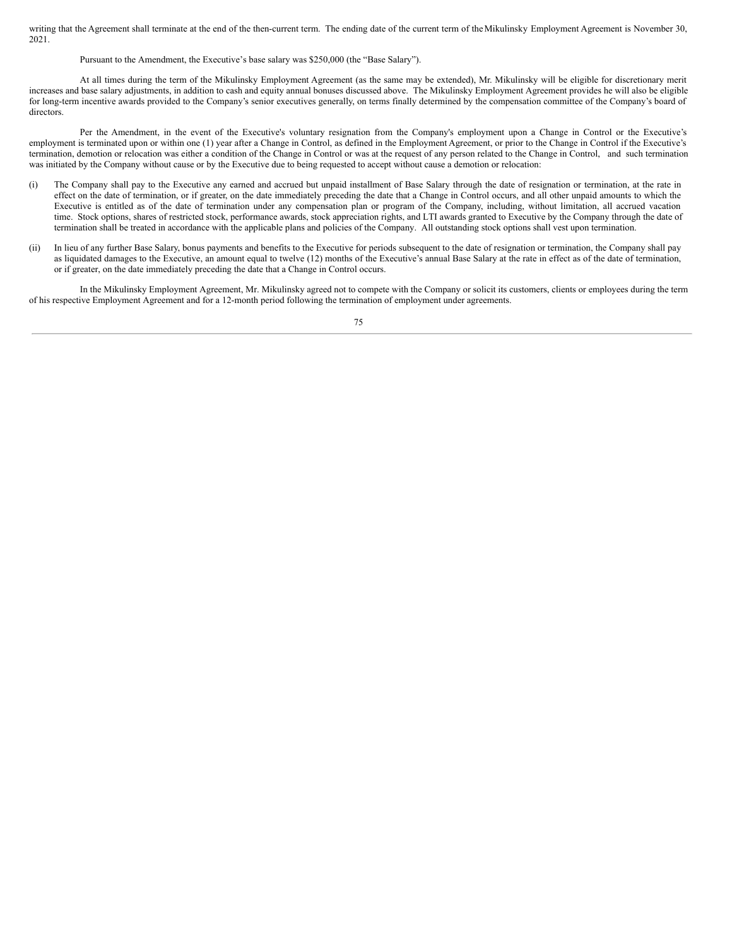writing that the Agreement shall terminate at the end of the then-current term. The ending date of the current term of the Mikulinsky Employment Agreement is November 30, 2021.

Pursuant to the Amendment, the Executive's base salary was \$250,000 (the "Base Salary").

At all times during the term of the Mikulinsky Employment Agreement (as the same may be extended), Mr. Mikulinsky will be eligible for discretionary merit increases and base salary adjustments, in addition to cash and equity annual bonuses discussed above. The Mikulinsky Employment Agreement provides he will also be eligible for long-term incentive awards provided to the Company's senior executives generally, on terms finally determined by the compensation committee of the Company's board of directors.

Per the Amendment, in the event of the Executive's voluntary resignation from the Company's employment upon a Change in Control or the Executive's employment is terminated upon or within one (1) year after a Change in Control, as defined in the Employment Agreement, or prior to the Change in Control if the Executive's termination, demotion or relocation was either a condition of the Change in Control or was at the request of any person related to the Change in Control, and such termination was initiated by the Company without cause or by the Executive due to being requested to accept without cause a demotion or relocation:

- (i) The Company shall pay to the Executive any earned and accrued but unpaid installment of Base Salary through the date of resignation or termination, at the rate in effect on the date of termination, or if greater, on the date immediately preceding the date that a Change in Control occurs, and all other unpaid amounts to which the Executive is entitled as of the date of termination under any compensation plan or program of the Company, including, without limitation, all accrued vacation time. Stock options, shares of restricted stock, performance awards, stock appreciation rights, and LTI awards granted to Executive by the Company through the date of termination shall be treated in accordance with the applicable plans and policies of the Company. All outstanding stock options shall vest upon termination.
- (ii) In lieu of any further Base Salary, bonus payments and benefits to the Executive for periods subsequent to the date of resignation or termination, the Company shall pay as liquidated damages to the Executive, an amount equal to twelve (12) months of the Executive's annual Base Salary at the rate in effect as of the date of termination, or if greater, on the date immediately preceding the date that a Change in Control occurs.

In the Mikulinsky Employment Agreement, Mr. Mikulinsky agreed not to compete with the Company or solicit its customers, clients or employees during the term of his respective Employment Agreement and for a 12-month period following the termination of employment under agreements.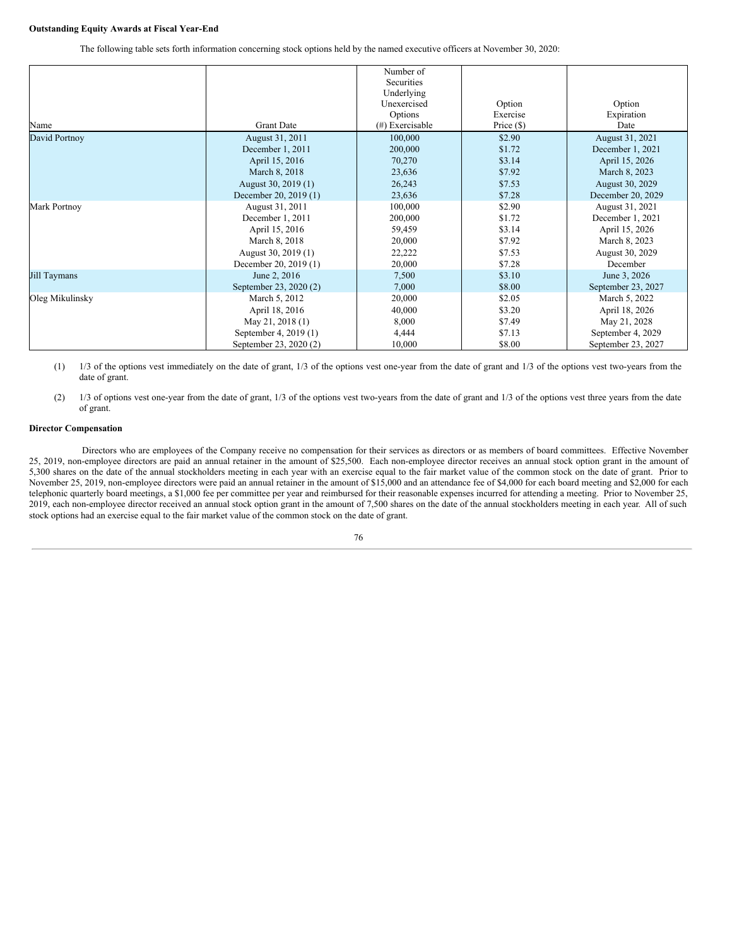#### **Outstanding Equity Awards at Fiscal Year-End**

The following table sets forth information concerning stock options held by the named executive officers at November 30, 2020:

|                     |                        | Number of<br>Securities   |              |                    |
|---------------------|------------------------|---------------------------|--------------|--------------------|
|                     |                        | Underlying<br>Unexercised | Option       | Option             |
|                     |                        | Options                   | Exercise     | Expiration         |
| Name                | <b>Grant Date</b>      | $(\#)$ Exercisable        | Price $(\$)$ | Date               |
| David Portnoy       | August 31, 2011        | 100,000                   | \$2.90       | August 31, 2021    |
|                     | December 1, 2011       | 200,000                   | \$1.72       | December 1, 2021   |
|                     | April 15, 2016         | 70,270                    | \$3.14       | April 15, 2026     |
|                     | March 8, 2018          | 23,636                    | \$7.92       | March 8, 2023      |
|                     | August 30, 2019 (1)    | 26,243                    | \$7.53       | August 30, 2029    |
|                     | December 20, 2019 (1)  | 23,636                    | \$7.28       | December 20, 2029  |
| Mark Portnoy        | August 31, 2011        | 100,000                   | \$2.90       | August 31, 2021    |
|                     | December 1, 2011       | 200,000                   | \$1.72       | December 1, 2021   |
|                     | April 15, 2016         | 59,459                    | \$3.14       | April 15, 2026     |
|                     | March 8, 2018          | 20,000                    | \$7.92       | March 8, 2023      |
|                     | August 30, 2019 (1)    | 22,222                    | \$7.53       | August 30, 2029    |
|                     | December 20, 2019 (1)  | 20,000                    | \$7.28       | December           |
| <b>Jill Taymans</b> | June 2, 2016           | 7,500                     | \$3.10       | June 3, 2026       |
|                     | September 23, 2020 (2) | 7,000                     | \$8.00       | September 23, 2027 |
| Oleg Mikulinsky     | March 5, 2012          | 20,000                    | \$2.05       | March 5, 2022      |
|                     | April 18, 2016         | 40,000                    | \$3.20       | April 18, 2026     |
|                     | May 21, 2018 (1)       | 8,000                     | \$7.49       | May 21, 2028       |
|                     | September 4, 2019 (1)  | 4,444                     | \$7.13       | September 4, 2029  |
|                     | September 23, 2020 (2) | 10,000                    | \$8.00       | September 23, 2027 |

(1) 1/3 of the options vest immediately on the date of grant, 1/3 of the options vest one-year from the date of grant and 1/3 of the options vest two-years from the date of grant.

(2) 1/3 of options vest one-year from the date of grant, 1/3 of the options vest two-years from the date of grant and 1/3 of the options vest three years from the date of grant.

# **Director Compensation**

Directors who are employees of the Company receive no compensation for their services as directors or as members of board committees. Effective November 25, 2019, non-employee directors are paid an annual retainer in the amount of \$25,500. Each non-employee director receives an annual stock option grant in the amount of 5,300 shares on the date of the annual stockholders meeting in each year with an exercise equal to the fair market value of the common stock on the date of grant. Prior to November 25, 2019, non-employee directors were paid an annual retainer in the amount of \$15,000 and an attendance fee of \$4,000 for each board meeting and \$2,000 for each telephonic quarterly board meetings, a \$1,000 fee per committee per year and reimbursed for their reasonable expenses incurred for attending a meeting. Prior to November 25, 2019, each non-employee director received an annual stock option grant in the amount of 7,500 shares on the date of the annual stockholders meeting in each year. All of such stock options had an exercise equal to the fair market value of the common stock on the date of grant.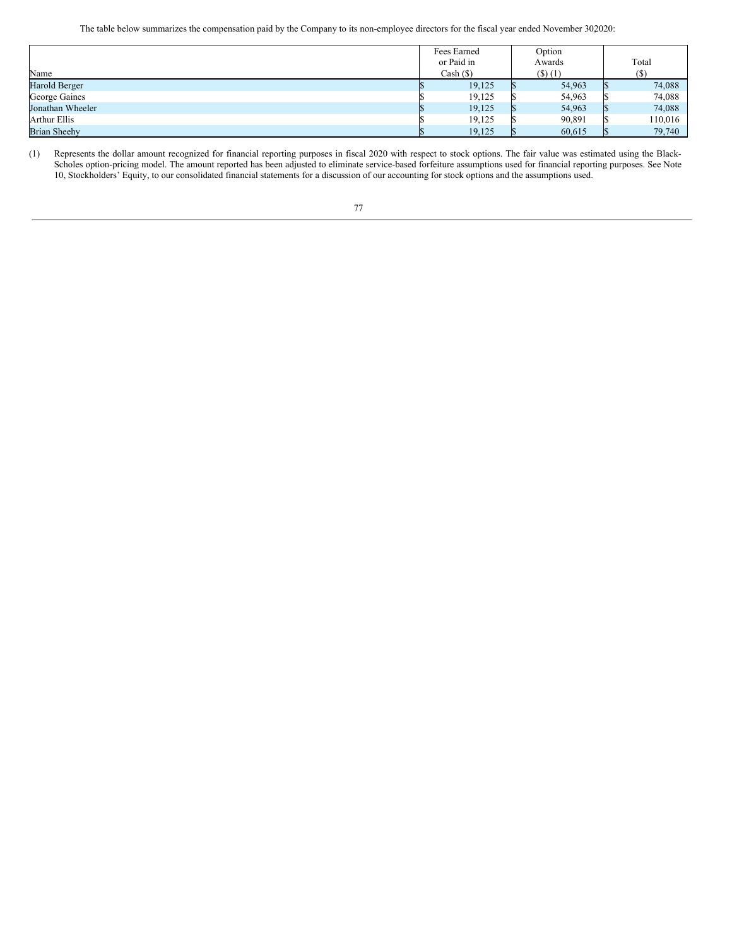The table below summarizes the compensation paid by the Company to its non-employee directors for the fiscal year ended November 30,2020:

| Name                 | Fees Earned<br>or Paid in<br>$Cash (\$)$ | Option<br>Awards<br>$($ \$ $)(1)$ |          | Total<br>(S) |
|----------------------|------------------------------------------|-----------------------------------|----------|--------------|
| <b>Harold Berger</b> | 19,125                                   | 54,963                            |          | 74,088       |
| George Gaines        | 19,125                                   | 54,963                            |          | 74,088       |
| Jonathan Wheeler     | 19,125                                   | 54,963                            | S        | 74,088       |
| Arthur Ellis         | 19,125                                   | 90,891                            | l\$      | 110,016      |
| <b>Brian Sheehy</b>  | 19,125                                   | 60,615                            | <b>S</b> | 79.740       |

(1) Represents the dollar amount recognized for financial reporting purposes in fiscal 2020 with respect to stock options. The fair value was estimated using the Black-Scholes option-pricing model. The amount reported has been adjusted to eliminate service-based forfeiture assumptions used for financial reporting purposes. See Note 10, Stockholders' Equity, to our consolidated financial statements for a discussion of our accounting for stock options and the assumptions used.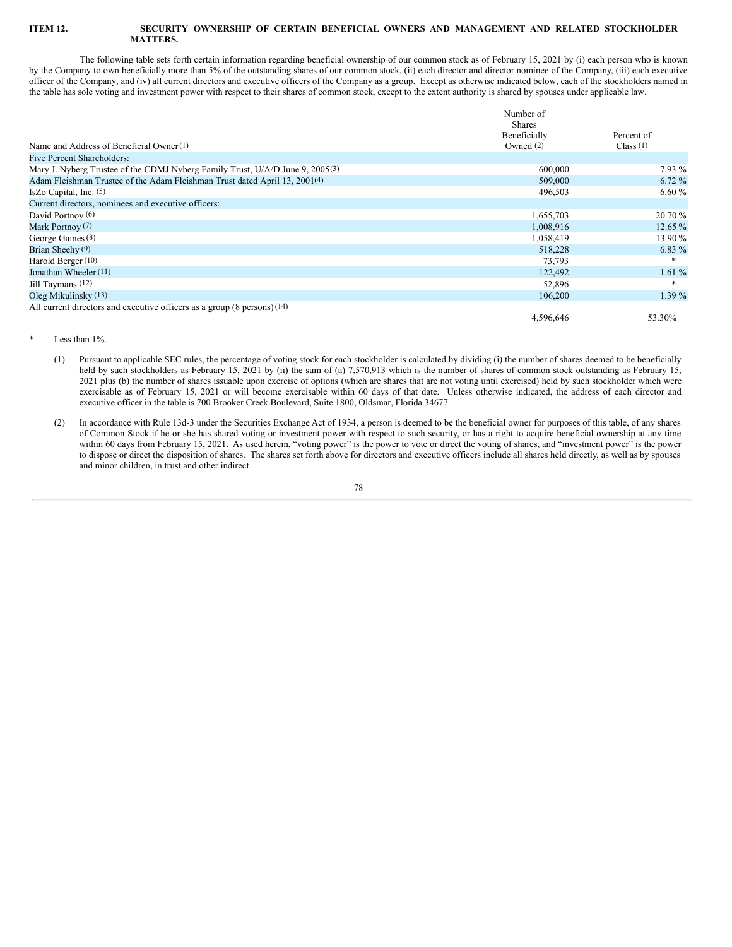### **ITEM 12. SECURITY OWNERSHIP OF CERTAIN BENEFICIAL OWNERS AND MANAGEMENT AND RELATED STOCKHOLDER MATTERS.**

The following table sets forth certain information regarding beneficial ownership of our common stock as of February 15, 2021 by (i) each person who is known by the Company to own beneficially more than 5% of the outstanding shares of our common stock, (ii) each director and director nominee of the Company, (iii) each executive officer of the Company, and (iv) all current directors and executive officers of the Company as a group. Except as otherwise indicated below, each of the stockholders named in the table has sole voting and investment power with respect to their shares of common stock, except to the extent authority is shared by spouses under applicable law.

|                                                                                    | Number of     |            |
|------------------------------------------------------------------------------------|---------------|------------|
|                                                                                    | <b>Shares</b> |            |
|                                                                                    | Beneficially  | Percent of |
| Name and Address of Beneficial Owner $(1)$                                         | Owned $(2)$   | Class(1)   |
| Five Percent Shareholders:                                                         |               |            |
| Mary J. Nyberg Trustee of the CDMJ Nyberg Family Trust, U/A/D June 9, 2005(3)      | 600,000       | $7.93\%$   |
| Adam Fleishman Trustee of the Adam Fleishman Trust dated April 13, 2001(4)         | 509,000       | $6.72\%$   |
| IsZo Capital, Inc. $(5)$                                                           | 496,503       | 6.60%      |
| Current directors, nominees and executive officers:                                |               |            |
| David Portnoy (6)                                                                  | 1,655,703     | 20.70 %    |
| Mark Portnoy (7)                                                                   | 1,008,916     | $12.65\%$  |
| George Gaines (8)                                                                  | 1,058,419     | 13.90 %    |
| Brian Sheehy (9)                                                                   | 518,228       | 6.83 $%$   |
| Harold Berger $(10)$                                                               | 73,793        |            |
| Jonathan Wheeler (11)                                                              | 122,492       | 1.61%      |
| Jill Taymans (12)                                                                  | 52,896        |            |
| Oleg Mikulinsky (13)                                                               | 106,200       | $1.39\%$   |
| All current directors and executive officers as a group $(8 \text{ persons})$ (14) |               |            |
|                                                                                    | 4,596,646     | 53.30%     |

- Less than 1%
	- (1) Pursuant to applicable SEC rules, the percentage of voting stock for each stockholder is calculated by dividing (i) the number of shares deemed to be beneficially held by such stockholders as February 15, 2021 by (ii) the sum of (a) 7,570,913 which is the number of shares of common stock outstanding as February 15, 2021 plus (b) the number of shares issuable upon exercise of options (which are shares that are not voting until exercised) held by such stockholder which were exercisable as of February 15, 2021 or will become exercisable within 60 days of that date. Unless otherwise indicated, the address of each director and executive officer in the table is 700 Brooker Creek Boulevard, Suite 1800, Oldsmar, Florida 34677.
	- (2) In accordance with Rule 13d-3 under the Securities Exchange Act of 1934, a person is deemed to be the beneficial owner for purposes of this table, of any shares of Common Stock if he or she has shared voting or investment power with respect to such security, or has a right to acquire beneficial ownership at any time within 60 days from February 15, 2021. As used herein, "voting power" is the power to vote or direct the voting of shares, and "investment power" is the power to dispose or direct the disposition of shares. The shares set forth above for directors and executive officers include all shares held directly, as well as by spouses and minor children, in trust and other indirect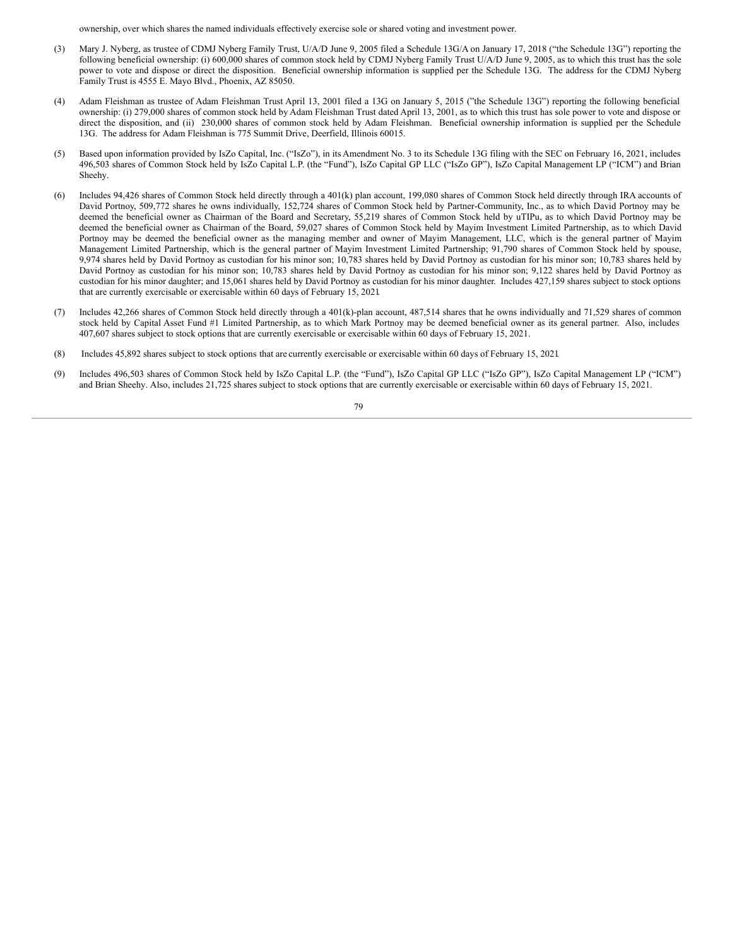ownership, over which shares the named individuals effectively exercise sole or shared voting and investment power.

- (3) Mary J. Nyberg, as trustee of CDMJ Nyberg Family Trust, U/A/D June 9, 2005 filed a Schedule 13G/A on January 17, 2018 ("the Schedule 13G") reporting the following beneficial ownership: (i) 600,000 shares of common stock held by CDMJ Nyberg Family Trust U/A/D June 9, 2005, as to which this trust has the sole power to vote and dispose or direct the disposition. Beneficial ownership information is supplied per the Schedule 13G. The address for the CDMJ Nyberg Family Trust is 4555 E. Mayo Blvd., Phoenix, AZ 85050.
- (4) Adam Fleishman as trustee of Adam Fleishman Trust April 13, 2001 filed a 13G on January 5, 2015 ("the Schedule 13G") reporting the following beneficial ownership: (i) 279,000 shares of common stock held by Adam Fleishman Trust dated April 13, 2001, as to which this trust has sole power to vote and dispose or direct the disposition, and (ii) 230,000 shares of common stock held by Adam Fleishman. Beneficial ownership information is supplied per the Schedule 13G. The address for Adam Fleishman is 775 Summit Drive, Deerfield, Illinois 60015.
- (5) Based upon information provided by IsZo Capital, Inc. ("IsZo"), in its Amendment No. 3 to its Schedule 13G filing with the SEC on February 16, 2021, includes 496,503 shares of Common Stock held by IsZo Capital L.P. (the "Fund"), IsZo Capital GP LLC ("IsZo GP"), IsZo Capital Management LP ("ICM") and Brian Sheehy.
- (6) Includes 94,426 shares of Common Stock held directly through a 401(k) plan account, 199,080 shares of Common Stock held directly through IRA accounts of David Portnoy, 509,772 shares he owns individually, 152,724 shares of Common Stock held by Partner-Community, Inc., as to which David Portnoy may be deemed the beneficial owner as Chairman of the Board and Secretary, 55,219 shares of Common Stock held by uTIPu, as to which David Portnoy may be deemed the beneficial owner as Chairman of the Board, 59,027 shares of Common Stock held by Mayim Investment Limited Partnership, as to which David Portnoy may be deemed the beneficial owner as the managing member and owner of Mayim Management, LLC, which is the general partner of Mayim Management Limited Partnership, which is the general partner of Mayim Investment Limited Partnership; 91,790 shares of Common Stock held by spouse, 9,974 shares held by David Portnoy as custodian for his minor son; 10,783 shares held by David Portnoy as custodian for his minor son; 10,783 shares held by David Portnoy as custodian for his minor son; 10,783 shares held by David Portnoy as custodian for his minor son; 9,122 shares held by David Portnoy as custodian for his minor daughter; and 15,061 shares held by David Portnoy as custodian for his minor daughter. Includes 427,159 shares subject to stock options that are currently exercisable or exercisable within 60 days of February 15, 2021.
- (7) Includes 42,266 shares of Common Stock held directly through a 401(k)-plan account, 487,514 shares that he owns individually and 71,529 shares of common stock held by Capital Asset Fund #1 Limited Partnership, as to which Mark Portnoy may be deemed beneficial owner as its general partner. Also, includes 407,607 shares subject to stock options that are currently exercisable or exercisable within 60 days of February 15, 2021.
- (8) Includes 45,892 shares subject to stock options that are currently exercisable or exercisable within 60 days of February 15, 2021.
- (9) Includes 496,503 shares of Common Stock held by IsZo Capital L.P. (the "Fund"), IsZo Capital GP LLC ("IsZo GP"), IsZo Capital Management LP ("ICM") and Brian Sheehy. Also, includes 21,725 shares subject to stock options that are currently exercisable or exercisable within 60 days of February 15, 2021.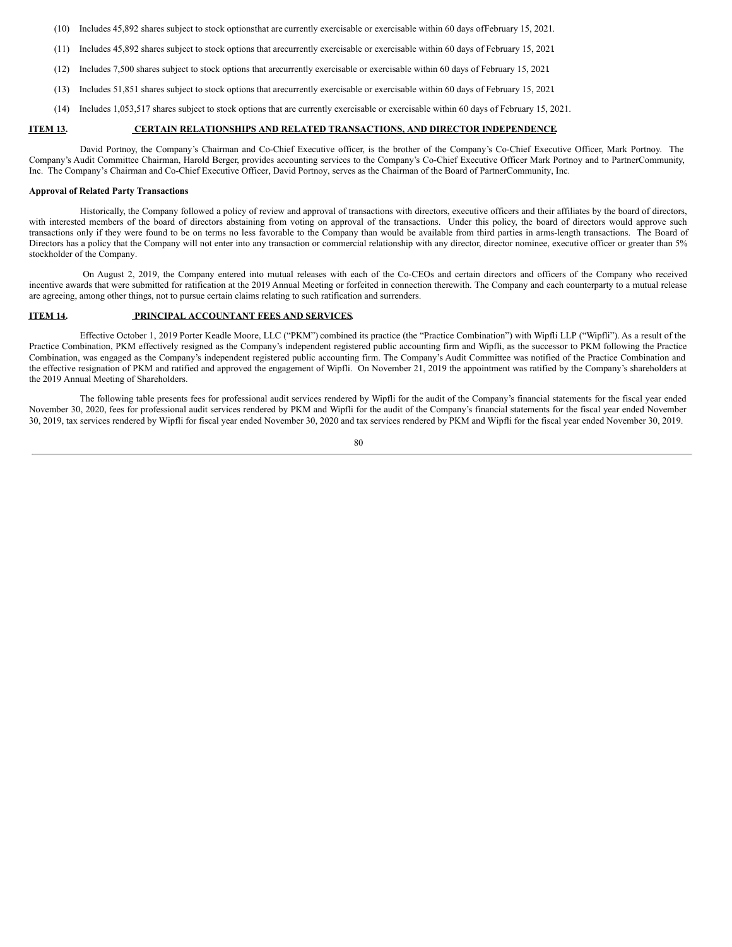- (10) Includes 45,892 shares subject to stock optionsthat are currently exercisable or exercisable within 60 days ofFebruary 15, 2021.
- (11) Includes 45,892 shares subject to stock options that arecurrently exercisable or exercisable within 60 days of February 15, 2021.
- (12) Includes 7,500 shares subject to stock options that arecurrently exercisable or exercisable within 60 days of February 15, 2021.
- (13) Includes 51,851 shares subject to stock options that arecurrently exercisable or exercisable within 60 days of February 15, 2021.
- (14) Includes 1,053,517 shares subject to stock options that are currently exercisable or exercisable within 60 days of February 15, 2021.

#### **ITEM 13. CERTAIN RELATIONSHIPS AND RELATED TRANSACTIONS, AND DIRECTOR INDEPENDENCE.**

David Portnoy, the Company's Chairman and Co-Chief Executive officer, is the brother of the Company's Co-Chief Executive Officer, Mark Portnoy. The Company's Audit Committee Chairman, Harold Berger, provides accounting services to the Company's Co-Chief Executive Officer Mark Portnoy and to PartnerCommunity, Inc. The Company's Chairman and Co-Chief Executive Officer, David Portnoy, serves as the Chairman of the Board of PartnerCommunity, Inc.

### **Approval of Related Party Transactions**

Historically, the Company followed a policy of review and approval of transactions with directors, executive officers and their affiliates by the board of directors, with interested members of the board of directors abstaining from voting on approval of the transactions. Under this policy, the board of directors would approve such transactions only if they were found to be on terms no less favorable to the Company than would be available from third parties in arms-length transactions. The Board of Directors has a policy that the Company will not enter into any transaction or commercial relationship with any director, director nominee, executive officer or greater than 5% stockholder of the Company.

On August 2, 2019, the Company entered into mutual releases with each of the Co-CEOs and certain directors and officers of the Company who received incentive awards that were submitted for ratification at the 2019 Annual Meeting or forfeited in connection therewith. The Company and each counterparty to a mutual release are agreeing, among other things, not to pursue certain claims relating to such ratification and surrenders.

### **ITEM 14. PRINCIPAL ACCOUNTANT FEES AND SERVICES.**

Effective October 1, 2019 Porter Keadle Moore, LLC ("PKM") combined its practice (the "Practice Combination") with Wipfli LLP ("Wipfli"). As a result of the Practice Combination, PKM effectively resigned as the Company's independent registered public accounting firm and Wipfli, as the successor to PKM following the Practice Combination, was engaged as the Company's independent registered public accounting firm. The Company's Audit Committee was notified of the Practice Combination and the effective resignation of PKM and ratified and approved the engagement of Wipfli. On November 21, 2019 the appointment was ratified by the Company's shareholders at the 2019 Annual Meeting of Shareholders.

The following table presents fees for professional audit services rendered by Wipfli for the audit of the Company's financial statements for the fiscal year ended November 30, 2020, fees for professional audit services rendered by PKM and Wipfli for the audit of the Company's financial statements for the fiscal year ended November 30, 2019, tax services rendered by Wipfli for fiscal year ended November 30, 2020 and tax services rendered by PKM and Wipfli for the fiscal year ended November 30, 2019.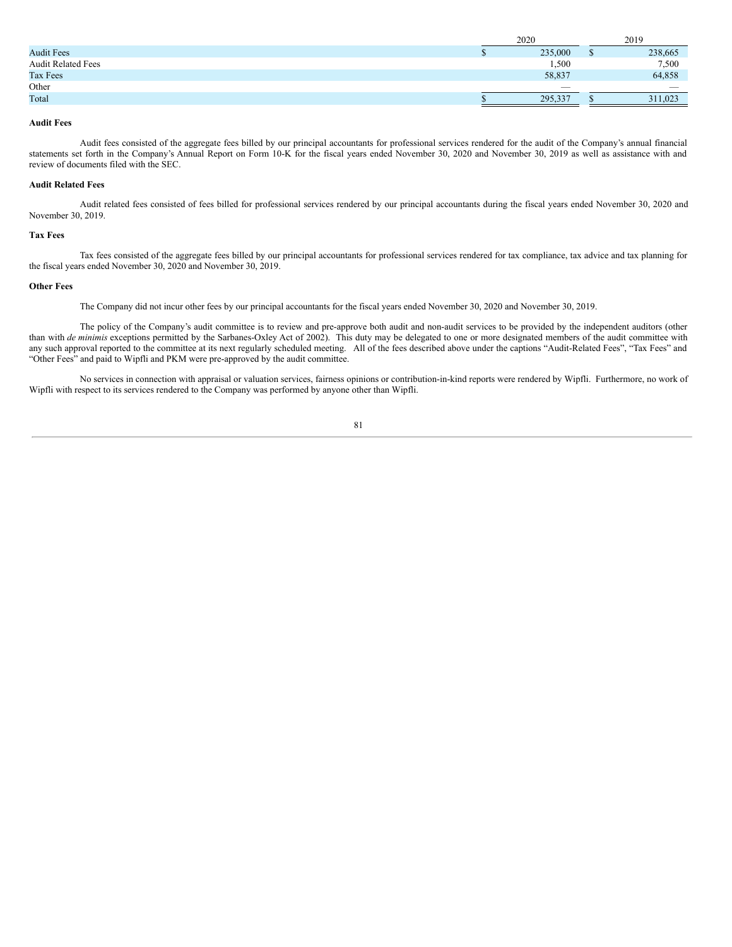| 238,665                  |
|--------------------------|
| 7,500                    |
| 64,858                   |
| $\overline{\phantom{a}}$ |
| 311,023                  |
|                          |

#### **Audit Fees**

Audit fees consisted of the aggregate fees billed by our principal accountants for professional services rendered for the audit of the Company's annual financial statements set forth in the Company's Annual Report on Form 10-K for the fiscal years ended November 30, 2020 and November 30, 2019 as well as assistance with and review of documents filed with the SEC.

# **Audit Related Fees**

Audit related fees consisted of fees billed for professional services rendered by our principal accountants during the fiscal years ended November 30, 2020 and November 30, 2019.

# **Tax Fees**

Tax fees consisted of the aggregate fees billed by our principal accountants for professional services rendered for tax compliance, tax advice and tax planning for the fiscal years ended November 30, 2020 and November 30, 2019.

#### **Other Fees**

The Company did not incur other fees by our principal accountants for the fiscal years ended November 30, 2020 and November 30, 2019.

The policy of the Company's audit committee is to review and pre-approve both audit and non-audit services to be provided by the independent auditors (other than with *de minimis* exceptions permitted by the Sarbanes-Oxley Act of 2002). This duty may be delegated to one or more designated members of the audit committee with any such approval reported to the committee at its next regularly scheduled meeting. All of the fees described above under the captions "Audit-Related Fees", "Tax Fees" and "Other Fees" and paid to Wipfli and PKM were pre-approved by the audit committee.

No services in connection with appraisal or valuation services, fairness opinions or contribution-in-kind reports were rendered by Wipfli. Furthermore, no work of Wipfli with respect to its services rendered to the Company was performed by anyone other than Wipfli.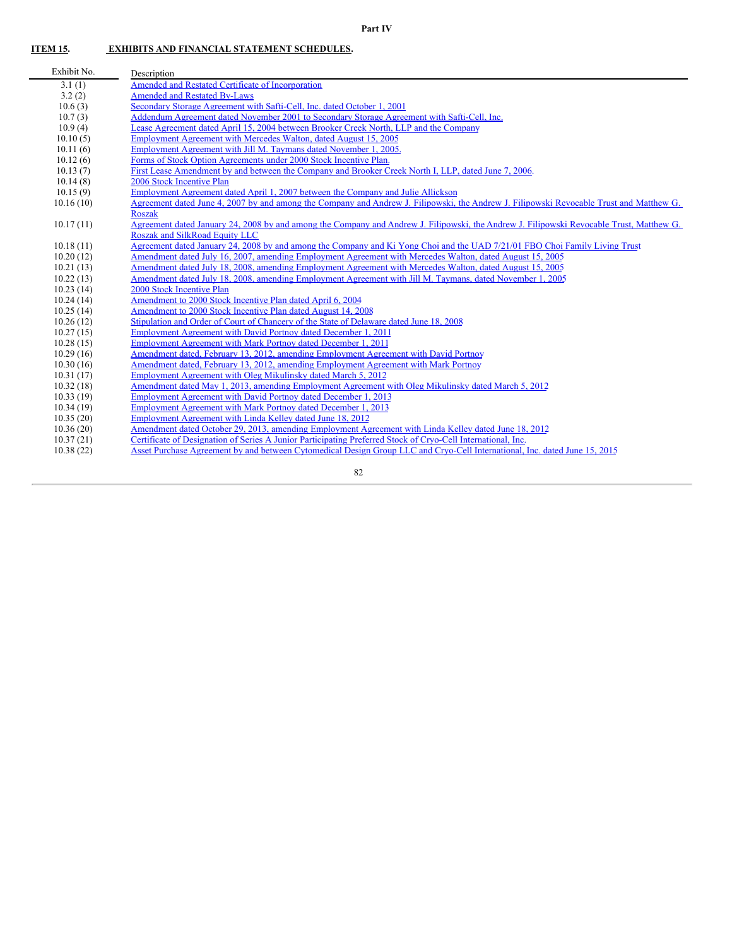**ITEM 15. EXHIBITS AND FINANCIAL STATEMENT SCHEDULES.**

| Exhibit No. | Description                                                                                                                              |
|-------------|------------------------------------------------------------------------------------------------------------------------------------------|
| 3.1(1)      | Amended and Restated Certificate of Incorporation                                                                                        |
| 3.2(2)      | <b>Amended and Restated By-Laws</b>                                                                                                      |
| 10.6(3)     | Secondary Storage Agreement with Safti-Cell, Inc. dated October 1, 2001                                                                  |
| 10.7(3)     | Addendum Agreement dated November 2001 to Secondary Storage Agreement with Safti-Cell, Inc.                                              |
| 10.9(4)     | Lease Agreement dated April 15, 2004 between Brooker Creek North, LLP and the Company                                                    |
| 10.10(5)    | Employment Agreement with Mercedes Walton, dated August 15, 2005                                                                         |
| 10.11(6)    | Employment Agreement with Jill M. Taymans dated November 1, 2005.                                                                        |
| 10.12(6)    | Forms of Stock Option Agreements under 2000 Stock Incentive Plan.                                                                        |
| 10.13(7)    | First Lease Amendment by and between the Company and Brooker Creek North I, LLP, dated June 7, 2006.                                     |
| 10.14(8)    | 2006 Stock Incentive Plan                                                                                                                |
| 10.15(9)    | Employment Agreement dated April 1, 2007 between the Company and Julie Allickson                                                         |
| 10.16(10)   | Agreement dated June 4, 2007 by and among the Company and Andrew J. Filipowski, the Andrew J. Filipowski Revocable Trust and Matthew G.  |
|             | <b>Roszak</b>                                                                                                                            |
| 10.17(11)   | Agreement dated January 24, 2008 by and among the Company and Andrew J. Filipowski, the Andrew J. Filipowski Revocable Trust, Matthew G. |
|             | Roszak and SilkRoad Equity LLC                                                                                                           |
| 10.18(11)   | Agreement dated January 24, 2008 by and among the Company and Ki Yong Choi and the UAD 7/21/01 FBO Choi Family Living Trust              |
| 10.20(12)   | Amendment dated July 16, 2007, amending Employment Agreement with Mercedes Walton, dated August 15, 2005                                 |
| 10.21(13)   | Amendment dated July 18, 2008, amending Employment Agreement with Mercedes Walton, dated August 15, 2005                                 |
| 10.22(13)   | Amendment dated July 18, 2008, amending Employment Agreement with Jill M. Taymans, dated November 1, 2005                                |
| 10.23(14)   | 2000 Stock Incentive Plan                                                                                                                |
| 10.24(14)   | Amendment to 2000 Stock Incentive Plan dated April 6, 2004                                                                               |
| 10.25(14)   | Amendment to 2000 Stock Incentive Plan dated August 14, 2008                                                                             |
| 10.26(12)   | Stipulation and Order of Court of Chancery of the State of Delaware dated June 18, 2008                                                  |
| 10.27(15)   | Employment Agreement with David Portnoy dated December 1, 2011                                                                           |
| 10.28(15)   | Employment Agreement with Mark Portnoy dated December 1, 2011                                                                            |
| 10.29(16)   | Amendment dated, February 13, 2012, amending Employment Agreement with David Portnoy                                                     |
| 10.30(16)   | Amendment dated, February 13, 2012, amending Employment Agreement with Mark Portnoy                                                      |
| 10.31(17)   | Employment Agreement with Oleg Mikulinsky dated March 5, 2012                                                                            |
| 10.32(18)   | Amendment dated May 1, 2013, amending Employment Agreement with Oleg Mikulinsky dated March 5, 2012                                      |
| 10.33(19)   | Employment Agreement with David Portnoy dated December 1, 2013                                                                           |
| 10.34(19)   | Employment Agreement with Mark Portnoy dated December 1, 2013                                                                            |
| 10.35(20)   | Employment Agreement with Linda Kelley dated June 18, 2012                                                                               |
| 10.36(20)   | Amendment dated October 29, 2013, amending Employment Agreement with Linda Kelley dated June 18, 2012                                    |
| 10.37(21)   | Certificate of Designation of Series A Junior Participating Preferred Stock of Cryo-Cell International, Inc.                             |
| 10.38(22)   | Asset Purchase Agreement by and between Cytomedical Design Group LLC and Cryo-Cell International. Inc. dated June 15, 2015               |
|             |                                                                                                                                          |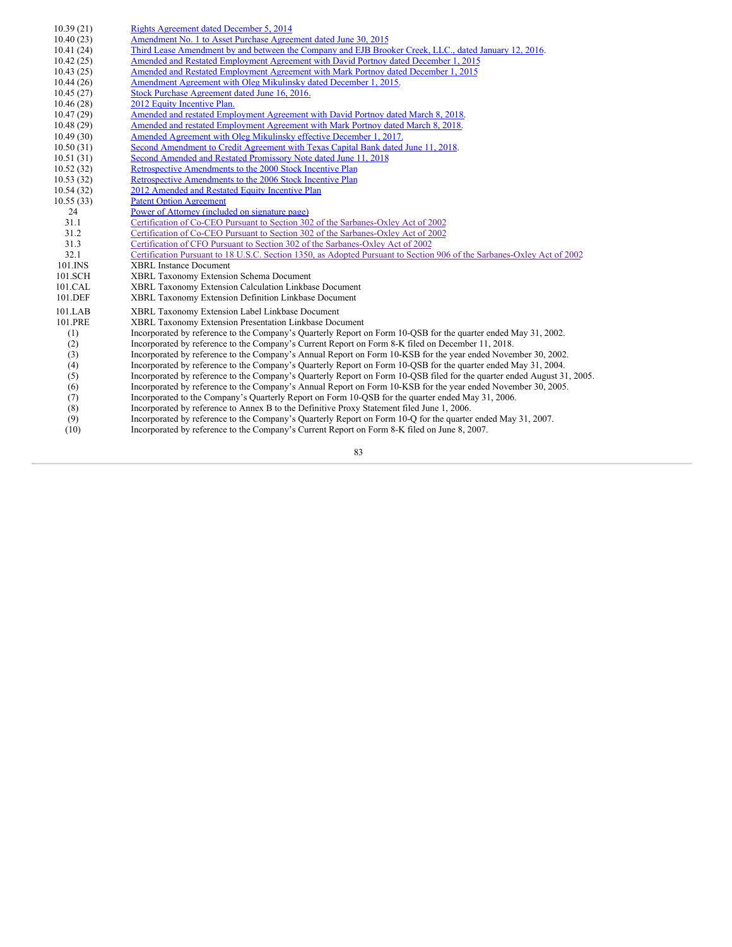| 10.39(21) | Rights Agreement dated December 5, 2014                                                                                 |
|-----------|-------------------------------------------------------------------------------------------------------------------------|
| 10.40(23) | Amendment No. 1 to Asset Purchase Agreement dated June 30, 2015                                                         |
| 10.41(24) | Third Lease Amendment by and between the Company and EJB Brooker Creek, LLC., dated January 12, 2016.                   |
| 10.42(25) | Amended and Restated Employment Agreement with David Portnoy dated December 1, 2015                                     |
| 10.43(25) | Amended and Restated Employment Agreement with Mark Portnoy dated December 1, 2015                                      |
| 10.44(26) | Amendment Agreement with Oleg Mikulinsky dated December 1, 2015.                                                        |
| 10.45(27) | Stock Purchase Agreement dated June 16, 2016.                                                                           |
| 10.46(28) | 2012 Equity Incentive Plan.                                                                                             |
| 10.47(29) | Amended and restated Employment Agreement with David Portnoy dated March 8, 2018.                                       |
| 10.48(29) | Amended and restated Employment Agreement with Mark Portnoy dated March 8, 2018.                                        |
| 10.49(30) | Amended Agreement with Oleg Mikulinsky effective December 1, 2017.                                                      |
| 10.50(31) | Second Amendment to Credit Agreement with Texas Capital Bank dated June 11, 2018.                                       |
| 10.51(31) | Second Amended and Restated Promissory Note dated June 11, 2018                                                         |
| 10.52(32) | Retrospective Amendments to the 2000 Stock Incentive Plan                                                               |
| 10.53(32) | Retrospective Amendments to the 2006 Stock Incentive Plan                                                               |
| 10.54(32) | 2012 Amended and Restated Equity Incentive Plan                                                                         |
| 10.55(33) | <b>Patent Option Agreement</b>                                                                                          |
| 24        | Power of Attorney (included on signature page)                                                                          |
| 31.1      | Certification of Co-CEO Pursuant to Section 302 of the Sarbanes-Oxley Act of 2002                                       |
| 31.2      | Certification of Co-CEO Pursuant to Section 302 of the Sarbanes-Oxley Act of 2002                                       |
| 31.3      | Certification of CFO Pursuant to Section 302 of the Sarbanes-Oxley Act of 2002                                          |
| 32.1      | Certification Pursuant to 18 U.S.C. Section 1350, as Adopted Pursuant to Section 906 of the Sarbanes-Oxley Act of 2002  |
| 101.INS   | <b>XBRL</b> Instance Document                                                                                           |
| 101.SCH   | XBRL Taxonomy Extension Schema Document                                                                                 |
| 101.CAL   | XBRL Taxonomy Extension Calculation Linkbase Document                                                                   |
| 101.DEF   | XBRL Taxonomy Extension Definition Linkbase Document                                                                    |
| 101.LAB   | XBRL Taxonomy Extension Label Linkbase Document                                                                         |
| 101.PRE   | XBRL Taxonomy Extension Presentation Linkbase Document                                                                  |
| (1)       | Incorporated by reference to the Company's Quarterly Report on Form 10-QSB for the quarter ended May 31, 2002.          |
| (2)       | Incorporated by reference to the Company's Current Report on Form 8-K filed on December 11, 2018.                       |
| (3)       | Incorporated by reference to the Company's Annual Report on Form 10-KSB for the year ended November 30, 2002.           |
| (4)       | Incorporated by reference to the Company's Quarterly Report on Form 10-QSB for the quarter ended May 31, 2004.          |
| (5)       | Incorporated by reference to the Company's Quarterly Report on Form 10-QSB filed for the quarter ended August 31, 2005. |
| (6)       | Incorporated by reference to the Company's Annual Report on Form 10-KSB for the year ended November 30, 2005.           |
| (7)       | Incorporated to the Company's Quarterly Report on Form 10-QSB for the quarter ended May 31, 2006.                       |
| (8)       | Incorporated by reference to Annex B to the Definitive Proxy Statement filed June 1, 2006.                              |
| (9)       | Incorporated by reference to the Company's Quarterly Report on Form 10-Q for the quarter ended May 31, 2007.            |
| (10)      | Incorporated by reference to the Company's Current Report on Form 8-K filed on June 8, 2007.                            |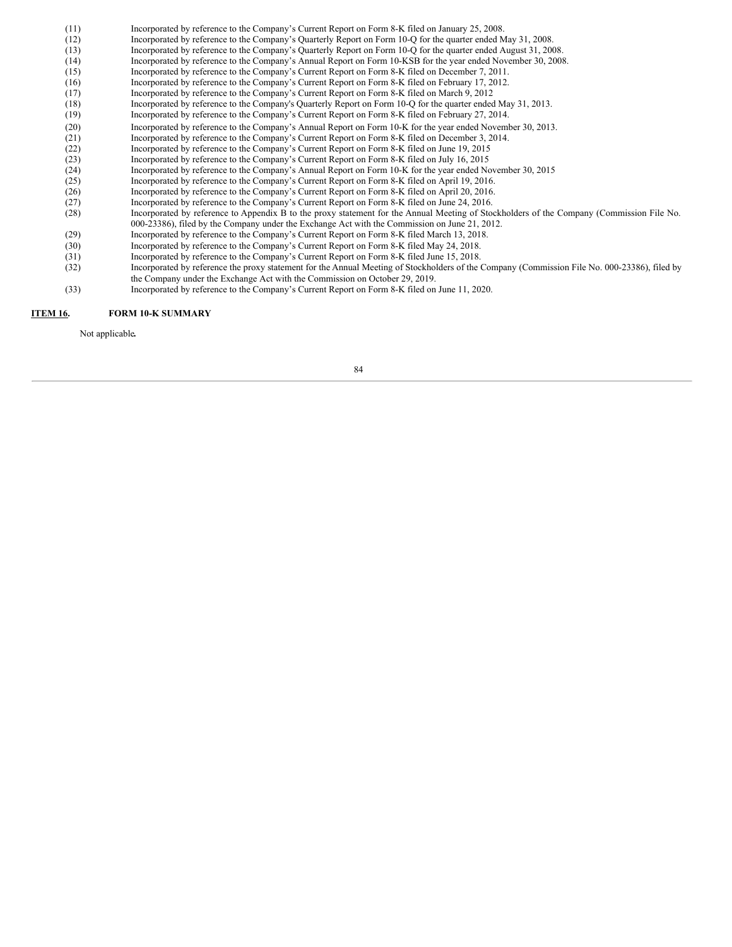| (11) | Incorporated by reference to the Company's Current Report on Form 8-K filed on January 25, 2008.                                              |
|------|-----------------------------------------------------------------------------------------------------------------------------------------------|
| (12) | Incorporated by reference to the Company's Quarterly Report on Form 10-Q for the quarter ended May 31, 2008.                                  |
| (13) | Incorporated by reference to the Company's Quarterly Report on Form 10-Q for the quarter ended August 31, 2008.                               |
| (14) | Incorporated by reference to the Company's Annual Report on Form 10-KSB for the year ended November 30, 2008.                                 |
| (15) | Incorporated by reference to the Company's Current Report on Form 8-K filed on December 7, 2011.                                              |
| (16) | Incorporated by reference to the Company's Current Report on Form 8-K filed on February 17, 2012.                                             |
| (17) | Incorporated by reference to the Company's Current Report on Form 8-K filed on March 9, 2012                                                  |
| (18) | Incorporated by reference to the Company's Quarterly Report on Form 10-Q for the quarter ended May 31, 2013.                                  |
| (19) | Incorporated by reference to the Company's Current Report on Form 8-K filed on February 27, 2014.                                             |
| (20) | Incorporated by reference to the Company's Annual Report on Form 10-K for the year ended November 30, 2013.                                   |
| (21) | Incorporated by reference to the Company's Current Report on Form 8-K filed on December 3, 2014.                                              |
| (22) | Incorporated by reference to the Company's Current Report on Form 8-K filed on June 19, 2015                                                  |
| (23) | Incorporated by reference to the Company's Current Report on Form 8-K filed on July 16, 2015                                                  |
| (24) | Incorporated by reference to the Company's Annual Report on Form 10-K for the year ended November 30, 2015                                    |
| (25) | Incorporated by reference to the Company's Current Report on Form 8-K filed on April 19, 2016.                                                |
| (26) | Incorporated by reference to the Company's Current Report on Form 8-K filed on April 20, 2016.                                                |
| (27) | Incorporated by reference to the Company's Current Report on Form 8-K filed on June 24, 2016.                                                 |
| (28) | Incorporated by reference to Appendix B to the proxy statement for the Annual Meeting of Stockholders of the Company (Commission File No.     |
|      | 000-23386), filed by the Company under the Exchange Act with the Commission on June 21, 2012.                                                 |
| (29) | Incorporated by reference to the Company's Current Report on Form 8-K filed March 13, 2018.                                                   |
| (30) | Incorporated by reference to the Company's Current Report on Form 8-K filed May 24, 2018.                                                     |
| (31) | Incorporated by reference to the Company's Current Report on Form 8-K filed June 15, 2018.                                                    |
| (32) | Incorporated by reference the proxy statement for the Annual Meeting of Stockholders of the Company (Commission File No. 000-23386), filed by |
|      | the Company under the Exchange Act with the Commission on October 29, 2019.                                                                   |
| (33) | Incorporated by reference to the Company's Current Report on Form 8-K filed on June 11, 2020.                                                 |
|      |                                                                                                                                               |

# **ITEM 16. FORM 10-K SUMMARY**

Not applicable**.**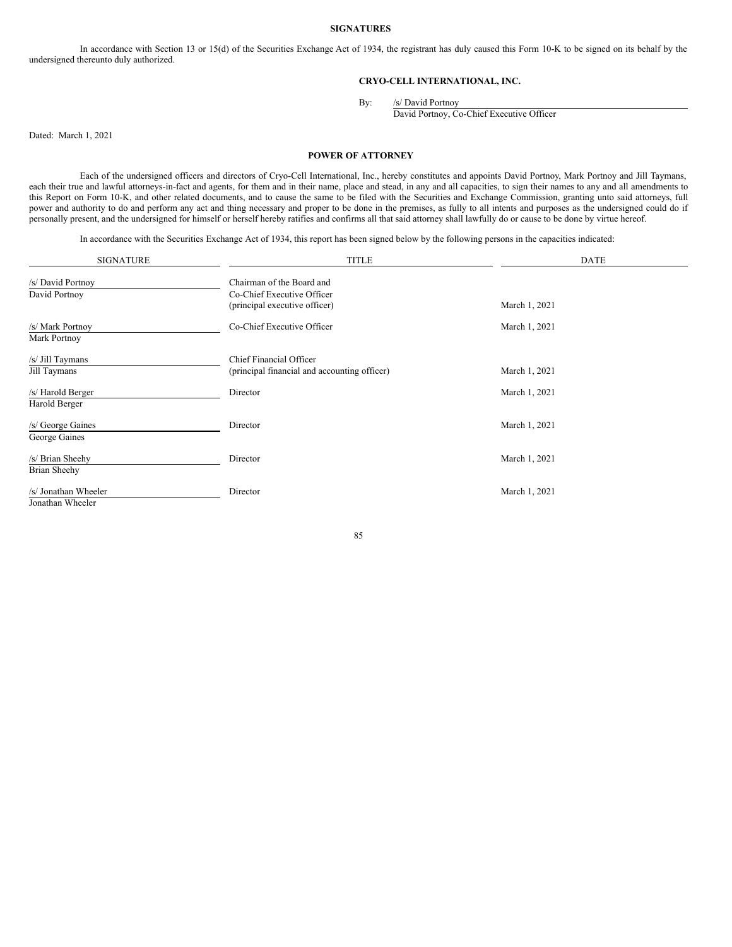### **SIGNATURES**

In accordance with Section 13 or 15(d) of the Securities Exchange Act of 1934, the registrant has duly caused this Form 10-K to be signed on its behalf by the undersigned thereunto duly authorized.

### **CRYO-CELL INTERNATIONAL, INC.**

By: /s/ David Portnoy

David Portnoy, Co-Chief Executive Officer

Dated: March 1, 2021

# <span id="page-86-0"></span>**POWER OF ATTORNEY**

Each of the undersigned officers and directors of Cryo-Cell International, Inc., hereby constitutes and appoints David Portnoy, Mark Portnoy and Jill Taymans, each their true and lawful attorneys-in-fact and agents, for them and in their name, place and stead, in any and all capacities, to sign their names to any and all amendments to this Report on Form 10-K, and other related documents, and to cause the same to be filed with the Securities and Exchange Commission, granting unto said attorneys, full power and authority to do and perform any act and thing necessary and proper to be done in the premises, as fully to all intents and purposes as the undersigned could do if personally present, and the undersigned for himself or herself hereby ratifies and confirms all that said attorney shall lawfully do or cause to be done by virtue hereof.

In accordance with the Securities Exchange Act of 1934, this report has been signed below by the following persons in the capacities indicated:

| <b>SIGNATURE</b>                   | <b>TITLE</b>                                            | <b>DATE</b>   |
|------------------------------------|---------------------------------------------------------|---------------|
| /s/ David Portnoy<br>David Portnoy | Chairman of the Board and<br>Co-Chief Executive Officer |               |
|                                    | (principal executive officer)                           | March 1, 2021 |
| /s/ Mark Portnoy                   | Co-Chief Executive Officer                              | March 1, 2021 |
| Mark Portnoy                       |                                                         |               |
| /s/ Jill Taymans                   | Chief Financial Officer                                 |               |
| Jill Taymans                       | (principal financial and accounting officer)            | March 1, 2021 |
| /s/ Harold Berger                  | Director                                                | March 1, 2021 |
| Harold Berger                      |                                                         |               |
| /s/ George Gaines                  | Director                                                | March 1, 2021 |
| George Gaines                      |                                                         |               |
| /s/ Brian Sheehy                   | Director                                                | March 1, 2021 |
| <b>Brian Sheehy</b>                |                                                         |               |
| /s/ Jonathan Wheeler               | Director                                                | March 1, 2021 |
| Jonathan Wheeler                   |                                                         |               |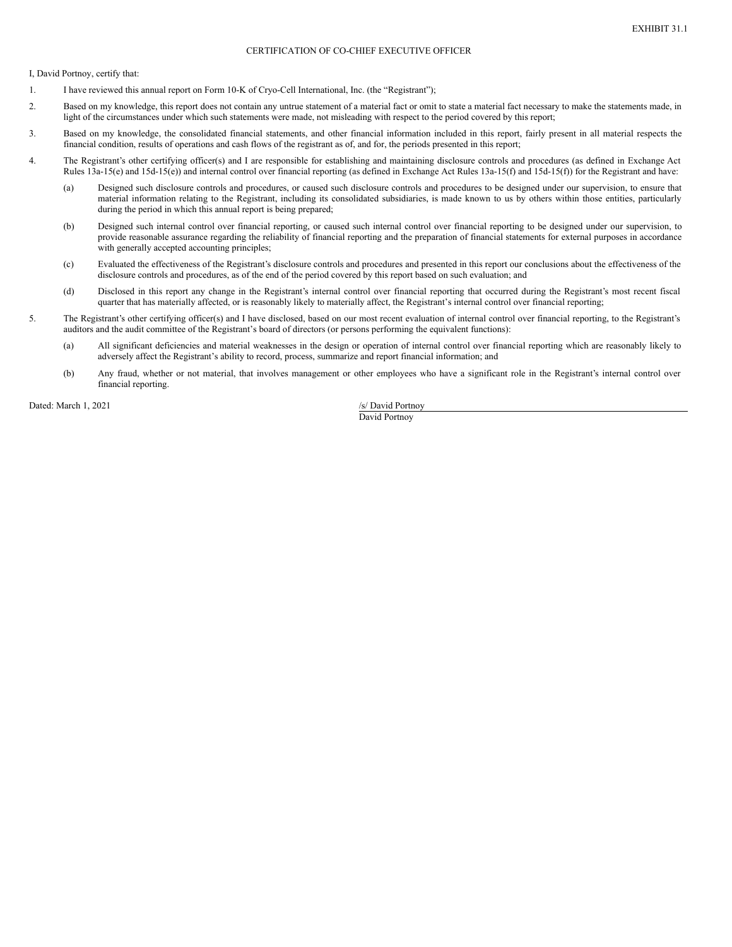# CERTIFICATION OF CO-CHIEF EXECUTIVE OFFICER

<span id="page-87-0"></span>I, David Portnoy, certify that:

- 1. I have reviewed this annual report on Form 10-K of Cryo-Cell International, Inc. (the "Registrant");
- 2. Based on my knowledge, this report does not contain any untrue statement of a material fact or omit to state a material fact necessary to make the statements made, in light of the circumstances under which such statements were made, not misleading with respect to the period covered by this report;
- 3. Based on my knowledge, the consolidated financial statements, and other financial information included in this report, fairly present in all material respects the financial condition, results of operations and cash flows of the registrant as of, and for, the periods presented in this report;
- 4. The Registrant's other certifying officer(s) and I are responsible for establishing and maintaining disclosure controls and procedures (as defined in Exchange Act Rules 13a-15(e) and 15d-15(e)) and internal control over financial reporting (as defined in Exchange Act Rules 13a-15(f) and 15d-15(f)) for the Registrant and have:
	- (a) Designed such disclosure controls and procedures, or caused such disclosure controls and procedures to be designed under our supervision, to ensure that material information relating to the Registrant, including its consolidated subsidiaries, is made known to us by others within those entities, particularly during the period in which this annual report is being prepared;
	- (b) Designed such internal control over financial reporting, or caused such internal control over financial reporting to be designed under our supervision, to provide reasonable assurance regarding the reliability of financial reporting and the preparation of financial statements for external purposes in accordance with generally accepted accounting principles;
	- (c) Evaluated the effectiveness of the Registrant's disclosure controls and procedures and presented in this report our conclusions about the effectiveness of the disclosure controls and procedures, as of the end of the period covered by this report based on such evaluation; and
	- (d) Disclosed in this report any change in the Registrant's internal control over financial reporting that occurred during the Registrant's most recent fiscal quarter that has materially affected, or is reasonably likely to materially affect, the Registrant's internal control over financial reporting;
- 5. The Registrant's other certifying officer(s) and I have disclosed, based on our most recent evaluation of internal control over financial reporting, to the Registrant's auditors and the audit committee of the Registrant's board of directors (or persons performing the equivalent functions):
	- (a) All significant deficiencies and material weaknesses in the design or operation of internal control over financial reporting which are reasonably likely to adversely affect the Registrant's ability to record, process, summarize and report financial information; and
	- (b) Any fraud, whether or not material, that involves management or other employees who have a significant role in the Registrant's internal control over financial reporting.

Dated: March 1, 2021 /s/ David Portnoy

David Portnoy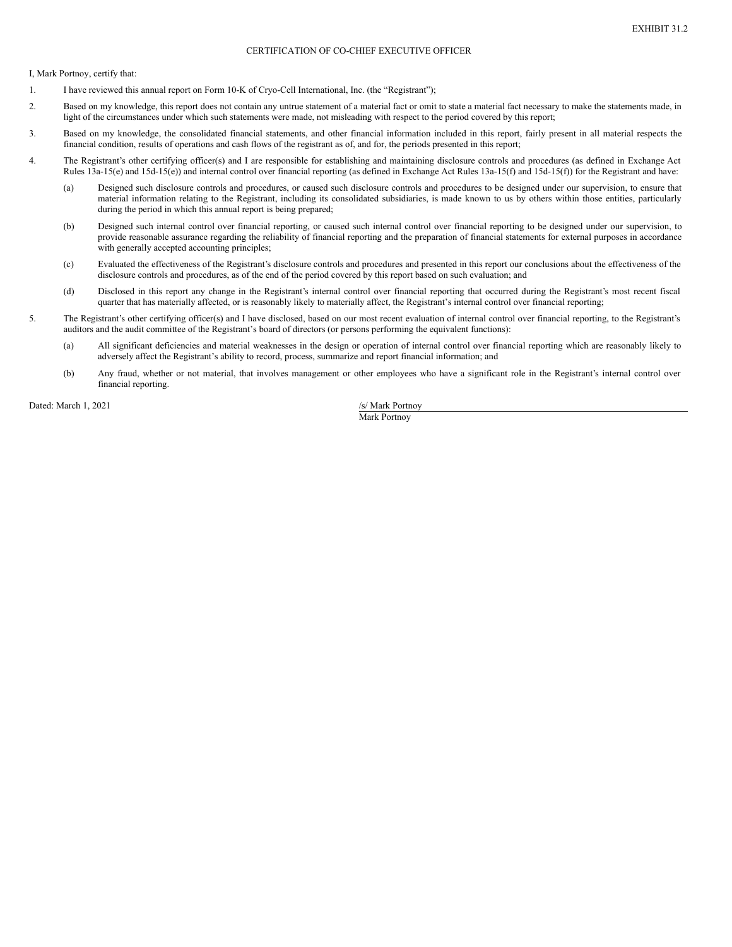# CERTIFICATION OF CO-CHIEF EXECUTIVE OFFICER

<span id="page-88-0"></span>I, Mark Portnoy, certify that:

- 1. I have reviewed this annual report on Form 10-K of Cryo-Cell International, Inc. (the "Registrant");
- 2. Based on my knowledge, this report does not contain any untrue statement of a material fact or omit to state a material fact necessary to make the statements made, in light of the circumstances under which such statements were made, not misleading with respect to the period covered by this report;
- 3. Based on my knowledge, the consolidated financial statements, and other financial information included in this report, fairly present in all material respects the financial condition, results of operations and cash flows of the registrant as of, and for, the periods presented in this report;
- 4. The Registrant's other certifying officer(s) and I are responsible for establishing and maintaining disclosure controls and procedures (as defined in Exchange Act Rules 13a-15(e) and 15d-15(e)) and internal control over financial reporting (as defined in Exchange Act Rules 13a-15(f) and 15d-15(f)) for the Registrant and have:
	- (a) Designed such disclosure controls and procedures, or caused such disclosure controls and procedures to be designed under our supervision, to ensure that material information relating to the Registrant, including its consolidated subsidiaries, is made known to us by others within those entities, particularly during the period in which this annual report is being prepared;
	- (b) Designed such internal control over financial reporting, or caused such internal control over financial reporting to be designed under our supervision, to provide reasonable assurance regarding the reliability of financial reporting and the preparation of financial statements for external purposes in accordance with generally accepted accounting principles;
	- (c) Evaluated the effectiveness of the Registrant's disclosure controls and procedures and presented in this report our conclusions about the effectiveness of the disclosure controls and procedures, as of the end of the period covered by this report based on such evaluation; and
	- (d) Disclosed in this report any change in the Registrant's internal control over financial reporting that occurred during the Registrant's most recent fiscal quarter that has materially affected, or is reasonably likely to materially affect, the Registrant's internal control over financial reporting;
- 5. The Registrant's other certifying officer(s) and I have disclosed, based on our most recent evaluation of internal control over financial reporting, to the Registrant's auditors and the audit committee of the Registrant's board of directors (or persons performing the equivalent functions):
	- (a) All significant deficiencies and material weaknesses in the design or operation of internal control over financial reporting which are reasonably likely to adversely affect the Registrant's ability to record, process, summarize and report financial information; and
	- (b) Any fraud, whether or not material, that involves management or other employees who have a significant role in the Registrant's internal control over financial reporting.

Dated: March 1, 2021 /s/ Mark Portnoy

Mark Portnoy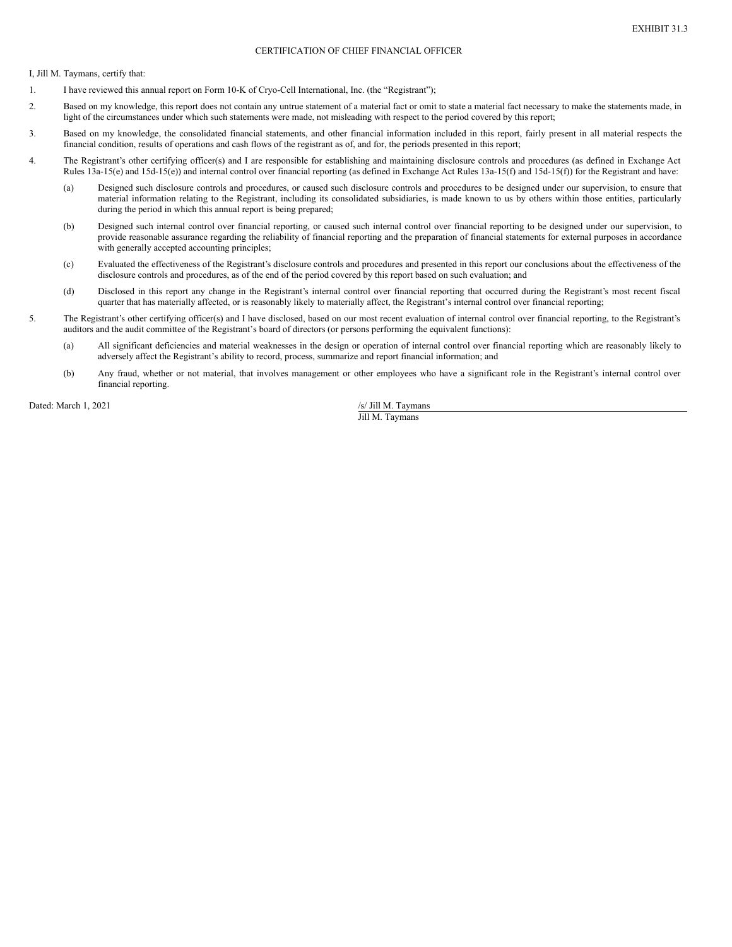# CERTIFICATION OF CHIEF FINANCIAL OFFICER

<span id="page-89-0"></span>I, Jill M. Taymans, certify that:

- 1. I have reviewed this annual report on Form 10-K of Cryo-Cell International, Inc. (the "Registrant");
- 2. Based on my knowledge, this report does not contain any untrue statement of a material fact or omit to state a material fact necessary to make the statements made, in light of the circumstances under which such statements were made, not misleading with respect to the period covered by this report;
- 3. Based on my knowledge, the consolidated financial statements, and other financial information included in this report, fairly present in all material respects the financial condition, results of operations and cash flows of the registrant as of, and for, the periods presented in this report;
- 4. The Registrant's other certifying officer(s) and I are responsible for establishing and maintaining disclosure controls and procedures (as defined in Exchange Act Rules 13a-15(e) and 15d-15(e)) and internal control over financial reporting (as defined in Exchange Act Rules 13a-15(f) and 15d-15(f)) for the Registrant and have:
	- (a) Designed such disclosure controls and procedures, or caused such disclosure controls and procedures to be designed under our supervision, to ensure that material information relating to the Registrant, including its consolidated subsidiaries, is made known to us by others within those entities, particularly during the period in which this annual report is being prepared;
	- (b) Designed such internal control over financial reporting, or caused such internal control over financial reporting to be designed under our supervision, to provide reasonable assurance regarding the reliability of financial reporting and the preparation of financial statements for external purposes in accordance with generally accepted accounting principles;
	- (c) Evaluated the effectiveness of the Registrant's disclosure controls and procedures and presented in this report our conclusions about the effectiveness of the disclosure controls and procedures, as of the end of the period covered by this report based on such evaluation; and
	- (d) Disclosed in this report any change in the Registrant's internal control over financial reporting that occurred during the Registrant's most recent fiscal quarter that has materially affected, or is reasonably likely to materially affect, the Registrant's internal control over financial reporting;
- 5. The Registrant's other certifying officer(s) and I have disclosed, based on our most recent evaluation of internal control over financial reporting, to the Registrant's auditors and the audit committee of the Registrant's board of directors (or persons performing the equivalent functions):
	- (a) All significant deficiencies and material weaknesses in the design or operation of internal control over financial reporting which are reasonably likely to adversely affect the Registrant's ability to record, process, summarize and report financial information; and
	- (b) Any fraud, whether or not material, that involves management or other employees who have a significant role in the Registrant's internal control over financial reporting.

Dated: March 1, 2021 /s/ Jill M. Taymans

Jill M. Taymans